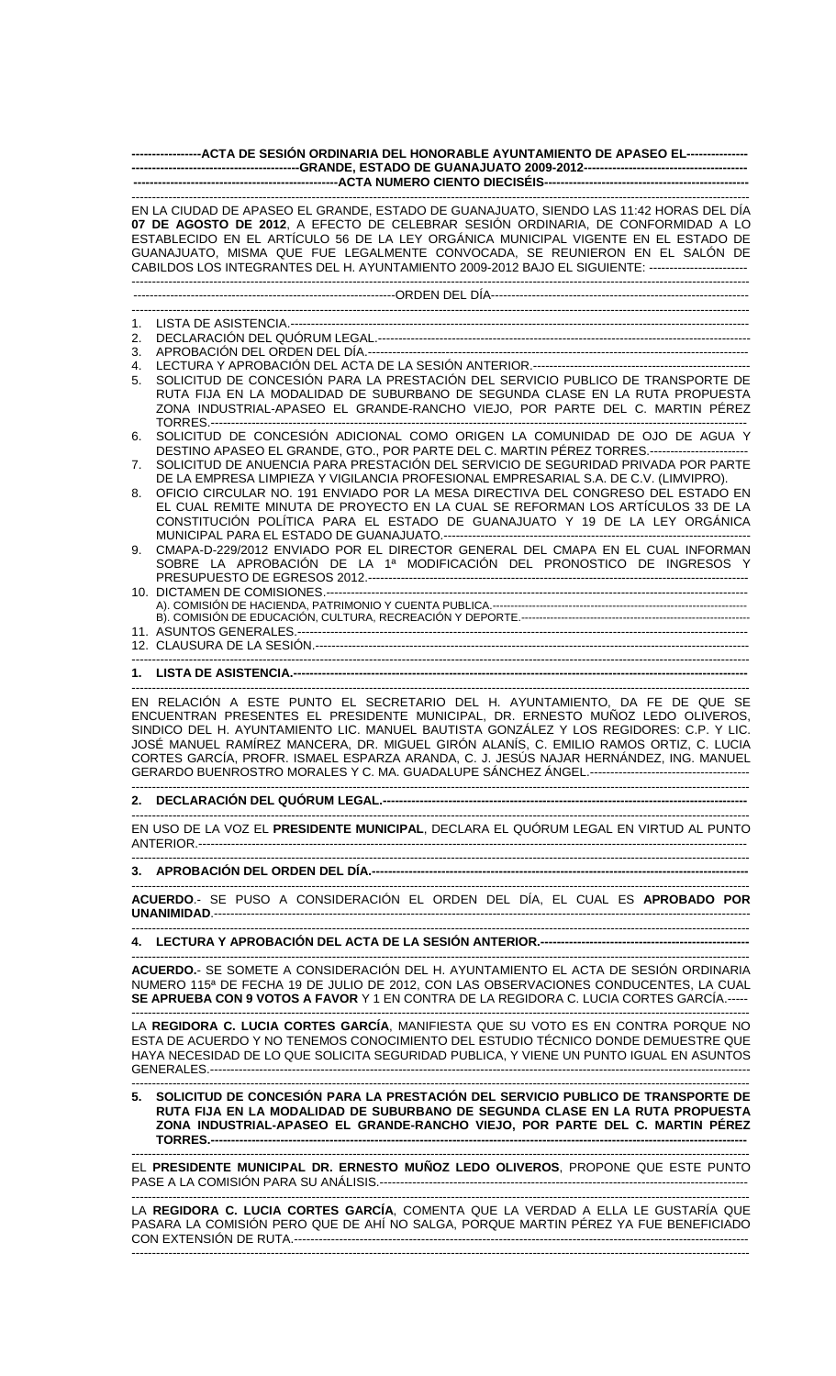|          | -----------------ACTA DE SESIÓN ORDINARIA DEL HONORABLE AYUNTAMIENTO DE APASEO EL----------------                                                                                                                                                                                                                                                                                                                                                      |
|----------|--------------------------------------------------------------------------------------------------------------------------------------------------------------------------------------------------------------------------------------------------------------------------------------------------------------------------------------------------------------------------------------------------------------------------------------------------------|
|          |                                                                                                                                                                                                                                                                                                                                                                                                                                                        |
|          | EN LA CIUDAD DE APASEO EL GRANDE, ESTADO DE GUANAJUATO, SIENDO LAS 11:42 HORAS DEL DÍA<br>07 DE AGOSTO DE 2012, A EFECTO DE CELEBRAR SESIÓN ORDINARIA, DE CONFORMIDAD A LO<br>ESTABLECIDO EN EL ARTÍCULO 56 DE LA LEY ORGÁNICA MUNICIPAL VIGENTE EN EL ESTADO DE<br>GUANAJUATO, MISMA QUE FUE LEGALMENTE CONVOCADA, SE REUNIERON EN EL SALÓN DE<br>CABILDOS LOS INTEGRANTES DEL H. AYUNTAMIENTO 2009-2012 BAJO EL SIGUIENTE: ------------------------- |
|          |                                                                                                                                                                                                                                                                                                                                                                                                                                                        |
| 1.       |                                                                                                                                                                                                                                                                                                                                                                                                                                                        |
| 2.       |                                                                                                                                                                                                                                                                                                                                                                                                                                                        |
| 3.       |                                                                                                                                                                                                                                                                                                                                                                                                                                                        |
| 4.<br>5. | SOLICITUD DE CONCESIÓN PARA LA PRESTACIÓN DEL SERVICIO PUBLICO DE TRANSPORTE DE                                                                                                                                                                                                                                                                                                                                                                        |
|          | RUTA FIJA EN LA MODALIDAD DE SUBURBANO DE SEGUNDA CLASE EN LA RUTA PROPUESTA<br>ZONA INDUSTRIAL-APASEO EL GRANDE-RANCHO VIEJO, POR PARTE DEL C. MARTIN PÉREZ                                                                                                                                                                                                                                                                                           |
| 6.       | SOLICITUD DE CONCESIÓN ADICIONAL COMO ORIGEN LA COMUNIDAD DE OJO DE AGUA Y<br>DESTINO APASEO EL GRANDE, GTO., POR PARTE DEL C. MARTIN PÉREZ TORRES.------------------------                                                                                                                                                                                                                                                                            |
| 7.       | SOLICITUD DE ANUENCIA PARA PRESTACIÓN DEL SERVICIO DE SEGURIDAD PRIVADA POR PARTE                                                                                                                                                                                                                                                                                                                                                                      |
| 8.       | DE LA EMPRESA LIMPIEZA Y VIGILANCIA PROFESIONAL EMPRESARIAL S.A. DE C.V. (LIMVIPRO).<br>OFICIO CIRCULAR NO. 191 ENVIADO POR LA MESA DIRECTIVA DEL CONGRESO DEL ESTADO EN<br>EL CUAL REMITE MINUTA DE PROYECTO EN LA CUAL SE REFORMAN LOS ARTÍCULOS 33 DE LA<br>CONSTITUCIÓN POLÍTICA PARA EL ESTADO DE GUANAJUATO Y 19 DE LA LEY ORGÁNICA                                                                                                              |
| 9.       | CMAPA-D-229/2012 ENVIADO POR EL DIRECTOR GENERAL DEL CMAPA EN EL CUAL INFORMAN<br>SOBRE LA APROBACIÓN DE LA 1ª MODIFICACIÓN DEL PRONOSTICO DE INGRESOS Y                                                                                                                                                                                                                                                                                               |
|          |                                                                                                                                                                                                                                                                                                                                                                                                                                                        |
|          |                                                                                                                                                                                                                                                                                                                                                                                                                                                        |
|          |                                                                                                                                                                                                                                                                                                                                                                                                                                                        |
|          |                                                                                                                                                                                                                                                                                                                                                                                                                                                        |
|          | EN RELACIÓN A ESTE PUNTO EL SECRETARIO DEL H. AYUNTAMIENTO, DA FE DE QUE SE<br>ENCUENTRAN PRESENTES EL PRESIDENTE MUNICIPAL, DR. ERNESTO MUÑOZ LEDO OLIVEROS,<br>SINDICO DEL H. AYUNTAMIENTO LIC. MANUEL BAUTISTA GONZÁLEZ Y LOS REGIDORES: C.P. Y LIC.<br>JOSÉ MANUEL RAMÍREZ MANCERA, DR. MIGUEL GIRÓN ALANÍS, C. EMILIO RAMOS ORTIZ, C. LUCIA<br>CORTES GARCÍA, PROFR. ISMAEL ESPARZA ARANDA, C. J. JESÚS NAJAR HERNÁNDEZ, ING. MANUEL              |
|          |                                                                                                                                                                                                                                                                                                                                                                                                                                                        |
|          | EN USO DE LA VOZ EL PRESIDENTE MUNICIPAL, DECLARA EL QUÓRUM LEGAL EN VIRTUD AL PUNTO                                                                                                                                                                                                                                                                                                                                                                   |
|          |                                                                                                                                                                                                                                                                                                                                                                                                                                                        |
|          | ACUERDO.- SE PUSO A CONSIDERACIÓN EL ORDEN DEL DÍA, EL CUAL ES APROBADO POR                                                                                                                                                                                                                                                                                                                                                                            |
|          |                                                                                                                                                                                                                                                                                                                                                                                                                                                        |
|          | ACUERDO.- SE SOMETE A CONSIDERACIÓN DEL H. AYUNTAMIENTO EL ACTA DE SESIÓN ORDINARIA<br>NUMERO 115ª DE FECHA 19 DE JULIO DE 2012, CON LAS OBSERVACIONES CONDUCENTES, LA CUAL<br>SE APRUEBA CON 9 VOTOS A FAVOR Y 1 EN CONTRA DE LA REGIDORA C. LUCIA CORTES GARCÍA.-----                                                                                                                                                                                |
|          | LA REGIDORA C. LUCIA CORTES GARCÍA, MANIFIESTA QUE SU VOTO ES EN CONTRA PORQUE NO<br>ESTA DE ACUERDO Y NO TENEMOS CONOCIMIENTO DEL ESTUDIO TÉCNICO DONDE DEMUESTRE QUE<br>HAYA NECESIDAD DE LO QUE SOLICITA SEGURIDAD PUBLICA, Y VIENE UN PUNTO IGUAL EN ASUNTOS                                                                                                                                                                                       |
|          | 5. SOLICITUD DE CONCESIÓN PARA LA PRESTACIÓN DEL SERVICIO PUBLICO DE TRANSPORTE DE<br>RUTA FIJA EN LA MODALIDAD DE SUBURBANO DE SEGUNDA CLASE EN LA RUTA PROPUESTA<br>ZONA INDUSTRIAL-APASEO EL GRANDE-RANCHO VIEJO, POR PARTE DEL C. MARTIN PÉREZ                                                                                                                                                                                                     |
|          | EL PRESIDENTE MUNICIPAL DR. ERNESTO MUÑOZ LEDO OLIVEROS, PROPONE QUE ESTE PUNTO                                                                                                                                                                                                                                                                                                                                                                        |
|          | LA REGIDORA C. LUCIA CORTES GARCÍA, COMENTA QUE LA VERDAD A ELLA LE GUSTARÍA QUE<br>PASARA LA COMISIÓN PERO QUE DE AHÍ NO SALGA, PORQUE MARTIN PÉREZ YA FUE BENEFICIADO                                                                                                                                                                                                                                                                                |

CON EXTENSIÓN DE RUTA.---------------------------------------------------------------------------------------------------------------

-------------------------------------------------------------------------------------------------------------------------------------------------------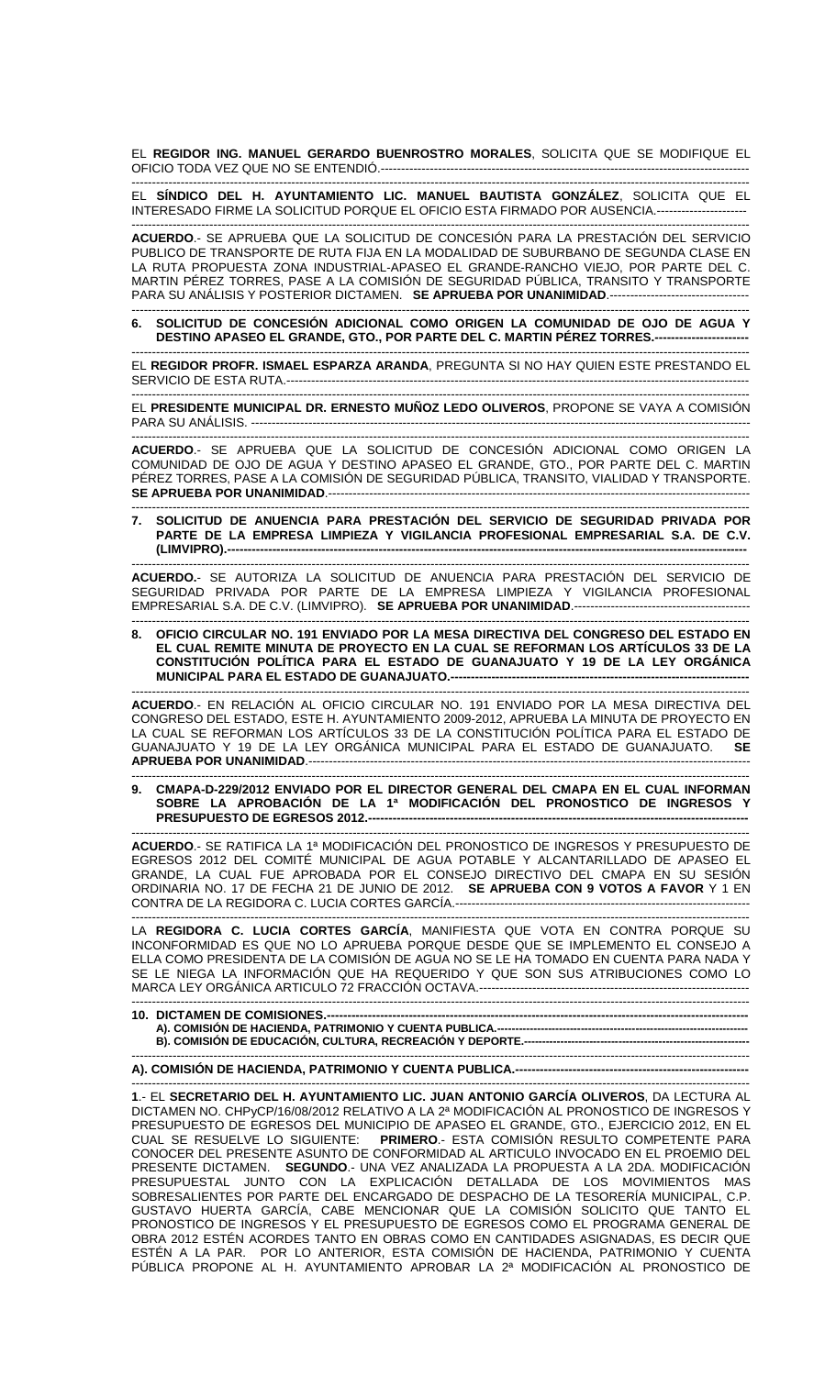EL **REGIDOR ING. MANUEL GERARDO BUENROSTRO MORALES**, SOLICITA QUE SE MODIFIQUE EL OFICIO TODA VEZ QUE NO SE ENTENDIÓ.---

------------------------------------------------------------------------------------------------------------------------------------------------------- EL **SÍNDICO DEL H. AYUNTAMIENTO LIC. MANUEL BAUTISTA GONZÁLEZ**, SOLICITA QUE EL INTERESADO FIRME LA SOLICITUD PORQUE EL OFICIO ESTA FIRMADO POR AUSENCIA.----------------------

------------------------------------------------------------------------------------------------------------------------------------------------------- **ACUERDO**.- SE APRUEBA QUE LA SOLICITUD DE CONCESIÓN PARA LA PRESTACIÓN DEL SERVICIO PUBLICO DE TRANSPORTE DE RUTA FIJA EN LA MODALIDAD DE SUBURBANO DE SEGUNDA CLASE EN LA RUTA PROPUESTA ZONA INDUSTRIAL-APASEO EL GRANDE-RANCHO VIEJO, POR PARTE DEL C. MARTIN PÉREZ TORRES, PASE A LA COMISIÓN DE SEGURIDAD PÚBLICA, TRANSITO Y TRANSPORTE PARA SU ANÁLISIS Y POSTERIOR DICTAMEN. **SE APRUEBA POR UNANIMIDAD**.----------------------------------

------------------------------------------------------------------------------------------------------------------------------------------------------- **6. SOLICITUD DE CONCESIÓN ADICIONAL COMO ORIGEN LA COMUNIDAD DE OJO DE AGUA Y DESTINO APASEO EL GRANDE, GTO., POR PARTE DEL C. MARTIN PÉREZ TORRES.-----------------------** 

------------------------------------------------------------------------------------------------------------------------------------------------------- EL **REGIDOR PROFR. ISMAEL ESPARZA ARANDA**, PREGUNTA SI NO HAY QUIEN ESTE PRESTANDO EL SERVICIO DE ESTA RUTA.-----------------------------------------------------------------------------------------------------------------

------------------------------------------------------------------------------------------------------------------------------------------------------- EL **PRESIDENTE MUNICIPAL DR. ERNESTO MUÑOZ LEDO OLIVEROS**, PROPONE SE VAYA A COMISIÓN PARA SU ANÁLISIS. --------------------------------------------------------------------------------------------------------------------------

------------------------------------------------------------------------------------------------------------------------------------------------------- **ACUERDO**.- SE APRUEBA QUE LA SOLICITUD DE CONCESIÓN ADICIONAL COMO ORIGEN LA COMUNIDAD DE OJO DE AGUA Y DESTINO APASEO EL GRANDE, GTO., POR PARTE DEL C. MARTIN PÉREZ TORRES, PASE A LA COMISIÓN DE SEGURIDAD PÚBLICA, TRANSITO, VIALIDAD Y TRANSPORTE. **SE APRUEBA POR UNANIMIDAD**.-------------------------------------------------------------------------------------------------------

------------------------------------------------------------------------------------------------------------------------------------------------------- **7. SOLICITUD DE ANUENCIA PARA PRESTACIÓN DEL SERVICIO DE SEGURIDAD PRIVADA POR PARTE DE LA EMPRESA LIMPIEZA Y VIGILANCIA PROFESIONAL EMPRESARIAL S.A. DE C.V. (LIMVIPRO).-------------------------------------------------------------------------------------------------------------------------------** 

------------------------------------------------------------------------------------------------------------------------------------------------------- **ACUERDO.**- SE AUTORIZA LA SOLICITUD DE ANUENCIA PARA PRESTACIÓN DEL SERVICIO DE SEGURIDAD PRIVADA POR PARTE DE LA EMPRESA LIMPIEZA Y VIGILANCIA PROFESIONAL EMPRESARIAL S.A. DE C.V. (LIMVIPRO). **SE APRUEBA POR UNANIMIDAD**.-------------------------------------------

------------------------------------------------------------------------------------------------------------------------------------------------------- **8. OFICIO CIRCULAR NO. 191 ENVIADO POR LA MESA DIRECTIVA DEL CONGRESO DEL ESTADO EN EL CUAL REMITE MINUTA DE PROYECTO EN LA CUAL SE REFORMAN LOS ARTÍCULOS 33 DE LA CONSTITUCIÓN POLÍTICA PARA EL ESTADO DE GUANAJUATO Y 19 DE LA LEY ORGÁNICA MUNICIPAL PARA EL ESTADO DE GUANAJUATO.---**

------------------------------------------------------------------------------------------------------------------------------------------------------- **ACUERDO**.- EN RELACIÓN AL OFICIO CIRCULAR NO. 191 ENVIADO POR LA MESA DIRECTIVA DEL CONGRESO DEL ESTADO, ESTE H. AYUNTAMIENTO 2009-2012, APRUEBA LA MINUTA DE PROYECTO EN LA CUAL SE REFORMAN LOS ARTÍCULOS 33 DE LA CONSTITUCIÓN POLÍTICA PARA EL ESTADO DE GUANAJUATO Y 19 DE LA LEY ORGÁNICA MUNICIPAL PARA EL ESTADO DE GUANAJUATO. **SE APRUEBA POR UNANIMIDAD**.------------------------------------------------------------------------------------------------------------

------------------------------------------------------------------------------------------------------------------------------------------------------- **9. CMAPA-D-229/2012 ENVIADO POR EL DIRECTOR GENERAL DEL CMAPA EN EL CUAL INFORMAN SOBRE LA APROBACIÓN DE LA 1ª MODIFICACIÓN DEL PRONOSTICO DE INGRESOS Y**  PRESUPUESTO DE EGRESOS 2012.------------

------------------------------------------------------------------------------------------------------------------------------------------------------- **ACUERDO**.- SE RATIFICA LA 1ª MODIFICACIÓN DEL PRONOSTICO DE INGRESOS Y PRESUPUESTO DE EGRESOS 2012 DEL COMITÉ MUNICIPAL DE AGUA POTABLE Y ALCANTARILLADO DE APASEO EL GRANDE, LA CUAL FUE APROBADA POR EL CONSEJO DIRECTIVO DEL CMAPA EN SU SESIÓN ORDINARIA NO. 17 DE FECHA 21 DE JUNIO DE 2012. **SE APRUEBA CON 9 VOTOS A FAVOR** Y 1 EN CONTRA DE LA REGIDORA C. LUCIA CORTES GARCÍA.------------------------------------------------------------------------

------------------------------------------------------------------------------------------------------------------------------------------------------- LA **REGIDORA C. LUCIA CORTES GARCÍA**, MANIFIESTA QUE VOTA EN CONTRA PORQUE SU INCONFORMIDAD ES QUE NO LO APRUEBA PORQUE DESDE QUE SE IMPLEMENTO EL CONSEJO A ELLA COMO PRESIDENTA DE LA COMISIÓN DE AGUA NO SE LE HA TOMADO EN CUENTA PARA NADA Y SE LE NIEGA LA INFORMACIÓN QUE HA REQUERIDO Y QUE SON SUS ATRIBUCIONES COMO LO MARCA LEY ORGÁNICA ARTICULO 72 FRACCIÓN OCTAVA.--------------------------

------------------------------------------------------------------------------------------------------------------------------------------------------- **10. DICTAMEN DE COMISIONES.-**A). COMISIÓN DE HACIENDA, PATRIMONIO Y CUENTA PUBLICA.-**B). COMISIÓN DE EDUCACIÓN, CULTURA, RECREACIÓN Y DEPORTE.--------------------------------------------------------------** 

------------------------------------------------------------------------------------------------------------------------------------------------------- **A). COMISIÓN DE HACIENDA, PATRIMONIO Y CUENTA PUBLICA.---**

------------------------------------------------------------------------------------------------------------------------------------------------------- **1**.- EL **SECRETARIO DEL H. AYUNTAMIENTO LIC. JUAN ANTONIO GARCÍA OLIVEROS**, DA LECTURA AL DICTAMEN NO. CHPyCP/16/08/2012 RELATIVO A LA 2ª MODIFICACIÓN AL PRONOSTICO DE INGRESOS Y PRESUPUESTO DE EGRESOS DEL MUNICIPIO DE APASEO EL GRANDE, GTO., EJERCICIO 2012, EN EL CUAL SE RESUELVE LO SIGUIENTE: **PRIMERO**.- ESTA COMISIÓN RESULTO COMPETENTE PARA CONOCER DEL PRESENTE ASUNTO DE CONFORMIDAD AL ARTICULO INVOCADO EN EL PROEMIO DEL PRESENTE DICTAMEN. **SEGUNDO**.- UNA VEZ ANALIZADA LA PROPUESTA A LA 2DA. MODIFICACIÓN PRESUPUESTAL JUNTO CON LA EXPLICACIÓN DETALLADA DE LOS MOVIMIENTOS MAS SOBRESALIENTES POR PARTE DEL ENCARGADO DE DESPACHO DE LA TESORERÍA MUNICIPAL, C.P. GUSTAVO HUERTA GARCIA, CABE MENCIONAR QUE LA COMISION SOLICITO QUE TANTO EL PRONOSTICO DE INGRESOS Y EL PRESUPUESTO DE EGRESOS COMO EL PROGRAMA GENERAL DE OBRA 2012 ESTÉN ACORDES TANTO EN OBRAS COMO EN CANTIDADES ASIGNADAS, ES DECIR QUE ESTÉN A LA PAR. POR LO ANTERIOR, ESTA COMISIÓN DE HACIENDA, PATRIMONIO Y CUENTA PÚBLICA PROPONE AL H. AYUNTAMIENTO APROBAR LA 2ª MODIFICACIÓN AL PRONOSTICO DE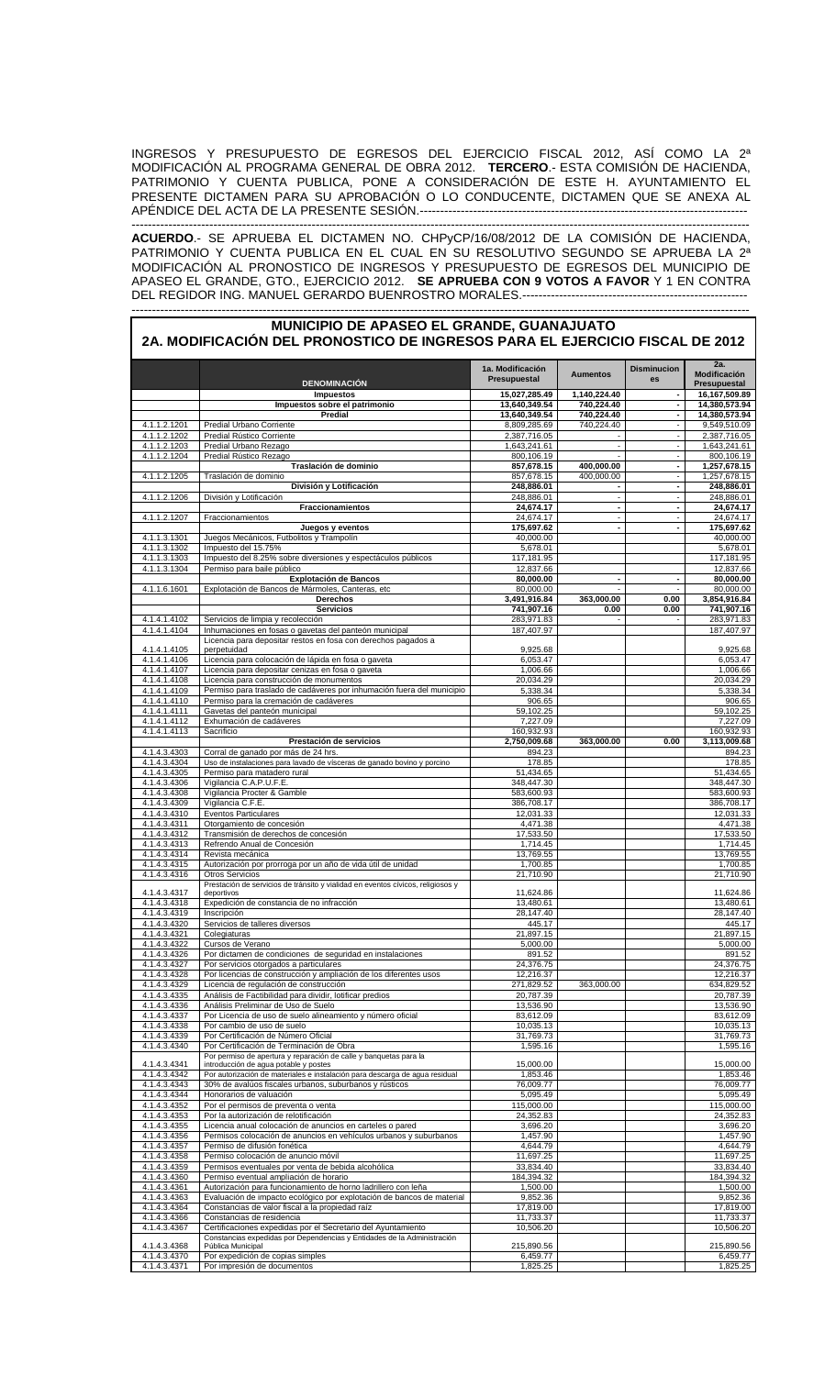INGRESOS Y PRESUPUESTO DE EGRESOS DEL EJERCICIO FISCAL 2012, ASÍ COMO LA 2ª MODIFICACIÓN AL PROGRAMA GENERAL DE OBRA 2012. **TERCERO**.- ESTA COMISIÓN DE HACIENDA, PATRIMONIO Y CUENTA PUBLICA, PONE A CONSIDERACIÓN DE ESTE H. AYUNTAMIENTO EL PRESENTE DICTAMEN PARA SU APROBACIÓN O LO CONDUCENTE, DICTAMEN QUE SE ANEXA AL APÉNDICE DEL ACTA DE LA PRESENTE SESIÓN.-------------------------------------------------------------------------------- -------------------------------------------------------------------------------------------------------------------------------------------------------

**ACUERDO**.- SE APRUEBA EL DICTAMEN NO. CHPyCP/16/08/2012 DE LA COMISIÓN DE HACIENDA, PATRIMONIO Y CUENTA PUBLICA EN EL CUAL EN SU RESOLUTIVO SEGUNDO SE APRUEBA LA 2ª MODIFICACIÓN AL PRONOSTICO DE INGRESOS Y PRESUPUESTO DE EGRESOS DEL MUNICIPIO DE APASEO EL GRANDE, GTO., EJERCICIO 2012. **SE APRUEBA CON 9 VOTOS A FAVOR** Y 1 EN CONTRA DEL REGIDOR ING. MANUEL GERARDO BUENROSTRO MORALES.------------------------------------------------------- -------------------------------------------------------------------------------------------------------------------------------------------------------

| MUNICIPIO DE APASEO EL GRANDE, GUANAJUATO<br>2A. MODIFICACIÓN DEL PRONOSTICO DE INGRESOS PARA EL EJERCICIO FISCAL DE 2012 |                                                                                                                                       |                                  |                                  |                                  |                                     |
|---------------------------------------------------------------------------------------------------------------------------|---------------------------------------------------------------------------------------------------------------------------------------|----------------------------------|----------------------------------|----------------------------------|-------------------------------------|
|                                                                                                                           | <b>DENOMINACIÓN</b>                                                                                                                   | 1a. Modificación<br>Presupuestal | <b>Aumentos</b>                  | <b>Disminucion</b><br>es         | 2a.<br>Modificación<br>Presupuestal |
|                                                                                                                           | <b>Impuestos</b>                                                                                                                      | 15,027,285.49                    | 1,140,224.40                     |                                  | 16,167,509.89                       |
|                                                                                                                           | Impuestos sobre el patrimonio<br>Predial                                                                                              | 13,640,349.54<br>13,640,349.54   | 740,224.40<br>740,224.40         | $\blacksquare$<br>٠              | 14,380,573.94<br>14,380,573.94      |
| 4.1.1.2.1201                                                                                                              | Predial Urbano Corriente                                                                                                              | 8,809,285.69                     | 740,224.40                       | $\overline{\phantom{a}}$         | 9,549,510.09                        |
| 4.1.1.2.1202                                                                                                              | Predial Rústico Corriente                                                                                                             | 2,387,716.05                     |                                  | ÷,                               | 2,387,716.05                        |
| 4.1.1.2.1203                                                                                                              | Predial Urbano Rezago                                                                                                                 | 1,643,241.61                     | $\blacksquare$                   | $\blacksquare$                   | 1,643,241.61                        |
| 4.1.1.2.1204                                                                                                              | Predial Rústico Rezago                                                                                                                | 800,106.19                       | $\overline{a}$                   | $\blacksquare$<br>$\blacksquare$ | 800.106.19                          |
| 4.1.1.2.1205                                                                                                              | Traslación de dominio<br>Traslación de dominio                                                                                        | 857,678.15<br>857,678.15         | 400,000.00<br>400,000.00         | $\blacksquare$                   | 1,257,678.15<br>1,257,678.15        |
|                                                                                                                           | División y Lotificación                                                                                                               | 248,886.01                       | $\blacksquare$                   | $\blacksquare$                   | 248,886.01                          |
| 4.1.1.2.1206                                                                                                              | División y Lotificación                                                                                                               | 248,886.01                       | $\overline{\phantom{a}}$         | $\overline{a}$                   | 248,886.01                          |
|                                                                                                                           | Fraccionamientos                                                                                                                      | 24,674.17                        | $\blacksquare$                   | ٠                                | 24,674.17                           |
| 4.1.1.2.1207                                                                                                              | Fraccionamientos                                                                                                                      | 24,674.17                        | $\overline{a}$<br>$\blacksquare$ | ÷<br>ä,                          | 24,674.17                           |
| 4.1.1.3.1301                                                                                                              | Juegos y eventos<br>Juegos Mecánicos, Futbolitos y Trampolín                                                                          | 175,697.62<br>40,000.00          |                                  |                                  | 175,697.62<br>40,000.00             |
| 4.1.1.3.1302                                                                                                              | Impuesto del 15.75%                                                                                                                   | 5,678.01                         |                                  |                                  | 5,678.01                            |
| 4.1.1.3.1303                                                                                                              | Impuesto del 8.25% sobre diversiones y espectáculos públicos                                                                          | 117,181.95                       |                                  |                                  | 117,181.95                          |
| 4.1.1.3.1304                                                                                                              | Permiso para baile público                                                                                                            | 12,837.66                        |                                  |                                  | 12,837.66                           |
|                                                                                                                           | <b>Explotación de Bancos</b>                                                                                                          | 80,000.00                        | ٠                                | ٠                                | 80,000.00                           |
| 4.1.1.6.1601                                                                                                              | Explotación de Bancos de Mármoles, Canteras, etc<br>Derechos                                                                          | 80.000.00<br>3,491,916.84        | 363,000.00                       | 0.00                             | 80,000.00<br>3,854,916.84           |
|                                                                                                                           | <b>Servicios</b>                                                                                                                      | 741,907.16                       | 0.00                             | 0.00                             | 741,907.16                          |
| 4.1.4.1.4102                                                                                                              | Servicios de limpia y recolección                                                                                                     | 283,971.83                       | ÷,                               |                                  | 283,971.83                          |
| 4.1.4.1.4104                                                                                                              | Inhumaciones en fosas o gavetas del panteón municipal                                                                                 | 187,407.97                       |                                  |                                  | 187,407.97                          |
|                                                                                                                           | Licencia para depositar restos en fosa con derechos pagados a                                                                         |                                  |                                  |                                  |                                     |
| 4.1.4.1.4105<br>4.1.4.1.4106                                                                                              | perpetuidad<br>Licencia para colocación de lápida en fosa o gaveta                                                                    | 9,925.68<br>6,053.47             |                                  |                                  | 9,925.68<br>6,053.47                |
| 4.1.4.1.4107                                                                                                              | Licencia para depositar cenizas en fosa o gaveta                                                                                      | 1.006.66                         |                                  |                                  | 1,006.66                            |
| 4.1.4.1.4108                                                                                                              | Licencia para construcción de monumentos                                                                                              | 20,034.29                        |                                  |                                  | 20,034.29                           |
| 4.1.4.1.4109                                                                                                              | Permiso para traslado de cadáveres por inhumación fuera del municipio                                                                 | 5,338.34                         |                                  |                                  | 5,338.34                            |
| 4.1.4.1.4110                                                                                                              | Permiso para la cremación de cadáveres                                                                                                | 906.65                           |                                  |                                  | 906.65                              |
| 4.1.4.1.4111                                                                                                              | Gavetas del panteón municipal                                                                                                         | 59,102.25                        |                                  |                                  | 59,102.25                           |
| 4.1.4.1.4112<br>4.1.4.1.4113                                                                                              | Exhumación de cadáveres<br>Sacrificio                                                                                                 | 7,227.09<br>160,932.93           |                                  |                                  | 7,227.09<br>160,932.93              |
|                                                                                                                           | Prestación de servicios                                                                                                               | 2,750,009.68                     | 363,000.00                       | 0.00                             | 3,113,009.68                        |
| 4.1.4.3.4303                                                                                                              | Corral de ganado por más de 24 hrs.                                                                                                   | 894.23                           |                                  |                                  | 894.23                              |
| 4.1.4.3.4304                                                                                                              | Uso de instalaciones para lavado de vísceras de ganado bovino y porcino                                                               | 178.85                           |                                  |                                  | 178.85                              |
| 4.1.4.3.4305                                                                                                              | Permiso para matadero rural                                                                                                           | 51,434.65                        |                                  |                                  | 51,434.65                           |
| 4.1.4.3.4306<br>4.1.4.3.4308                                                                                              | Vigilancia C.A.P.U.F.E.<br>Vigilancia Procter & Gamble                                                                                | 348,447.30<br>583,600.93         |                                  |                                  | 348,447.30<br>583,600.93            |
| 4.1.4.3.4309                                                                                                              | Vigilancia C.F.E.                                                                                                                     | 386,708.17                       |                                  |                                  | 386,708.17                          |
| 4.1.4.3.4310                                                                                                              | <b>Eventos Particulares</b>                                                                                                           | 12,031.33                        |                                  |                                  | 12,031.33                           |
| 4.1.4.3.4311                                                                                                              | Otorgamiento de concesión                                                                                                             | 4,471.38                         |                                  |                                  | 4,471.38                            |
| 4.1.4.3.4312                                                                                                              | Transmisión de derechos de concesión                                                                                                  | 17,533.50                        |                                  |                                  | 17,533.50                           |
| 4.1.4.3.4313                                                                                                              | Refrendo Anual de Concesión                                                                                                           | 1,714.45                         |                                  |                                  | 1,714.45                            |
| 4.1.4.3.4314<br>4.1.4.3.4315                                                                                              | Revista mecánica<br>Autorización por prorroga por un año de vida útil de unidad                                                       | 13,769.55<br>1,700.85            |                                  |                                  | 13,769.55<br>1,700.85               |
| 4.1.4.3.4316                                                                                                              | <b>Otros Servicios</b>                                                                                                                | 21,710.90                        |                                  |                                  | 21,710.90                           |
|                                                                                                                           | Prestación de servicios de tránsito y vialidad en eventos cívicos, religiosos y                                                       |                                  |                                  |                                  |                                     |
| 4.1.4.3.4317                                                                                                              | deportivos                                                                                                                            | 11,624.86                        |                                  |                                  | 11,624.86                           |
| 4.1.4.3.4318<br>4.1.4.3.4319                                                                                              | Expedición de constancia de no infracción<br>Inscripción                                                                              | 13,480.61<br>28,147.40           |                                  |                                  | 13,480.61<br>28,147.40              |
| 4.1.4.3.4320                                                                                                              | Servicios de talleres diversos                                                                                                        | 445.17                           |                                  |                                  | 445.17                              |
| 4.1.4.3.4321                                                                                                              | Colegiaturas                                                                                                                          | 21,897.15                        |                                  |                                  | 21,897.15                           |
| 4.1.4.3.4322                                                                                                              | Cursos de Verano                                                                                                                      | 5,000.00                         |                                  |                                  | 5,000.00                            |
| 4.1.4.3.4326                                                                                                              | Por dictamen de condiciones de seguridad en instalaciones                                                                             | 891.52                           |                                  |                                  | 891.52                              |
| 4.1.4.3.4327                                                                                                              | Por servicios otorgados a particulares                                                                                                | 24,376.75                        |                                  |                                  | 24,376.75                           |
| 4.1.4.3.4328<br>4.1.4.3.4329                                                                                              | Por licencias de construcción y ampliación de los diferentes usos<br>Licencia de regulación de construcción                           | 12,216.37<br>271,829.52          | 363,000.00                       |                                  | 12,216.37<br>634,829.52             |
| 4.1.4.3.4335                                                                                                              | Análisis de Factibilidad para dividir, lotificar predios                                                                              | 20,787.39                        |                                  |                                  | 20,787.39                           |
| 4.1.4.3.4336                                                                                                              | Análisis Preliminar de Uso de Suelo                                                                                                   | 13,536.90                        |                                  |                                  | 13,536.90                           |
| 4.1.4.3.4337                                                                                                              | Por Licencia de uso de suelo alineamiento y número oficial                                                                            | 83,612.09                        |                                  |                                  | 83,612.09                           |
| 4.1.4.3.4338<br>4.1.4.3.4339                                                                                              | Por cambio de uso de suelo                                                                                                            | 10,035.13                        |                                  |                                  | 10,035.13                           |
| 4.1.4.3.4340                                                                                                              | Por Certificación de Número Oficial<br>Por Certificación de Terminación de Obra                                                       | 31,769.73<br>1,595.16            |                                  |                                  | 31,769.73<br>1,595.16               |
|                                                                                                                           | Por permiso de apertura y reparación de calle y banquetas para la                                                                     |                                  |                                  |                                  |                                     |
| 4.1.4.3.4341                                                                                                              | introducción de agua potable y postes                                                                                                 | 15,000.00                        |                                  |                                  | 15,000.00                           |
| 4.1.4.3.4342<br>4.1.4.3.4343                                                                                              | Por autorización de materiales e instalación para descarga de agua residual<br>30% de avalúos fiscales urbanos, suburbanos y rústicos | 1,853.46<br>76,009.77            |                                  |                                  | 1,853.46<br>76,009.77               |
| 4.1.4.3.4344                                                                                                              | Honorarios de valuación                                                                                                               | 5,095.49                         |                                  |                                  | 5,095.49                            |
| 4.1.4.3.4352                                                                                                              | Por el permisos de preventa o venta                                                                                                   | 115,000.00                       |                                  |                                  | 115,000.00                          |
| 4.1.4.3.4353                                                                                                              | Por la autorización de relotificación                                                                                                 | 24,352.83                        |                                  |                                  | 24,352.83                           |
| 4.1.4.3.4355                                                                                                              | Licencia anual colocación de anuncios en carteles o pared                                                                             | 3,696.20                         |                                  |                                  | 3,696.20                            |
| 4.1.4.3.4356                                                                                                              | Permisos colocación de anuncios en vehículos urbanos y suburbanos                                                                     | 1,457.90                         |                                  |                                  | 1,457.90                            |
| 4.1.4.3.4357<br>4.1.4.3.4358                                                                                              | Permiso de difusión fonética<br>Permiso colocación de anuncio móvil                                                                   | 4,644.79<br>11,697.25            |                                  |                                  | 4,644.79<br>11,697.25               |
| 4.1.4.3.4359                                                                                                              | Permisos eventuales por venta de bebida alcohólica                                                                                    | 33,834.40                        |                                  |                                  | 33,834.40                           |
| 4.1.4.3.4360                                                                                                              | Permiso eventual ampliación de horario                                                                                                | 184,394.32                       |                                  |                                  | 184,394.32                          |
| 4.1.4.3.4361                                                                                                              | Autorización para funcionamiento de horno ladrillero con leña                                                                         | 1,500.00                         |                                  |                                  | 1,500.00                            |
| 4.1.4.3.4363                                                                                                              | Evaluación de impacto ecológico por explotación de bancos de material                                                                 | 9,852.36                         |                                  |                                  | 9,852.36                            |
| 4.1.4.3.4364                                                                                                              | Constancias de valor fiscal a la propiedad raíz                                                                                       | 17,819.00                        |                                  |                                  | 17,819.00                           |
| 4.1.4.3.4366<br>4.1.4.3.4367                                                                                              | Constancias de residencia<br>Certificaciones expedidas por el Secretario del Ayuntamiento                                             | 11,733.37<br>10,506.20           |                                  |                                  | 11,733.37<br>10,506.20              |
|                                                                                                                           | Constancias expedidas por Dependencias y Entidades de la Administración                                                               |                                  |                                  |                                  |                                     |
| 4.1.4.3.4368                                                                                                              | Pública Municipal                                                                                                                     | 215,890.56                       |                                  |                                  | 215,890.56                          |
| 4.1.4.3.4370                                                                                                              | Por expedición de copias simples                                                                                                      | 6,459.77                         |                                  |                                  | 6,459.77                            |
| 4.1.4.3.4371                                                                                                              | Por impresión de documentos                                                                                                           | 1,825.25                         |                                  |                                  | 1,825.25                            |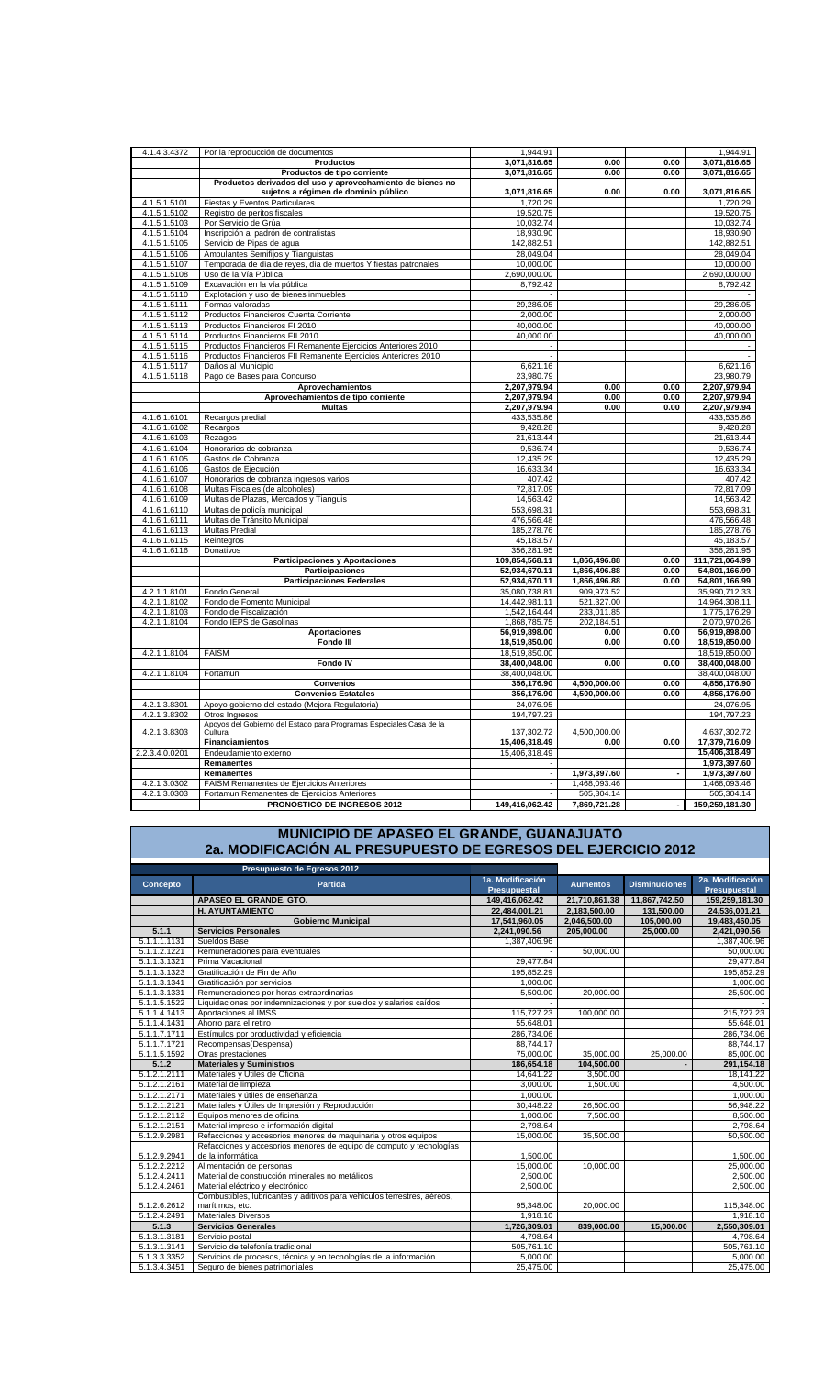| 4.1.4.3.4372   | Por la reproducción de documentos                                   | 1,944.91                 |              |      | 1,944.91       |
|----------------|---------------------------------------------------------------------|--------------------------|--------------|------|----------------|
|                | <b>Productos</b>                                                    | 3,071,816.65             | 0.00         | 0.00 | 3,071,816.65   |
|                | Productos de tipo corriente                                         | 3,071,816.65             | 0.00         | 0.00 | 3,071,816.65   |
|                |                                                                     |                          |              |      |                |
|                | Productos derivados del uso y aprovechamiento de bienes no          |                          |              |      |                |
|                | sujetos a régimen de dominio público                                | 3,071,816.65             | 0.00         | 0.00 | 3,071,816.65   |
| 4.1.5.1.5101   | Fiestas y Eventos Particulares                                      | 1,720.29                 |              |      | 1,720.29       |
| 4.1.5.1.5102   | Registro de peritos fiscales                                        | 19,520.75                |              |      | 19,520.75      |
| 4.1.5.1.5103   | Por Servicio de Grúa                                                | 10,032.74                |              |      | 10,032.74      |
| 4.1.5.1.5104   | Inscripción al padrón de contratistas                               | 18,930.90                |              |      | 18,930.90      |
| 4.1.5.1.5105   | Servicio de Pipas de agua                                           | 142,882.51               |              |      | 142,882.51     |
| 4.1.5.1.5106   | Ambulantes Semifijos y Tianguistas                                  | 28,049.04                |              |      | 28,049.04      |
| 4.1.5.1.5107   | Temporada de día de reyes, día de muertos Y fiestas patronales      | 10,000.00                |              |      | 10,000.00      |
| 4.1.5.1.5108   | Uso de la Vía Pública                                               | 2,690,000.00             |              |      | 2,690,000.00   |
|                |                                                                     |                          |              |      |                |
| 4.1.5.1.5109   | Excavación en la vía pública                                        | 8,792.42                 |              |      | 8,792.42       |
| 4.1.5.1.5110   | Explotación y uso de bienes inmuebles                               |                          |              |      |                |
| 4.1.5.1.5111   | Formas valoradas                                                    | 29,286.05                |              |      | 29,286.05      |
| 4.1.5.1.5112   | Productos Financieros Cuenta Corriente                              | 2.000.00                 |              |      | 2.000.00       |
| 4.1.5.1.5113   | Productos Financieros FI 2010                                       | 40,000.00                |              |      | 40,000.00      |
| 4.1.5.1.5114   | Productos Financieros FII 2010                                      | 40,000.00                |              |      | 40,000.00      |
| 4.1.5.1.5115   | Productos Financieros FI Remanente Ejercicios Anteriores 2010       | $\overline{a}$           |              |      |                |
| 4.1.5.1.5116   | Productos Financieros FII Remanente Ejercicios Anteriores 2010      |                          |              |      |                |
| 4.1.5.1.5117   |                                                                     | 6,621.16                 |              |      | 6,621.16       |
|                | Daños al Municipio                                                  |                          |              |      |                |
| 4.1.5.1.5118   | Pago de Bases para Concurso                                         | 23.980.79                |              |      | 23,980.79      |
|                | Aprovechamientos                                                    | 2,207,979.94             | 0.00         | 0.00 | 2,207,979.94   |
|                | Aprovechamientos de tipo corriente                                  | 2,207,979.94             | 0.00         | 0.00 | 2,207,979.94   |
|                | <b>Multas</b>                                                       | 2,207,979.94             | 0.00         | 0.00 | 2,207,979.94   |
| 4.1.6.1.6101   | Recargos predial                                                    | 433,535.86               |              |      | 433,535.86     |
| 4.1.6.1.6102   | Recargos                                                            | 9,428.28                 |              |      | 9,428.28       |
| 4.1.6.1.6103   | Rezagos                                                             | 21,613.44                |              |      | 21,613.44      |
| 4.1.6.1.6104   | Honorarios de cobranza                                              | 9,536.74                 |              |      | 9,536.74       |
| 4.1.6.1.6105   | Gastos de Cobranza                                                  | 12,435.29                |              |      | 12,435.29      |
|                |                                                                     |                          |              |      |                |
| 4.1.6.1.6106   | Gastos de Ejecución                                                 | 16,633.34                |              |      | 16,633.34      |
| 4.1.6.1.6107   | Honorarios de cobranza ingresos varios                              | 407.42                   |              |      | 407.42         |
| 4.1.6.1.6108   | Multas Fiscales (de alcoholes)                                      | 72,817.09                |              |      | 72,817.09      |
| 4.1.6.1.6109   | Multas de Plazas, Mercados y Tianguis                               | 14,563.42                |              |      | 14,563.42      |
| 4.1.6.1.6110   | Multas de policía municipal                                         | 553,698.31               |              |      | 553,698.31     |
| 4.1.6.1.6111   | Multas de Tránsito Municipal                                        | 476,566.48               |              |      | 476,566.48     |
| 4.1.6.1.6113   | <b>Multas Predial</b>                                               | 185,278.76               |              |      | 185,278.76     |
| 4.1.6.1.6115   | Reintegros                                                          | 45,183.57                |              |      | 45,183.57      |
| 4.1.6.1.6116   | Donativos                                                           | 356,281.95               |              |      | 356,281.95     |
|                | <b>Participaciones y Aportaciones</b>                               | 109,854,568.11           | 1,866,496.88 | 0.00 | 111,721,064.99 |
|                |                                                                     |                          |              |      |                |
|                | Participaciones                                                     | 52,934,670.11            | 1,866,496.88 | 0.00 | 54,801,166.99  |
|                | <b>Participaciones Federales</b>                                    | 52,934,670.11            | 1,866,496.88 | 0.00 | 54,801,166.99  |
| 4.2.1.1.8101   | Fondo General                                                       | 35,080,738.81            | 909,973.52   |      | 35,990,712.33  |
| 4.2.1.1.8102   | Fondo de Fomento Municipal                                          | 14,442,981.11            | 521,327.00   |      | 14,964,308.11  |
| 4.2.1.1.8103   | Fondo de Fiscalización                                              | 1,542,164.44             | 233,011.85   |      | 1,775,176.29   |
| 4.2.1.1.8104   | Fondo IEPS de Gasolinas                                             | 1,868,785.75             | 202,184.51   |      | 2,070,970.26   |
|                | <b>Aportaciones</b>                                                 | 56,919,898.00            | 0.00         | 0.00 | 56,919,898.00  |
|                | <b>Fondo III</b>                                                    | 18,519,850.00            | 0.00         | 0.00 | 18,519,850.00  |
| 4.2.1.1.8104   | <b>FAISM</b>                                                        | 18,519,850.00            |              |      | 18,519,850.00  |
|                | <b>Fondo IV</b>                                                     | 38,400,048.00            | 0.00         | 0.00 | 38,400,048.00  |
|                |                                                                     |                          |              |      |                |
| 4.2.1.1.8104   | Fortamun                                                            | 38,400,048.00            |              |      | 38,400,048.00  |
|                | <b>Convenios</b>                                                    | 356,176.90               | 4,500,000.00 | 0.00 | 4,856,176.90   |
|                | <b>Convenios Estatales</b>                                          | 356,176.90               | 4,500,000.00 | 0.00 | 4,856,176.90   |
| 4.2.1.3.8301   | Apoyo gobierno del estado (Mejora Regulatoria)                      | 24,076.95                |              |      | 24,076.95      |
| 4.2.1.3.8302   | Otros Ingresos                                                      | 194,797.23               |              |      | 194,797.23     |
|                | Apoyos del Gobierno del Estado para Programas Especiales Casa de la |                          |              |      |                |
| 4.2.1.3.8303   | Cultura                                                             | 137,302.72               | 4,500,000.00 |      | 4,637,302.72   |
|                | <b>Financiamientos</b>                                              | 15,406,318.49            | 0.00         | 0.00 | 17.379.716.09  |
| 2.2.3.4.0.0201 | Endeudamiento externo                                               | 15,406,318.49            |              |      | 15,406,318.49  |
|                | <b>Remanentes</b>                                                   |                          |              |      | 1,973,397.60   |
|                | Remanentes                                                          | $\overline{\phantom{a}}$ | 1,973,397.60 |      | 1,973,397.60   |
| 4.2.1.3.0302   | FAISM Remanentes de Ejercicios Anteriores                           | $\overline{\phantom{a}}$ | 1,468,093.46 |      | 1,468,093.46   |
|                |                                                                     |                          |              |      |                |
| 4.2.1.3.0303   | Fortamun Remanentes de Ejercicios Anteriores                        | $\sim$                   | 505,304.14   |      | 505,304.14     |
|                | PRONOSTICO DE INGRESOS 2012                                         | 149.416.062.42           | 7,869,721.28 |      | 159,259,181.30 |

# **MUNICIPIO DE APASEO EL GRANDE, GUANAJUATO 2a. MODIFICACIÓN AL PRESUPUESTO DE EGRESOS DEL EJERCICIO 2012**

| Presupuesto de Egresos 2012 |                                                                         |                                         |                 |                      |                                         |
|-----------------------------|-------------------------------------------------------------------------|-----------------------------------------|-----------------|----------------------|-----------------------------------------|
| Concepto                    | Partida                                                                 | 1a. Modificación<br><b>Presupuestal</b> | <b>Aumentos</b> | <b>Disminuciones</b> | 2a. Modificación<br><b>Presupuestal</b> |
|                             | APASEO EL GRANDE, GTO.                                                  | 149,416,062.42                          | 21,710,861.38   | 11,867,742.50        | 159,259,181.30                          |
|                             | <b>H. AYUNTAMIENTO</b>                                                  | 22,484,001.21                           | 2,183,500.00    | 131,500.00           | 24,536,001.21                           |
|                             | <b>Gobierno Municipal</b>                                               | 17,541,960.05                           | 2,046,500.00    | 105,000.00           | 19,483,460.05                           |
| 5.1.1                       | <b>Servicios Personales</b>                                             | 2,241,090.56                            | 205,000.00      | 25,000.00            | 2,421,090.56                            |
| 5.1.1.1.1131                | Sueldos Base                                                            | 1.387.406.96                            |                 |                      | 1,387,406.96                            |
| 5.1.1.2.1221                | Remuneraciones para eventuales                                          |                                         | 50.000.00       |                      | 50,000.00                               |
| 5.1.1.3.1321                | Prima Vacacional                                                        | 29,477.84                               |                 |                      | 29,477.84                               |
| 5.1.1.3.1323                | Gratificación de Fin de Año                                             | 195,852.29                              |                 |                      | 195,852.29                              |
| 5.1.1.3.1341                | Gratificación por servicios                                             | 1,000.00                                |                 |                      | 1,000.00                                |
| 5.1.1.3.1331                | Remuneraciones por horas extraordinarias                                | 5.500.00                                | 20.000.00       |                      | 25,500.00                               |
| 5.1.1.5.1522                | Liquidaciones por indemnizaciones y por sueldos y salarios caídos       |                                         |                 |                      |                                         |
| 5.1.1.4.1413                | Aportaciones al IMSS                                                    | 115,727.23                              | 100,000.00      |                      | 215,727.23                              |
| 5.1.1.4.1431                | Ahorro para el retiro                                                   | 55,648.01                               |                 |                      | 55,648.01                               |
| 5.1.1.7.1711                | Estímulos por productividad y eficiencia                                | 286,734.06                              |                 |                      | 286,734.06                              |
| 5.1.1.7.1721                | Recompensas(Despensa)                                                   | 88,744.17                               |                 |                      | 88,744.17                               |
| 5.1.1.5.1592                | Otras prestaciones                                                      | 75,000.00                               | 35,000.00       | 25,000.00            | 85,000.00                               |
| 5.1.2                       | <b>Materiales y Suministros</b>                                         | 186,654.18                              | 104,500.00      |                      | 291,154.18                              |
| 5.1.2.1.2111                | Materiales y Útiles de Oficina                                          | 14.641.22                               | 3,500.00        |                      | 18,141.22                               |
| 5.1.2.1.2161                | Material de limpieza                                                    | 3.000.00                                | 1.500.00        |                      | 4.500.00                                |
| 5.1.2.1.2171                | Materiales y útiles de enseñanza                                        | 1,000.00                                |                 |                      | 1,000.00                                |
| 5.1.2.1.2121                | Materiales y Útiles de Impresión y Reproducción                         | 30.448.22                               | 26,500.00       |                      | 56,948.22                               |
| 5.1.2.1.2112                | Equipos menores de oficina                                              | 1,000.00                                | 7,500.00        |                      | 8,500.00                                |
| 5.1.2.1.2151                | Material impreso e información digital                                  | 2,798.64                                |                 |                      | 2,798.64                                |
| 5.1.2.9.2981                | Refacciones y accesorios menores de maquinaria y otros equipos          | 15,000.00                               | 35,500.00       |                      | 50,500.00                               |
|                             | Refacciones y accesorios menores de equipo de computo y tecnologías     |                                         |                 |                      |                                         |
| 5.1.2.9.2941                | de la informática                                                       | 1,500.00                                |                 |                      | 1,500.00                                |
| 5.1.2.2.2212                | Alimentación de personas                                                | 15,000.00                               | 10,000.00       |                      | 25,000.00                               |
| 5.1.2.4.2411                | Material de construcción minerales no metálicos                         | 2,500.00                                |                 |                      | 2,500.00                                |
| 5.1.2.4.2461                | Material eléctrico y electrónico                                        | 2,500.00                                |                 |                      | 2,500.00                                |
|                             | Combustibles, lubricantes y aditivos para vehículos terrestres, aéreos, |                                         |                 |                      |                                         |
| 5.1.2.6.2612                | marítimos, etc.                                                         | 95,348.00                               | 20,000.00       |                      | 115,348.00                              |
| 5.1.2.4.2491                | <b>Materiales Diversos</b>                                              | 1.918.10                                |                 |                      | 1,918.10                                |
| 5.1.3                       | <b>Servicios Generales</b>                                              | 1,726,309.01                            | 839,000.00      | 15,000.00            | 2,550,309.01                            |
| 5.1.3.1.3181                | Servicio postal                                                         | 4,798.64                                |                 |                      | 4,798.64                                |
| 5.1.3.1.3141                | Servicio de telefonía tradicional                                       | 505,761.10                              |                 |                      | 505,761.10                              |
| 5.1.3.3.3352                | Servicios de procesos, técnica y en tecnologías de la información       | 5,000.00                                |                 |                      | 5,000.00                                |
| 5.1.3.4.3451                | Seguro de bienes patrimoniales                                          | 25.475.00                               |                 |                      | 25.475.00                               |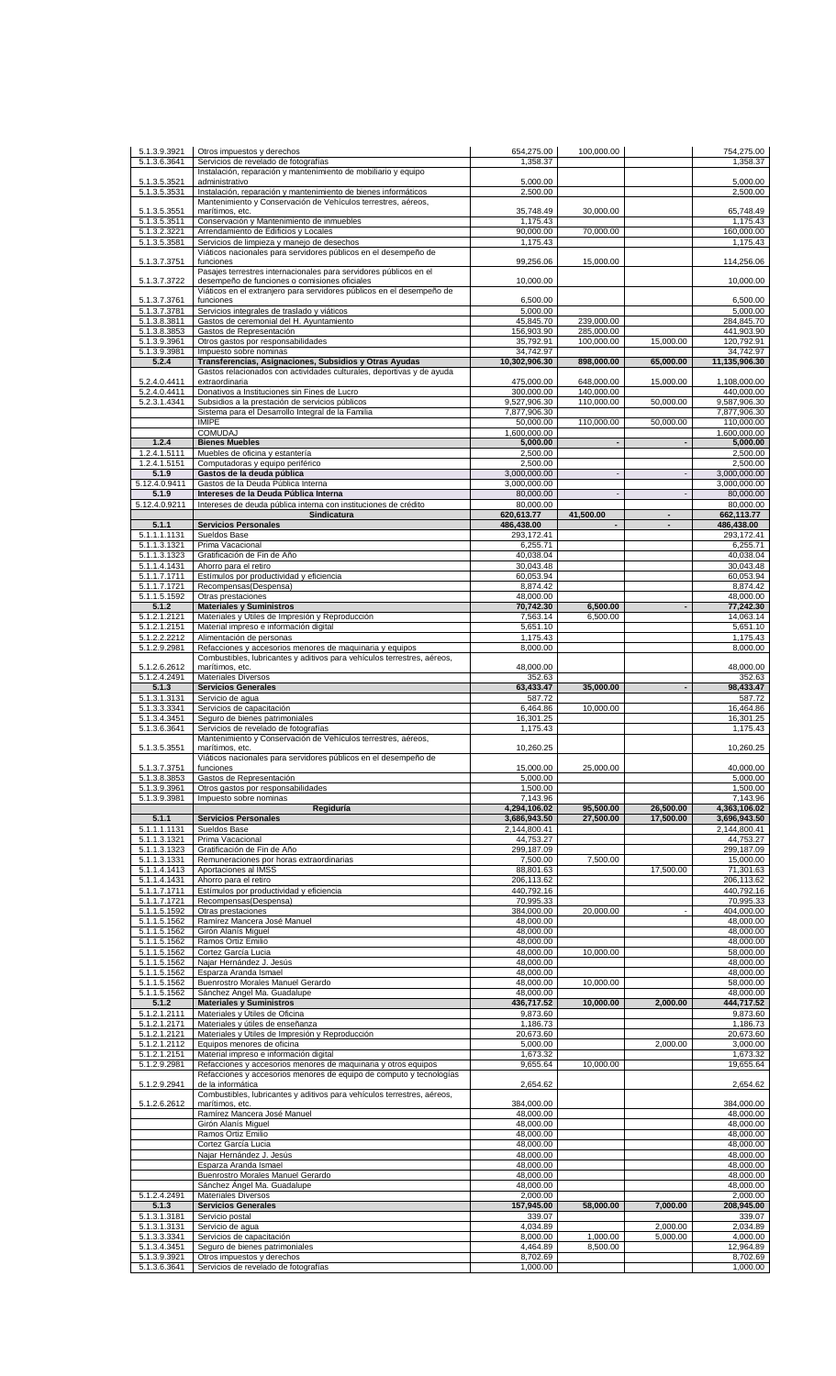|                              | Otros impuestos y derechos                                                                                         | 654,275.00                | 100,000.00               |                          | 754,275.00                        |
|------------------------------|--------------------------------------------------------------------------------------------------------------------|---------------------------|--------------------------|--------------------------|-----------------------------------|
| 5.1.3.6.3641                 | Servicios de revelado de fotografías<br>Instalación, reparación y mantenimiento de mobiliario y equipo             | 1,358.37                  |                          |                          | 1,358.37                          |
| 5.1.3.5.3521<br>5.1.3.5.3531 | administrativo<br>Instalación, reparación y mantenimiento de bienes informáticos                                   | 5,000.00<br>2,500.00      |                          |                          | 5,000.00<br>2,500.00              |
|                              | Mantenimiento y Conservación de Vehículos terrestres, aéreos,                                                      |                           |                          |                          |                                   |
| 5.1.3.5.3551<br>5.1.3.5.3511 | marítimos, etc.<br>Conservación y Mantenimiento de inmuebles                                                       | 35,748.49<br>1,175.43     | 30,000.00                |                          | 65,748.49<br>1.175.43             |
| 5.1.3.2.3221                 | Arrendamiento de Edificios y Locales                                                                               | 90,000.00                 | 70,000.00                |                          | 160,000.00                        |
| 5.1.3.5.3581                 | Servicios de limpieza y manejo de desechos<br>Viáticos nacionales para servidores públicos en el desempeño de      | 1,175.43                  |                          |                          | 1,175.43                          |
| 5.1.3.7.3751                 | funciones                                                                                                          | 99,256.06                 | 15,000.00                |                          | 114,256.06                        |
| 5.1.3.7.3722                 | Pasajes terrestres internacionales para servidores públicos en el<br>desempeño de funciones o comisiones oficiales | 10,000.00                 |                          |                          | 10,000.00                         |
|                              | Viáticos en el extranjero para servidores públicos en el desempeño de                                              |                           |                          |                          |                                   |
| 5.1.3.7.3761                 | funciones                                                                                                          | 6,500.00                  |                          |                          | 6,500.00                          |
| 5.1.3.7.3781<br>5.1.3.8.3811 | Servicios integrales de traslado y viáticos<br>Gastos de ceremonial del H. Ayuntamiento                            | 5,000.00<br>45,845.70     | 239,000.00               |                          | 5,000.00<br>284,845.70            |
| 5.1.3.8.3853                 | Gastos de Representación                                                                                           | 156,903.90                | 285,000.00               |                          | 441,903.90                        |
| 5.1.3.9.3961<br>5.1.3.9.3981 | Otros gastos por responsabilidades<br>Impuesto sobre nominas                                                       | 35,792.91<br>34,742.97    | 100,000.00               | 15,000.00                | 120,792.91<br>34,742.97           |
| 5.2.4                        | Transferencias, Asignaciones, Subsidios y Otras Ayudas                                                             | 10,302,906.30             | 898,000.00               | 65,000.00                | 11,135,906.30                     |
| 5.2.4.0.4411                 | Gastos relacionados con actividades culturales, deportivas y de ayuda<br>extraordinaria                            | 475,000.00                | 648,000.00               | 15,000.00                | 1,108,000.00                      |
| 5.2.4.0.4411                 | Donativos a Instituciones sin Fines de Lucro                                                                       | 300,000.00                | 140,000.00               |                          | 440,000.00                        |
| 5.2.3.1.4341                 | Subsidios a la prestación de servicios públicos                                                                    | 9,527,906.30              | 110,000.00               | 50,000.00                | 9,587,906.30                      |
|                              | Sistema para el Desarrollo Integral de la Familia<br><b>IMIPE</b>                                                  | 7,877,906.30<br>50,000.00 | 110,000.00               | 50,000.00                | 7,877,906.30<br>110,000.00        |
|                              | <b>COMUDAJ</b>                                                                                                     | 1,600,000.00              |                          |                          | 1,600,000.00                      |
| 1.2.4<br>1.2.4.1.5111        | <b>Bienes Muebles</b><br>Muebles de oficina y estantería                                                           | 5,000.00<br>2,500.00      | $\overline{\phantom{a}}$ |                          | 5,000.00<br>2,500.00              |
| 1.2.4.1.5151                 | Computadoras y equipo periférico                                                                                   | 2,500.00                  |                          |                          | 2,500.00                          |
| 5.1.9                        | Gastos de la deuda pública                                                                                         | 3,000,000.00              | $\overline{a}$           |                          | 3,000,000.00                      |
| 5.12.4.0.9411<br>5.1.9       | Gastos de la Deuda Pública Interna<br>Intereses de la Deuda Pública Interna                                        | 3,000,000.00<br>80,000.00 |                          |                          | 3,000,000.00<br>80,000.00         |
| 5.12.4.0.9211                | Intereses de deuda pública interna con instituciones de crédito                                                    | 80.000.00                 |                          |                          | 80,000.00                         |
|                              | Sindicatura                                                                                                        | 620,613.77                | 41,500.00                |                          | 662,113.77                        |
| 5.1.1<br>5.1.1.1.1131        | <b>Servicios Personales</b><br>Sueldos Base                                                                        | 486,438.00<br>293,172.41  | $\overline{\phantom{a}}$ | $\overline{\phantom{a}}$ | 486,438.00<br>293,172.41          |
| 5.1.1.3.1321                 | Prima Vacacional                                                                                                   | 6,255.71                  |                          |                          | 6,255.71                          |
| 5.1.1.3.1323<br>5.1.1.4.1431 | Gratificación de Fin de Año<br>Ahorro para el retiro                                                               | 40,038.04<br>30,043.48    |                          |                          | 40,038.04<br>30,043.48            |
| 5.1.1.7.1711                 | Estímulos por productividad y eficiencia                                                                           | 60,053.94                 |                          |                          | 60,053.94                         |
| 5.1.1.7.1721                 | Recompensas(Despensa)                                                                                              | 8,874.42                  |                          |                          | 8,874.42                          |
| 5.1.1.5.1592<br>5.1.2        | Otras prestaciones<br><b>Materiales y Suministros</b>                                                              | 48,000.00<br>70,742.30    | 6,500.00                 |                          | 48,000.00<br>77,242.30            |
| 5.1.2.1.2121                 | Materiales y Útiles de Impresión y Reproducción                                                                    | 7,563.14                  | 6,500.00                 |                          | 14,063.14                         |
| 5.1.2.1.2151<br>5.1.2.2.2212 | Material impreso e información digital<br>Alimentación de personas                                                 | 5,651.10<br>1,175.43      |                          |                          | 5,651.10<br>1,175.43              |
| 5.1.2.9.2981                 | Refacciones y accesorios menores de maquinaria y equipos                                                           | 8,000.00                  |                          |                          | 8,000.00                          |
| 5.1.2.6.2612                 | Combustibles, lubricantes y aditivos para vehículos terrestres, aéreos,<br>marítimos, etc.                         | 48,000.00                 |                          |                          | 48,000.00                         |
| 5.1.2.4.2491                 | <b>Materiales Diversos</b>                                                                                         | 352.63                    |                          |                          | 352.63                            |
| 5.1.3                        | <b>Servicios Generales</b>                                                                                         | 63,433.47                 | 35,000.00                |                          | 98,433.47                         |
| 5.1.3.1.3131<br>5.1.3.3.3341 | Servicio de agua<br>Servicios de capacitación                                                                      | 587.72<br>6,464.86        | 10,000.00                |                          | 587.72<br>16,464.86               |
| 5.1.3.4.3451                 | Seguro de bienes patrimoniales                                                                                     | 16,301.25                 |                          |                          | 16,301.25                         |
| 5.1.3.6.3641                 | Servicios de revelado de fotografías<br>Mantenimiento y Conservación de Vehículos terrestres, aéreos,              | 1,175.43                  |                          |                          | 1,175.43                          |
| 5.1.3.5.3551                 | marítimos, etc.                                                                                                    | 10,260.25                 |                          |                          | 10,260.25                         |
| 5.1.3.7.3751                 | Viaticos nacionales para servidores publicos en el desempeno de<br>funciones                                       | 15,000.00                 | 25,000.00                |                          | 40,000.00                         |
| 5.1.3.8.3853                 | Gastos de Representación                                                                                           | 5,000.00                  |                          |                          | 5,000.00                          |
| 5.1.3.9.3961<br>5.1.3.9.3981 | Otros gastos por responsabilidades<br>Impuesto sobre nominas                                                       | 1,500.00                  |                          |                          | 1,500.00                          |
|                              |                                                                                                                    |                           |                          |                          |                                   |
|                              | Regiduría                                                                                                          | 7,143.96<br>4,294,106.02  | 95,500.00                | 26,500.00                | 7,143.96<br>4,363,106.02          |
| 5.1.1                        | <b>Servicios Personales</b>                                                                                        | 3,686,943.50              | 27.500.00                | 17,500.00                | 3,696,943.50                      |
| 5.1.1.1.1131                 | Sueldos Base                                                                                                       | 2,144,800.41              |                          |                          | 2.144.800.41                      |
| 5.1.1.3.1321<br>5.1.1.3.1323 | Prima Vacacional<br>Gratificación de Fin de Año                                                                    | 44,753.27<br>299.187.09   |                          |                          | 44,753.27<br>299,187.09           |
| 5.1.1.3.1331                 | Remuneraciones por horas extraordinarias                                                                           | 7,500.00                  | 7,500.00                 |                          | 15,000.00                         |
| 5.1.1.4.1413                 | Aportaciones al IMSS                                                                                               | 88,801.63                 |                          | 17,500.00                | 71,301.63                         |
| 5.1.1.4.1431<br>5.1.1.7.1711 | Ahorro para el retiro<br>Estímulos por productividad y eficiencia                                                  | 206,113.62<br>440,792.16  |                          |                          | 206,113.62<br>440,792.16          |
| 5.1.1.7.1721                 | Recompensas(Despensa)                                                                                              | 70,995.33                 |                          |                          | 70,995.33                         |
| 5.1.1.5.1592<br>5.1.1.5.1562 | Otras prestaciones<br>Ramírez Mancera José Manuel                                                                  | 384,000.00<br>48,000.00   | 20,000.00                |                          | 404,000.00<br>48,000.00           |
| 5.1.1.5.1562                 | Girón Alanís Miquel                                                                                                | 48,000.00                 |                          |                          | 48,000.00                         |
| 5.1.1.5.1562<br>5.1.1.5.1562 | Ramos Ortiz Emilio<br>Cortez García Lucia                                                                          | 48,000.00<br>48,000.00    | 10,000.00                |                          | 48,000.00<br>58,000.00            |
| 5.1.1.5.1562                 | Najar Hernández J. Jesús                                                                                           | 48,000.00                 |                          |                          | 48,000.00                         |
| 5.1.1.5.1562                 | Esparza Aranda Ismael                                                                                              | 48,000.00                 |                          |                          | 48,000.00                         |
| 5.1.1.5.1562<br>5.1.1.5.1562 | Buenrostro Morales Manuel Gerardo<br>Sánchez Ángel Ma. Guadalupe                                                   | 48,000.00<br>48,000.00    | 10,000.00                |                          | 58,000.00<br>48,000.00            |
| 5.1.2                        | <b>Materiales y Suministros</b>                                                                                    | 436,717.52                | 10,000.00                | 2,000.00                 | 444,717.52                        |
| 5.1.2.1.2111                 | Materiales y Útiles de Oficina<br>Materiales y útiles de enseñanza                                                 | 9,873.60<br>1,186.73      |                          |                          | 9,873.60<br>1,186.73              |
| 5.1.2.1.2171<br>5.1.2.1.2121 | Materiales y Útiles de Impresión y Reproducción                                                                    | 20,673.60                 |                          |                          | 20,673.60                         |
| 5.1.2.1.2112                 | Equipos menores de oficina                                                                                         | 5,000.00                  |                          | 2,000.00                 | 3,000.00                          |
| 5.1.2.1.2151<br>5.1.2.9.2981 | Material impreso e información digital<br>Refacciones y accesorios menores de maquinaria y otros equipos           | 1,673.32<br>9,655.64      | 10,000.00                |                          | 1,673.32<br>19,655.64             |
|                              | Refacciones y accesorios menores de equipo de computo y tecnologías                                                |                           |                          |                          |                                   |
| 5.1.2.9.2941                 | de la informática<br>Combustibles, lubricantes y aditivos para vehículos terrestres, aéreos,                       | 2,654.62                  |                          |                          | 2,654.62                          |
| 5.1.2.6.2612                 | marítimos, etc.                                                                                                    | 384,000.00                |                          |                          | 384,000.00                        |
|                              | Ramírez Mancera José Manuel<br>Girón Alanís Miguel                                                                 | 48,000.00<br>48,000.00    |                          |                          | 48,000.00<br>48,000.00            |
|                              | Ramos Ortiz Emilio                                                                                                 | 48,000.00                 |                          |                          | 48,000.00                         |
|                              | Cortez García Lucia                                                                                                | 48,000.00                 |                          |                          | 48,000.00                         |
|                              | Najar Hernández J. Jesús<br>Esparza Aranda Ismael                                                                  | 48,000.00<br>48,000.00    |                          |                          | 48,000.00<br>48,000.00            |
|                              | Buenrostro Morales Manuel Gerardo                                                                                  | 48,000.00                 |                          |                          | 48,000.00                         |
| 5.1.2.4.2491                 | Sánchez Ángel Ma. Guadalupe<br><b>Materiales Diversos</b>                                                          | 48,000.00<br>2,000.00     |                          |                          | 48,000.00<br>2,000.00             |
| 5.1.3                        | <b>Servicios Generales</b>                                                                                         | 157,945.00                | 58,000.00                | 7,000.00                 | 208,945.00                        |
| 5.1.3.1.3181                 | Servicio postal                                                                                                    | 339.07                    |                          |                          | 339.07                            |
| 5.1.3.1.3131<br>5.1.3.3.3341 | Servicio de agua<br>Servicios de capacitación                                                                      | 4,034.89<br>8,000.00      | 1,000.00                 | 2,000.00<br>5,000.00     | 2,034.89                          |
| 5.1.3.4.3451<br>5.1.3.9.3921 | Seguro de bienes patrimoniales<br>Otros impuestos y derechos                                                       | 4,464.89<br>8,702.69      | 8,500.00                 |                          | 4,000.00<br>12,964.89<br>8,702.69 |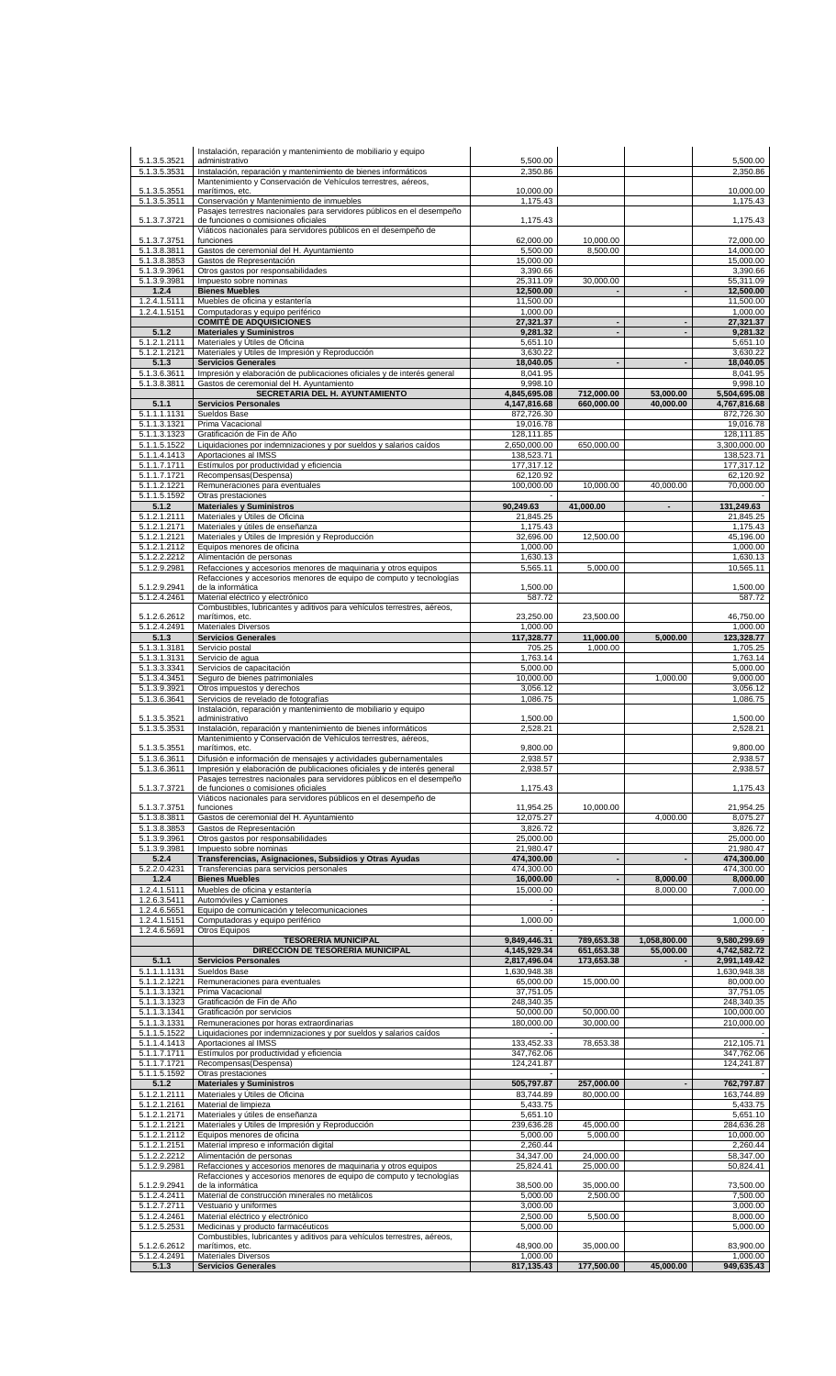| 5.1.3.5.3521                              | Instalación, reparación y mantenimiento de mobiliario y equipo<br>administrativo                                                                   | 5,500.00                     |                          |                          | 5,500.00                     |
|-------------------------------------------|----------------------------------------------------------------------------------------------------------------------------------------------------|------------------------------|--------------------------|--------------------------|------------------------------|
| 5.1.3.5.3531<br>5.1.3.5.3551              | Instalación, reparación y mantenimiento de bienes informáticos<br>Mantenimiento y Conservación de Vehículos terrestres, aéreos,<br>marítimos, etc. | 2,350.86<br>10.000.00        |                          |                          | 2,350.86<br>10,000.00        |
| 5.1.3.5.3511                              | Conservación y Mantenimiento de inmuebles<br>Pasajes terrestres nacionales para servidores públicos en el desempeño                                | 1,175.43                     |                          |                          | 1,175.43                     |
| 5.1.3.7.3721                              | de funciones o comisiones oficiales<br>Viáticos nacionales para servidores públicos en el desempeño de<br>funciones                                | 1,175.43                     | 10.000.00                |                          | 1,175.43                     |
| 5.1.3.7.3751<br>5.1.3.8.3811              | Gastos de ceremonial del H. Ayuntamiento                                                                                                           | 62,000.00<br>5,500.00        | 8,500.00                 |                          | 72,000.00<br>14,000.00       |
| 5.1.3.8.3853<br>5.1.3.9.3961              | Gastos de Representación<br>Otros gastos por responsabilidades                                                                                     | 15,000.00<br>3,390.66        |                          |                          | 15,000.00<br>3,390.66        |
| 5.1.3.9.3981<br>1.2.4                     | Impuesto sobre nominas<br><b>Bienes Muebles</b>                                                                                                    | 25,311.09<br>12,500.00       | 30,000.00                |                          | 55,311.09<br>12,500.00       |
| 1.2.4.1.5111                              | Muebles de oficina y estantería                                                                                                                    | 11,500.00                    |                          |                          | 11,500.00                    |
| 1.2.4.1.5151                              | Computadoras y equipo periférico<br><b>COMITÉ DE ADQUISICIONES</b>                                                                                 | 1,000.00<br>27,321.37        |                          |                          | 1.000.00<br>27,321.37        |
| 5.1.2<br>5.1.2.1.2111                     | <b>Materiales y Suministros</b><br>Materiales y Útiles de Oficina                                                                                  | 9,281.32<br>5,651.10         | ÷,                       |                          | 9,281.32<br>5,651.10         |
| 5.1.2.1.2121                              | Materiales y Útiles de Impresión y Reproducción                                                                                                    | 3,630.22                     |                          |                          | 3,630.22                     |
| 5.1.3<br>5.1.3.6.3611                     | <b>Servicios Generales</b><br>Impresión y elaboración de publicaciones oficiales y de interés general                                              | 18,040.05<br>8,041.95        |                          |                          | 18,040.05<br>8,041.95        |
| 5.1.3.8.3811                              | Gastos de ceremonial del H. Ayuntamiento<br>SECRETARIA DEL H. AYUNTAMIENTO                                                                         | 9,998.10<br>4,845,695.08     | 712,000.00               | 53,000.00                | 9,998.10<br>5,504,695.08     |
| 5.1.1                                     | <b>Servicios Personales</b>                                                                                                                        | 4,147,816.68                 | 660,000.00               | 40,000.00                | 4,767,816.68                 |
| 5.1.1.1.1131<br>5.1.1.3.1321              | Sueldos Base<br>Prima Vacacional                                                                                                                   | 872,726.30<br>19,016.78      |                          |                          | 872,726.30<br>19,016.78      |
| 5.1.1.3.1323<br>5.1.1.5.1522              | Gratificación de Fin de Año<br>Liquidaciones por indemnizaciones y por sueldos y salarios caídos                                                   | 128,111.85<br>2,650,000.00   | 650,000.00               |                          | 128,111.85<br>3,300,000.00   |
| 5.1.1.4.1413                              | Aportaciones al IMSS                                                                                                                               | 138,523.71                   |                          |                          | 138,523.71                   |
| 5.1.1.7.1711<br>5.1.1.7.1721              | Estímulos por productividad y eficiencia<br>Recompensas(Despensa)                                                                                  | 177,317.12<br>62,120.92      |                          |                          | 177,317.12<br>62,120.92      |
| 5.1.1.2.1221<br>5.1.1.5.1592              | Remuneraciones para eventuales<br>Otras prestaciones                                                                                               | 100,000.00                   | 10,000.00                | 40,000.00                | 70,000.00                    |
| 5.1.2                                     | <b>Materiales y Suministros</b>                                                                                                                    | 90,249.63                    | 41,000.00                | $\overline{\phantom{0}}$ | 131,249.63                   |
| 5.1.2.1.2111<br>5.1.2.1.2171              | Materiales y Útiles de Oficina<br>Materiales y útiles de enseñanza                                                                                 | 21,845.25<br>1.175.43        |                          |                          | 21,845.25<br>1,175.43        |
| 5.1.2.1.2121<br>5.1.2.1.2112              | Materiales y Útiles de Impresión y Reproducción<br>Equipos menores de oficina                                                                      | 32,696.00<br>1,000.00        | 12,500.00                |                          | 45,196.00<br>1,000.00        |
| 5.1.2.2.2212                              | Alimentación de personas                                                                                                                           | 1,630.13                     |                          |                          | 1,630.13                     |
| 5.1.2.9.2981                              | Refacciones y accesorios menores de maquinaria y otros equipos<br>Refacciones y accesorios menores de equipo de computo y tecnologías              | 5,565.11                     | 5,000.00                 |                          | 10,565.11                    |
| 5.1.2.9.2941<br>5.1.2.4.2461              | de la informática<br>Material eléctrico y electrónico                                                                                              | 1,500.00<br>587.72           |                          |                          | 1,500.00<br>587.72           |
|                                           | Combustibles, lubricantes y aditivos para vehículos terrestres, aéreos,                                                                            |                              |                          |                          |                              |
| 5.1.2.6.2612<br>5.1.2.4.2491              | marítimos, etc.<br><b>Materiales Diversos</b>                                                                                                      | 23,250.00<br>1,000.00        | 23,500.00                |                          | 46,750.00<br>1,000.00        |
| 5.1.3<br>5.1.3.1.3181                     | <b>Servicios Generales</b><br>Servicio postal                                                                                                      | 117,328.77<br>705.25         | 11,000.00<br>1,000.00    | 5,000.00                 | 123,328.77<br>1,705.25       |
| 5.1.3.1.3131                              | Servicio de agua                                                                                                                                   | 1,763.14                     |                          |                          | 1,763.14                     |
| 5.1.3.3.3341<br>5.1.3.4.3451              | Servicios de capacitación<br>Seguro de bienes patrimoniales                                                                                        | 5,000.00<br>10,000.00        |                          | 1,000.00                 | 5,000.00<br>9,000.00         |
| $\overline{5.1.3.9.3921}$<br>5.1.3.6.3641 | Otros impuestos y derechos<br>Servicios de revelado de fotografías                                                                                 | 3,056.12<br>1,086.75         |                          |                          | 3,056.12<br>1,086.75         |
|                                           | Instalación, reparación y mantenimiento de mobiliario y equipo                                                                                     |                              |                          |                          |                              |
| 5.1.3.5.3521<br>5.1.3.5.3531              | administrativo<br>Instalación, reparación y mantenimiento de bienes informáticos                                                                   | 1,500.00<br>2,528.21         |                          |                          | 1,500.00<br>2,528.21         |
| 5.1.3.5.3551                              | Mantenimiento y Conservación de Vehículos terrestres, aéreos,<br>marítimos, etc.                                                                   | 9,800.00                     |                          |                          | 9,800.00                     |
| 5.1.3.6.3611<br>5.1.3.6.3611              | Difusión e información de mensajes y actividades gubernamentales<br>Impresión y elaboración de publicaciones oficiales y de interés general        | 2,938.57<br>2,938.57         |                          |                          | 2,938.57<br>2,938.57         |
|                                           | Pasajes terrestres nacionales para servidores públicos en el desempeño                                                                             |                              |                          |                          |                              |
| 5.1.3.7.3721                              | de funciones o comisiones oficiales<br>Viáticos nacionales para servidores públicos en el desempeño de                                             | 1,175.43                     |                          |                          | 1,175.43                     |
| 5.1.3.7.3751<br>5.1.3.8.3811              | funciones<br>Gastos de ceremonial del H. Ayuntamiento                                                                                              | 11,954.25<br>12,075.27       | 10,000.00                | 4,000.00                 | 21,954.25<br>8,075.27        |
| 5.1.3.8.3853                              | Gastos de Representación                                                                                                                           | 3,826.72                     |                          |                          | 3,826.72                     |
| 5.1.3.9.3961<br>5.1.3.9.3981              | Otros gastos por responsabilidades<br>Impuesto sobre nominas                                                                                       | 25,000.00<br>21,980.47       |                          |                          | 25,000.00<br>21,980.47       |
| 5.2.4<br>5.2.2.0.4231                     | Transferencias, Asignaciones, Subsidios y Otras Ayudas<br>Transferencias para servicios personales                                                 | 474,300.00<br>474,300.00     | $\overline{\phantom{a}}$ |                          | 474,300.00<br>474,300.00     |
| 1.2.4                                     | <b>Bienes Muebles</b>                                                                                                                              | 16,000.00                    |                          | 8,000.00                 | 8,000.00                     |
| 1.2.4.1.5111<br>1.2.6.3.5411              | Muebles de oficina y estantería<br>Automóviles y Camiones                                                                                          | 15,000.00                    |                          | 8,000.00                 | 7,000.00                     |
| 1.2.4.6.5651<br>1.2.4.1.5151              | Equipo de comunicación y telecomunicaciones<br>Computadoras y equipo periférico                                                                    | 1,000.00                     |                          |                          | 1,000.00                     |
| 1.2.4.6.5691                              | Otros Equipos<br><b>TESORERÍA MUNICIPAL</b>                                                                                                        | 9,849,446.31                 | 789,653.38               | 1,058,800.00             | 9,580,299.69                 |
|                                           | DIRECCIÓN DE TESORERÍA MUNICIPAL                                                                                                                   | 4,145,929.34                 | 651,653.38               | 55,000.00                | 4,742,582.72                 |
| 5.1.1<br>5.1.1.1.1131                     | <b>Servicios Personales</b><br>Sueldos Base                                                                                                        | 2,817,496.04<br>1,630,948.38 | 173,653.38               |                          | 2,991,149.42<br>1,630,948.38 |
| 5.1.1.2.1221<br>5.1.1.3.1321              | Remuneraciones para eventuales<br>Prima Vacacional                                                                                                 | 65,000.00<br>37,751.05       | 15,000.00                |                          | 80,000.00<br>37,751.05       |
| 5.1.1.3.1323                              | Gratificación de Fin de Año                                                                                                                        | 248,340.35                   |                          |                          | 248,340.35                   |
| 5.1.1.3.1341<br>5.1.1.3.1331              | Gratificación por servicios<br>Remuneraciones por horas extraordinarias                                                                            | 50,000.00<br>180,000.00      | 50,000.00<br>30,000.00   |                          | 100,000.00<br>210,000.00     |
| 5.1.1.5.1522<br>5.1.1.4.1413              | Liquidaciones por indemnizaciones y por sueldos y salarios caídos<br>Aportaciones al IMSS                                                          | 133,452.33                   | 78,653.38                |                          | 212,105.71                   |
| 5.1.1.7.1711                              | Estímulos por productividad y eficiencia                                                                                                           | 347,762.06                   |                          |                          | 347,762.06                   |
| 5.1.1.7.1721<br>5.1.1.5.1592              | Recompensas(Despensa)<br>Otras prestaciones                                                                                                        | 124,241.87                   |                          |                          | 124,241.87                   |
| 5.1.2<br>5.1.2.1.2111                     | <b>Materiales y Suministros</b><br>Materiales y Útiles de Oficina                                                                                  | 505,797.87<br>83,744.89      | 257,000.00<br>80,000.00  |                          | 762,797.87<br>163,744.89     |
| 5.1.2.1.2161                              | Material de limpieza                                                                                                                               | 5,433.75                     |                          |                          | 5,433.75                     |
| 5.1.2.1.2171<br>5.1.2.1.2121              | Materiales y útiles de enseñanza<br>Materiales y Útiles de Impresión y Reproducción                                                                | 5,651.10<br>239,636.28       | 45,000.00                |                          | 5,651.10<br>284,636.28       |
| 5.1.2.1.2112<br>5.1.2.1.2151              | Equipos menores de oficina<br>Material impreso e información digital                                                                               | 5,000.00<br>2,260.44         | 5,000.00                 |                          | 10,000.00<br>2,260.44        |
| 5.1.2.2.2212                              | Alimentación de personas                                                                                                                           | 34,347.00                    | 24,000.00                |                          | 58,347.00                    |
| 5.1.2.9.2981                              | Refacciones y accesorios menores de maquinaria y otros equipos<br>Refacciones y accesorios menores de equipo de computo y tecnologías              | 25,824.41                    | 25,000.00                |                          | 50,824.41                    |
| 5.1.2.9.2941<br>5.1.2.4.2411              | de la informática<br>Material de construcción minerales no metálicos                                                                               | 38,500.00<br>5,000.00        | 35,000.00<br>2,500.00    |                          | 73,500.00<br>7,500.00        |
| 5.1.2.7.2711<br>5.1.2.4.2461              | Vestuario y uniformes<br>Material eléctrico y electrónico                                                                                          | 3,000.00<br>2,500.00         | 5,500.00                 |                          | 3,000.00<br>8,000.00         |
| 5.1.2.5.2531                              | Medicinas y producto farmacéuticos                                                                                                                 | 5,000.00                     |                          |                          | 5,000.00                     |
|                                           |                                                                                                                                                    |                              |                          |                          |                              |
| 5.1.2.6.2612<br>5.1.2.4.2491              | Combustibles, lubricantes y aditivos para vehículos terrestres, aéreos,<br>marítimos, etc.<br>Materiales Diversos                                  | 48,900.00<br>1,000.00        | 35,000.00                |                          | 83,900.00<br>1,000.00        |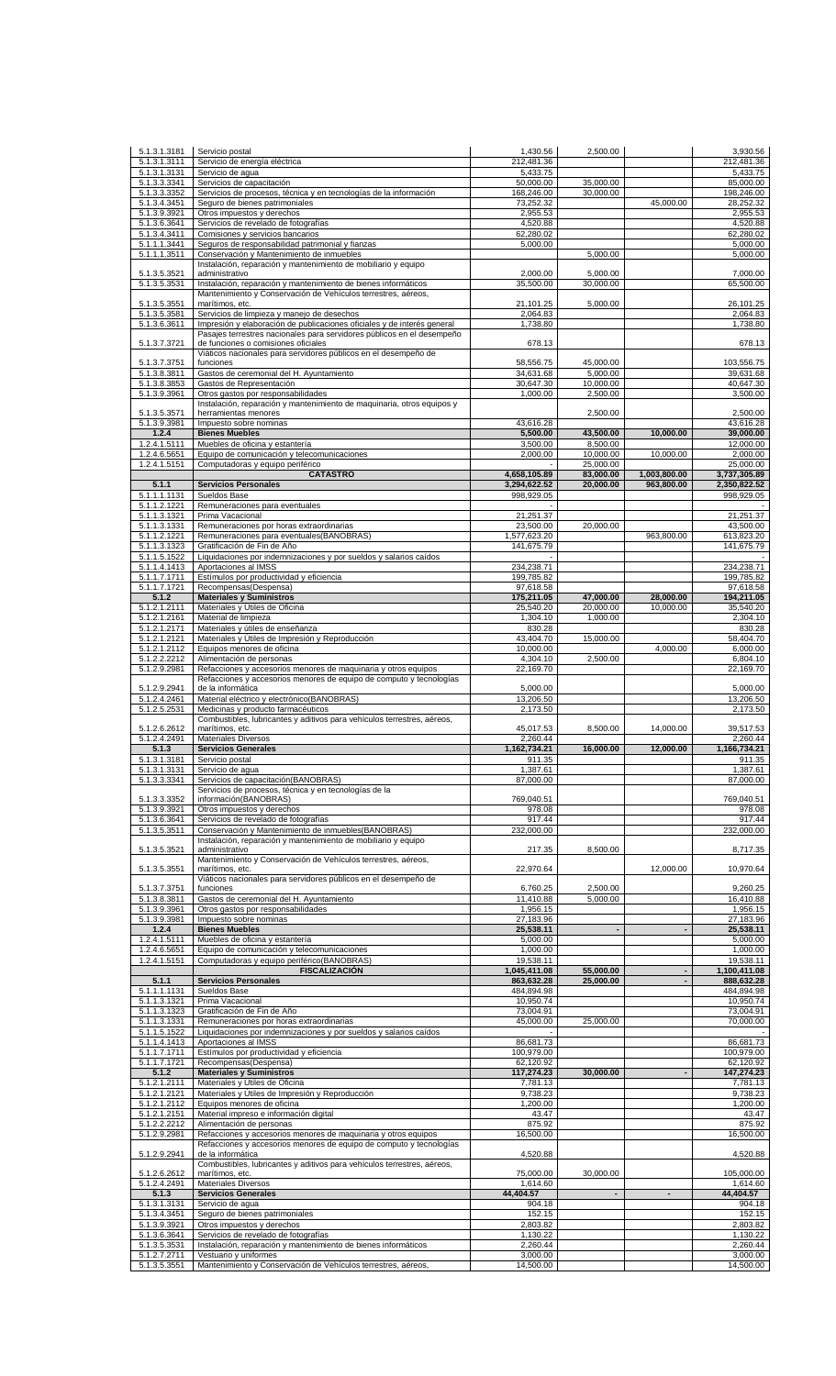| 5.1.3.1.3181                 | Servicio postal                                                                                               | 1,430.56                     | 2,500.00                 |                            | 3.930.56                        |
|------------------------------|---------------------------------------------------------------------------------------------------------------|------------------------------|--------------------------|----------------------------|---------------------------------|
| 5.1.3.1.3111                 | Servicio de energía eléctrica                                                                                 | 212,481.36                   |                          |                            | 212,481.36                      |
| 5.1.3.1.3131                 | Servicio de aqua                                                                                              | 5,433.75                     |                          |                            | 5,433.75                        |
| 5.1.3.3.3341                 | Servicios de capacitación                                                                                     | 50,000.00                    | 35,000.00                |                            | 85,000.00                       |
| 5.1.3.3.3352                 | Servicios de procesos, técnica y en tecnologías de la información                                             | 168,246.00                   | 30,000.00                | 45,000.00                  | 198,246.00<br>28,252.32         |
| 5.1.3.4.3451<br>5.1.3.9.3921 | Seguro de bienes patrimoniales<br>Otros impuestos y derechos                                                  | 73,252.32<br>2,955.53        |                          |                            | 2,955.53                        |
| 5.1.3.6.3641                 | Servicios de revelado de fotografías                                                                          | 4,520.88                     |                          |                            | 4,520.88                        |
| 5.1.3.4.3411                 | Comisiones y servicios bancarios                                                                              | 62,280.02                    |                          |                            | 62,280.02                       |
| 5.1.1.1.3441                 | Seguros de responsabilidad patrimonial y fianzas                                                              | 5,000.00                     |                          |                            | 5,000.00                        |
| 5.1.1.1.3511                 | Conservación y Mantenimiento de inmuebles                                                                     |                              | 5,000.00                 |                            | 5,000.00                        |
|                              | Instalación, reparación y mantenimiento de mobiliario y equipo                                                |                              |                          |                            |                                 |
| 5.1.3.5.3521<br>5.1.3.5.3531 | administrativo<br>Instalación, reparación y mantenimiento de bienes informáticos                              | 2,000.00<br>35,500.00        | 5,000.00<br>30,000.00    |                            | 7,000.00<br>65,500.00           |
|                              | Mantenimiento y Conservación de Vehículos terrestres, aéreos,                                                 |                              |                          |                            |                                 |
| 5.1.3.5.3551                 | marítimos, etc.                                                                                               | 21,101.25                    | 5,000.00                 |                            | 26,101.25                       |
| 5.1.3.5.3581                 | Servicios de limpieza y manejo de desechos                                                                    | 2,064.83                     |                          |                            | 2,064.83                        |
| 5.1.3.6.3611                 | Impresión y elaboración de publicaciones oficiales y de interés general                                       | 1,738.80                     |                          |                            | 1,738.80                        |
| 5.1.3.7.3721                 | Pasajes terrestres nacionales para servidores públicos en el desempeño<br>de funciones o comisiones oficiales | 678.13                       |                          |                            | 678.13                          |
|                              | Viáticos nacionales para servidores públicos en el desempeño de                                               |                              |                          |                            |                                 |
| 5.1.3.7.3751                 | funciones                                                                                                     | 58,556.75                    | 45,000.00                |                            | 103,556.75                      |
| 5.1.3.8.3811                 | Gastos de ceremonial del H. Ayuntamiento                                                                      | 34,631.68                    | 5,000.00                 |                            | 39,631.68                       |
| 5.1.3.8.3853                 | Gastos de Representación                                                                                      | 30,647.30                    | 10,000.00                |                            | 40,647.30                       |
| 5.1.3.9.3961                 | Otros gastos por responsabilidades                                                                            | 1,000.00                     | 2,500.00                 |                            | 3,500.00                        |
| 5.1.3.5.3571                 | Instalación, reparación y mantenimiento de maquinaria, otros equipos y<br>herramientas menores                |                              | 2,500.00                 |                            | 2,500.00                        |
| 5.1.3.9.3981                 | Impuesto sobre nominas                                                                                        | 43,616.28                    |                          |                            | 43,616.28                       |
| 1.2.4                        | <b>Bienes Muebles</b>                                                                                         | 5,500.00                     | 43,500.00                | 10,000.00                  | 39,000.00                       |
| 1.2.4.1.5111                 | Muebles de oficina y estantería                                                                               | 3,500.00                     | 8,500.00                 |                            | 12,000.00                       |
| 1.2.4.6.5651                 | Equipo de comunicación y telecomunicaciones                                                                   | 2,000.00                     | 10,000.00                | 10,000.00                  | 2,000.00                        |
| 1.2.4.1.5151                 | Computadoras y equipo periférico                                                                              |                              | 25,000.00                |                            | 25,000.00                       |
| 5.1.1                        | <b>CATASTRO</b><br><b>Servicios Personales</b>                                                                | 4,658,105.89<br>3,294,622.52 | 83,000.00<br>20,000.00   | 1,003,800.00<br>963,800.00 | 3,737,305.89<br>2,350,822.52    |
| 5.1.1.1.1131                 | Sueldos Base                                                                                                  | 998,929.05                   |                          |                            | 998,929.05                      |
| 5.1.1.2.1221                 | Remuneraciones para eventuales                                                                                |                              |                          |                            |                                 |
| 5.1.1.3.1321                 | Prima Vacacional                                                                                              | 21,251.37                    |                          |                            | 21,251.37                       |
| 5.1.1.3.1331                 | Remuneraciones por horas extraordinarias                                                                      | 23,500.00                    | 20,000.00                |                            | 43,500.00                       |
| 5.1.1.2.1221                 | Remuneraciones para eventuales(BANOBRAS)                                                                      | 1,577,623.20                 |                          | 963,800.00                 | 613,823.20                      |
| 5.1.1.3.1323                 | Gratificación de Fin de Año                                                                                   | 141,675.79                   |                          |                            | 141,675.79                      |
| 5.1.1.5.1522<br>5.1.1.4.1413 | Liquidaciones por indemnizaciones y por sueldos y salarios caídos<br>Aportaciones al IMSS                     | 234,238.71                   |                          |                            | 234,238.71                      |
| 5.1.1.7.1711                 | Estímulos por productividad y eficiencia                                                                      | 199,785.82                   |                          |                            | 199,785.82                      |
| 5.1.1.7.1721                 | Recompensas(Despensa)                                                                                         | 97,618.58                    |                          |                            | 97,618.58                       |
| 5.1.2                        | <b>Materiales y Suministros</b>                                                                               | 175,211.05                   | 47,000.00                | 28,000.00                  | 194,211.05                      |
| 5.1.2.1.2111                 | Materiales y Útiles de Oficina                                                                                | 25,540.20                    | 20,000.00                | 10,000.00                  | 35,540.20                       |
| 5.1.2.1.2161                 | Material de limpieza                                                                                          | 1,304.10                     | 1,000.00                 |                            | 2,304.10                        |
| 5.1.2.1.2171                 | Materiales y útiles de enseñanza                                                                              | 830.28                       |                          |                            | 830.28                          |
| 5.1.2.1.2121                 | Materiales y Útiles de Impresión y Reproducción                                                               | 43,404.70                    | 15,000.00                |                            | 58,404.70                       |
| 5.1.2.1.2112<br>5.1.2.2.2212 | Equipos menores de oficina<br>Alimentación de personas                                                        | 10,000.00<br>4,304.10        | 2,500.00                 | 4,000.00                   | 6,000.00<br>6,804.10            |
| 5.1.2.9.2981                 | Refacciones y accesorios menores de maquinaria y otros equipos                                                | 22,169.70                    |                          |                            | 22,169.70                       |
|                              | Refacciones y accesorios menores de equipo de computo y tecnologías                                           |                              |                          |                            |                                 |
| 5.1.2.9.2941                 | de la informática                                                                                             | 5,000.00                     |                          |                            | 5,000.00                        |
| 5.1.2.4.2461                 | Material eléctrico y electrónico(BANOBRAS)                                                                    | 13,206.50                    |                          |                            | 13,206.50                       |
| 5.1.2.5.2531                 | Medicinas y producto farmacéuticos                                                                            | 2,173.50                     |                          |                            | 2,173.50                        |
| 5.1.2.6.2612                 | Combustibles, lubricantes y aditivos para vehículos terrestres, aéreos,<br>marítimos, etc.                    | 45,017.53                    | 8,500.00                 | 14,000.00                  | 39,517.53                       |
| 5.1.2.4.2491                 | <b>Materiales Diversos</b>                                                                                    | 2,260.44                     |                          |                            | 2,260.44                        |
| 5.1.3                        | <b>Servicios Generales</b>                                                                                    | 1,162,734.21                 | 16,000.00                | 12,000.00                  | 1,166,734.21                    |
| 5.1.3.1.3181                 | Servicio postal                                                                                               | 911.35                       |                          |                            | 911.35                          |
| 5.1.3.1.3131                 | Servicio de agua                                                                                              | 1,387.61                     |                          |                            | 1,387.61                        |
| 5.1.3.3.3341                 | Servicios de capacitación (BANOBRAS)                                                                          | 87,000.00                    |                          |                            | 87,000.00                       |
| 5.1.3.3.3352                 | Servicios de procesos, técnica y en tecnologías de la<br>información(BANOBRAS)                                | 769,040.51                   |                          |                            | 769,040.51                      |
| 5.1.3.9.3921                 | Otros impuestos y derechos                                                                                    |                              |                          |                            | 978.08                          |
| 5.1.3.6.3641                 | Servicios de revelado de fotografías                                                                          |                              |                          |                            |                                 |
| 5.1.3.5.3511                 |                                                                                                               | 978.08<br>917.44             |                          |                            | 917.44                          |
|                              | Conservación y Mantenimiento de inmuebles(BANOBRAS)                                                           | 232,000.00                   |                          |                            | 232,000.00                      |
|                              | Instalación, reparación y mantenimiento de mobiliario y equipo                                                |                              |                          |                            |                                 |
| 5.1.3.5.3521                 | administrativo                                                                                                | 217.35                       | 8,500.00                 |                            | 8,717.35                        |
|                              | Mantenimiento y Conservación de Vehículos terrestres, aéreos,                                                 |                              |                          |                            |                                 |
| 5.1.3.5.3551                 | marítimos, etc.<br>Viáticos nacionales para servidores públicos en el desempeño de                            | 22,970.64                    |                          | 12,000.00                  | 10,970.64                       |
| 5.1.3.7.3751                 | funciones                                                                                                     | 6,760.25                     | 2,500.00                 |                            | 9,260.25                        |
| 5.1.3.8.3811                 | Gastos de ceremonial del H. Ayuntamiento                                                                      | 11,410.88                    | 5,000.00                 |                            | 16,410.88                       |
| 5.1.3.9.3961                 | Otros gastos por responsabilidades                                                                            | 1,956.15                     |                          |                            | 1,956.15                        |
| 5.1.3.9.3981                 | Impuesto sobre nominas                                                                                        | 27,183.96                    | $\overline{\phantom{a}}$ |                            | 27,183.96                       |
| 1.2.4<br>1.2.4.1.5111        | <b>Bienes Muebles</b><br>Muebles de oficina y estantería                                                      | 25,538.11<br>5,000.00        |                          |                            | 25,538.11<br>5,000.00           |
| 1.2.4.6.5651                 | Equipo de comunicación y telecomunicaciones                                                                   | 1,000.00                     |                          |                            | 1,000.00                        |
| 1.2.4.1.5151                 | Computadoras y equipo periférico(BANOBRAS)                                                                    | 19,538.11                    |                          |                            | 19,538.11                       |
|                              | <b>FISCALIZACIÓN</b>                                                                                          | 1,045,411.08                 | 55,000.00                |                            | 1,100,411.08                    |
| 5.1.1                        | <b>Servicios Personales</b>                                                                                   | 863,632.28                   | 25,000.00                |                            | 888,632.28                      |
| 5.1.1.1.1131                 | Sueldos Base                                                                                                  | 484,894.98                   |                          |                            | 484,894.98                      |
| 5.1.1.3.1321<br>5.1.1.3.1323 | Prima Vacacional<br>Gratificación de Fin de Año                                                               | 10,950.74<br>73,004.91       |                          |                            | 10,950.74<br>73,004.91          |
| 5.1.1.3.1331                 | Remuneraciones por horas extraordinarias                                                                      | 45,000.00                    | 25,000.00                |                            | 70,000.00                       |
| 5.1.1.5.1522                 | Liquidaciones por indemnizaciones y por sueldos y salarios caídos                                             |                              |                          |                            |                                 |
| 5.1.1.4.1413                 | Aportaciones al IMSS                                                                                          | 86,681.73                    |                          |                            | 86,681.73                       |
| 5.1.1.7.1711                 | Estímulos por productividad y eficiencia                                                                      | 100,979.00                   |                          |                            | 100,979.00                      |
| 5.1.1.7.1721                 | Recompensas(Despensa)                                                                                         | 62,120.92                    |                          |                            | 62,120.92                       |
| 5.1.2                        | <b>Materiales y Suministros</b>                                                                               | 117,274.23                   | 30,000.00                |                            | 147,274.23                      |
| 5.1.2.1.2111<br>5.1.2.1.2121 | Materiales y Útiles de Oficina<br>Materiales y Útiles de Impresión y Reproducción                             | 7,781.13                     |                          |                            | 9,738.23                        |
| 5.1.2.1.2112                 | Equipos menores de oficina                                                                                    | 9,738.23<br>1,200.00         |                          |                            | 1,200.00                        |
| 5.1.2.1.2151                 | Material impreso e información digital                                                                        | 43.47                        |                          |                            | 7,781.13<br>43.47               |
| 5.1.2.2.2212                 | Alimentación de personas                                                                                      | 875.92                       |                          |                            | 875.92                          |
| 5.1.2.9.2981                 | Refacciones y accesorios menores de maquinaria y otros equipos                                                | 16,500.00                    |                          |                            | 16,500.00                       |
|                              | Refacciones y accesorios menores de equipo de computo y tecnologías                                           |                              |                          |                            |                                 |
| 5.1.2.9.2941                 | de la informática<br>Combustibles, lubricantes y aditivos para vehículos terrestres, aéreos,                  | 4,520.88                     |                          |                            | 4,520.88                        |
| 5.1.2.6.2612                 | marítimos, etc.                                                                                               | 75,000.00                    | 30,000.00                |                            | 105,000.00                      |
| 5.1.2.4.2491                 | <b>Materiales Diversos</b>                                                                                    | 1,614.60                     |                          |                            | 1,614.60                        |
| 5.1.3                        | <b>Servicios Generales</b>                                                                                    | 44,404.57                    |                          | $\blacksquare$             | 44,404.57                       |
| 5.1.3.1.3131                 | Servicio de agua                                                                                              | 904.18                       |                          |                            | 904.18                          |
| 5.1.3.4.3451<br>5.1.3.9.3921 | Seguro de bienes patrimoniales<br>Otros impuestos y derechos                                                  | 152.15<br>2,803.82           |                          |                            | 2,803.82                        |
| 5.1.3.6.3641                 | Servicios de revelado de fotografías                                                                          | 1,130.22                     |                          |                            | 1,130.22                        |
| 5.1.3.5.3531                 | Instalación, reparación y mantenimiento de bienes informáticos                                                | 2,260.44                     |                          |                            | 2,260.44                        |
| 5.1.2.7.2711<br>5.1.3.5.3551 | Vestuario y uniformes<br>Mantenimiento y Conservación de Vehículos terrestres, aéreos,                        | 3,000.00<br>14,500.00        |                          |                            | 152.15<br>3,000.00<br>14,500.00 |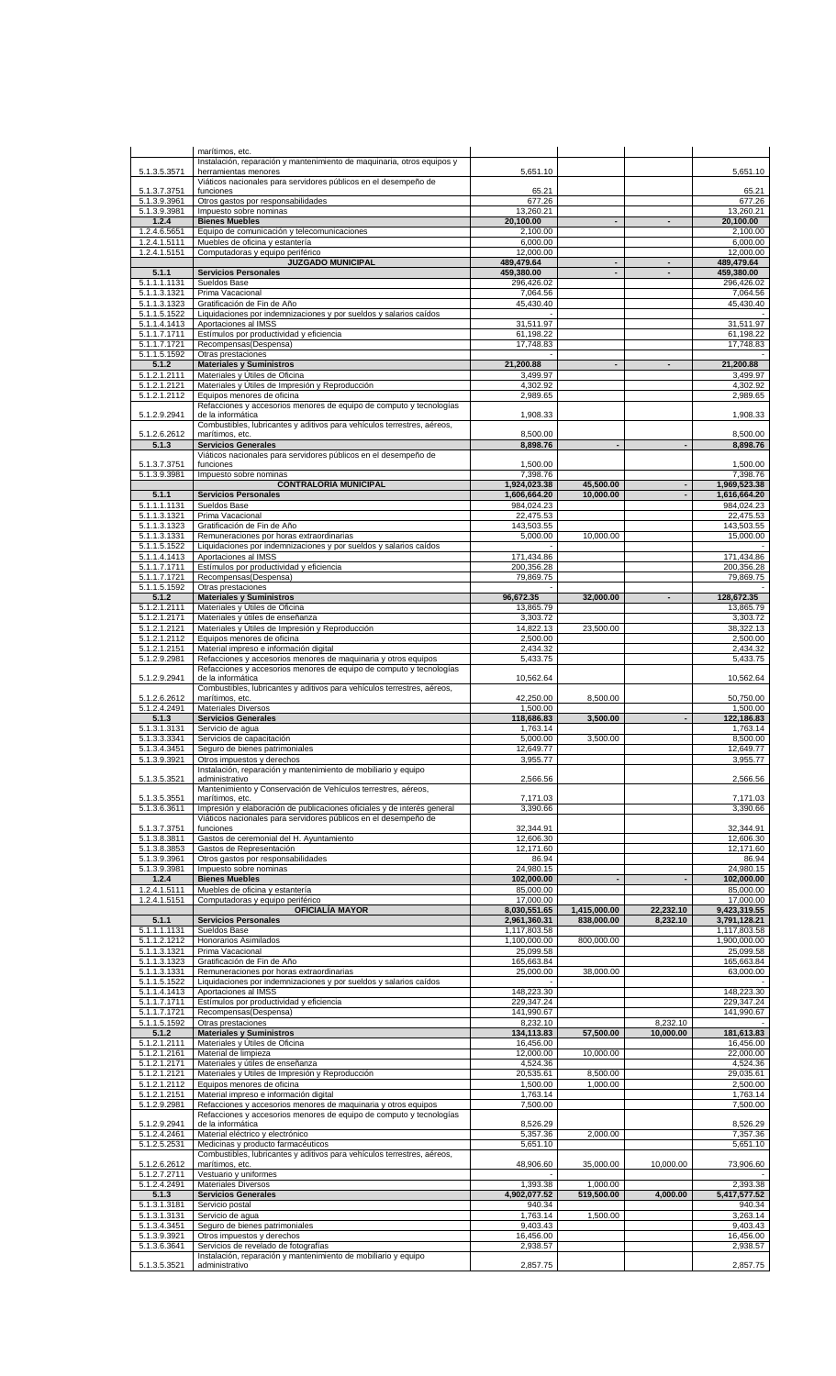|                              | marítimos, etc.                                                                                                                            |                              |                          |                       |                              |
|------------------------------|--------------------------------------------------------------------------------------------------------------------------------------------|------------------------------|--------------------------|-----------------------|------------------------------|
| 5.1.3.5.3571                 | Instalación, reparación y mantenimiento de maquinaria, otros equipos y<br>herramientas menores                                             | 5,651.10                     |                          |                       | 5,651.10                     |
|                              | Viáticos nacionales para servidores públicos en el desempeño de                                                                            |                              |                          |                       |                              |
| 5.1.3.7.3751                 | funciones                                                                                                                                  | 65.21                        |                          |                       | 65.21                        |
| 5.1.3.9.3961<br>5.1.3.9.3981 | Otros gastos por responsabilidades<br>Impuesto sobre nominas                                                                               | 677.26<br>13,260.21          |                          |                       | 677.26<br>13,260.21          |
| 1.2.4                        | <b>Bienes Muebles</b>                                                                                                                      | 20,100.00                    | $\overline{\phantom{a}}$ | $\blacksquare$        | 20,100.00                    |
| 1.2.4.6.5651<br>1.2.4.1.5111 | Equipo de comunicación y telecomunicaciones<br>Muebles de oficina y estantería                                                             | 2,100.00<br>6,000.00         |                          |                       | 2,100.00<br>6,000.00         |
| 1.2.4.1.5151                 | Computadoras y equipo periférico                                                                                                           | 12,000.00                    |                          |                       | 12,000.00                    |
|                              | <b>JUZGADO MUNICIPAL</b>                                                                                                                   | 489,479.64                   | $\overline{\phantom{a}}$ |                       | 489,479.64                   |
| 5.1.1<br>5.1.1.1.1131        | <b>Servicios Personales</b><br>Sueldos Base                                                                                                | 459,380.00<br>296,426.02     | $\blacksquare$           | $\blacksquare$        | 459,380.00<br>296,426.02     |
| 5.1.1.3.1321                 | Prima Vacacional                                                                                                                           | 7,064.56                     |                          |                       | 7,064.56                     |
| 5.1.1.3.1323<br>5.1.1.5.1522 | Gratificación de Fin de Año<br>Liquidaciones por indemnizaciones y por sueldos y salarios caídos                                           | 45,430.40                    |                          |                       | 45,430.40                    |
| 5.1.1.4.1413                 | Aportaciones al IMSS                                                                                                                       | 31,511.97                    |                          |                       | 31,511.97                    |
| 5.1.1.7.1711                 | Estímulos por productividad y eficiencia                                                                                                   | 61,198.22                    |                          |                       | 61,198.22                    |
| 5.1.1.7.1721<br>5.1.1.5.1592 | Recompensas(Despensa)<br>Otras prestaciones                                                                                                | 17,748.83                    |                          |                       | 17,748.83                    |
| 5.1.2                        | <b>Materiales y Suministros</b>                                                                                                            | 21,200.88                    |                          |                       | 21,200.88                    |
| 5.1.2.1.2111<br>5.1.2.1.2121 | Materiales y Útiles de Oficina<br>Materiales y Útiles de Impresión y Reproducción                                                          | 3,499.97<br>4,302.92         |                          |                       | 3,499.97<br>4,302.92         |
| 5.1.2.1.2112                 | Equipos menores de oficina                                                                                                                 | 2,989.65                     |                          |                       | 2,989.65                     |
| 5.1.2.9.2941                 | Refacciones y accesorios menores de equipo de computo y tecnologías<br>de la informática                                                   | 1,908.33                     |                          |                       | 1,908.33                     |
|                              | Combustibles, lubricantes y aditivos para vehículos terrestres, aéreos,                                                                    |                              |                          |                       |                              |
| 5.1.2.6.2612<br>5.1.3        | marítimos, etc.<br><b>Servicios Generales</b>                                                                                              | 8,500.00<br>8,898.76         | $\blacksquare$           | $\blacksquare$        | 8,500.00<br>8,898.76         |
|                              | Viáticos nacionales para servidores públicos en el desempeño de                                                                            |                              |                          |                       |                              |
| 5.1.3.7.3751<br>5.1.3.9.3981 | funciones<br>Impuesto sobre nominas                                                                                                        | 1,500.00<br>7,398.76         |                          |                       | 1,500.00<br>7,398.76         |
|                              | <b>CONTRALORÍA MUNICIPAL</b>                                                                                                               | 1,924,023.38                 | 45,500.00                | $\blacksquare$        | 1,969,523.38                 |
| 5.1.1<br>5.1.1.1.1131        | <b>Servicios Personales</b><br>Sueldos Base                                                                                                | 1,606,664.20<br>984,024.23   | 10,000.00                |                       | 1,616,664.20<br>984,024.23   |
| 5.1.1.3.1321                 | Prima Vacacional                                                                                                                           | 22,475.53                    |                          |                       | 22,475.53                    |
| 5.1.1.3.1323<br>5.1.1.3.1331 | Gratificación de Fin de Año<br>Remuneraciones por horas extraordinarias                                                                    | 143,503.55<br>5,000.00       | 10.000.00                |                       | 143,503.55<br>15,000.00      |
| 5.1.1.5.1522                 | Liquidaciones por indemnizaciones y por sueldos y salarios caídos                                                                          |                              |                          |                       |                              |
| 5.1.1.4.1413<br>5.1.1.7.1711 | Aportaciones al IMSS<br>Estímulos por productividad y eficiencia                                                                           | 171,434.86<br>200,356.28     |                          |                       | 171,434.86<br>200,356.28     |
| $\overline{5.1.1.7}.1721$    | Recompensas(Despensa)                                                                                                                      | 79,869.75                    |                          |                       | 79,869.75                    |
| 5.1.1.5.1592<br>5.1.2        | Otras prestaciones<br><b>Materiales y Suministros</b>                                                                                      | 96,672.35                    | 32,000.00                | $\blacksquare$        | 128,672.35                   |
| 5.1.2.1.2111                 | Materiales y Útiles de Oficina                                                                                                             | 13,865.79                    |                          |                       | 13,865.79                    |
| 5.1.2.1.2171                 | Materiales y útiles de enseñanza                                                                                                           | 3,303.72                     |                          |                       | 3,303.72                     |
| 5.1.2.1.2121<br>5.1.2.1.2112 | Materiales y Útiles de Impresión y Reproducción<br>Equipos menores de oficina                                                              | 14,822.13<br>2,500.00        | 23,500.00                |                       | 38,322.13<br>2,500.00        |
| 5.1.2.1.2151                 | Material impreso e información digital                                                                                                     | 2,434.32                     |                          |                       | 2,434.32                     |
| 5.1.2.9.2981                 | Refacciones y accesorios menores de maquinaria y otros equipos<br>Refacciones y accesorios menores de equipo de computo y tecnologías      | 5,433.75                     |                          |                       | 5,433.75                     |
| 5.1.2.9.2941                 | de la informática                                                                                                                          | 10,562.64                    |                          |                       | 10,562.64                    |
| 5.1.2.6.2612                 | Combustibles, lubricantes y aditivos para vehículos terrestres, aéreos,<br>marítimos, etc.                                                 | 42,250.00                    | 8,500.00                 |                       | 50,750.00                    |
| 5.1.2.4.2491                 | <b>Materiales Diversos</b>                                                                                                                 | 1,500.00                     |                          |                       | 1,500.00                     |
| 5.1.3<br>5.1.3.1.3131        | <b>Servicios Generales</b><br>Servicio de agua                                                                                             | 118,686.83<br>1,763.14       | 3,500.00                 |                       | 122,186.83<br>1,763.14       |
| 5.1.3.3.3341                 | Servicios de capacitación                                                                                                                  | 5,000.00                     | 3,500.00                 |                       | 8,500.00                     |
| 5.1.3.4.3451<br>5.1.3.9.3921 | Seguro de bienes patrimoniales<br>Otros impuestos y derechos                                                                               | 12,649.77<br>3,955.77        |                          |                       | 12,649.77<br>3,955.77        |
|                              | Instalación, reparación y mantenimiento de mobiliario y equipo                                                                             |                              |                          |                       |                              |
| 5.1.3.5.3521                 | administrativo<br>Mantenimiento y Conservación de Vehículos terrestres, aéreos,                                                            | 2,566.56                     |                          |                       | 2,566.56                     |
| 5.1.3.5.3551                 | marítimos, etc.                                                                                                                            | 7,171.03                     |                          |                       | 7,171.03                     |
| 5.1.3.6.3611                 | Impresión y elaboración de publicaciones oficiales y de interés general<br>Viáticos nacionales para servidores públicos en el desempeño de | 3,390.66                     |                          |                       | 3,390.66                     |
| 5.1.3.7.3751                 | funciones                                                                                                                                  | 32,344.91                    |                          |                       | 32,344.91                    |
| 5.1.3.8.3811<br>5.1.3.8.3853 | Gastos de ceremonial del H. Ayuntamiento<br>Gastos de Representación                                                                       | 12,606.30<br>12,171.60       |                          |                       | 12,606.30<br>12,171.60       |
| 5.1.3.9.3961                 | Otros gastos por responsabilidades                                                                                                         | 86.94                        |                          |                       | 86.94                        |
| 5.1.3.9.3981<br>1.2.4        | Impuesto sobre nominas<br><b>Bienes Muebles</b>                                                                                            | 24,980.15<br>102,000.00      |                          |                       | 24,980.15<br>102,000.00      |
| 1.2.4.1.5111                 | Muebles de oficina y estantería                                                                                                            | 85,000.00                    |                          |                       | 85,000.00                    |
| 1.2.4.1.5151                 | Computadoras y equipo periférico<br><b>OFICIALÍA MAYOR</b>                                                                                 | 17,000.00<br>8,030,551.65    | 1,415,000.00             | 22,232.10             | 17,000.00<br>9,423,319.55    |
| 5.1.1                        | <b>Servicios Personales</b>                                                                                                                | 2,961,360.31                 | 838,000.00               | 8,232.10              | 3,791,128.21                 |
| 5.1.1.1.1131<br>5.1.1.2.1212 | Sueldos Base<br>Honorarios Asimilados                                                                                                      | 1,117,803.58<br>1,100,000.00 | 800,000.00               |                       | 1,117,803.58<br>1,900,000.00 |
| 5.1.1.3.1321                 | Prima Vacacional                                                                                                                           | 25,099.58                    |                          |                       | 25,099.58                    |
| 5.1.1.3.1323<br>5.1.1.3.1331 | Gratificación de Fin de Año<br>Remuneraciones por horas extraordinarias                                                                    | 165,663.84<br>25,000.00      | 38,000.00                |                       | 165,663.84<br>63,000.00      |
| 5.1.1.5.1522                 | Liquidaciones por indemnizaciones y por sueldos y salarios caídos                                                                          |                              |                          |                       |                              |
| 5.1.1.4.1413<br>5.1.1.7.1711 | Aportaciones al IMSS<br>Estímulos por productividad y eficiencia                                                                           | 148,223.30<br>229,347.24     |                          |                       | 148,223.30<br>229,347.24     |
| 5.1.1.7.1721                 | Recompensas(Despensa)                                                                                                                      | 141,990.67                   |                          |                       | 141,990.67                   |
| 5.1.1.5.1592<br>5.1.2        | Otras prestaciones                                                                                                                         | 8,232.10                     | 57,500.00                | 8,232.10<br>10,000.00 | 181,613.83                   |
| 5.1.2.1.2111                 | <b>Materiales y Suministros</b><br>Materiales y Útiles de Oficina                                                                          | 134,113.83<br>16,456.00      |                          |                       | 16,456.00                    |
| 5.1.2.1.2161                 | Material de limpieza                                                                                                                       | 12,000.00                    | 10,000.00                |                       | 22,000.00                    |
| 5.1.2.1.2171<br>5.1.2.1.2121 | Materiales y útiles de enseñanza<br>Materiales y Útiles de Impresión y Reproducción                                                        | 4,524.36<br>20,535.61        | 8,500.00                 |                       | 4,524.36<br>29,035.61        |
| 5.1.2.1.2112                 | Equipos menores de oficina                                                                                                                 | 1,500.00                     | 1,000.00                 |                       | 2,500.00                     |
| 5.1.2.1.2151<br>5.1.2.9.2981 | Material impreso e información digital<br>Refacciones y accesorios menores de maquinaria y otros equipos                                   | 1,763.14<br>7,500.00         |                          |                       | 1,763.14<br>7,500.00         |
|                              | Refacciones y accesorios menores de equipo de computo y tecnologías                                                                        |                              |                          |                       |                              |
| 5.1.2.9.2941<br>5.1.2.4.2461 | de la informática<br>Material eléctrico y electrónico                                                                                      | 8,526.29<br>5,357.36         | 2,000.00                 |                       | 8,526.29<br>7,357.36         |
| 5.1.2.5.2531                 | Medicinas y producto farmacéuticos                                                                                                         | 5,651.10                     |                          |                       | 5,651.10                     |
| 5.1.2.6.2612                 | Combustibles, lubricantes y aditivos para vehículos terrestres, aéreos,<br>marítimos, etc.                                                 | 48,906.60                    | 35,000.00                | 10,000.00             | 73,906.60                    |
| 5.1.2.7.2711                 | Vestuario y uniformes                                                                                                                      |                              |                          |                       |                              |
| 5.1.2.4.2491<br>5.1.3        | <b>Materiales Diversos</b><br><b>Servicios Generales</b>                                                                                   | 1,393.38<br>4,902,077.52     | 1,000.00<br>519,500.00   | 4,000.00              | 2,393.38<br>5,417,577.52     |
| 5.1.3.1.3181                 | Servicio postal                                                                                                                            | 940.34                       |                          |                       | 940.34                       |
| 5.1.3.1.3131<br>5.1.3.4.3451 | Servicio de agua<br>Seguro de bienes patrimoniales                                                                                         | 1,763.14<br>9,403.43         | 1,500.00                 |                       | 3,263.14<br>9,403.43         |
| 5.1.3.9.3921                 | Otros impuestos y derechos                                                                                                                 | 16,456.00                    |                          |                       | 16,456.00                    |
| 5.1.3.6.3641                 | Servicios de revelado de fotografías<br>Instalación, reparación y mantenimiento de mobiliario y equipo                                     | 2,938.57                     |                          |                       | 2,938.57                     |
| 5.1.3.5.3521                 | administrativo                                                                                                                             | 2,857.75                     |                          |                       | 2,857.75                     |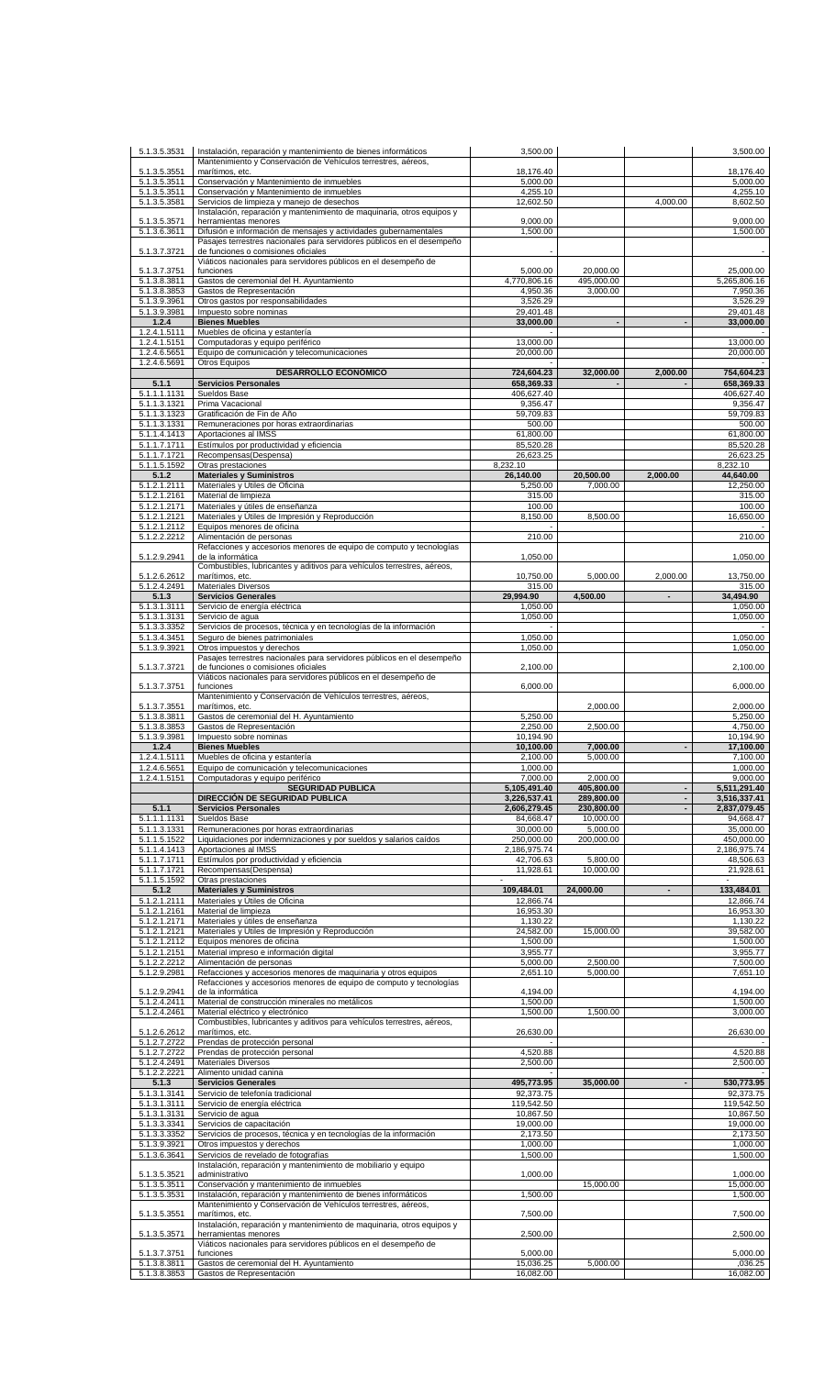| 5.1.3.5.3531                 | Instalación, reparación y mantenimiento de bienes informáticos                                                                  | 3,500.00                     |                          |                          | 3,500.00                     |
|------------------------------|---------------------------------------------------------------------------------------------------------------------------------|------------------------------|--------------------------|--------------------------|------------------------------|
| 5.1.3.5.3551                 | Mantenimiento y Conservación de Vehículos terrestres, aéreos,<br>marítimos, etc.                                                | 18,176.40                    |                          |                          | 18,176.40                    |
| 5.1.3.5.3511                 | Conservación y Mantenimiento de inmuebles                                                                                       | 5.000.00                     |                          |                          | 5,000.00                     |
| 5.1.3.5.3511<br>5.1.3.5.3581 | Conservación y Mantenimiento de inmuebles<br>Servicios de limpieza y manejo de desechos                                         | 4,255.10<br>12,602.50        |                          | 4,000.00                 | 4,255.10<br>8,602.50         |
|                              | Instalación, reparación y mantenimiento de maquinaria, otros equipos y                                                          |                              |                          |                          |                              |
| 5.1.3.5.3571<br>5.1.3.6.3611 | herramientas menores<br>Difusión e información de mensajes y actividades gubernamentales                                        | 9,000.00<br>1,500.00         |                          |                          | 9,000.00<br>1,500.00         |
|                              | Pasajes terrestres nacionales para servidores públicos en el desempeño                                                          |                              |                          |                          |                              |
| 5.1.3.7.3721                 | de funciones o comisiones oficiales<br>Viáticos nacionales para servidores públicos en el desempeño de                          |                              |                          |                          |                              |
| 5.1.3.7.3751                 | funciones                                                                                                                       | 5,000.00                     | 20,000.00                |                          | 25,000.00                    |
| 5.1.3.8.3811<br>5.1.3.8.3853 | Gastos de ceremonial del H. Ayuntamiento<br>Gastos de Representación                                                            | 4,770,806.16<br>4,950.36     | 495,000.00<br>3,000.00   |                          | 5,265,806.16<br>7,950.36     |
| 5.1.3.9.3961                 | Otros gastos por responsabilidades                                                                                              | 3,526.29                     |                          |                          | 3,526.29                     |
| 5.1.3.9.3981<br>1.2.4        | Impuesto sobre nominas                                                                                                          | 29,401.48                    |                          |                          | 29,401.48                    |
| 1.2.4.1.5111                 | <b>Bienes Muebles</b><br>Muebles de oficina y estantería                                                                        | 33,000.00                    |                          |                          | 33,000.00                    |
| 1.2.4.1.5151                 | Computadoras y equipo periférico                                                                                                | 13,000.00                    |                          |                          | 13,000.00                    |
| 1.2.4.6.5651<br>1.2.4.6.5691 | Equipo de comunicación y telecomunicaciones<br>Otros Equipos                                                                    | 20,000.00                    |                          |                          | 20,000.00                    |
|                              | <b>DESARROLLO ECONÓMICO</b>                                                                                                     | 724,604.23                   | 32,000.00                | 2,000.00                 | 754,604.23                   |
| 5.1.1<br>5.1.1.1.1131        | <b>Servicios Personales</b><br>Sueldos Base                                                                                     | 658,369.33<br>406,627.40     |                          |                          | 658,369.33<br>406,627.40     |
| 5.1.1.3.1321                 | Prima Vacacional                                                                                                                | 9,356.47                     |                          |                          | 9,356.47                     |
| 5.1.1.3.1323                 | Gratificación de Fin de Año                                                                                                     | 59,709.83                    |                          |                          | 59,709.83<br>500.00          |
| 5.1.1.3.1331<br>5.1.1.4.1413 | Remuneraciones por horas extraordinarias<br>Aportaciones al IMSS                                                                | 500.00<br>61,800.00          |                          |                          | 61,800.00                    |
| 5.1.1.7.1711                 | Estímulos por productividad y eficiencia                                                                                        | 85,520.28                    |                          |                          | 85,520.28                    |
| 5.1.1.7.1721<br>5.1.1.5.1592 | Recompensas(Despensa)<br>Otras prestaciones                                                                                     | 26,623.25<br>8,232.10        |                          |                          | 26,623.25<br>8,232.10        |
| 5.1.2                        | <b>Materiales y Suministros</b>                                                                                                 | 26,140.00                    | 20,500.00                | 2,000.00                 | 44,640.00                    |
| 5.1.2.1.2111<br>5.1.2.1.2161 | Materiales y Útiles de Oficina<br>Material de limpieza                                                                          | 5,250.00<br>315.00           | 7.000.00                 |                          | 12,250.00<br>315.00          |
| 5.1.2.1.2171                 | Materiales y útiles de enseñanza                                                                                                | 100.00                       |                          |                          | 100.00                       |
| 5.1.2.1.2121                 | Materiales y Útiles de Impresión y Reproducción                                                                                 | 8,150.00                     | 8,500.00                 |                          | 16,650.00                    |
| 5.1.2.1.2112<br>5.1.2.2.2212 | Equipos menores de oficina<br>Alimentación de personas                                                                          | 210.00                       |                          |                          | 210.00                       |
|                              | Refacciones y accesorios menores de equipo de computo y tecnologías                                                             |                              |                          |                          |                              |
| 5.1.2.9.2941                 | de la informática<br>Combustibles, lubricantes y aditivos para vehículos terrestres, aéreos,                                    | 1,050.00                     |                          |                          | 1,050.00                     |
| 5.1.2.6.2612                 | marítimos, etc.                                                                                                                 | 10,750.00                    | 5,000.00                 | 2,000.00                 | 13,750.00                    |
| 5.1.2.4.2491<br>5.1.3        | <b>Materiales Diversos</b><br><b>Servicios Generales</b>                                                                        | 315.00<br>29,994.90          | 4,500.00                 | $\blacksquare$           | 315.00<br>34,494.90          |
| 5.1.3.1.3111                 | Servicio de energía eléctrica                                                                                                   | 1,050.00                     |                          |                          | 1,050.00                     |
| 5.1.3.1.3131                 | Servicio de agua                                                                                                                | 1,050.00                     |                          |                          | 1,050.00                     |
| 5.1.3.3.3352<br>5.1.3.4.3451 | Servicios de procesos, técnica y en tecnologías de la información<br>Seguro de bienes patrimoniales                             | 1,050.00                     |                          |                          | 1,050.00                     |
| 5.1.3.9.3921                 | Otros impuestos y derechos                                                                                                      | 1,050.00                     |                          |                          | 1,050.00                     |
| 5.1.3.7.3721                 | Pasajes terrestres nacionales para servidores públicos en el desempeño<br>de funciones o comisiones oficiales                   | 2,100.00                     |                          |                          | 2,100.00                     |
|                              | Viáticos nacionales para servidores públicos en el desempeño de                                                                 |                              |                          |                          |                              |
| 5.1.3.7.3751                 | funciones<br>Mantenimiento y Conservación de Vehículos terrestres, aéreos,                                                      | 6,000.00                     |                          |                          | 6,000.00                     |
| 5.1.3.7.3551                 | marítimos, etc.                                                                                                                 |                              | 2,000.00                 |                          | 2,000.00                     |
| 5.1.3.8.3811<br>5.1.3.8.3853 | Gastos de ceremonial del H. Ayuntamiento<br>Gastos de Representación                                                            | 5,250.00<br>2,250.00         | 2,500.00                 |                          | 5,250.00<br>4,750.00         |
| 5.1.3.9.3981                 | Impuesto sobre nominas                                                                                                          | 10,194.90                    |                          |                          | 10,194.90                    |
| 1.2.4                        | <b>Bienes Muebles</b>                                                                                                           | 10,100.00                    | 7,000.00                 |                          | 17,100.00                    |
| 1.2.4.1.5111<br>1.2.4.6.5651 | Muebles de oficina y estantería<br>Equipo de comunicación y telecomunicaciones                                                  | 2,100.00<br>1,000.00         | 5,000.00                 |                          | 7,100.00<br>1,000.00         |
| 1.2.4.1.5151                 | Computadoras y equipo periférico                                                                                                | 7,000.00                     | 2,000.00                 |                          | 9.000.00                     |
|                              | <b>SEGURIDAD PUBLICA</b><br>DIRECCIÓN DE SEGURIDAD PUBLICA                                                                      | 5,105,491.40<br>3,226,537.41 | 405,800.00<br>289,800.00 | $\overline{\phantom{a}}$ | 5,511,291.40<br>3,516,337.41 |
| 5.1.1                        | <b>Servicios Personales</b>                                                                                                     | 2,606,279.45                 | 230,800.00               | $\overline{\phantom{a}}$ | 2,837,079.45                 |
| 5.1.1.1.1131<br>5.1.1.3.1331 | Sueldos Base<br>Remuneraciones por horas extraordinarias                                                                        | 84,668.47<br>30,000.00       | 10.000.00<br>5.000.00    |                          | 94,668.47<br>35,000.00       |
| 5.1.1.5.1522                 | Liquidaciones por indemnizaciones y por sueldos y salarios caídos                                                               | 250,000.00                   | 200,000.00               |                          | 450,000.00                   |
| 5.1.1.4.1413                 | Aportaciones al IMSS                                                                                                            | 2,186,975.74                 |                          |                          | 2,186,975.74                 |
| 5.1.1.7.1711<br>5.1.1.7.1721 | Estímulos por productividad y eficiencia<br>Recompensas(Despensa)                                                               | 42,706.63<br>11,928.61       | 5,800.00<br>10,000.00    |                          | 48,506.63<br>21,928.61       |
| 5.1.1.5.1592                 | Otras prestaciones                                                                                                              | $\overline{\phantom{a}}$     |                          |                          | $\overline{\phantom{a}}$     |
| 5.1.2<br>5.1.2.1.2111        | <b>Materiales y Suministros</b><br>Materiales y Útiles de Oficina                                                               | 109,484.01<br>12,866.74      | 24,000.00                | ٠                        | 133,484.01<br>12,866.74      |
| 5.1.2.1.2161                 | Material de limpieza                                                                                                            | 16,953.30                    |                          |                          | 16,953.30                    |
| 5.1.2.1.2171                 | Materiales y útiles de enseñanza                                                                                                | 1,130.22                     |                          |                          | 1,130.22                     |
| 5.1.2.1.2121<br>5.1.2.1.2112 | Materiales y Útiles de Impresión y Reproducción<br>Equipos menores de oficina                                                   | 24,582.00<br>1,500.00        | 15,000.00                |                          | 39,582.00<br>1,500.00        |
| $\overline{5.1.2.1.2151}$    | Material impreso e información digital                                                                                          | 3,955.77                     |                          |                          | 3,955.77                     |
| 5.1.2.2.2212<br>5.1.2.9.2981 | Alimentación de personas<br>Refacciones y accesorios menores de maquinaria y otros equipos                                      | 5,000.00<br>2,651.10         | 2,500.00<br>5,000.00     |                          | 7,500.00<br>7,651.10         |
|                              | Refacciones y accesorios menores de equipo de computo y tecnologías                                                             |                              |                          |                          |                              |
| 5.1.2.9.2941<br>5.1.2.4.2411 | de la informática<br>Material de construcción minerales no metálicos                                                            | 4,194.00<br>1,500.00         |                          |                          | 4,194.00<br>1,500.00         |
| 5.1.2.4.2461                 | Material eléctrico y electrónico                                                                                                | 1,500.00                     | 1,500.00                 |                          | 3,000.00                     |
| 5.1.2.6.2612                 | Combustibles, lubricantes y aditivos para vehículos terrestres, aéreos,<br>marítimos, etc.                                      | 26,630.00                    |                          |                          | 26,630.00                    |
| 5.1.2.7.2722                 | Prendas de protección personal                                                                                                  |                              |                          |                          |                              |
| 5.1.2.7.2722                 | Prendas de protección personal                                                                                                  | 4,520.88                     |                          |                          | 4,520.88                     |
| 5.1.2.4.2491<br>5.1.2.2.2221 | <b>Materiales Diversos</b><br>Alimento unidad canina                                                                            | 2,500.00                     |                          |                          | 2,500.00                     |
| 5.1.3                        | <b>Servicios Generales</b>                                                                                                      | 495,773.95                   | 35,000.00                |                          | 530,773.95                   |
| 5.1.3.1.3141<br>5.1.3.1.3111 | Servicio de telefonía tradicional<br>Servicio de energía eléctrica                                                              | 92,373.75<br>119,542.50      |                          |                          | 92,373.75<br>119,542.50      |
| 5.1.3.1.3131                 | Servicio de agua                                                                                                                | 10,867.50                    |                          |                          | 10,867.50                    |
| 5.1.3.3.3341                 | Servicios de capacitación                                                                                                       | 19,000.00                    |                          |                          | 19,000.00                    |
| 5.1.3.3.3352<br>5.1.3.9.3921 | Servicios de procesos, técnica y en tecnologías de la información<br>Otros impuestos y derechos                                 | 2,173.50<br>1,000.00         |                          |                          | 2,173.50<br>1,000.00         |
| 5.1.3.6.3641                 | Servicios de revelado de fotografías                                                                                            | 1,500.00                     |                          |                          | 1,500.00                     |
| 5.1.3.5.3521                 | Instalación, reparación y mantenimiento de mobiliario y equipo<br>administrativo                                                | 1,000.00                     |                          |                          | 1,000.00                     |
| 5.1.3.5.3511                 | Conservación y mantenimiento de inmuebles                                                                                       |                              | 15,000.00                |                          | 15,000.00                    |
| 5.1.3.5.3531                 | Instalación, reparación y mantenimiento de bienes informáticos<br>Mantenimiento y Conservación de Vehículos terrestres, aéreos, | 1,500.00                     |                          |                          | 1,500.00                     |
| 5.1.3.5.3551                 | marítimos, etc.                                                                                                                 | 7,500.00                     |                          |                          | 7,500.00                     |
| 5.1.3.5.3571                 | Instalación, reparación y mantenimiento de maquinaria, otros equipos y<br>herramientas menores                                  | 2,500.00                     |                          |                          | 2,500.00                     |
|                              | Viáticos nacionales para servidores públicos en el desempeño de                                                                 |                              |                          |                          |                              |
| 5.1.3.7.3751<br>5.1.3.8.3811 | funciones<br>Gastos de ceremonial del H. Ayuntamiento                                                                           | 5,000.00<br>15,036.25        | 5,000.00                 |                          | 5,000.00<br>,036.25          |
| 5.1.3.8.3853                 | Gastos de Representación                                                                                                        | 16,082.00                    |                          |                          | 16,082.00                    |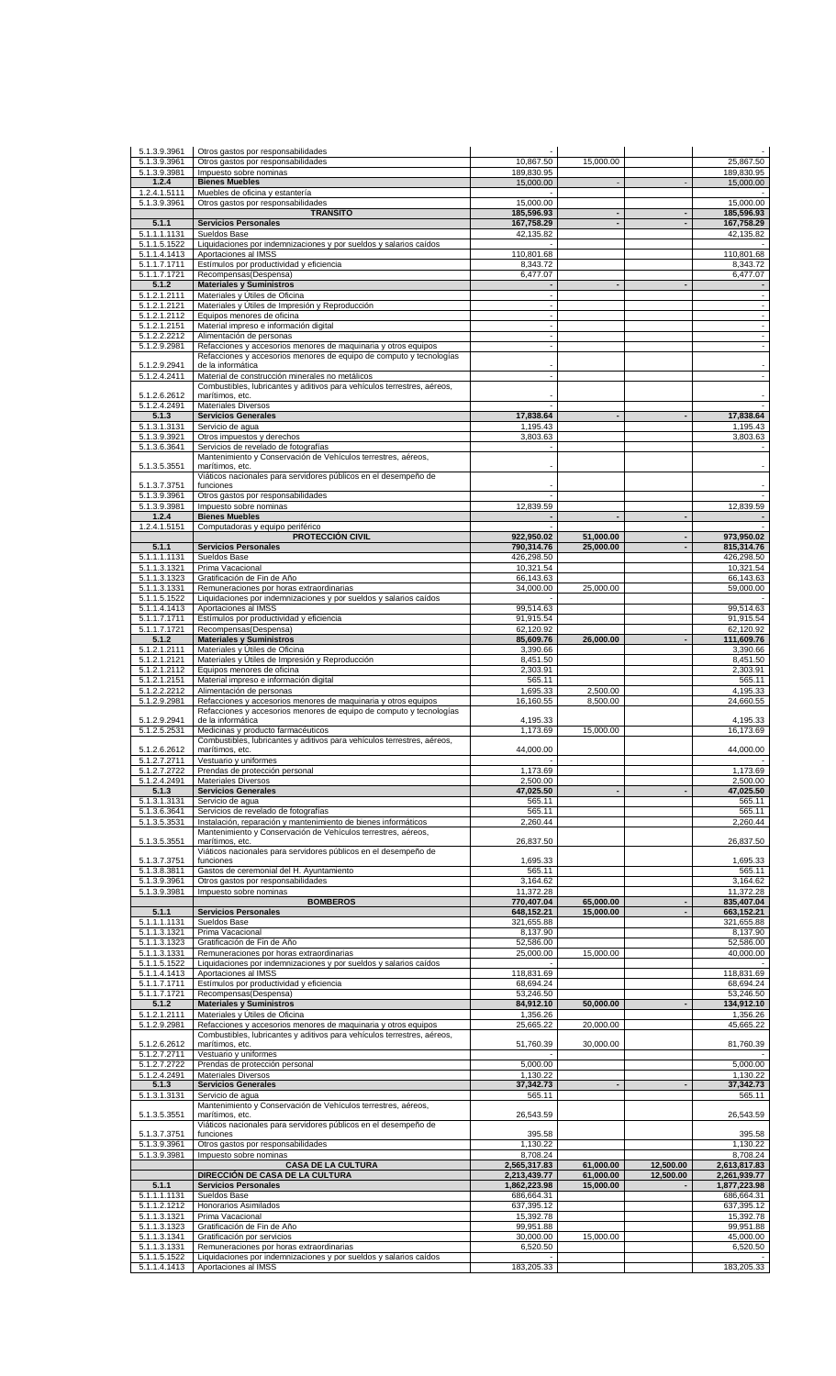| 5.1.3.9.3961                 | Otros gastos por responsabilidades                                                                                                        |                          |                        |           |                                                      |
|------------------------------|-------------------------------------------------------------------------------------------------------------------------------------------|--------------------------|------------------------|-----------|------------------------------------------------------|
| 5.1.3.9.3961<br>5.1.3.9.3981 | Otros gastos por responsabilidades<br>Impuesto sobre nominas                                                                              | 10,867.50<br>189,830.95  | 15,000.00              |           | 25,867.50<br>189,830.95                              |
| 1.2.4                        | <b>Bienes Muebles</b>                                                                                                                     | 15,000.00                |                        |           | 15,000.00                                            |
| 1.2.4.1.5111                 | Muebles de oficina y estantería                                                                                                           |                          |                        |           |                                                      |
| 5.1.3.9.3961                 | Otros gastos por responsabilidades<br><b>TRANSITO</b>                                                                                     | 15,000.00<br>185,596.93  |                        |           | 15,000.00<br>185,596.93                              |
| 5.1.1                        | <b>Servicios Personales</b>                                                                                                               | 167,758.29               |                        |           | 167,758.29                                           |
| 5.1.1.1.1131<br>5.1.1.5.1522 | Sueldos Base<br>Liquidaciones por indemnizaciones y por sueldos y salarios caídos                                                         | 42,135.82                |                        |           | 42,135.82                                            |
| 5.1.1.4.1413                 | Aportaciones al IMSS                                                                                                                      | 110,801.68               |                        |           | 110,801.68                                           |
| 5.1.1.7.1711<br>5.1.1.7.1721 | Estímulos por productividad y eficiencia<br>Recompensas(Despensa)                                                                         | 8,343.72<br>6,477.07     |                        |           | 8,343.72<br>6,477.07                                 |
| 5.1.2                        | <b>Materiales y Suministros</b>                                                                                                           | $\blacksquare$           |                        |           |                                                      |
| 5.1.2.1.2111                 | Materiales y Útiles de Oficina                                                                                                            | $\overline{\phantom{a}}$ |                        |           | $\overline{\phantom{a}}$                             |
| 5.1.2.1.2121<br>5.1.2.1.2112 | Materiales y Útiles de Impresión y Reproducción<br>Equipos menores de oficina                                                             | $\overline{\phantom{a}}$ |                        |           | $\blacksquare$                                       |
| 5.1.2.1.2151                 | Material impreso e información digital                                                                                                    |                          |                        |           | $\blacksquare$                                       |
| 5.1.2.2.2212<br>5.1.2.9.2981 | Alimentación de personas<br>Refacciones y accesorios menores de maquinaria y otros equipos                                                | $\sim$                   |                        |           | $\overline{\phantom{a}}$<br>$\overline{\phantom{a}}$ |
|                              | Refacciones y accesorios menores de equipo de computo y tecnologías                                                                       |                          |                        |           |                                                      |
| 5.1.2.9.2941                 | de la informática                                                                                                                         |                          |                        |           | $\overline{\phantom{a}}$<br>$\overline{\phantom{a}}$ |
| 5.1.2.4.2411                 | Material de construcción minerales no metálicos<br>Combustibles, lubricantes y aditivos para vehículos terrestres, aéreos,                |                          |                        |           |                                                      |
| 5.1.2.6.2612                 | marítimos, etc.                                                                                                                           |                          |                        |           |                                                      |
| 5.1.2.4.2491<br>5.1.3        | <b>Materiales Diversos</b><br><b>Servicios Generales</b>                                                                                  | 17,838.64                |                        |           | 17,838.64                                            |
| 5.1.3.1.3131                 | Servicio de agua                                                                                                                          | 1,195.43                 |                        |           | 1,195.43                                             |
| 5.1.3.9.3921<br>5.1.3.6.3641 | Otros impuestos y derechos<br>Servicios de revelado de fotografías                                                                        | 3,803.63                 |                        |           | 3,803.63                                             |
|                              | Mantenimiento y Conservación de Vehículos terrestres, aéreos,                                                                             |                          |                        |           |                                                      |
| 5.1.3.5.3551                 | marítimos, etc.<br>Viáticos nacionales para servidores públicos en el desempeño de                                                        |                          |                        |           |                                                      |
| 5.1.3.7.3751                 | funciones                                                                                                                                 |                          |                        |           |                                                      |
| 5.1.3.9.3961                 | Otros gastos por responsabilidades                                                                                                        |                          |                        |           |                                                      |
| 5.1.3.9.3981<br>1.2.4        | Impuesto sobre nominas<br><b>Bienes Muebles</b>                                                                                           | 12,839.59                |                        |           | 12,839.59                                            |
| 1.2.4.1.5151                 | Computadoras y equipo periférico                                                                                                          |                          |                        |           |                                                      |
| 5.1.1                        | <b>PROTECCIÓN CIVIL</b><br><b>Servicios Personales</b>                                                                                    | 922,950.02<br>790,314.76 | 51,000.00<br>25,000.00 |           | 973,950.02<br>815,314.76                             |
| 5.1.1.1.1131                 | Sueldos Base                                                                                                                              | 426,298.50               |                        |           | 426,298.50                                           |
| 5.1.1.3.1321                 | Prima Vacacional                                                                                                                          | 10,321.54                |                        |           | 10,321.54                                            |
| 5.1.1.3.1323<br>5.1.1.3.1331 | Gratificación de Fin de Año<br>Remuneraciones por horas extraordinarias                                                                   | 66,143.63<br>34,000.00   | 25,000.00              |           | 66,143.63<br>59,000.00                               |
| 5.1.1.5.1522                 | Liquidaciones por indemnizaciones y por sueldos y salarios caídos                                                                         |                          |                        |           |                                                      |
| 5.1.1.4.1413<br>5.1.1.7.1711 | Aportaciones al IMSS<br>Estímulos por productividad y eficiencia                                                                          | 99,514.63<br>91,915.54   |                        |           | 99,514.63<br>91,915.54                               |
| 5.1.1.7.1721                 | Recompensas(Despensa)                                                                                                                     | 62,120.92                |                        |           | 62,120.92                                            |
| 5.1.2                        | <b>Materiales y Suministros</b>                                                                                                           | 85,609.76                | 26,000.00              |           | 111,609.76                                           |
| 5.1.2.1.2111<br>5.1.2.1.2121 | Materiales y Útiles de Oficina<br>Materiales y Útiles de Impresión y Reproducción                                                         | 3,390.66<br>8,451.50     |                        |           | 3,390.66<br>8,451.50                                 |
| 5.1.2.1.2112                 | Equipos menores de oficina                                                                                                                | 2,303.91                 |                        |           | 2,303.91                                             |
| 5.1.2.1.2151<br>5.1.2.2.2212 | Material impreso e información digital<br>Alimentación de personas                                                                        | 565.11<br>1,695.33       | 2,500.00               |           | 565.11<br>4,195.33                                   |
| 5.1.2.9.2981                 | Refacciones y accesorios menores de maquinaria y otros equipos                                                                            | 16,160.55                | 8,500.00               |           | 24,660.55                                            |
| 5.1.2.9.2941                 | Refacciones y accesorios menores de equipo de computo y tecnologías<br>de la informática                                                  | 4,195.33                 |                        |           | 4,195.33                                             |
| 5.1.2.5.2531                 | Medicinas y producto farmacéuticos                                                                                                        | 1,173.69                 | 15,000.00              |           | 16,173.69                                            |
|                              | Combustibles, lubricantes y aditivos para vehículos terrestres, aéreos,                                                                   |                          |                        |           |                                                      |
| 5.1.2.6.2612<br>5.1.2.7.2711 | marítimos, etc.<br>Vestuario y uniformes                                                                                                  | 44,000.00                |                        |           | 44,000.00                                            |
| 5.1.2.7.2722                 | Prendas de protección personal                                                                                                            | 1,173.69                 |                        |           | 1,173.69                                             |
| 5.1.2.4.2491<br>5.1.3        | <b>Materiales Diversos</b><br><b>Servicios Generales</b>                                                                                  | 2,500.00<br>47,025.50    |                        |           | 2,500.00<br>47,025.50                                |
| 5.1.3.1.3131                 | Servicio de aqua                                                                                                                          | 565.11                   |                        |           | 565.11                                               |
| 5.1.3.6.3641<br>5.1.3.5.3531 | Servicios de revelado de fotografías<br>Instalación, reparación y mantenimiento de bienes informáticos                                    | 565.11<br>2,260.44       |                        |           | 565.11<br>2,260.44                                   |
|                              | Mantenimiento y Conservación de Vehículos terrestres, aéreos,                                                                             |                          |                        |           |                                                      |
| 5.1.3.5.3551                 | marítimos, etc.                                                                                                                           | 26,837.50                |                        |           | 26,837.50                                            |
| 5.1.3.7.3751                 | Viáticos nacionales para servidores públicos en el desempeño de<br>funciones                                                              | 1,695.33                 |                        |           | 1,695.33                                             |
| 5.1.3.8.3811                 | Gastos de ceremonial del H. Ayuntamiento                                                                                                  | 565.11                   |                        |           | 565.11                                               |
| 5.1.3.9.3961<br>5.1.3.9.3981 | Otros gastos por responsabilidades<br>Impuesto sobre nominas                                                                              | 3,164.62<br>11,372.28    |                        |           | 3,164.62<br>11,372.28                                |
|                              | <b>BOMBEROS</b>                                                                                                                           | 770,407.04               | 65,000.00              |           | 835,407.04                                           |
| 5.1.1<br>5.1.1.1.1131        | <b>Servicios Personales</b><br>Sueldos Base                                                                                               | 648,152.21<br>321,655.88 | 15.000.00              |           | 663,152.21<br>321,655.88                             |
| 5.1.1.3.1321                 | Prima Vacacional                                                                                                                          | 8,137.90                 |                        |           | 8,137.90                                             |
| 5.1.1.3.1323                 | Gratificación de Fin de Año                                                                                                               | 52,586.00                |                        |           | 52,586.00                                            |
| 5.1.1.3.1331<br>5.1.1.5.1522 | Remuneraciones por horas extraordinarias<br>Liquidaciones por indemnizaciones y por sueldos y salarios caídos                             | 25,000.00                | 15,000.00              |           | 40,000.00                                            |
| 5.1.1.4.1413                 | Aportaciones al IMSS                                                                                                                      | 118,831.69               |                        |           | 118,831.69                                           |
| 5.1.1.7.1711<br>5.1.1.7.1721 | Estímulos por productividad y eficiencia<br>Recompensas(Despensa)                                                                         | 68,694.24<br>53,246.50   |                        |           | 68,694.24<br>53,246.50                               |
| 5.1.2                        | <b>Materiales y Suministros</b>                                                                                                           | 84,912.10                | 50,000.00              |           | 134,912.10                                           |
| 5.1.2.1.2111                 | Materiales y Útiles de Oficina                                                                                                            | 1,356.26                 |                        |           | 1,356.26                                             |
| 5.1.2.9.2981                 | Refacciones y accesorios menores de maquinaria y otros equipos<br>Combustibles, lubricantes y aditivos para vehículos terrestres, aéreos, | 25,665.22                | 20,000.00              |           | 45,665.22                                            |
| 5.1.2.6.2612                 | marítimos, etc.                                                                                                                           | 51,760.39                | 30,000.00              |           | 81,760.39                                            |
| 5.1.2.7.2711<br>5.1.2.7.2722 | Vestuario y uniformes<br>Prendas de protección personal                                                                                   | 5,000.00                 |                        |           | 5,000.00                                             |
| 5.1.2.4.2491                 | <b>Materiales Diversos</b>                                                                                                                | 1,130.22                 |                        |           | 1,130.22                                             |
| 5.1.3<br>5.1.3.1.3131        | <b>Servicios Generales</b><br>Servicio de aqua                                                                                            | 37,342.73<br>565.11      |                        |           | 37,342.73<br>565.11                                  |
|                              | Mantenimiento y Conservación de Vehículos terrestres, aéreos,                                                                             |                          |                        |           |                                                      |
| 5.1.3.5.3551                 | marítimos, etc.                                                                                                                           | 26,543.59                |                        |           | 26,543.59                                            |
| 5.1.3.7.3751                 | Viáticos nacionales para servidores públicos en el desempeño de<br>funciones                                                              | 395.58                   |                        |           | 395.58                                               |
| 5.1.3.9.3961                 | Otros gastos por responsabilidades                                                                                                        | 1,130.22                 |                        |           | 1,130.22                                             |
| 5.1.3.9.3981                 | Impuesto sobre nominas<br><b>CASA DE LA CULTURA</b>                                                                                       | 8,708.24<br>2,565,317.83 | 61,000.00              | 12,500.00 | 8,708.24<br>2,613,817.83                             |
|                              | DIRECCIÓN DE CASA DE LA CULTURA                                                                                                           | 2,213,439.77             | 61,000.00              | 12,500.00 | 2,261,939.77                                         |
| 5.1.1                        | <b>Servicios Personales</b><br>Sueldos Base                                                                                               | 1,862,223.98             | 15,000.00              |           | 1,877,223.98                                         |
| 5.1.1.1.1131<br>5.1.1.2.1212 | Honorarios Asimilados                                                                                                                     | 686,664.31<br>637,395.12 |                        |           | 686,664.31<br>637,395.12                             |
| 5.1.1.3.1321                 | Prima Vacacional                                                                                                                          | 15,392.78                |                        |           | 15,392.78                                            |
| 5.1.1.3.1323<br>5.1.1.3.1341 | Gratificación de Fin de Año<br>Gratificación por servicios                                                                                | 99,951.88<br>30,000.00   | 15,000.00              |           | 99,951.88<br>45,000.00                               |
| 5.1.1.3.1331                 | Remuneraciones por horas extraordinarias                                                                                                  | 6,520.50                 |                        |           | 6,520.50                                             |
| 5.1.1.5.1522<br>5.1.1.4.1413 | Liquidaciones por indemnizaciones y por sueldos y salarios caídos<br>Aportaciones al IMSS                                                 | 183,205.33               |                        |           | 183,205.33                                           |
|                              |                                                                                                                                           |                          |                        |           |                                                      |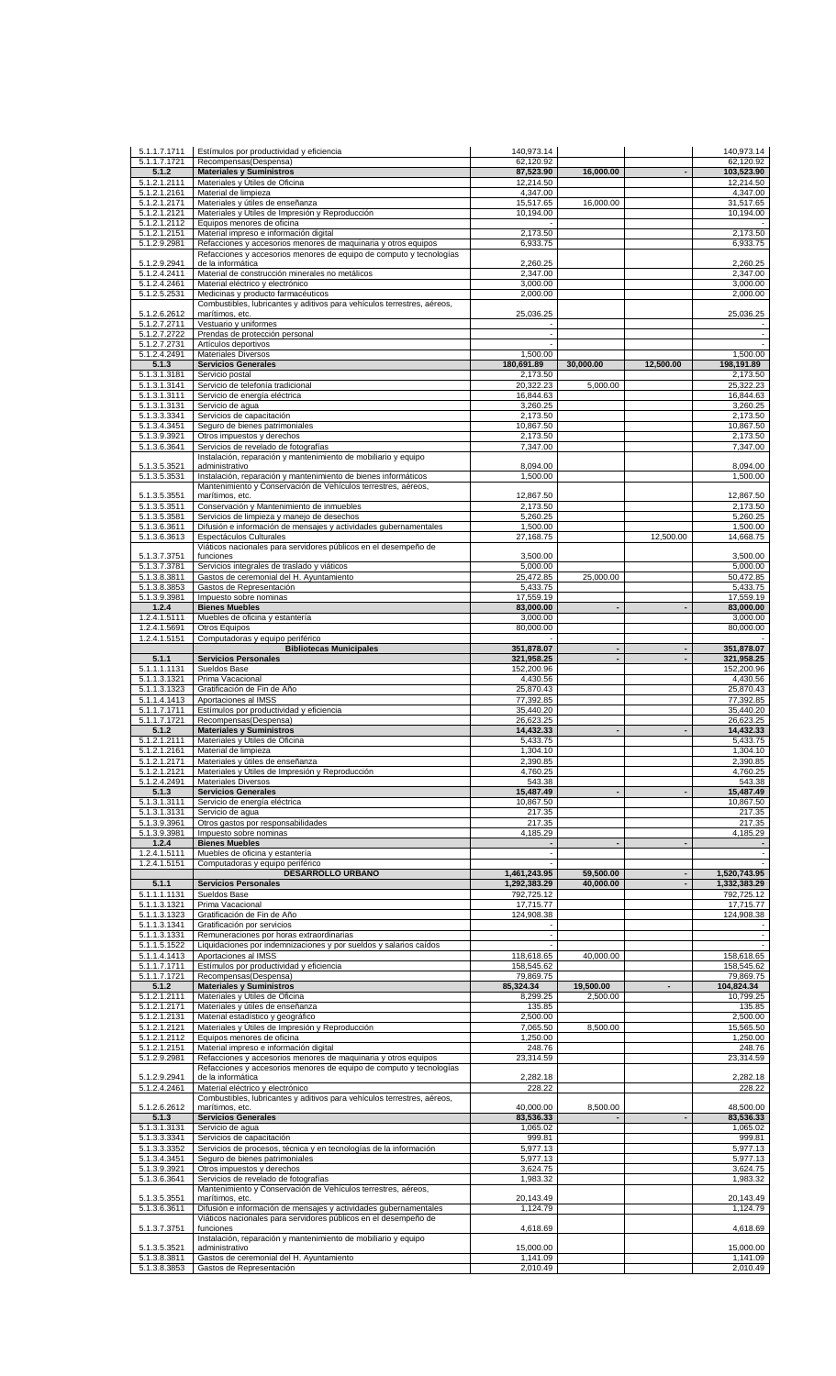| 5.1.1.7.1711                 | Estímulos por productividad y eficiencia                                                                                              | 140,973.14             |                          |                | 140,973.14                 |
|------------------------------|---------------------------------------------------------------------------------------------------------------------------------------|------------------------|--------------------------|----------------|----------------------------|
| 5.1.1.7.1721<br>5.1.2        | Recompensas(Despensa)<br><b>Materiales y Suministros</b>                                                                              | 62,120.92<br>87,523.90 | 16,000.00                |                | 62,120.92<br>103,523.90    |
| 5.1.2.1.2111<br>5.1.2.1.2161 | Materiales y Útiles de Oficina                                                                                                        | 12,214.50              |                          |                | 12,214.50                  |
| 5.1.2.1.2171                 | Material de limpieza<br>Materiales y útiles de enseñanza                                                                              | 4,347.00<br>15,517.65  | 16,000.00                |                | 4,347.00<br>31,517.65      |
| 5.1.2.1.2121                 | Materiales y Útiles de Impresión y Reproducción                                                                                       | 10,194.00              |                          |                | 10,194.00                  |
| 5.1.2.1.2112<br>5.1.2.1.2151 | Equipos menores de oficina<br>Material impreso e información digital                                                                  | 2,173.50               |                          |                | 2,173.50                   |
| 5.1.2.9.2981                 | Refacciones y accesorios menores de maquinaria y otros equipos                                                                        | 6,933.75               |                          |                | 6,933.75                   |
| 5.1.2.9.2941                 | Refacciones y accesorios menores de equipo de computo y tecnologías<br>de la informática                                              | 2,260.25               |                          |                | 2,260.25                   |
| 5.1.2.4.2411                 | Material de construcción minerales no metálicos                                                                                       | 2,347.00               |                          |                | 2,347.00                   |
| 5.1.2.4.2461                 | Material eléctrico y electrónico                                                                                                      | 3,000.00               |                          |                | 3,000.00                   |
| 5.1.2.5.2531                 | Medicinas y producto farmacéuticos<br>Combustibles, lubricantes y aditivos para vehículos terrestres, aéreos,                         | 2,000.00               |                          |                | 2,000.00                   |
| 5.1.2.6.2612                 | marítimos, etc.                                                                                                                       | 25,036.25              |                          |                | 25,036.25                  |
| 5.1.2.7.2711<br>5.1.2.7.2722 | Vestuario y uniformes<br>Prendas de protección personal                                                                               | $\blacksquare$         |                          |                | $\overline{\phantom{a}}$   |
| 5.1.2.7.2731                 | Artículos deportivos                                                                                                                  |                        |                          |                |                            |
| 5.1.2.4.2491<br>5.1.3        | <b>Materiales Diversos</b><br><b>Servicios Generales</b>                                                                              | 1,500.00<br>180,691.89 | 30,000.00                | 12,500.00      | 1,500.00<br>198,191.89     |
| 5.1.3.1.3181                 | Servicio postal                                                                                                                       | 2,173.50               |                          |                | 2,173.50                   |
| 5.1.3.1.3141                 | Servicio de telefonía tradicional                                                                                                     | 20,322.23              | 5,000.00                 |                | 25,322.23                  |
| 5.1.3.1.3111<br>5.1.3.1.3131 | Servicio de energía eléctrica<br>Servicio de agua                                                                                     | 16,844.63<br>3,260.25  |                          |                | 16,844.63<br>3,260.25      |
| 5.1.3.3.3341                 | Servicios de capacitación                                                                                                             | 2,173.50               |                          |                | 2,173.50                   |
| 5.1.3.4.3451<br>5.1.3.9.3921 | Seguro de bienes patrimoniales<br>Otros impuestos y derechos                                                                          | 10,867.50<br>2,173.50  |                          |                | 10,867.50<br>2,173.50      |
| 5.1.3.6.3641                 | Servicios de revelado de fotografías                                                                                                  | 7,347.00               |                          |                | 7,347.00                   |
|                              | Instalación, reparación y mantenimiento de mobiliario y equipo<br>administrativo                                                      | 8,094.00               |                          |                | 8,094.00                   |
| 5.1.3.5.3521<br>5.1.3.5.3531 | Instalación, reparación y mantenimiento de bienes informáticos                                                                        | 1,500.00               |                          |                | 1,500.00                   |
|                              | Mantenimiento y Conservación de Vehículos terrestres, aéreos,                                                                         |                        |                          |                |                            |
| 5.1.3.5.3551<br>5.1.3.5.3511 | marítimos, etc.<br>Conservación y Mantenimiento de inmuebles                                                                          | 12,867.50<br>2,173.50  |                          |                | 12,867.50<br>2,173.50      |
| 5.1.3.5.3581                 | Servicios de limpieza y manejo de desechos                                                                                            | 5,260.25               |                          |                | 5,260.25                   |
| 5.1.3.6.3611<br>5.1.3.6.3613 | Difusión e información de mensajes y actividades gubernamentales<br>Espectáculos Culturales                                           | 1,500.00<br>27,168.75  |                          | 12,500.00      | 1,500.00<br>14,668.75      |
|                              | Viáticos nacionales para servidores públicos en el desempeño de                                                                       |                        |                          |                |                            |
| 5.1.3.7.3751                 | funciones                                                                                                                             | 3,500.00               |                          |                | 3,500.00                   |
| 5.1.3.7.3781<br>5.1.3.8.3811 | Servicios integrales de traslado y viáticos<br>Gastos de ceremonial del H. Ayuntamiento                                               | 5,000.00<br>25,472.85  | 25,000.00                |                | 5,000.00<br>50,472.85      |
| 5.1.3.8.3853                 | Gastos de Representación                                                                                                              | 5,433.75               |                          |                | 5,433.75                   |
| 5.1.3.9.3981                 | Impuesto sobre nominas<br><b>Bienes Muebles</b>                                                                                       | 17,559.19              |                          |                | 17,559.19                  |
| 1.2.4<br>1.2.4.1.5111        | Muebles de oficina y estantería                                                                                                       | 83,000.00<br>3,000.00  |                          |                | 83,000.00<br>3,000.00      |
| 1.2.4.1.5691                 | Otros Equipos                                                                                                                         | 80,000.00              |                          |                | 80,000.00                  |
| 1.2.4.1.5151                 | Computadoras y equipo periférico<br><b>Bibliotecas Municipales</b>                                                                    | 351,878.07             |                          |                | 351,878.07                 |
| 5.1.1                        | <b>Servicios Personales</b>                                                                                                           | 321,958.25             | $\overline{\phantom{a}}$ |                | 321,958.25                 |
| 5.1.1.1.1131                 | Sueldos Base                                                                                                                          | 152,200.96             |                          |                | 152,200.96                 |
| 5.1.1.3.1321<br>5.1.1.3.1323 | Prima Vacacional<br>Gratificación de Fin de Año                                                                                       | 4,430.56<br>25,870.43  |                          |                | 4,430.56<br>25,870.43      |
| 5.1.1.4.1413                 | Aportaciones al IMSS                                                                                                                  | 77,392.85              |                          |                | 77,392.85                  |
| 5.1.1.7.1711                 | Estímulos por productividad y eficiencia                                                                                              | 35,440.20              |                          |                | 35,440.20                  |
| 5.1.1.7.1721<br>5.1.2        | Recompensas(Despensa)<br><b>Materiales y Suministros</b>                                                                              | 26,623.25<br>14,432.33 |                          |                | 26,623.25<br>14,432.33     |
| 5.1.2.1.2111                 | Materiales y Útiles de Oficina                                                                                                        | 5,433.75               |                          |                | 5,433.75                   |
| 5.1.2.1.2161                 | Material de limpieza                                                                                                                  | 1,304.10<br>2,390.85   |                          |                | 1,304.10<br>2,390.85       |
| 5.1.2.1.2171<br>5.1.2.1.2121 | Materiales y útiles de enseñanza<br>Materiales y Útiles de Impresión y Reproducción                                                   | 4,760.25               |                          |                | 4,760.25                   |
| 5.1.2.4.2491                 | <b>Materiales Diversos</b>                                                                                                            | 543.38                 |                          |                | 543.38                     |
| 5.1.3<br>5.1.3.1.3111        | <b>Servicios Generales</b><br>Servicio de energía eléctrica                                                                           | 15,487.49<br>10,867.50 |                          |                | 15,487.49<br>10,867.50     |
| 5.1.3.1.3131                 | Servicio de aqua                                                                                                                      | 217.35                 |                          |                | 217.35                     |
| 5.1.3.9.3961                 | Otros gastos por responsabilidades                                                                                                    | 217.35                 |                          |                | 217.35                     |
| 5.1.3.9.3981<br>1.2.4        | Impuesto sobre nominas<br><b>Bienes Muebles</b>                                                                                       | 4,185.29               |                          |                | 4,185.29<br>$\blacksquare$ |
| 1.2.4.1.5111                 | Muebles de oficina y estantería                                                                                                       |                        |                          |                | $\blacksquare$             |
| 1.2.4.1.5151                 | Computadoras y equipo periférico<br><b>DESARROLLO URBANO</b>                                                                          | 1,461,243.95           | 59,500.00                |                | 1,520,743.95               |
| 5.1.1                        | <b>Servicios Personales</b>                                                                                                           | 1,292,383.29           | 40,000.00                |                | 1,332,383.29               |
| $\overline{5.1}$ .1.1.1131   | Sueldos Base                                                                                                                          | 792,725.12             |                          |                | 792,725.12                 |
| 5.1.1.3.1321<br>5.1.1.3.1323 | Prima Vacacional                                                                                                                      | 17,715.77              |                          |                | 17,715.77                  |
| 5.1.1.3.1341                 | Gratificación de Fin de Año<br>Gratificación por servicios                                                                            | 124,908.38             |                          |                | 124,908.38                 |
| 5.1.1.3.1331                 | Remuneraciones por horas extraordinarias                                                                                              | $\blacksquare$         |                          |                | $\blacksquare$             |
| 5.1.1.5.1522<br>5.1.1.4.1413 | Liquidaciones por indemnizaciones y por sueldos y salarios caídos<br>Aportaciones al IMSS                                             | 118,618.65             | 40,000.00                |                | $\sim$<br>158,618.65       |
| 5.1.1.7.1711                 | Estímulos por productividad y eficiencia                                                                                              | 158,545.62             |                          |                | 158,545.62                 |
| 5.1.1.7.1721                 | Recompensas(Despensa)                                                                                                                 | 79,869.75              |                          |                | 79,869.75                  |
| 5.1.2<br>5.1.2.1.2111        | <b>Materiales y Suministros</b><br>Materiales y Útiles de Oficina                                                                     | 85,324.34<br>8,299.25  | 19,500.00<br>2,500.00    | $\blacksquare$ | 104,824.34<br>10,799.25    |
| 5.1.2.1.2171                 | Materiales y útiles de enseñanza                                                                                                      | 135.85                 |                          |                | 135.85                     |
| 5.1.2.1.2131                 | Material estadístico y geográfico                                                                                                     | 2,500.00               |                          |                | 2,500.00                   |
| 5.1.2.1.2121<br>5.1.2.1.2112 | Materiales y Útiles de Impresión y Reproducción<br>Equipos menores de oficina                                                         | 7,065.50<br>1,250.00   | 8,500.00                 |                | 15,565.50<br>1,250.00      |
| 5.1.2.1.2151                 | Material impreso e información digital                                                                                                | 248.76                 |                          |                | 248.76                     |
| 5.1.2.9.2981                 | Refacciones y accesorios menores de maquinaria y otros equipos<br>Refacciones y accesorios menores de equipo de computo y tecnologías | 23,314.59              |                          |                | 23,314.59                  |
| 5.1.2.9.2941                 | de la informática                                                                                                                     | 2,282.18               |                          |                | 2,282.18                   |
| 5.1.2.4.2461                 | Material eléctrico y electrónico                                                                                                      | 228.22                 |                          |                | 228.22                     |
| 5.1.2.6.2612                 | Combustibles, lubricantes y aditivos para vehículos terrestres, aéreos,<br>marítimos, etc.                                            | 40,000.00              | 8,500.00                 |                | 48,500.00                  |
| 5.1.3                        | <b>Servicios Generales</b>                                                                                                            | 83,536.33              |                          | $\overline{a}$ | 83,536.33                  |
| 5.1.3.1.3131<br>5.1.3.3.3341 | Servicio de agua<br>Servicios de capacitación                                                                                         | 1,065.02<br>999.81     |                          |                | 1,065.02<br>999.81         |
| 5.1.3.3.3352                 | Servicios de procesos, técnica y en tecnologías de la información                                                                     | 5,977.13               |                          |                | 5,977.13                   |
| 5.1.3.4.3451                 | Seguro de bienes patrimoniales                                                                                                        | 5,977.13               |                          |                | 5,977.13                   |
| 5.1.3.9.3921<br>5.1.3.6.3641 | Otros impuestos y derechos<br>Servicios de revelado de fotografías                                                                    | 3,624.75<br>1,983.32   |                          |                | 3,624.75<br>1,983.32       |
|                              | Mantenimiento y Conservación de Vehículos terrestres, aéreos,                                                                         |                        |                          |                |                            |
| 5.1.3.5.3551                 | marítimos, etc.                                                                                                                       | 20,143.49              |                          |                | 20,143.49                  |
| 5.1.3.6.3611                 | Difusión e información de mensajes y actividades gubernamentales<br>Viáticos nacionales para servidores públicos en el desempeño de   | 1,124.79               |                          |                | 1,124.79                   |
| 5.1.3.7.3751                 | funciones                                                                                                                             | 4,618.69               |                          |                | 4,618.69                   |
| 5.1.3.5.3521                 | Instalación, reparación y mantenimiento de mobiliario y equipo<br>administrativo                                                      | 15,000.00              |                          |                | 15,000.00                  |
| 5.1.3.8.3811                 | Gastos de ceremonial del H. Ayuntamiento                                                                                              | 1,141.09               |                          |                | 1.141.09                   |
| 5.1.3.8.3853                 | Gastos de Representación                                                                                                              | 2,010.49               |                          |                | 2,010.49                   |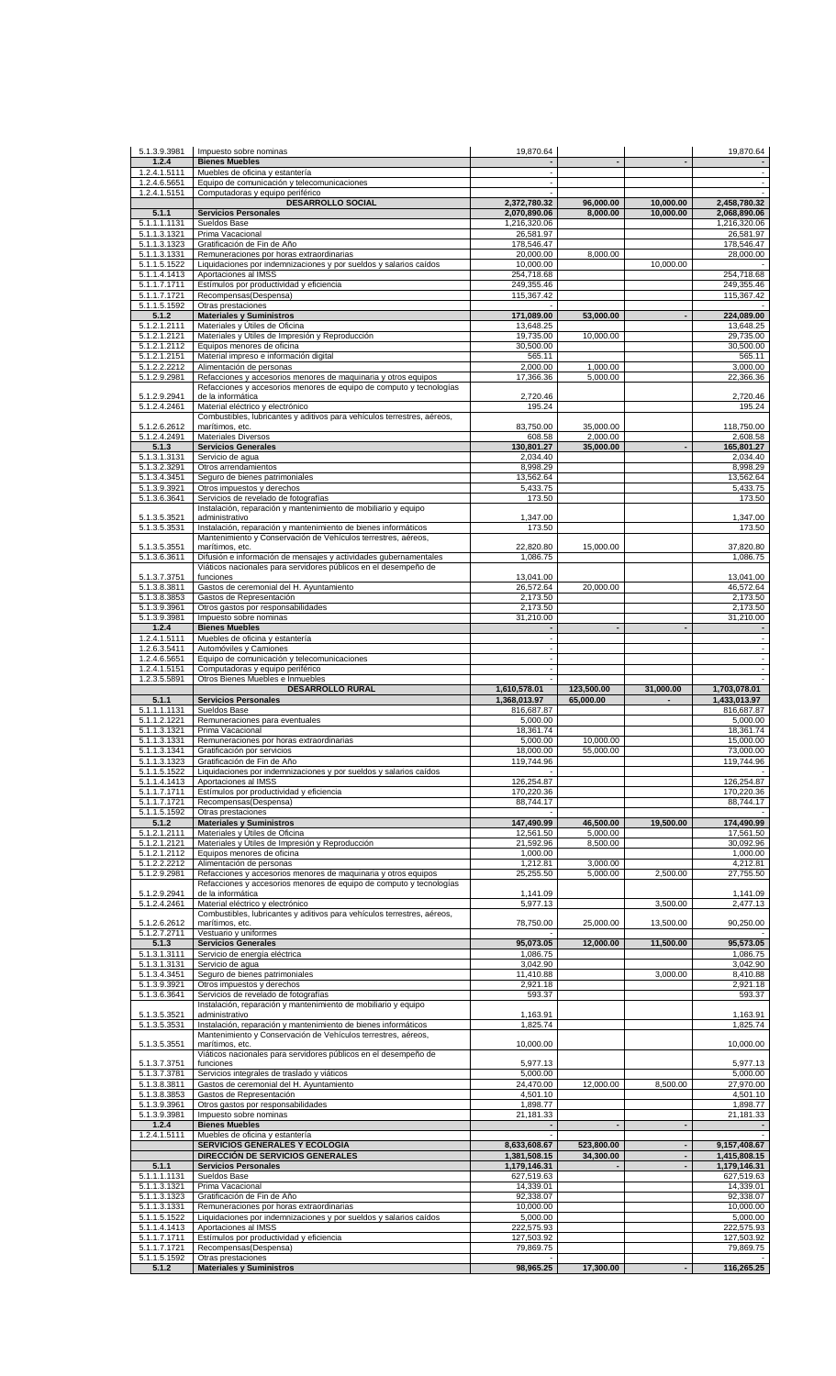| 5.1.3.9.3981                 | Impuesto sobre nominas                                                                                        | 19,870.64                    |                         |                                                      | 19,870.64                                  |
|------------------------------|---------------------------------------------------------------------------------------------------------------|------------------------------|-------------------------|------------------------------------------------------|--------------------------------------------|
| 1.2.4<br>1.2.4.1.5111        | <b>Bienes Muebles</b><br>Muebles de oficina y estantería                                                      | $\overline{\phantom{a}}$     |                         |                                                      | $\overline{\phantom{a}}$                   |
| 1.2.4.6.5651<br>1.2.4.1.5151 | Equipo de comunicación y telecomunicaciones                                                                   | $\sim$                       |                         |                                                      | $\sim$                                     |
|                              | Computadoras y equipo periférico<br><b>DESARROLLO SOCIAL</b>                                                  | 2,372,780.32                 | 96,000.00               | 10,000.00                                            | 2,458,780.32                               |
| 5.1.1<br>5.1.1.1.1131        | <b>Servicios Personales</b><br>Sueldos Base                                                                   | 2,070,890.06<br>1,216,320.06 | 8.000.00                | 10,000.00                                            | 2,068,890.06<br>1,216,320.06               |
| 5.1.1.3.1321                 | Prima Vacacional                                                                                              | 26,581.97                    |                         |                                                      | 26,581.97                                  |
| 5.1.1.3.1323<br>5.1.1.3.1331 | Gratificación de Fin de Año<br>Remuneraciones por horas extraordinarias                                       | 178,546.47<br>20,000.00      | 8,000.00                |                                                      | 178,546.47<br>28,000.00                    |
| 5.1.1.5.1522                 | Liquidaciones por indemnizaciones y por sueldos y salarios caídos                                             | 10,000.00                    |                         | 10,000.00                                            |                                            |
| 5.1.1.4.1413<br>5.1.1.7.1711 | Aportaciones al IMSS<br>Estímulos por productividad y eficiencia                                              | 254,718.68<br>249,355.46     |                         |                                                      | 254,718.68<br>249,355.46                   |
| 5.1.1.7.1721                 | Recompensas(Despensa)                                                                                         | 115,367.42                   |                         |                                                      | 115,367.42                                 |
| 5.1.1.5.1592<br>5.1.2        | Otras prestaciones<br><b>Materiales y Suministros</b>                                                         | 171,089.00                   | 53.000.00               |                                                      | 224,089.00                                 |
| 5.1.2.1.2111                 | Materiales y Útiles de Oficina                                                                                | 13,648.25                    |                         |                                                      | 13.648.25                                  |
| 5.1.2.1.2121<br>5.1.2.1.2112 | Materiales y Útiles de Impresión y Reproducción<br>Equipos menores de oficina                                 | 19,735.00<br>30,500.00       | 10,000.00               |                                                      | 29,735.00<br>30,500.00                     |
| 5.1.2.1.2151                 | Material impreso e información digital                                                                        | 565.11                       |                         |                                                      | 565.11                                     |
| 5.1.2.2.2212<br>5.1.2.9.2981 | Alimentación de personas<br>Refacciones y accesorios menores de maquinaria y otros equipos                    | 2,000.00<br>17,366.36        | 1,000.00<br>5,000.00    |                                                      | 3,000.00<br>22,366.36                      |
| 5.1.2.9.2941                 | Refacciones y accesorios menores de equipo de computo y tecnologías<br>de la informática                      | 2,720.46                     |                         |                                                      | 2,720.46                                   |
| 5.1.2.4.2461                 | Material eléctrico y electrónico                                                                              | 195.24                       |                         |                                                      | 195.24                                     |
| 5.1.2.6.2612                 | Combustibles, lubricantes y aditivos para vehículos terrestres, aéreos,<br>marítimos, etc.                    | 83,750.00                    | 35,000.00               |                                                      | 118,750.00                                 |
| 5.1.2.4.2491                 | Materiales Diversos                                                                                           | 608.58                       | 2,000.00                |                                                      | 2,608.58                                   |
| 5.1.3<br>5.1.3.1.3131        | <b>Servicios Generales</b><br>Servicio de agua                                                                | 130,801.27<br>2,034.40       | 35,000.00               |                                                      | 165,801.27<br>2,034.40                     |
| 5.1.3.2.3291                 | Otros arrendamientos                                                                                          | 8,998.29                     |                         |                                                      | 8,998.29                                   |
| 5.1.3.4.3451<br>5.1.3.9.3921 | Seguro de bienes patrimoniales<br>Otros impuestos y derechos                                                  | 13,562.64<br>5,433.75        |                         |                                                      | 13,562.64<br>5,433.75                      |
| 5.1.3.6.3641                 | Servicios de revelado de fotografías                                                                          | 173.50                       |                         |                                                      | 173.50                                     |
| 5.1.3.5.3521                 | Instalación, reparación y mantenimiento de mobiliario y equipo<br>administrativo                              | 1,347.00                     |                         |                                                      | 1,347.00                                   |
| 5.1.3.5.3531                 | Instalación, reparación y mantenimiento de bienes informáticos                                                | 173.50                       |                         |                                                      | 173.50                                     |
| 5.1.3.5.3551                 | Mantenimiento y Conservación de Vehículos terrestres, aéreos,<br>marítimos, etc.                              | 22,820.80                    | 15,000.00               |                                                      | 37,820.80                                  |
| 5.1.3.6.3611                 | Difusión e información de mensajes y actividades gubernamentales                                              | 1,086.75                     |                         |                                                      | 1,086.75                                   |
| 5.1.3.7.3751                 | Viáticos nacionales para servidores públicos en el desempeño de<br>funciones                                  | 13,041.00                    |                         |                                                      | 13,041.00                                  |
| 5.1.3.8.3811<br>5.1.3.8.3853 | Gastos de ceremonial del H. Ayuntamiento<br>Gastos de Representación                                          | 26,572.64<br>2,173.50        | 20,000.00               |                                                      | 46,572.64<br>2,173.50                      |
| 5.1.3.9.3961                 | Otros gastos por responsabilidades                                                                            | 2,173.50                     |                         |                                                      | 2,173.50                                   |
| 5.1.3.9.3981<br>1.2.4        | Impuesto sobre nominas<br><b>Bienes Muebles</b>                                                               | 31,210.00                    |                         |                                                      | 31,210.00                                  |
| 1.2.4.1.5111                 | Muebles de oficina y estantería                                                                               |                              |                         |                                                      | $\blacksquare$                             |
| 1.2.6.3.5411<br>1.2.4.6.5651 | Automóviles y Camiones<br>Equipo de comunicación y telecomunicaciones                                         | $\blacksquare$               |                         |                                                      | $\overline{\phantom{a}}$<br>$\blacksquare$ |
| 1.2.4.1.5151                 | Computadoras y equipo periférico                                                                              | $\sim$                       |                         |                                                      | $\overline{\phantom{a}}$                   |
| 1.2.3.5.5891                 | Otros Bienes Muebles e Inmuebles<br><b>DESARROLLO RURAL</b>                                                   | 1,610,578.01                 | 123,500.00              | 31,000.00                                            | 1,703,078.01                               |
| 5.1.1                        | <b>Servicios Personales</b>                                                                                   | 1,368,013.97                 | 65,000.00               |                                                      | 1,433,013.97                               |
| 5.1.1.1.1131<br>5.1.1.2.1221 | Sueldos Base<br>Remuneraciones para eventuales                                                                | 816,687.87<br>5,000.00       |                         |                                                      | 816,687.87<br>5,000.00                     |
| 5.1.1.3.1321                 | Prima Vacacional                                                                                              | 18,361.74                    |                         |                                                      | 18,361.74                                  |
| 5.1.1.3.1331<br>5.1.1.3.1341 | Remuneraciones por horas extraordinarias<br>Gratificación por servicios                                       | 5,000.00<br>18,000.00        | 10,000.00<br>55,000.00  |                                                      | 15,000.00<br>73,000.00                     |
| 5.1.1.3.1323                 | Gratificación de Fin de Año                                                                                   | 119,744.96                   |                         |                                                      | 119,744.96                                 |
| 5.1.1.5.1522<br>5.1.1.4.1413 | Liquidaciones por indemnizaciones y por sueldos y salarios caídos<br>Aportaciones al IMSS                     | 126,254.87                   |                         |                                                      | 126,254.87                                 |
| 5.1.1.7.1711                 | Estímulos por productividad y eficiencia                                                                      | 170,220.36                   |                         |                                                      | 170,220.36                                 |
| 5.1.1.7.1721<br>5.1.1.5.1592 | Recompensas(Despensa)<br>Otras prestaciones                                                                   | 88,744.17                    |                         |                                                      | 88,744.17                                  |
| 5.1.2                        | <b>Materiales y Suministros</b>                                                                               | 147,490.99                   | 46,500.00<br>5,000.00   | 19,500.00                                            | 174,490.99<br>17,561.50                    |
| 5.1.2.1.2111<br>5.1.2.1.2121 | Materiales y Útiles de Oficina<br>Materiales y Útiles de Impresión y Reproducción                             | 12,561.50<br>21,592.96       | 8,500.00                |                                                      | 30,092.96                                  |
| 5.1.2.1.2112<br>5.1.2.2.2212 | Equipos menores de oficina                                                                                    | 1,000.00<br>1,212.81         | 3.000.00                |                                                      | 1,000.00<br>4,212.81                       |
| 5.1.2.9.2981                 | Alimentación de personas<br>Refacciones y accesorios menores de maquinaria y otros equipos                    | 25,255.50                    | 5,000.00                | 2,500.00                                             | 27,755.50                                  |
| 5.1.2.9.2941                 | Refacciones y accesorios menores de equipo de computo y tecnologías<br>de la informática                      | 1,141.09                     |                         |                                                      | 1,141.09                                   |
| 5.1.2.4.2461                 | Material eléctrico y electrónico                                                                              | 5,977.13                     |                         | 3,500.00                                             | 2,477.13                                   |
| 5.1.2.6.2612                 | Combustibles, lubricantes y aditivos para vehículos terrestres, aéreos,<br>marítimos, etc.                    | 78,750.00                    | 25,000.00               | 13,500.00                                            | 90,250.00                                  |
| 5.1.2.7.2711                 | Vestuario y uniformes                                                                                         |                              |                         |                                                      |                                            |
| 5.1.3<br>5.1.3.1.3111        | <b>Servicios Generales</b><br>Servicio de energía eléctrica                                                   | 95,073.05<br>1,086.75        | 12,000.00               | 11,500.00                                            | 95,573.05<br>1,086.75                      |
| 5.1.3.1.3131                 | Servicio de aqua                                                                                              | 3,042.90                     |                         |                                                      | 3,042.90                                   |
| 5.1.3.4.3451<br>5.1.3.9.3921 | Seguro de bienes patrimoniales<br>Otros impuestos y derechos                                                  | 11,410.88<br>2,921.18        |                         | 3,000.00                                             | 8,410.88<br>2,921.18                       |
| 5.1.3.6.3641                 | Servicios de revelado de fotografías                                                                          | 593.37                       |                         |                                                      | 593.37                                     |
| 5.1.3.5.3521                 | Instalación, reparación y mantenimiento de mobiliario y equipo<br>administrativo                              | 1,163.91                     |                         |                                                      | 1,163.91                                   |
| 5.1.3.5.3531                 | Instalación, reparación y mantenimiento de bienes informáticos                                                | 1,825.74                     |                         |                                                      | 1,825.74                                   |
| 5.1.3.5.3551                 | Mantenimiento y Conservación de Vehículos terrestres, aéreos,<br>marítimos, etc.                              | 10,000.00                    |                         |                                                      | 10,000.00                                  |
| 5.1.3.7.3751                 | Viáticos nacionales para servidores públicos en el desempeño de<br>funciones                                  | 5,977.13                     |                         |                                                      | 5,977.13                                   |
| 5.1.3.7.3781                 | Servicios integrales de traslado y viáticos                                                                   | 5,000.00                     |                         |                                                      | 5,000.00                                   |
| 5.1.3.8.3811<br>5.1.3.8.3853 | Gastos de ceremonial del H. Ayuntamiento<br>Gastos de Representación                                          | 24,470.00<br>4,501.10        | 12,000.00               | 8,500.00                                             | 27,970.00<br>4,501.10                      |
| 5.1.3.9.3961                 | Otros gastos por responsabilidades                                                                            | 1,898.77                     |                         |                                                      | 1,898.77                                   |
| 5.1.3.9.3981<br>1.2.4        | Impuesto sobre nominas<br><b>Bienes Muebles</b>                                                               | 21,181.33                    |                         |                                                      | 21,181.33                                  |
| 1.2.4.1.5111                 | Muebles de oficina y estantería                                                                               |                              |                         |                                                      |                                            |
|                              | SERVICIOS GENERALES Y ECOLOGÍA<br>DIRECCIÓN DE SERVICIOS GENERALES                                            | 8,633,608.67<br>1,381,508.15 | 523,800.00<br>34,300.00 | $\overline{\phantom{a}}$<br>$\overline{\phantom{a}}$ | 9,157,408.67<br>1,415,808.15               |
| 5.1.1                        | <b>Servicios Personales</b>                                                                                   | 1,179,146.31                 |                         |                                                      | 1,179,146.31                               |
| 5.1.1.1.1131<br>5.1.1.3.1321 | Sueldos Base<br>Prima Vacacional                                                                              | 627,519.63<br>14,339.01      |                         |                                                      | 627,519.63<br>14,339.01                    |
| 5.1.1.3.1323                 | Gratificación de Fin de Año                                                                                   | 92,338.07                    |                         |                                                      | 92,338.07                                  |
| 5.1.1.3.1331<br>5.1.1.5.1522 | Remuneraciones por horas extraordinarias<br>Liquidaciones por indemnizaciones y por sueldos y salarios caídos | 10,000.00<br>5,000.00        |                         |                                                      | 10,000.00<br>5,000.00                      |
| 5.1.1.4.1413                 | Aportaciones al IMSS                                                                                          | 222,575.93                   |                         |                                                      | 222,575.93                                 |
| 5.1.1.7.1711<br>5.1.1.7.1721 | Estímulos por productividad y eficiencia<br>Recompensas(Despensa)                                             | 127,503.92<br>79,869.75      |                         |                                                      | 127,503.92<br>79,869.75                    |
| 5.1.1.5.1592                 | Otras prestaciones                                                                                            |                              |                         |                                                      |                                            |
| 5.1.2                        | <b>Materiales y Suministros</b>                                                                               | 98,965.25                    | 17,300.00               |                                                      | 116,265.25                                 |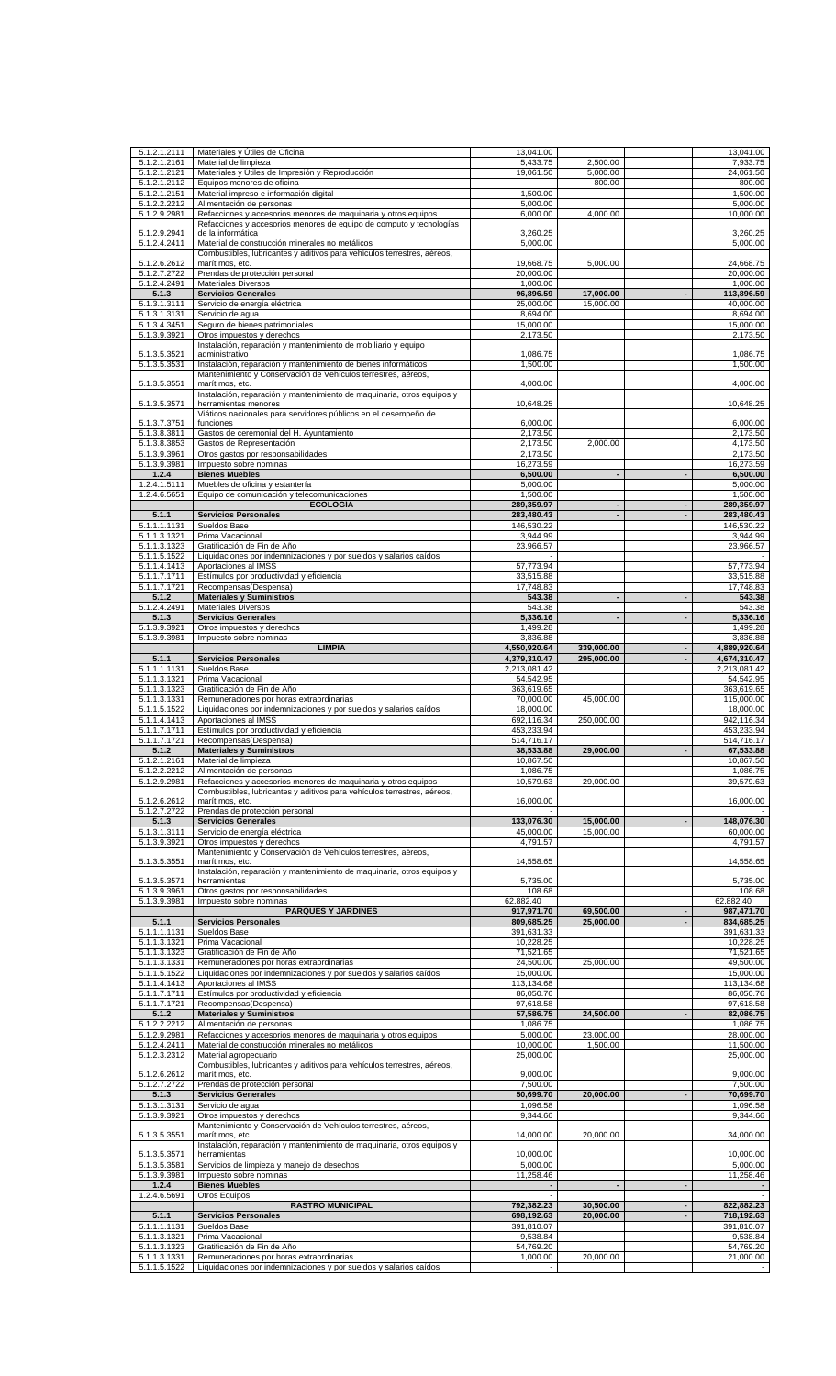| 5.1.2.1.2111 | Materiales y Útiles de Oficina                                          |
|--------------|-------------------------------------------------------------------------|
|              |                                                                         |
| 5.1.2.1.2161 | Material de limpieza                                                    |
| 5.1.2.1.2121 | Materiales y Útiles de Impresión y Reproducción                         |
| 5.1.2.1.2112 | Equipos menores de oficina                                              |
| 5.1.2.1.2151 | Material impreso e información digital                                  |
|              |                                                                         |
| 5.1.2.2.2212 | Alimentación de personas                                                |
| 5.1.2.9.2981 | Refacciones y accesorios menores de maquinaria y otros equipos          |
|              | Refacciones y accesorios menores de equipo de computo y tecnologías     |
| 5.1.2.9.2941 | de la informática                                                       |
|              |                                                                         |
| 5.1.2.4.2411 | Material de construcción minerales no metálicos                         |
|              | Combustibles, lubricantes y aditivos para vehículos terrestres, aéreos, |
| 5.1.2.6.2612 | marítimos, etc.                                                         |
|              |                                                                         |
| 5.1.2.7.2722 | Prendas de protección personal                                          |
| 5.1.2.4.2491 | <b>Materiales Diversos</b>                                              |
| 5.1.3        | <b>Servicios Generales</b>                                              |
|              |                                                                         |
| 5.1.3.1.3111 | Servicio de energía eléctrica                                           |
| 5.1.3.1.3131 | Servicio de agua                                                        |
| 5.1.3.4.3451 | Seguro de bienes patrimoniales                                          |
|              |                                                                         |
| 5.1.3.9.3921 | Otros impuestos y derechos                                              |
|              | Instalación, reparación y mantenimiento de mobiliario y equipo          |
| 5.1.3.5.3521 | administrativo                                                          |
| 5.1.3.5.3531 | Instalación, reparación y mantenimiento de bienes informáticos          |
|              |                                                                         |
|              | Mantenimiento y Conservación de Vehículos terrestres, aéreos,           |
| 5.1.3.5.3551 | marítimos, etc.                                                         |
|              | Instalación, reparación y mantenimiento de maquinaria, otros equipos y  |
| 5.1.3.5.3571 | herramientas menores                                                    |
|              |                                                                         |
|              | Viáticos nacionales para servidores públicos en el desempeño de         |
| 5.1.3.7.3751 | funciones                                                               |
| 5.1.3.8.3811 | Gastos de ceremonial del H. Ayuntamiento                                |
| 5.1.3.8.3853 | Gastos de Representación                                                |
|              |                                                                         |
| 5.1.3.9.3961 | Otros gastos por responsabilidades                                      |
| 5.1.3.9.3981 | Impuesto sobre nominas                                                  |
| 1.2.4        | <b>Bienes Muebles</b>                                                   |
|              |                                                                         |
| 1.2.4.1.5111 | Muebles de oficina y estantería                                         |
| 1.2.4.6.5651 | Equipo de comunicación y telecomunicaciones                             |
|              | <b>ECOLOGÍA</b>                                                         |
|              |                                                                         |
| 5.1.1        | <b>Servicios Personales</b>                                             |
| 5.1.1.1.1131 | Sueldos Base                                                            |
| 5.1.1.3.1321 | Prima Vacacional                                                        |
|              |                                                                         |
| 5.1.1.3.1323 | Gratificación de Fin de Año                                             |
| 5.1.1.5.1522 | Liquidaciones por indemnizaciones y por sueldos y salarios caídos       |
| 5.1.1.4.1413 | Aportaciones al IMSS                                                    |
|              |                                                                         |
| 5.1.1.7.1711 | Estímulos por productividad y eficiencia                                |
| 5.1.1.7.1721 | Recompensas(Despensa)                                                   |
| 5.1.2        | <b>Materiales y Suministros</b>                                         |
|              |                                                                         |
| 5.1.2.4.2491 | <b>Materiales Diversos</b>                                              |
| 5.1.3        | <b>Servicios Generales</b>                                              |
| 5.1.3.9.3921 | Otros impuestos y derechos                                              |
|              |                                                                         |
| 5.1.3.9.3981 | Impuesto sobre nominas                                                  |
|              | <b>LIMPIA</b>                                                           |
| 5.1.1        | <b>Servicios Personales</b>                                             |
|              |                                                                         |
| 5.1.1.1.1131 | Sueldos Base                                                            |
| 5.1.1.3.1321 | Prima Vacacional                                                        |
| 5.1.1.3.1323 | Gratificación de Fin de Año                                             |
|              |                                                                         |
| 5.1.1.3.1331 | Remuneraciones por horas extraordinarias                                |
| 5.1.1.5.1522 | Liquidaciones por indemnizaciones y por sueldos y salarios caídos       |
| 5.1.1.4.1413 | Aportaciones al IMSS                                                    |
| 5.1.1.7.1711 | Estímulos por productividad y eficiencia                                |
|              |                                                                         |
| 5.1.1.7.1721 | Recompensas(Despensa)                                                   |
| 5.1.2        | <b>Materiales y Suministros</b>                                         |
| 5.1.2.1.2161 | Material de limpieza                                                    |
|              |                                                                         |
| 5.1.2.2.2212 | Alimentación de personas                                                |
| 5.1.2.9.2981 | Refacciones y accesorios menores de maquinaria y otros equipos          |
|              | Combustibles, lubricantes y aditivos para vehículos terrestres, aéreos, |
|              |                                                                         |
| 5.1.2.6.2612 | marítimos, etc.                                                         |
| 5.1.2.7.2722 | Prendas de protección personal                                          |
| 5.1.3        | <b>Servicios Generales</b>                                              |
|              |                                                                         |
| 5.1.3.1.3111 | Servicio de energía eléctrica                                           |
| 5.1.3.9.3921 | Otros impuestos y derechos                                              |
|              | Mantenimiento y Conservación de Vehículos terrestres, aéreos,           |
|              |                                                                         |
| 5.1.3.5.3551 | marítimos, etc.                                                         |
|              | Instalación, reparación y mantenimiento de maquinaria, otros equipos y  |
| 5.1.3.5.3571 | herramientas                                                            |
| 5.1.3.9.3961 | Otros gastos por responsabilidades                                      |
|              |                                                                         |
| 5.1.3.9.3981 | Impuesto sobre nominas                                                  |
|              |                                                                         |
| 5.1.1        | <b>PARQUES Y JARDINES</b>                                               |
|              |                                                                         |
|              | <b>Servicios Personales</b>                                             |
| 5.1.1.1.1131 | Sueldos Base                                                            |
| 5.1.1.3.1321 | Prima Vacacional                                                        |
| 5.1.1.3.1323 | Gratificación de Fin de Año                                             |
|              |                                                                         |
| 5.1.1.3.1331 | Remuneraciones por horas extraordinarias                                |
| 5.1.1.5.1522 | Liquidaciones por indemnizaciones y por sueldos y salarios caídos       |
| 5.1.1.4.1413 | Aportaciones al IMSS                                                    |
|              |                                                                         |
| 5.1.1.7.1711 | Estímulos por productividad y eficiencia                                |
| 5.1.1.7.1721 | Recompensas(Despensa)                                                   |
| 5.1.2        | <b>Materiales y Suministros</b>                                         |
|              |                                                                         |
| 5.1.2.2.2212 | Alimentación de personas                                                |
| 5.1.2.9.2981 | Refacciones y accesorios menores de maquinaria y otros equipos          |
| 5.1.2.4.2411 | Material de construcción minerales no metálicos                         |
|              |                                                                         |
| 5.1.2.3.2312 | Material agropecuario                                                   |
|              | Combustibles, lubricantes y aditivos para vehículos terrestres, aéreos, |
| 5.1.2.6.2612 | marítimos, etc.                                                         |
| 5.1.2.7.2722 | Prendas de protección personal                                          |
|              |                                                                         |
| 5.1.3        | <b>Servicios Generales</b>                                              |
| 5.1.3.1.3131 | Servicio de agua                                                        |
| 5.1.3.9.3921 | Otros impuestos y derechos                                              |
|              |                                                                         |
|              | Mantenimiento y Conservación de Vehículos terrestres, aéreos,           |
| 5.1.3.5.3551 | marítimos, etc.                                                         |
|              | Instalación, reparación y mantenimiento de maquinaria, otros equipos y  |
| 5.1.3.5.3571 | herramientas                                                            |
|              |                                                                         |
| 5.1.3.5.3581 | Servicios de limpieza y manejo de desechos                              |
| 5.1.3.9.3981 | Impuesto sobre nominas                                                  |
| 1.2.4        | <b>Bienes Muebles</b>                                                   |
|              |                                                                         |
| 1.2.4.6.5691 | Otros Equipos                                                           |
|              | <b>RASTRO MUNICIPAL</b>                                                 |
| 5.1.1        | <b>Servicios Personales</b>                                             |
|              |                                                                         |
| 5.1.1.1.1131 | Sueldos Base                                                            |
| 5.1.1.3.1321 | Prima Vacacional                                                        |
| 5.1.1.3.1323 | Gratificación de Fin de Año                                             |
| 5.1.1.3.1331 | Remuneraciones por horas extraordinarias                                |
| 5.1.1.5.1522 | Liquidaciones por indemnizaciones y por sueldos y salarios caídos       |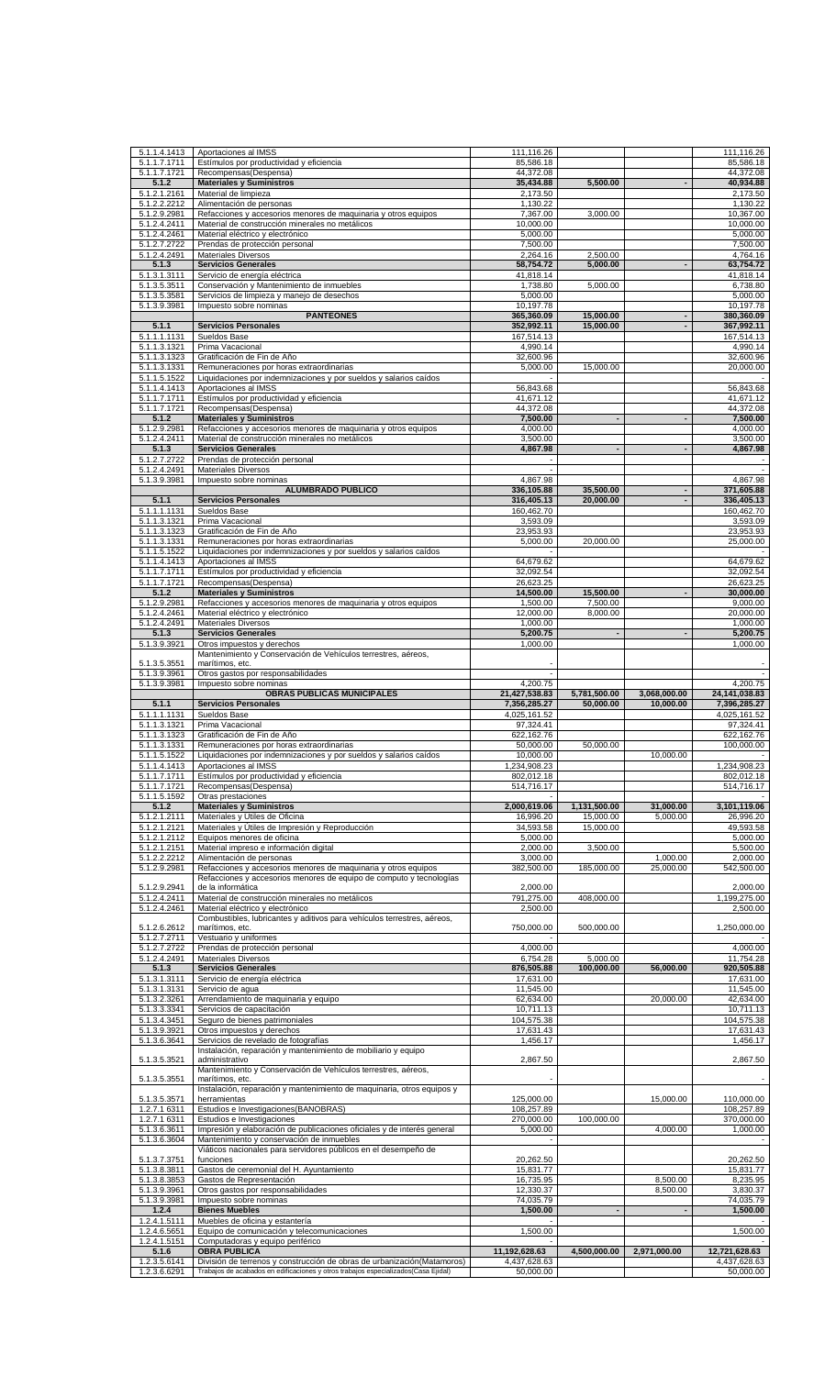| 5.1.1.4.1413                               | Aportaciones al IMSS                                                                                                                                                                 | 111,116.26                    |                          |              | 111,116.26                    |
|--------------------------------------------|--------------------------------------------------------------------------------------------------------------------------------------------------------------------------------------|-------------------------------|--------------------------|--------------|-------------------------------|
| 5.1.1.7.1711                               | Estímulos por productividad y eficiencia                                                                                                                                             | 85,586.18                     |                          |              | 85,586.18                     |
| 5.1.1.7.1721                               | Recompensas(Despensa)                                                                                                                                                                | 44,372.08                     |                          |              | 44,372.08                     |
| 5.1.2<br>5.1.2.1.2161                      | <b>Materiales y Suministros</b><br>Material de limpieza                                                                                                                              | 35,434.88<br>2,173.50         | 5,500.00                 |              | 40,934.88<br>2,173.50         |
| 5.1.2.2.2212                               | Alimentación de personas                                                                                                                                                             | 1,130.22                      |                          |              | 1,130.22                      |
| 5.1.2.9.2981                               | Refacciones y accesorios menores de maquinaria y otros equipos                                                                                                                       | 7,367.00                      | 3,000.00                 |              | 10,367.00                     |
| 5.1.2.4.2411                               | Material de construcción minerales no metálicos                                                                                                                                      | 10,000.00                     |                          |              | 10,000.00                     |
| 5.1.2.4.2461                               | Material eléctrico y electrónico                                                                                                                                                     | 5,000.00                      |                          |              | 5,000.00                      |
| 5.1.2.7.2722                               | Prendas de protección personal                                                                                                                                                       | 7,500.00                      |                          |              | 7,500.00                      |
| 5.1.2.4.2491<br>5.1.3                      | <b>Materiales Diversos</b><br><b>Servicios Generales</b>                                                                                                                             | 2,264.16<br>58,754.72         | 2,500.00<br>5,000.00     |              | 4,764.16<br>63,754.72         |
| 5.1.3.1.3111                               | Servicio de energía eléctrica                                                                                                                                                        | 41,818.14                     |                          |              | 41,818.14                     |
| 5.1.3.5.3511                               | Conservación y Mantenimiento de inmuebles                                                                                                                                            | 1,738.80                      | 5,000.00                 |              | 6,738.80                      |
| 5.1.3.5.3581                               | Servicios de limpieza y manejo de desechos                                                                                                                                           | 5,000.00                      |                          |              | 5,000.00                      |
| 5.1.3.9.3981                               | Impuesto sobre nominas                                                                                                                                                               | 10,197.78                     |                          |              | 10,197.78                     |
|                                            | <b>PANTEONES</b>                                                                                                                                                                     | 365,360.09                    | 15,000.00                |              | 380,360.09                    |
| 5.1.1                                      | <b>Servicios Personales</b>                                                                                                                                                          | 352,992.11                    | 15,000.00                |              | 367,992.11                    |
| 5.1.1.1.1131                               | Sueldos Base                                                                                                                                                                         | 167,514.13<br>4,990.14        |                          |              | 167,514.13<br>4,990.14        |
| 5.1.1.3.1321<br>5.1.1.3.1323               | Prima Vacacional<br>Gratificación de Fin de Año                                                                                                                                      | 32,600.96                     |                          |              | 32,600.96                     |
| 5.1.1.3.1331                               | Remuneraciones por horas extraordinarias                                                                                                                                             | 5,000.00                      | 15,000.00                |              | 20,000.00                     |
| 5.1.1.5.1522                               | Liquidaciones por indemnizaciones y por sueldos y salarios caídos                                                                                                                    |                               |                          |              |                               |
| 5.1.1.4.1413                               | Aportaciones al IMSS                                                                                                                                                                 | 56,843.68                     |                          |              | 56,843.68                     |
| 5.1.1.7.1711                               | Estímulos por productividad y eficiencia                                                                                                                                             | 41,671.12                     |                          |              | 41,671.12                     |
| 5.1.1.7.1721                               | Recompensas(Despensa)                                                                                                                                                                | 44,372.08                     |                          |              | 44,372.08                     |
| 5.1.2                                      | <b>Materiales y Suministros</b>                                                                                                                                                      | 7,500.00                      | $\overline{\phantom{a}}$ |              | 7,500.00                      |
| 5.1.2.9.2981<br>5.1.2.4.2411               | Refacciones y accesorios menores de maquinaria y otros equipos<br>Material de construcción minerales no metálicos                                                                    | 4,000.00<br>3,500.00          |                          |              | 4,000.00<br>3,500.00          |
| 5.1.3                                      | <b>Servicios Generales</b>                                                                                                                                                           | 4,867.98                      |                          |              | 4,867.98                      |
| 5.1.2.7.2722                               | Prendas de protección personal                                                                                                                                                       |                               |                          |              |                               |
| 5.1.2.4.2491                               | <b>Materiales Diversos</b>                                                                                                                                                           |                               |                          |              |                               |
| 5.1.3.9.3981                               | Impuesto sobre nominas                                                                                                                                                               | 4,867.98                      |                          |              | 4,867.98                      |
|                                            | <b>ALUMBRADO PUBLICO</b>                                                                                                                                                             | 336,105.88                    | 35,500.00                |              | 371,605.88                    |
| 5.1.1                                      | <b>Servicios Personales</b>                                                                                                                                                          | 316,405.13                    | 20,000.00                |              | 336,405.13                    |
| 5.1.1.1.1131                               | Sueldos Base                                                                                                                                                                         | 160,462.70                    |                          |              | 160,462.70<br>3,593.09        |
| 5.1.1.3.1321<br>$\overline{5}$ .1.1.3.1323 | Prima Vacacional<br>Gratificación de Fin de Año                                                                                                                                      | 3,593.09<br>23,953.93         |                          |              | 23,953.93                     |
| 5.1.1.3.1331                               | Remuneraciones por horas extraordinarias                                                                                                                                             | 5,000.00                      | 20,000.00                |              | 25,000.00                     |
| 5.1.1.5.1522                               | Liquidaciones por indemnizaciones y por sueldos y salarios caídos                                                                                                                    |                               |                          |              |                               |
| 5.1.1.4.1413                               | Aportaciones al IMSS                                                                                                                                                                 | 64,679.62                     |                          |              | 64,679.62                     |
| 5.1.1.7.1711                               | Estímulos por productividad y eficiencia                                                                                                                                             | 32,092.54                     |                          |              | 32,092.54                     |
| 5.1.1.7.1721                               | Recompensas(Despensa)                                                                                                                                                                | 26,623.25                     |                          |              | 26,623.25                     |
| 5.1.2                                      | <b>Materiales y Suministros</b>                                                                                                                                                      | 14,500.00                     | 15,500.00                |              | 30,000.00                     |
| 5.1.2.9.2981                               | Refacciones y accesorios menores de maquinaria y otros equipos                                                                                                                       | 1,500.00<br>12,000.00         | 7,500.00<br>8,000.00     |              | 9,000.00<br>20,000.00         |
| 5.1.2.4.2461<br>5.1.2.4.2491               | Material eléctrico y electrónico<br><b>Materiales Diversos</b>                                                                                                                       | 1,000.00                      |                          |              | 1,000.00                      |
| 5.1.3                                      | <b>Servicios Generales</b>                                                                                                                                                           | 5,200.75                      | $\blacksquare$           |              | 5,200.75                      |
| 5.1.3.9.3921                               | Otros impuestos y derechos                                                                                                                                                           | 1,000.00                      |                          |              | 1,000.00                      |
|                                            | Mantenimiento y Conservación de Vehículos terrestres, aéreos,                                                                                                                        |                               |                          |              |                               |
| 5.1.3.5.3551                               | marítimos, etc.                                                                                                                                                                      |                               |                          |              |                               |
| 5.1.3.9.3961                               | Otros gastos por responsabilidades                                                                                                                                                   |                               |                          |              |                               |
| 5.1.3.9.3981                               | Impuesto sobre nominas<br>OBRAS PUBLICAS MUNICIPALES                                                                                                                                 | 4,200.75<br>21,427,538.83     | 5,781,500.00             | 3,068,000.00 | 4,200.75<br>24, 141, 038.83   |
| 5.1.1                                      | <b>Servicios Personales</b>                                                                                                                                                          | 7,356,285.27                  | 50,000.00                | 10,000.00    | 7,396,285.27                  |
|                                            |                                                                                                                                                                                      |                               |                          |              |                               |
|                                            |                                                                                                                                                                                      |                               |                          |              |                               |
| 5.1.1.1.1131<br>5.1.1.3.1321               | Sueldos Base<br>Prima Vacacional                                                                                                                                                     | 4,025,161.52<br>97,324.41     |                          |              | 4,025,161.52<br>97,324.41     |
| 5.1.1.3.1323                               | Gratificación de Fin de Año                                                                                                                                                          | 622,162.76                    |                          |              | 622,162.76                    |
| 5.1.1.3.1331                               | Remuneraciones por horas extraordinarias                                                                                                                                             | 50,000.00                     | 50,000.00                |              | 100,000.00                    |
| 5.1.1.5.1522                               | Liquidaciones por indemnizaciones y por sueldos y salarios caídos                                                                                                                    | 10,000.00                     |                          | 10,000.00    |                               |
| 5.1.1.4.1413                               | Aportaciones al IMSS                                                                                                                                                                 | 1,234,908.23                  |                          |              | 1,234,908.23                  |
| 5.1.1.7.1711                               | Estímulos por productividad y eficiencia                                                                                                                                             | 802,012.18                    |                          |              | 802,012.18                    |
| 5.1.1.7.1721                               | Recompensas(Despensa)                                                                                                                                                                | 514,716.17                    |                          |              | 514,716.17                    |
| 5.1.1.5.1592<br>5.1.2                      | Otras prestaciones                                                                                                                                                                   | 2,000,619.06                  | 1,131,500.00             | 31,000.00    | 3,101,119.06                  |
| 5.1.2.1.2111                               | <b>Materiales y Suministros</b><br>Materiales y Útiles de Oficina                                                                                                                    | 16,996.20                     | 15,000.00                | 5,000.00     | 26,996.20                     |
| 5.1.2.1.2121                               | Materiales y Útiles de Impresión y Reproducción                                                                                                                                      | 34,593.58                     | 15,000.00                |              | 49,593.58                     |
| 5.1.2.1.2112                               | Equipos menores de oficina                                                                                                                                                           | 5,000.00                      |                          |              | 5.000.00                      |
| 5.1.2.1.2151                               | Material impreso e información digital                                                                                                                                               | 2,000.00                      | 3,500.00                 |              | 5,500.00                      |
| 5.1.2.2.2212                               | Alimentación de personas                                                                                                                                                             | 3,000.00                      |                          | 1,000.00     | 2,000.00                      |
| 5.1.2.9.2981                               | Refacciones y accesorios menores de maquinaria y otros equipos                                                                                                                       | 382,500.00                    | 185,000.00               | 25,000.00    | 542,500.00                    |
| 5.1.2.9.2941                               | Refacciones y accesorios menores de equipo de computo y tecnologías<br>de la informática                                                                                             | 2,000.00                      |                          |              | 2,000.00                      |
| 5.1.2.4.2411                               | Material de construcción minerales no metálicos                                                                                                                                      | 791,275.00                    | 408,000.00               |              | 1,199,275.00                  |
| 5.1.2.4.2461                               | Material eléctrico y electrónico                                                                                                                                                     | 2,500.00                      |                          |              | 2,500.00                      |
|                                            | Combustibles, lubricantes y aditivos para vehículos terrestres, aéreos,                                                                                                              |                               |                          |              |                               |
| 5.1.2.6.2612                               | marítimos, etc.                                                                                                                                                                      | 750,000.00                    | 500,000.00               |              | 1,250,000.00                  |
| 5.1.2.7.2711<br>5.1.2.7.2722               | Vestuario y uniformes<br>Prendas de protección personal                                                                                                                              | 4,000.00                      |                          |              | 4,000.00                      |
| 5.1.2.4.2491                               | Materiales Diversos                                                                                                                                                                  | 6,754.28                      | 5,000.00                 |              | 11,754.28                     |
| 5.1.3                                      | <b>Servicios Generales</b>                                                                                                                                                           | 876,505.88                    | 100,000.00               | 56,000.00    | 920,505.88                    |
| 5.1.3.1.3111                               | Servicio de energía eléctrica                                                                                                                                                        | 17,631.00                     |                          |              | 17,631.00                     |
| 5.1.3.1.3131                               | Servicio de agua                                                                                                                                                                     | 11,545.00                     |                          |              | 11,545.00                     |
| 5.1.3.2.3261                               | Arrendamiento de maquinaria y equipo                                                                                                                                                 | 62,634.00                     |                          | 20,000.00    | 42,634.00                     |
| 5.1.3.3.3341                               | Servicios de capacitación                                                                                                                                                            | 10,711.13                     |                          |              | 10,711.13                     |
| 5.1.3.4.3451<br>5.1.3.9.3921               | Seguro de bienes patrimoniales<br>Otros impuestos y derechos                                                                                                                         | 104,575.38<br>17,631.43       |                          |              | 104,575.38<br>17,631.43       |
| 5.1.3.6.3641                               | Servicios de revelado de fotografías                                                                                                                                                 | 1,456.17                      |                          |              | 1,456.17                      |
|                                            | Instalación, reparación y mantenimiento de mobiliario y equipo                                                                                                                       |                               |                          |              |                               |
| 5.1.3.5.3521                               | administrativo                                                                                                                                                                       | 2,867.50                      |                          |              | 2,867.50                      |
|                                            | Mantenimiento y Conservación de Vehículos terrestres, aéreos,                                                                                                                        |                               |                          |              |                               |
| 5.1.3.5.3551                               | marítimos, etc.                                                                                                                                                                      |                               |                          |              |                               |
| 5.1.3.5.3571                               | Instalación, reparación y mantenimiento de maquinaria, otros equipos y<br>herramientas                                                                                               | 125,000.00                    |                          | 15,000.00    | 110,000.00                    |
| 1.2.7.1 6311                               | Estudios e Investigaciones (BANOBRAS)                                                                                                                                                | 108,257.89                    |                          |              | 108,257.89                    |
| 1.2.7.1 6311                               | Estudios e Investigaciones                                                                                                                                                           | 270,000.00                    | 100,000.00               |              | 370,000.00                    |
| 5.1.3.6.3611                               | Impresión y elaboración de publicaciones oficiales y de interés general                                                                                                              | 5,000.00                      |                          | 4,000.00     | 1,000.00                      |
| 5.1.3.6.3604                               | Mantenimiento y conservación de inmuebles                                                                                                                                            |                               |                          |              |                               |
|                                            | Viáticos nacionales para servidores públicos en el desempeño de                                                                                                                      |                               |                          |              |                               |
| 5.1.3.7.3751<br>5.1.3.8.3811               | funciones<br>Gastos de ceremonial del H. Ayuntamiento                                                                                                                                | 20,262.50<br>15,831.77        |                          |              | 20,262.50<br>15,831.77        |
| 5.1.3.8.3853                               | Gastos de Representación                                                                                                                                                             | 16,735.95                     |                          | 8,500.00     | 8,235.95                      |
| 5.1.3.9.3961                               | Otros gastos por responsabilidades                                                                                                                                                   | 12,330.37                     |                          | 8,500.00     | 3,830.37                      |
| 5.1.3.9.3981                               | Impuesto sobre nominas                                                                                                                                                               | 74,035.79                     |                          |              | 74,035.79                     |
| 1.2.4                                      | <b>Bienes Muebles</b>                                                                                                                                                                | 1,500.00                      |                          |              | 1,500.00                      |
| 1.2.4.1.5111                               | Muebles de oficina y estantería                                                                                                                                                      |                               |                          |              |                               |
| 1.2.4.6.5651                               | Equipo de comunicación y telecomunicaciones                                                                                                                                          | 1,500.00                      |                          |              | 1,500.00                      |
| 1.2.4.1.5151                               | Computadoras y equipo periférico                                                                                                                                                     |                               |                          |              |                               |
| 5.1.6<br>1.2.3.5.6141                      | <b>OBRA PUBLICA</b><br>División de terrenos y construcción de obras de urbanización(Matamoros)<br>Trabajos de acabados en edificaciones y otros trabajos especializados(Casa Ejidal) | 11,192,628.63<br>4,437,628.63 | 4,500,000.00             | 2,971,000.00 | 12,721,628.63<br>4,437,628.63 |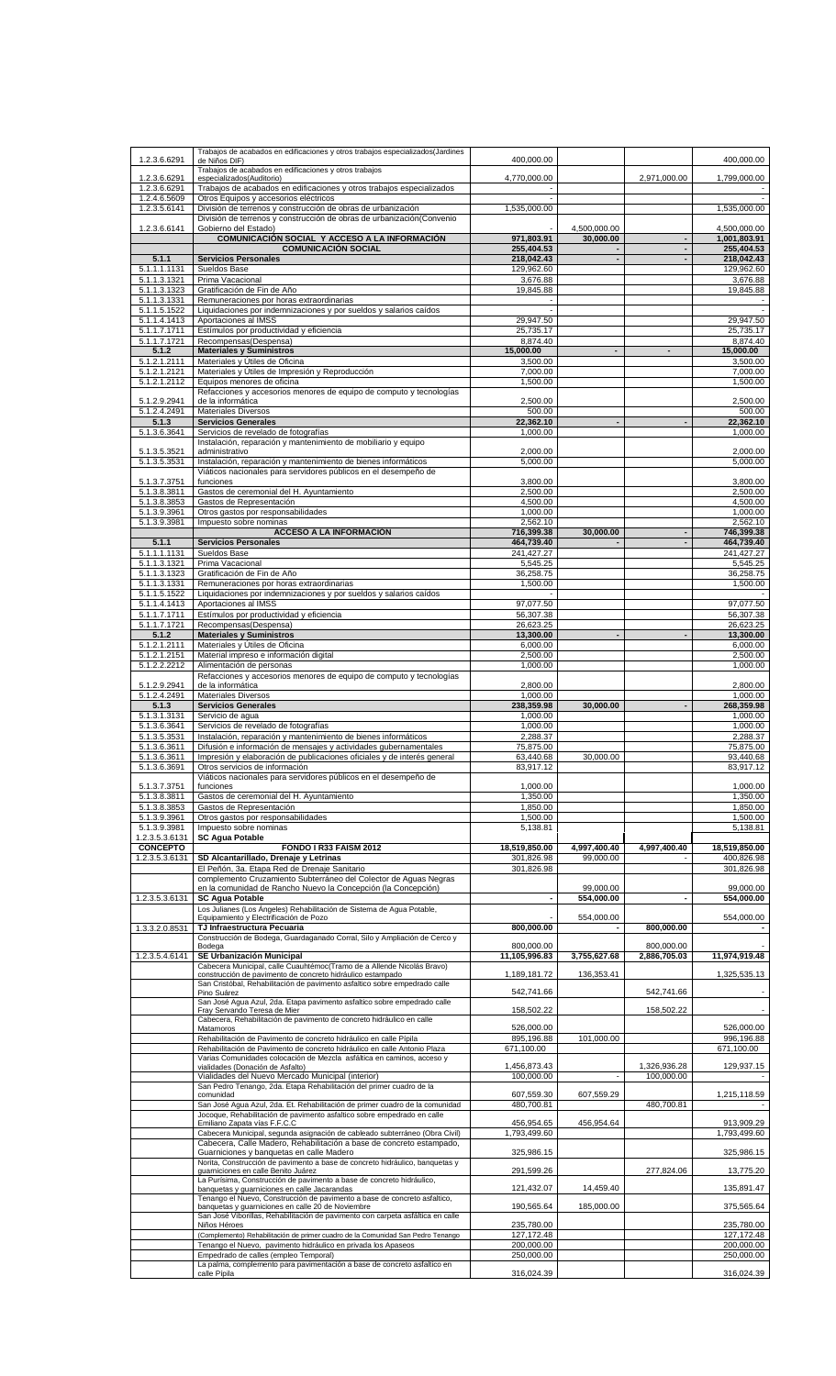| 1.2.3.6.6291                      | Trabajos de acabados en edificaciones y otros trabajos especializados(Jardines<br>de Niños DIF)                                                         | 400,000.00                  |                           |                            | 400,000.00                               |
|-----------------------------------|---------------------------------------------------------------------------------------------------------------------------------------------------------|-----------------------------|---------------------------|----------------------------|------------------------------------------|
| 1.2.3.6.6291                      | Trabajos de acabados en edificaciones y otros trabajos<br>especializados(Auditorio)                                                                     | 4,770,000.00                |                           | 2,971,000.00               | 1,799,000.00                             |
| 1.2.3.6.6291                      | Trabajos de acabados en edificaciones y otros trabajos especializados                                                                                   | $\overline{\phantom{a}}$    |                           |                            |                                          |
| 1.2.4.6.5609<br>1.2.3.5.6141      | Otros Equipos y accesorios eléctricos<br>División de terrenos y construcción de obras de urbanización                                                   | $\sim$<br>1,535,000.00      |                           |                            | $\overline{\phantom{a}}$<br>1,535,000.00 |
| 1.2.3.6.6141                      | División de terrenos y construcción de obras de urbanización(Convenio<br>Gobierno del Estado)                                                           |                             | 4,500,000.00              |                            | 4,500,000.00                             |
|                                   | COMUNICACIÓN SOCIAL Y ACCESO A LA INFORMACIÓN<br><b>COMUNICACIÓN SOCIAL</b>                                                                             | 971,803.91<br>255,404.53    | 30,000.00                 | $\overline{\phantom{a}}$   | 1,001,803.91<br>255,404.53               |
| 5.1.1                             | <b>Servicios Personales</b>                                                                                                                             | 218,042.43                  | ÷,                        |                            | 218,042.43                               |
| 5.1.1.1.1131<br>5.1.1.3.1321      | Sueldos Base<br>Prima Vacacional                                                                                                                        | 129,962.60<br>3,676.88      |                           |                            | 129,962.60<br>3,676.88                   |
| 5.1.1.3.1323                      | Gratificación de Fin de Año                                                                                                                             | 19,845.88                   |                           |                            | 19,845.88                                |
| 5.1.1.3.1331<br>5.1.1.5.1522      | Remuneraciones por horas extraordinarias<br>Liquidaciones por indemnizaciones y por sueldos y salarios caídos                                           |                             |                           |                            |                                          |
| 5.1.1.4.1413<br>5.1.1.7.1711      | Aportaciones al IMSS<br>Estímulos por productividad y eficiencia                                                                                        | 29,947.50<br>25,735.17      |                           |                            | 29,947.50<br>25,735.17                   |
| 5.1.1.7.1721                      | Recompensas(Despensa)                                                                                                                                   | 8,874.40                    |                           |                            | 8,874.40                                 |
| 5.1.2<br>5.1.2.1.2111             | <b>Materiales y Suministros</b><br>Materiales y Útiles de Oficina                                                                                       | 15,000.00<br>3,500.00       | ٠                         | ÷.                         | 15,000.00<br>3,500.00                    |
| 5.1.2.1.2121<br>5.1.2.1.2112      | Materiales y Útiles de Impresión y Reproducción<br>Equipos menores de oficina                                                                           | 7,000.00<br>1,500.00        |                           |                            | 7,000.00<br>1,500.00                     |
|                                   | Refacciones y accesorios menores de equipo de computo y tecnologías                                                                                     |                             |                           |                            |                                          |
| 5.1.2.9.2941<br>5.1.2.4.2491      | de la informática<br><b>Materiales Diversos</b>                                                                                                         | 2,500.00<br>500.00          |                           |                            | 2,500.00<br>500.00                       |
| 5.1.3<br>5.1.3.6.3641             | <b>Servicios Generales</b><br>Servicios de revelado de fotografías                                                                                      | 22,362.10<br>1,000.00       |                           |                            | 22,362.10<br>1,000.00                    |
|                                   | Instalación, reparación y mantenimiento de mobiliario y equipo                                                                                          |                             |                           |                            |                                          |
| 5.1.3.5.3521<br>5.1.3.5.3531      | administrativo<br>Instalación, reparación y mantenimiento de bienes informáticos                                                                        | 2,000.00<br>5,000.00        |                           |                            | 2,000.00<br>5,000.00                     |
| 5.1.3.7.3751                      | Viáticos nacionales para servidores públicos en el desempeño de<br>funciones                                                                            | 3,800.00                    |                           |                            | 3,800.00                                 |
| 5.1.3.8.3811                      | Gastos de ceremonial del H. Ayuntamiento                                                                                                                | 2,500.00                    |                           |                            | 2,500.00                                 |
| 5.1.3.8.3853<br>5.1.3.9.3961      | Gastos de Representación<br>Otros gastos por responsabilidades                                                                                          | 4,500.00<br>1,000.00        |                           |                            | 4,500.00<br>1,000.00                     |
| 5.1.3.9.3981                      | Impuesto sobre nominas<br><b>ACCESO A LA INFORMACIÓN</b>                                                                                                | 2,562.10<br>716,399.38      | 30,000.00                 |                            | 2,562.10<br>746,399.38                   |
| 5.1.1                             | <b>Servicios Personales</b>                                                                                                                             | 464,739.40                  |                           |                            | 464,739.40                               |
| 5.1.1.1.1131<br>5.1.1.3.1321      | Sueldos Base<br>Prima Vacacional                                                                                                                        | 241,427.27<br>5,545.25      |                           |                            | 241,427.27<br>5,545.25                   |
| 5.1.1.3.1323                      | Gratificación de Fin de Año                                                                                                                             | 36,258.75                   |                           |                            | 36,258.75                                |
| 5.1.1.3.1331<br>5.1.1.5.1522      | Remuneraciones por horas extraordinarias<br>Liquidaciones por indemnizaciones y por sueldos y salarios caídos                                           | 1,500.00                    |                           |                            | 1,500.00                                 |
| 5.1.1.4.1413<br>5.1.1.7.1711      | Aportaciones al IMSS<br>Estímulos por productividad y eficiencia                                                                                        | 97,077.50<br>56,307.38      |                           |                            | 97,077.50<br>56,307.38                   |
| 5.1.1.7.1721                      | Recompensas(Despensa)                                                                                                                                   | 26,623.25                   |                           |                            | 26,623.25                                |
| 5.1.2<br>5.1.2.1.2111             | <b>Materiales y Suministros</b><br>Materiales y Útiles de Oficina                                                                                       | 13,300.00<br>6,000.00       |                           |                            | 13,300.00<br>6,000.00                    |
| 5.1.2.1.2151<br>5.1.2.2.2212      | Material impreso e información digital<br>Alimentación de personas                                                                                      | 2,500.00<br>1,000.00        |                           |                            | 2,500.00<br>1,000.00                     |
|                                   | Refacciones y accesorios menores de equipo de computo y tecnologías                                                                                     |                             |                           |                            |                                          |
| 5.1.2.9.2941<br>5.1.2.4.2491      | de la informática<br><b>Materiales Diversos</b>                                                                                                         | 2,800.00<br>1,000.00        |                           |                            | 2,800.00<br>1,000.00                     |
| 5.1.3<br>5.1.3.1.3131             | <b>Servicios Generales</b><br>Servicio de aqua                                                                                                          | 238,359.98<br>1,000.00      | 30,000.00                 |                            | 268,359.98<br>1,000.00                   |
| 5.1.3.6.3641                      | Servicios de revelado de fotografías                                                                                                                    | 1,000.00                    |                           |                            | 1.000.00                                 |
| 5.1.3.5.3531<br>5.1.3.6.3611      | Instalación, reparación y mantenimiento de bienes informáticos<br>Difusión e información de mensajes y actividades gubernamentales                      | 2,288.37<br>75.875.00       |                           |                            | 2,288.37<br>75,875.00                    |
| 5.1.3.6.3611                      | Impresión y elaboración de publicaciones oficiales y de interés general                                                                                 | 63,440.68                   | 30,000.00                 |                            | 93,440.68                                |
| 5.1.3.6.3691                      | Otros servicios de información<br>Viáticos nacionales para servidores públicos en el desempeño de                                                       | 83,917.12                   |                           |                            | 83,917.12                                |
| 5.1.3.7.3751<br>5.1.3.8.3811      | funciones                                                                                                                                               | 1,000.00                    |                           |                            | 1,000.00<br>1,350.00                     |
| 5.1.3.8.3853                      | Gastos de ceremonial del H. Ayuntamiento<br>Gastos de Representación                                                                                    | 1,350.00<br>1,850.00        |                           |                            | 1,850.00                                 |
| 5.1.3.9.3961<br>5.1.3.9.3981      | Otros gastos por responsabilidades<br>Impuesto sobre nominas                                                                                            | 1,500.00<br>5,138.81        |                           |                            | 1,500.00<br>5,138.81                     |
| 1.2.3.5.3.6131                    | <b>SC Agua Potable</b>                                                                                                                                  |                             |                           |                            |                                          |
| <b>CONCEPTO</b><br>1.2.3.5.3.6131 | FONDO I R33 FAISM 2012<br>SD Alcantarillado, Drenaje y Letrinas                                                                                         | 18,519,850.00<br>301,826.98 | 4,997,400.40<br>99,000.00 | 4,997,400.40               | 18,519,850.00<br>400,826.98              |
|                                   | El Peñón, 3a. Etapa Red de Drenaje Sanitario<br>complemento Cruzamiento Subterráneo del Colector de Aguas Negras                                        | 301,826.98                  |                           |                            | 301,826.98                               |
|                                   | en la comunidad de Rancho Nuevo la Concepción (la Concepción)                                                                                           |                             | 99,000.00<br>554,000.00   |                            | 99,000.00                                |
| 1.2.3.5.3.6131                    | <b>SC Agua Potable</b><br>Los Julianes (Los Ángeles) Rehabilitación de Sistema de Agua Potable,                                                         | $\blacksquare$              |                           |                            | 554,000.00                               |
| 1.3.3.2.0.8531                    | Equipamiento y Electrificación de Pozo<br>TJ Infraestructura Pecuaria                                                                                   | 800,000.00                  | 554,000.00                | 800,000.00                 | 554,000.00                               |
|                                   | Construcción de Bodega, Guardaganado Corral, Silo y Ampliación de Cerco y<br>Bodega                                                                     | 800,000.00                  |                           | 800,000.00                 |                                          |
| 1.2.3.5.4.6141                    | SE Urbanización Municipal                                                                                                                               | 11,105,996.83               | 3,755,627.68              | 2,886,705.03               | 11,974,919.48                            |
|                                   | Cabecera Municipal, calle Cuauhtémoc(Tramo de a Allende Nicolás Bravo)<br>construcción de pavimento de concreto hidráulico estampado                    | 1,189,181.72                | 136,353.41                |                            | 1,325,535.13                             |
|                                   | San Cristóbal, Rehabilitación de pavimento asfaltico sobre empedrado calle<br>Pino Suárez                                                               | 542,741.66                  |                           | 542,741.66                 |                                          |
|                                   | San José Agua Azul, 2da. Etapa pavimento asfaltico sobre empedrado calle<br>Fray Servando Teresa de Mier                                                | 158,502.22                  |                           | 158,502.22                 |                                          |
|                                   | Cabecera, Rehabilitación de pavimento de concreto hidráulico en calle<br>Matamoros                                                                      | 526,000.00                  |                           |                            | 526,000.00                               |
|                                   | Rehabilitación de Pavimento de concreto hidráulico en calle Pípila                                                                                      | 895,196.88                  | 101,000.00                |                            | 996,196.88                               |
|                                   | Rehabilitación de Pavimento de concreto hidráulico en calle Antonio Plaza<br>Varias Comunidades colocación de Mezcla asfáltica en caminos, acceso y     | 671,100.00                  |                           |                            | 671,100.00                               |
|                                   | vialidades (Donación de Asfalto)<br>Vialidades del Nuevo Mercado Municipal (interior)                                                                   | 1,456,873.43<br>100,000.00  |                           | 1,326,936.28<br>100,000.00 | 129,937.15                               |
|                                   | San Pedro Tenango, 2da. Etapa Rehabilitación del primer cuadro de la<br>comunidad                                                                       | 607,559.30                  | 607,559.29                |                            | 1,215,118.59                             |
|                                   | San José Aqua Azul, 2da. Et. Rehabilitación de primer cuadro de la comunidad<br>Jocoque, Rehabilitación de pavimento asfaltico sobre empedrado en calle | 480,700.81                  |                           | 480,700.81                 |                                          |
|                                   | Emiliano Zapata vías F.F.C.C                                                                                                                            | 456,954.65                  | 456,954.64                |                            | 913,909.29                               |
|                                   | Cabecera Municipal, segunda asignación de cableado subterráneo (Obra Civil)<br>Cabecera, Calle Madero, Rehabilitación a base de concreto estampado,     | 1,793,499.60                |                           |                            | 1,793,499.60                             |
|                                   | Guarniciones y banquetas en calle Madero<br>Norita, Construcción de pavimento a base de concreto hidráulico, banquetas y                                | 325,986.15                  |                           |                            | 325,986.15                               |
|                                   | guarniciones en calle Benito Juárez<br>La Purísima, Construcción de pavimento a base de concreto hidráulico,                                            | 291,599.26                  |                           | 277,824.06                 | 13,775.20                                |
|                                   | banquetas y guarniciones en calle Jacarandas                                                                                                            | 121,432.07                  | 14,459.40                 |                            | 135,891.47                               |
|                                   | Tenango el Nuevo, Construcción de pavimento a base de concreto asfaltico,<br>banquetas y guarniciones en calle 20 de Noviembre                          | 190,565.64                  | 185,000.00                |                            | 375,565.64                               |
|                                   | San José Viborillas, Rehabilitación de pavimento con carpeta asfáltica en calle<br>Niños Héroes                                                         | 235,780.00                  |                           |                            | 235,780.00                               |
|                                   | (Complemento) Rehabilitación de primer cuadro de la Comunidad San Pedro Tenango<br>Tenango el Nuevo, pavimento hidráulico en privada los Apaseos        | 127, 172.48<br>200,000.00   |                           |                            | 127, 172. 48<br>200,000.00               |
|                                   | Empedrado de calles (empleo Temporal)                                                                                                                   | 250,000.00                  |                           |                            | 250,000.00                               |
|                                   | La palma, complemento para pavimentación a base de concreto asfaltico en<br>calle Pípila                                                                | 316,024.39                  |                           |                            | 316,024.39                               |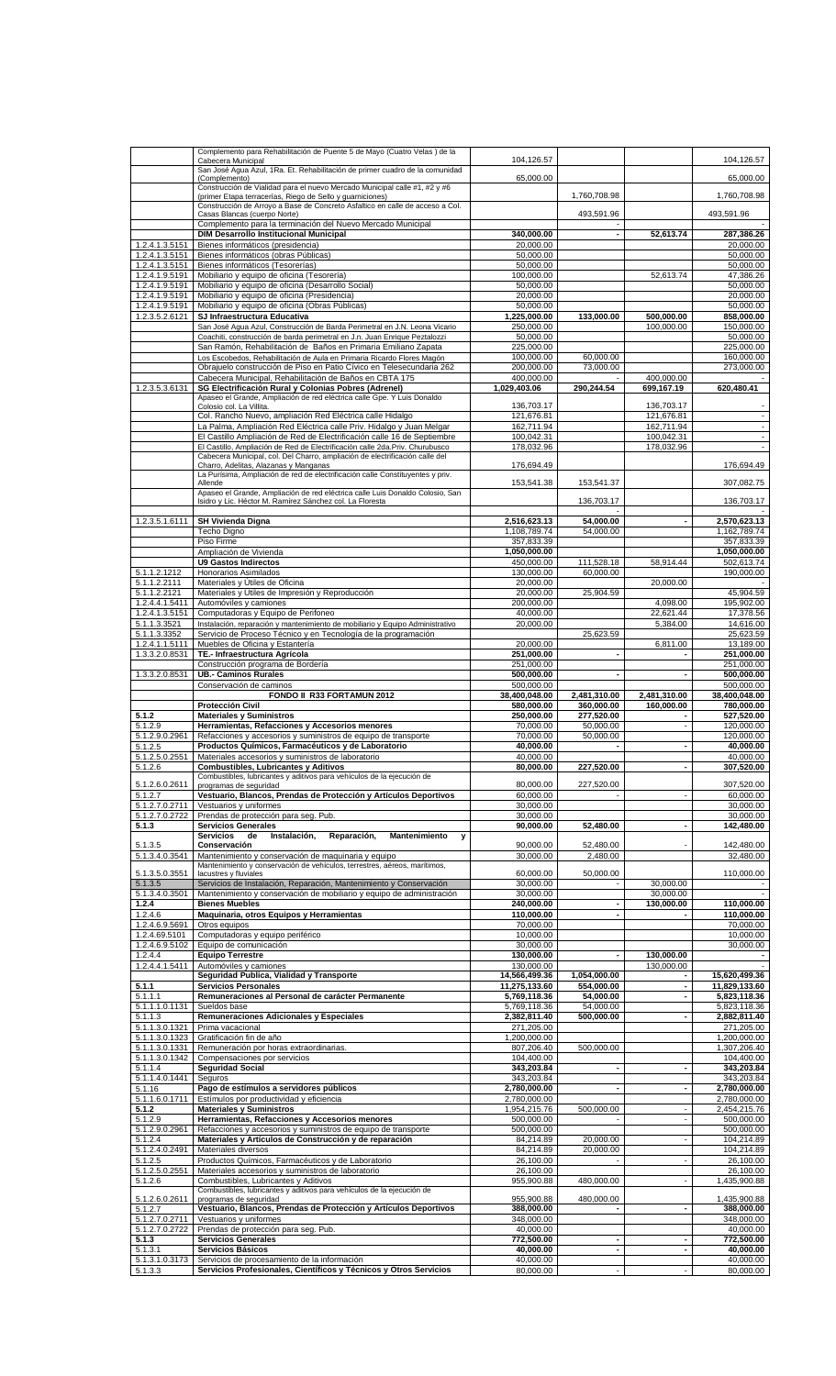|                                  | Complemento para Rehabilitación de Puente 5 de Mayo (Cuatro Velas) de la                                                                                |                              |                          |                            |                              |
|----------------------------------|---------------------------------------------------------------------------------------------------------------------------------------------------------|------------------------------|--------------------------|----------------------------|------------------------------|
|                                  | Cabecera Municipal<br>San José Agua Azul, 1Ra. Et. Rehabilitación de primer cuadro de la comunidad                                                      | 104,126.57                   |                          |                            | 104,126.57                   |
|                                  | (Complemento)                                                                                                                                           | 65,000.00                    |                          |                            | 65,000.00                    |
|                                  | Construcción de Vialidad para el nuevo Mercado Municipal calle #1, #2 y #6                                                                              |                              |                          |                            |                              |
|                                  | (primer Etapa terracerías, Riego de Sello y guarniciones)<br>Construcción de Arroyo a Base de Concreto Asfaltico en calle de acceso a Col.              |                              | 1,760,708.98             |                            | 1,760,708.98                 |
|                                  | Casas Blancas (cuerpo Norte)                                                                                                                            |                              | 493,591.96               |                            | 493,591.96                   |
|                                  | Complemento para la terminación del Nuevo Mercado Municipal<br><b>DIM Desarrollo Institucional Municipal</b>                                            | 340.000.00                   |                          | 52,613.74                  | 287,386.26                   |
| 1.2.4.1.3.5151                   | Bienes informáticos (presidencia)                                                                                                                       | 20,000.00                    |                          |                            | 20,000.00                    |
| 1.2.4.1.3.5151                   | Bienes informáticos (obras Públicas)                                                                                                                    | 50,000.00                    |                          |                            | 50,000.00                    |
| 1.2.4.1.3.5151                   | Bienes informáticos (Tesorerías)                                                                                                                        | 50,000.00                    |                          |                            | 50,000.00                    |
| 1.2.4.1.9.5191<br>1.2.4.1.9.5191 | Mobiliario y equipo de oficina (Tesorería)<br>Mobiliario y equipo de oficina (Desarrollo Social)                                                        | 100,000.00<br>50,000.00      |                          | 52,613.74                  | 47,386.26<br>50,000.00       |
| 1.2.4.1.9.5191                   | Mobiliario y equipo de oficina (Presidencia)                                                                                                            | 20,000.00                    |                          |                            | 20,000.00                    |
| 1.2.4.1.9.5191                   | Mobiliario y equipo de oficina (Obras Públicas)                                                                                                         | 50,000.00                    |                          |                            | 50,000.00                    |
| 1.2.3.5.2.6121                   | SJ Infraestructura Educativa<br>San José Aqua Azul, Construcción de Barda Perimetral en J.N. Leona Vicario                                              | 1,225,000.00<br>250,000.00   | 133,000.00               | 500,000.00<br>100,000.00   | 858,000.00<br>150,000.00     |
|                                  | Coachiti, construcción de barda perimetral en J.n. Juan Enrique Peztalozzi                                                                              | 50,000.00                    |                          |                            | 50,000.00                    |
|                                  | San Ramón, Rehabilitación de Baños en Primaria Emiliano Zapata                                                                                          | 225,000.00                   |                          |                            | 225,000.00                   |
|                                  | Los Escobedos, Rehabilitación de Aula en Primaria Ricardo Flores Magón<br>Obrajuelo construcción de Piso en Patio Cívico en Telesecundaria 262          | 100,000.00<br>200,000.00     | 60,000.00<br>73,000.00   |                            | 160,000.00<br>273,000.00     |
|                                  | Cabecera Municipal, Rehabilitación de Baños en CBTA 175                                                                                                 | 400,000.00                   |                          | 400,000.00                 |                              |
| 1.2.3.5.3.6131                   | SG Electrificación Rural y Colonias Pobres (Adrenel)                                                                                                    | 1,029,403.06                 | 290,244.54               | 699,167.19                 | 620,480.41                   |
|                                  | Apaseo el Grande, Ampliación de red eléctrica calle Gpe. Y Luis Donaldo<br>Colosio col. La Villita.                                                     | 136,703.17                   |                          | 136,703.17                 |                              |
|                                  | Col. Rancho Nuevo, ampliación Red Eléctrica calle Hidalgo                                                                                               | 121,676.81                   |                          | 121,676.81                 | $\blacksquare$               |
|                                  | La Palma, Ampliación Red Eléctrica calle Priv. Hidalgo y Juan Melgar                                                                                    | 162,711.94                   |                          | 162,711.94                 | $\overline{\phantom{a}}$     |
|                                  | El Castillo Ampliación de Red de Electrificación calle 16 de Septiembre<br>El Castillo, Ampliación de Red de Electrificación calle 2da.Priv. Churubusco | 100,042.31<br>178,032.96     |                          | 100,042.31<br>178,032.96   | $\overline{\phantom{a}}$     |
|                                  | Cabecera Municipal, col. Del Charro, ampliación de electrificación calle del                                                                            |                              |                          |                            |                              |
|                                  | Charro, Adelitas, Alazanas y Manganas<br>La Purísima, Ampliación de red de electrificación calle Constituyentes y priv.                                 | 176,694.49                   |                          |                            | 176,694.49                   |
|                                  | Allende                                                                                                                                                 | 153,541.38                   | 153,541.37               |                            | 307,082.75                   |
|                                  | Apaseo el Grande, Ampliación de red eléctrica calle Luis Donaldo Colosio, San<br>Isidro y Lic. Héctor M. Ramírez Sánchez col. La Floresta               |                              | 136,703.17               |                            | 136,703.17                   |
|                                  |                                                                                                                                                         |                              |                          |                            |                              |
| 1.2.3.5.1.6111                   | <b>SH Vivienda Digna</b>                                                                                                                                | 2,516,623.13                 | 54,000.00                |                            | 2,570,623.13                 |
|                                  | Techo Digno<br>Piso Firme                                                                                                                               | 1,108,789.74<br>357,833.39   | 54,000.00                |                            | 1,162,789.74<br>357,833.39   |
|                                  | Ampliación de Vivienda                                                                                                                                  | 1,050,000.00                 |                          |                            | 1,050,000.00                 |
|                                  | <b>U9 Gastos Indirectos</b>                                                                                                                             | 450,000.00                   | 111,528.18               | 58,914.44                  | 502,613.74                   |
| 5.1.1.2.1212<br>5.1.1.2.2111     | Honorarios Asimilados<br>Materiales y Útiles de Oficina                                                                                                 | 130,000.00<br>20,000.00      | 60,000.00                | 20,000.00                  | 190,000.00                   |
| 5.1.1.2.2121                     | Materiales y Útiles de Impresión y Reproducción                                                                                                         | 20,000.00                    | 25,904.59                |                            | 45,904.59                    |
| 1.2.4.4.1.5411                   | Automóviles y camiones                                                                                                                                  | 200,000.00                   |                          | 4,098.00                   | 195,902.00                   |
| 1.2.4.1.3.5151<br>5.1.1.3.3521   | Computadoras y Equipo de Perifoneo<br>Instalación, reparación y mantenimiento de mobiliario y Equipo Administrativo                                     | 40,000.00<br>20,000.00       |                          | 22,621.44<br>5,384.00      | 17,378.56<br>14,616.00       |
| 5.1.1.3.3352                     | Servicio de Proceso Técnico y en Tecnología de la programación                                                                                          |                              | 25,623.59                |                            | 25,623.59                    |
| 1.2.4.1.1.5111                   | Muebles de Oficina y Estantería                                                                                                                         | 20,000.00                    |                          | 6,811.00                   | 13,189.00                    |
| 1.3.3.2.0.8531                   | TE .- Infraestructura Agrícola                                                                                                                          | 251,000.00                   |                          |                            | 251,000.00                   |
| 1.3.3.2.0.8531                   | Construcción programa de Bordería<br><b>UB.- Caminos Rurales</b>                                                                                        | 251,000.00<br>500,000.00     |                          |                            | 251,000.00<br>500,000.00     |
|                                  | Conservación de caminos                                                                                                                                 | 500,000.00                   |                          |                            | 500,000.00                   |
|                                  | FONDO II R33 FORTAMUN 2012                                                                                                                              | 38,400,048.00                | 2,481,310.00             | 2,481,310.00<br>160,000.00 | 38.400.048.00                |
| 5.1.2                            | <b>Protección Civil</b><br><b>Materiales y Suministros</b>                                                                                              | 580,000.00<br>250,000.00     | 360,000.00<br>277,520.00 |                            | 780,000.00<br>527,520.00     |
| $5.1.\overline{2.9}$             | Herramientas, Refacciones y Accesorios menores                                                                                                          | 70,000.00                    | 50,000.00                |                            | 120,000.00                   |
| 5.1.2.9.0.2961                   | Refacciones y accesorios y suministros de equipo de transporte                                                                                          | 70,000.00                    | 50,000.00                |                            | 120,000.00                   |
| 5.1.2.5<br>5.1.2.5.0.2551        | Productos Químicos, Farmacéuticos y de Laboratorio<br>Materiales accesorios y suministros de laboratorio                                                | 40,000.00<br>40,000.00       | $\overline{\phantom{a}}$ |                            | 40,000.00<br>40,000.00       |
| 5.1.2.6                          | <b>Combustibles, Lubricantes y Aditivos</b>                                                                                                             | 80,000.00                    | 227,520.00               |                            | 307,520.00                   |
| 5.1.2.6.0.2611                   | Combustibles, lubricantes y aditivos para vehículos de la ejecución de<br>programas de seguridad                                                        | 80,000.00                    | 227,520.00               |                            | 307,520.00                   |
| 5.1.2.7                          | Vestuario, Blancos, Prendas de Protección y Artículos Deportivos                                                                                        | 60,000.00                    |                          |                            | 60,000,00                    |
| 5.1.2.7.0.2711                   | Vestuarios y uniformes                                                                                                                                  | 30,000.00                    |                          |                            | 30,000.00                    |
| 5.1.2.7.0.2722<br>5.1.3          | Prendas de protección para seg. Pub.<br><b>Servicios Generales</b>                                                                                      | 30,000.00<br>90,000.00       | 52,480.00                |                            | 30,000.00<br>142,480.00      |
|                                  | <b>Servicios</b><br>Instalación,<br>Reparación,<br>Mantenimiento<br>de<br>y                                                                             |                              |                          |                            |                              |
| 5.1.3.5                          | Conservación                                                                                                                                            | 90,000.00                    | 52,480.00                |                            | 142,480.00                   |
| 5.1.3.4.0.3541                   | Mantenimiento y conservación de maquinaria y equipo<br>Mantenimiento y conservación de vehículos, terrestres, aéreos, marítimos,                        | 30,000.00                    | 2,480.00                 |                            | 32,480.00                    |
| 5.1.3.5.0.3551                   | lacustres y fluviales                                                                                                                                   | 60,000.00                    | 50,000.00                |                            | 110,000.00                   |
| 5.1.3.5<br>5.1.3.4.0.3501        | Servicios de Instalación, Reparación, Mantenimiento y Conservación<br>Mantenimiento y conservación de mobiliario y equipo de administración             | 30,000.00<br>30,000.00       |                          | 30,000.00<br>30,000.00     | $\sim$                       |
| 1.2.4                            | <b>Bienes Muebles</b>                                                                                                                                   | 240,000.00                   |                          | 130,000.00                 | 110,000.00                   |
| 1.2.4.6                          | Maquinaria, otros Equipos y Herramientas                                                                                                                | 110,000.00                   | $\blacksquare$           |                            | 110,000.00                   |
| 1.2.4.6.9.5691<br>1.2.4.69.5101  | Otros equipos<br>Computadoras y equipo periférico                                                                                                       | 70,000,00<br>10,000.00       |                          |                            | 70,000.00<br>10,000.00       |
| 1.2.4.6.9.5102                   | Equipo de comunicación                                                                                                                                  | 30,000.00                    |                          |                            | 30,000.00                    |
| 1.2.4.4                          | <b>Equipo Terrestre</b>                                                                                                                                 | 130,000.00                   | $\overline{\phantom{a}}$ | 130,000.00                 |                              |
| 1.2.4.4.1.5411                   | Automóviles y camiones<br>Seguridad Publica, Vialidad y Transporte                                                                                      | 130,000.00<br>14,566,499.36  | 1,054,000.00             | 130,000.00                 | 15,620,499.36                |
| 5.1.1                            | <b>Servicios Personales</b>                                                                                                                             | 11,275,133.60                | 554,000.00               |                            | 11,829,133.60                |
| 5.1.1.1                          | Remuneraciones al Personal de carácter Permanente                                                                                                       | 5,769,118.36                 | 54,000.00                | $\overline{\phantom{a}}$   | 5,823,118.36                 |
| 5.1.1.1.0.1131<br>5.1.1.3        | Sueldos base<br>Remuneraciones Adicionales y Especiales                                                                                                 | 5,769,118.36<br>2,382,811.40 | 54,000.00<br>500,000.00  |                            | 5,823,118.36<br>2,882,811.40 |
| 5.1.1.3.0.1321                   | Prima vacacional                                                                                                                                        | 271,205.00                   |                          |                            | 271,205.00                   |
| 5.1.1.3.0.1323                   | Gratificación fin de año                                                                                                                                | 1,200,000.00                 |                          |                            | 1,200,000.00                 |
| 5.1.1.3.0.1331<br>5.1.1.3.0.1342 | Remuneración por horas extraordinarias.<br>Compensaciones por servicios                                                                                 | 807,206.40<br>104,400.00     | 500,000.00               |                            | 1,307,206.40<br>104,400.00   |
| 5.1.1.4                          | <b>Seguridad Social</b>                                                                                                                                 | 343,203.84                   |                          |                            | 343,203.84                   |
| 5.1.1.4.0.1441                   | Seguros                                                                                                                                                 | 343,203.84                   |                          |                            | 343,203.84                   |
| 5.1.16<br>5.1.1.6.0.1711         | Pago de estímulos a servidores públicos<br>Estímulos por productividad y eficiencia                                                                     | 2,780,000.00<br>2,780,000.00 | $\overline{\phantom{a}}$ |                            | 2,780,000.00<br>2,780,000.00 |
| 5.1.2                            | <b>Materiales y Suministros</b>                                                                                                                         | 1,954,215.76                 | 500,000.00               |                            | 2,454,215.76                 |
| 5.1.2.9                          | Herramientas, Refacciones y Accesorios menores                                                                                                          | 500,000.00                   |                          |                            | 500,000.00                   |
| 5.1.2.9.0.2961<br>5.1.2.4        | Refacciones y accesorios y suministros de equipo de transporte<br>Materiales y Artículos de Construcción y de reparación                                | 500,000.00<br>84,214.89      | 20,000.00                | $\overline{\phantom{a}}$   | 500,000.00<br>104,214.89     |
| 5.1.2.4.0.2491                   | Materiales diversos                                                                                                                                     | 84,214.89                    | 20,000.00                |                            | 104,214.89                   |
| 5.1.2.5                          | Productos Químicos, Farmacéuticos y de Laboratorio                                                                                                      | 26,100.00                    |                          |                            | 26,100.00                    |
| 5.1.2.5.0.2551<br>5.1.2.6        | Materiales accesorios y suministros de laboratorio<br>Combustibles, Lubricantes y Aditivos                                                              | 26,100.00<br>955,900.88      | 480,000.00               |                            | 26,100.00<br>1,435,900.88    |
|                                  | Combustibles, lubricantes y aditivos para vehículos de la ejecución de                                                                                  |                              |                          |                            |                              |
| 5.1.2.6.0.2611<br>5.1.2.7        | programas de seguridad<br>Vestuario, Blancos, Prendas de Protección y Artículos Deportivos                                                              | 955,900.88<br>388,000.00     | 480,000.00               |                            | 1,435,900.88<br>388,000.00   |
| 5.1.2.7.0.2711                   | Vestuarios y uniformes                                                                                                                                  | 348.000.00                   |                          |                            | 348,000.00                   |
| 5.1.2.7.0.2722                   | Prendas de protección para seg. Pub.                                                                                                                    | 40,000.00                    |                          |                            | 40,000.00                    |
| 5.1.3<br>5.1.3.1                 | <b>Servicios Generales</b><br>Servicios Básicos                                                                                                         | 772,500.00<br>40,000.00      | ٠<br>٠                   | $\blacksquare$             | 772,500.00<br>40,000.00      |
| 5.1.3.1.0.3173                   | Servicios de procesamiento de la información                                                                                                            | 40,000.00                    |                          |                            | 40,000.00                    |
| 5.1.3.3                          | Servicios Profesionales, Científicos y Técnicos y Otros Servicios                                                                                       | 80,000.00                    | $\overline{\phantom{a}}$ | $\overline{\phantom{a}}$   | 80,000.00                    |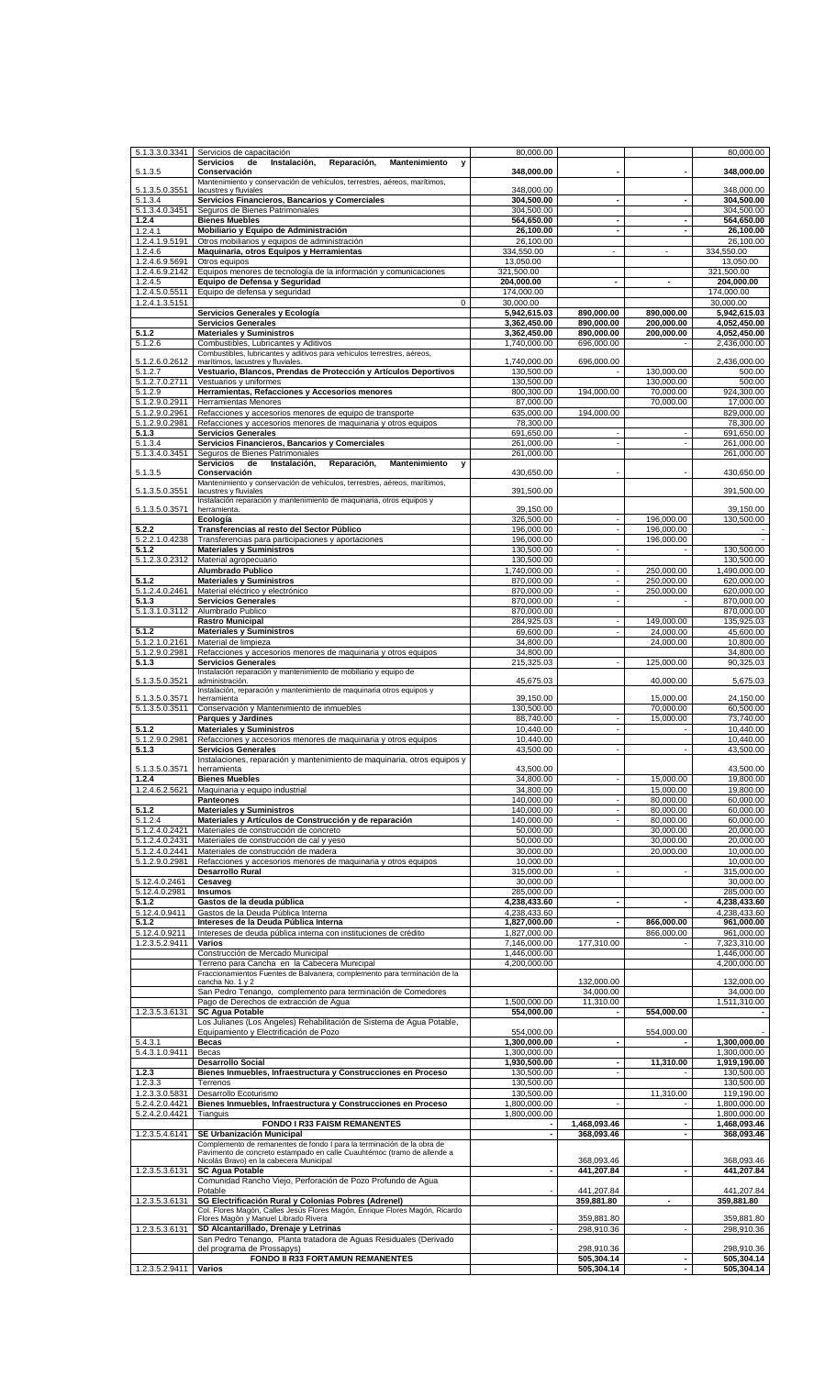| 5.1.3.3.0.3341                         | Servicios de capacitación                                                                                                  | 80,000.00                    |                                            |                          | 80,000.00                    |
|----------------------------------------|----------------------------------------------------------------------------------------------------------------------------|------------------------------|--------------------------------------------|--------------------------|------------------------------|
| 5.1.3.5                                | Reparación,<br><b>Mantenimiento</b><br>Servicios<br>de<br>Instalación.<br>y<br>Conservación                                | 348,000.00                   |                                            |                          | 348,000.00                   |
|                                        | Mantenimiento y conservación de vehículos, terrestres, aéreos, marítimos,                                                  |                              |                                            |                          |                              |
| 5.1.3.5.0.3551<br>5.1.3.4              | lacustres y fluviales<br>Servicios Financieros, Bancarios y Comerciales                                                    | 348.000.00<br>304,500.00     | ٠                                          |                          | 348,000.00<br>304,500.00     |
| 5.1.3.4.0.3451                         | Seguros de Bienes Patrimoniales                                                                                            | 304,500.00                   |                                            |                          | 304,500.00                   |
| 1.2.4<br>1.2.4.1                       | <b>Bienes Muebles</b><br>Mobiliario y Equipo de Administración                                                             | 564,650.00<br>26,100.00      | $\overline{\phantom{a}}$<br>$\blacksquare$ | $\overline{a}$           | 564,650.00<br>26,100.00      |
| 1.2.4.1.9.5191                         | Otros mobiliarios y equipos de administración                                                                              | 26,100.00                    |                                            |                          | 26,100.00                    |
| 1.2.4.6<br>1.2.4.6.9.5691              | Maquinaria, otros Equipos y Herramientas<br>Otros equipos                                                                  | 334,550.00<br>13,050.00      | $\blacksquare$                             | $\overline{\phantom{a}}$ | 334,550.00<br>13,050.00      |
| 1.2.4.6.9.2142                         | Equipos menores de tecnología de la información y comunicaciones                                                           | 321,500.00                   |                                            |                          | 321,500.00                   |
| 1.2.4.5                                | Equipo de Defensa y Seguridad                                                                                              | 204,000.00                   |                                            | ٠                        | 204,000.00                   |
| 1.2.4.5.0.5511<br>1.2.4.1.3.5151       | Equipo de defensa y seguridad<br>$\mathbf 0$                                                                               | 174.000.00<br>30,000.00      |                                            |                          | 174,000.00<br>30,000.00      |
|                                        | Servicios Generales y Ecología                                                                                             | 5,942,615.03                 | 890,000.00                                 | 890,000.00               | 5,942,615.03                 |
| 5.1.2                                  | <b>Servicios Generales</b><br><b>Materiales y Suministros</b>                                                              | 3,362,450.00<br>3,362,450.00 | 890.000.00<br>890,000.00                   | 200,000.00<br>200,000.00 | 4,052,450.00<br>4,052,450.00 |
| 5.1.2.6                                | Combustibles, Lubricantes y Aditivos                                                                                       | 1,740,000.00                 | 696,000.00                                 |                          | 2,436,000.00                 |
| 5.1.2.6.0.2612                         | Combustibles, lubricantes y aditivos para vehículos terrestres, aéreos,<br>marítimos, lacustres y fluviales.               | 1,740,000.00                 | 696,000.00                                 |                          | 2,436,000.00                 |
| 5.1.2.7                                | Vestuario, Blancos, Prendas de Protección y Artículos Deportivos                                                           | 130,500.00                   |                                            | 130,000.00               | 500.00                       |
| 5.1.2.7.0.2711<br>$5.1.2.\overline{9}$ | Vestuarios y uniformes<br>Herramientas, Refacciones y Accesorios menores                                                   | 130,500.00<br>800,300.00     | 194,000.00                                 | 130,000.00<br>70,000.00  | 500.00<br>924,300.00         |
| 5.1.2.9.0.2911                         | Herramientas Menores                                                                                                       | 87,000.00                    |                                            | 70,000.00                | 17,000.00                    |
| 5.1.2.9.0.2961<br>5.1.2.9.0.2981       | Refacciones y accesorios menores de equipo de transporte<br>Refacciones y accesorios menores de maquinaria y otros equipos | 635,000.00<br>78,300.00      | 194,000.00                                 |                          | 829,000.00<br>78.300.00      |
| 5.1.3                                  | <b>Servicios Generales</b>                                                                                                 | 691,650.00                   | $\overline{\phantom{a}}$                   |                          | 691,650.00                   |
| 5.1.3.4                                | Servicios Financieros, Bancarios y Comerciales                                                                             | 261,000.00                   | ÷,                                         |                          | 261,000.00                   |
| 5.1.3.4.0.3451                         | Seguros de Bienes Patrimoniales<br><b>Servicios</b><br>de<br>Instalación,<br>Reparación,<br><b>Mantenimiento</b><br>v      | 261,000.00                   |                                            |                          | 261,000.00                   |
| 5.1.3.5                                | Conservación                                                                                                               | 430,650.00                   |                                            |                          | 430,650.00                   |
| 5.1.3.5.0.3551                         | Mantenimiento y conservación de vehículos, terrestres, aéreos, marítimos,<br>lacustres y fluviales                         | 391,500.00                   |                                            |                          | 391,500.00                   |
| 5.1.3.5.0.3571                         | Instalación reparación y mantenimiento de maquinaria, otros equipos y<br>herramienta.                                      | 39,150.00                    |                                            |                          | 39,150.00                    |
|                                        | Ecología                                                                                                                   | 326.500.00                   | $\blacksquare$                             | 196,000.00               | 130,500.00                   |
| 5.2.2                                  | Transferencias al resto del Sector Público                                                                                 | 196,000.00                   | $\blacksquare$                             | 196,000.00               |                              |
| 5.2.2.1.0.4238<br>5.1.2                | Transferencias para participaciones y aportaciones<br><b>Materiales y Suministros</b>                                      | 196,000.00<br>130,500.00     | $\blacksquare$                             | 196,000.00               | 130,500.00                   |
| 5.1.2.3.0.2312                         | Material agropecuario                                                                                                      | 130,500.00                   |                                            |                          | 130,500.00                   |
| 5.1.2                                  | Alumbrado Publico<br><b>Materiales y Suministros</b>                                                                       | 1,740,000.00<br>870,000.00   | $\blacksquare$<br>$\overline{\phantom{a}}$ | 250,000.00<br>250,000.00 | 1,490,000.00<br>620,000.00   |
| 5.1.2.4.0.2461                         | Material eléctrico y electrónico                                                                                           | 870,000.00                   | $\blacksquare$                             | 250,000.00               | 620,000.00                   |
| 5.1.3                                  | <b>Servicios Generales</b>                                                                                                 | 870.000.00                   | $\blacksquare$                             |                          | 870,000.00                   |
| 5.1.3.1.0.3112                         | Alumbrado Publico<br><b>Rastro Municipal</b>                                                                               | 870,000.00<br>284,925.03     | $\blacksquare$                             | 149,000.00               | 870,000.00<br>135,925.03     |
| 5.1.2                                  | <b>Materiales y Suministros</b>                                                                                            | 69,600.00                    | $\blacksquare$                             | 24,000.00                | 45,600.00                    |
| 5.1.2.1.0.2161<br>5.1.2.9.0.2981       | Material de limpieza<br>Refacciones y accesorios menores de maquinaria y otros equipos                                     | 34,800.00<br>34,800.00       |                                            | 24,000.00                | 10,800.00<br>34,800.00       |
| 5.1.3                                  | <b>Servicios Generales</b>                                                                                                 | 215,325.03                   |                                            | 125,000.00               | 90,325.03                    |
| 5.1.3.5.0.3521                         | Instalación reparación y mantenimiento de mobiliario y equipo de<br>administración.                                        | 45,675.03                    |                                            | 40,000.00                | 5,675.03                     |
|                                        | Instalación, reparación y mantenimiento de maquinaria otros equipos y                                                      |                              |                                            | 15,000.00                |                              |
| 5.1.3.5.0.3571<br>5.1.3.5.0.3511       | herramienta<br>Conservación y Mantenimiento de inmuebles                                                                   | 39,150.00<br>130,500.00      |                                            | 70,000.00                | 24,150.00<br>60,500.00       |
|                                        | <b>Parques y Jardines</b>                                                                                                  | 88.740.00                    | $\overline{\phantom{a}}$                   | 15,000.00                | 73,740.00                    |
| 5.1.2<br>5.1.2.9.0.2981                | <b>Materiales y Suministros</b><br>Refacciones y accesorios menores de maquinaria y otros equipos                          | 10,440.00<br>10,440.00       | $\overline{a}$                             |                          | 10,440.00<br>10.440.00       |
| 5.1.3                                  | <b>Servicios Generales</b>                                                                                                 | 43,500.00                    | $\overline{\phantom{a}}$                   |                          | 43,500.00                    |
| 5.1.3.5.0.3571                         | Instalaciones, reparación y mantenimiento de maquinaria, otros equipos y<br>herramienta                                    | 43,500.00                    |                                            |                          | 43,500.00                    |
| 1.2.4                                  | <b>Bienes Muebles</b>                                                                                                      | 34,800.00                    | $\blacksquare$                             | 15,000.00                | 19,800.00                    |
| 1.2.4.6.2.5621                         | Maquinaria y equipo industrial                                                                                             | 34,800.00                    |                                            | 15,000.00                | 19,800.00                    |
| 5.1.2                                  | Panteones<br><b>Materiales y Suministros</b>                                                                               | 140,000.00<br>140,000.00     | $\blacksquare$<br>$\blacksquare$           | 80,000.00<br>80,000.00   | 60,000.00<br>60,000.00       |
| 5.1.2.4                                | Materiales y Artículos de Construcción y de reparación                                                                     | 140.000.00                   |                                            | 80,000.00                | 60,000.00                    |
| 5.1.2.4.0.2421<br>5.1.2.4.0.2431       | Materiales de construcción de concreto<br>Materiales de construcción de cal y yeso                                         | 50,000.00<br>50,000,00       |                                            | 30,000.00<br>30,000,00   | 20,000.00<br>20,000.00       |
| 5.1.2.4.0.2441                         | Materiales de construcción de madera                                                                                       | 30.000.00                    |                                            | 20,000.00                | 10.000.00                    |
| 5.1.2.9.0.2981                         | Refacciones y accesorios menores de maquinaria y otros equipos                                                             | 10,000.00<br>315,000,00      |                                            |                          | 10,000.00                    |
| 5.12.4.0.2461                          | <b>Desarrollo Rural</b><br>Cesaveg                                                                                         | 30,000.00                    |                                            |                          | 315,000.00<br>30,000,00      |
| 5.12.4.0.2981                          | <b>Insumos</b>                                                                                                             | 285,000.00                   |                                            |                          | 285,000.00                   |
| 5.1.2<br>5.12.4.0.9411                 | Gastos de la deuda pública<br>Gastos de la Deuda Pública Interna                                                           | 4,238,433.60<br>4,238,433.60 | $\blacksquare$                             |                          | 4,238,433.60<br>4,238,433.60 |
| 5.1.2                                  | Intereses de la Deuda Pública Interna                                                                                      | 1,827,000.00                 | ٠                                          | 866,000.00               | 961,000.00                   |
| 5.12.4.0.9211<br>1.2.3.5.2.9411        | Intereses de deuda pública interna con instituciones de crédito<br>Varios                                                  | 1,827,000.00<br>7,146,000.00 | 177,310.00                                 | 866,000.00               | 961,000.00<br>7,323,310.00   |
|                                        | Construcción de Mercado Municipal                                                                                          | 1,446,000.00                 |                                            |                          | 1,446,000.00                 |
|                                        | Terreno para Cancha en la Cabecera Municipal                                                                               | 4,200,000.00                 |                                            |                          | 4,200,000.00                 |
|                                        | Fraccionamientos Fuentes de Balvanera, complemento para terminación de la<br>cancha No. 1 y 2                              |                              | 132,000.00                                 |                          | 132,000.00                   |
|                                        | San Pedro Tenango, complemento para terminación de Comedores                                                               |                              | 34,000.00                                  |                          | 34,000.00                    |
| 1.2.3.5.3.6131                         | Pago de Derechos de extracción de Agua<br><b>SC Agua Potable</b>                                                           | 1,500,000.00<br>554,000.00   | 11,310.00                                  | 554,000.00               | 1,511,310.00                 |
|                                        | Los Julianes (Los Ángeles) Rehabilitación de Sistema de Agua Potable,                                                      |                              |                                            |                          |                              |
| 5.4.3.1                                | Equipamiento y Electrificación de Pozo<br>Becas                                                                            | 554,000.00<br>1,300,000.00   | ä,                                         | 554,000.00               | 1,300,000.00                 |
| 5.4.3.1.0.9411                         | Becas                                                                                                                      | 1,300,000.00                 |                                            |                          | 1,300,000.00                 |
| 1.2.3                                  | <b>Desarrollo Social</b><br>Bienes Inmuebles, Infraestructura y Construcciones en Proceso                                  | 1,930,500.00<br>130,500.00   | ٠<br>$\overline{\phantom{a}}$              | 11,310.00                | 1,919,190.00<br>130,500.00   |
| 1.2.3.3                                | Terrenos                                                                                                                   | 130,500.00                   |                                            |                          | 130,500.00                   |
| 1.2.3.3.0.5831<br>5.2.4.2.0.4421       | Desarrollo Ecoturismo<br>Bienes Inmuebles, Infraestructura y Construcciones en Proceso                                     | 130,500.00<br>1,800,000.00   |                                            | 11,310.00                | 119,190.00<br>1,800,000.00   |
| 5.2.4.2.0.4421                         | Tianguis                                                                                                                   | 1,800,000.00                 |                                            |                          | 1,800,000.00                 |
|                                        | <b>FONDO I R33 FAISM REMANENTES</b>                                                                                        |                              | 1,468,093.46                               |                          | 1,468,093.46                 |
| 1.2.3.5.4.6141                         | SE Urbanización Municipal<br>Complemento de remanentes de fondo I para la terminación de la obra de                        | $\blacksquare$               | 368,093.46                                 |                          | 368,093.46                   |
|                                        | Pavimento de concreto estampado en calle Cuauhtémoc (tramo de allende a<br>Nicolás Bravo) en la cabecera Municipal         |                              | 368,093.46                                 |                          | 368,093.46                   |
| 1.2.3.5.3.6131                         | <b>SC Agua Potable</b>                                                                                                     | ٠                            | 441,207.84                                 |                          | 441,207.84                   |
|                                        | Comunidad Rancho Viejo, Perforación de Pozo Profundo de Agua<br>Potable                                                    |                              | 441,207.84                                 |                          | 441,207.84                   |
| 1.2.3.5.3.6131                         | SG Electrificación Rural y Colonias Pobres (Adrenel)                                                                       |                              | 359,881.80                                 | $\blacksquare$           | 359,881.80                   |
|                                        | Col. Flores Magón, Calles Jesús Flores Magón, Enrique Flores Magón, Ricardo<br>Flores Magón y Manuel Librado Rivera        |                              | 359,881.80                                 |                          | 359,881.80                   |
| 1.2.3.5.3.6131                         | SD Alcantarillado, Drenaje y Letrinas                                                                                      | ÷,                           | 298,910.36                                 | ä,                       | 298,910.36                   |
|                                        | San Pedro Tenango, Planta tratadora de Aguas Residuales (Derivado<br>del programa de Prossapys)                            |                              | 298,910.36                                 |                          |                              |
|                                        | <b>FONDO II R33 FORTAMUN REMANENTES</b>                                                                                    |                              | 505.304.14                                 | $\blacksquare$           | 298,910.36<br>505,304.14     |
| 1.2.3.5.2.9411                         | Varios                                                                                                                     |                              | 505,304.14                                 |                          | 505,304.14                   |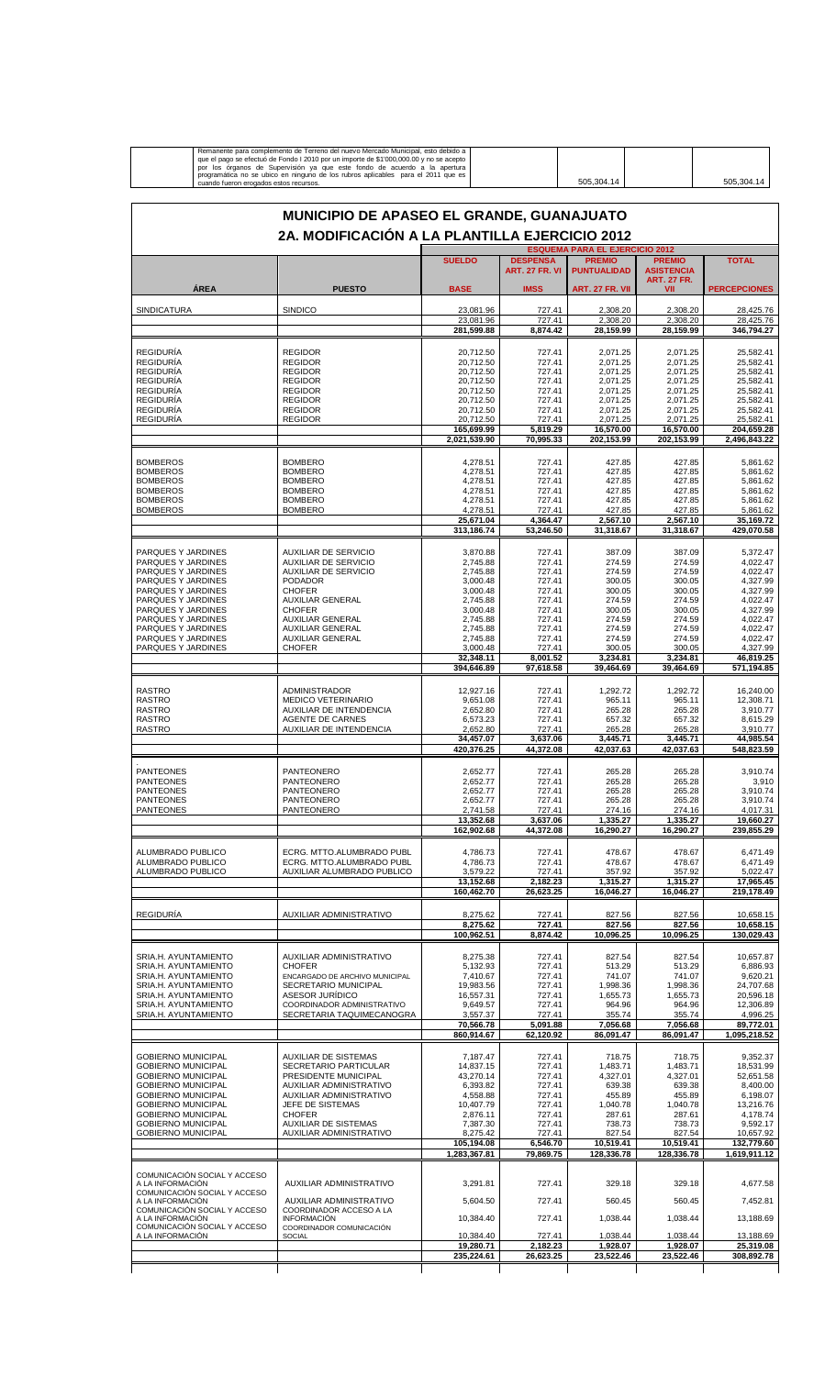| MUNICIPIO DE APASEO EL GRANDE, GUANAJUATO<br>2A. MODIFICACIÓN A LA PLANTILLA EJERCICIO 2012<br><b>ESQUEMA PARA EL EJERCICIO 2012</b><br><b>DESPENSA</b><br><b>SUELDO</b><br><b>PREMIO</b><br><b>PREMIO</b><br><b>TOTAL</b><br><b>ART. 27 FR. VI</b><br><b>PUNTUALIDAD</b><br><b>ASISTENCIA</b><br><b>ART. 27 FR.</b><br><b>ÁREA</b><br><b>PUESTO</b><br><b>BASE</b><br><b>IMSS</b><br><b>ART. 27 FR. VII</b><br>VII<br><b>PERCEPCIONES</b><br><b>SINDICO</b><br><b>SINDICATURA</b><br>23,081.96<br>727.41<br>2,308.20<br>2,308.20<br>28,425.76<br>23,081.96<br>727.41<br>2,308.20<br>2,308.20<br>28,425.76<br>281,599.88<br>8,874.42<br>28,159.99<br>28.159.99<br>346,794.27<br><b>REGIDURÍA</b><br><b>REGIDOR</b><br>20,712.50<br>727.41<br>2,071.25<br>2,071.25<br>25,582.41<br>20,712.50<br>2,071.25<br>2,071.25<br><b>REGIDURIA</b><br><b>REGIDOR</b><br>727.41<br>25,582.41<br><b>REGIDURÍA</b><br><b>REGIDOR</b><br>2,071.25<br>2,071.25<br>25,582.41<br>20,712.50<br>727.41<br><b>REGIDURÍA</b><br><b>REGIDOR</b><br>20,712.50<br>727.41<br>2,071.25<br>2,071.25<br>25,582.41<br><b>REGIDURIA</b><br><b>REGIDOR</b><br>20,712.50<br>727.41<br>2,071.25<br>2,071.25<br>25,582.41<br><b>REGIDURÍA</b><br>2,071.25<br>2,071.25<br>25,582.41<br><b>REGIDOR</b><br>20,712.50<br>727.41<br><b>REGIDURÍA</b><br><b>REGIDOR</b><br>20,712.50<br>727.41<br>2,071.25<br>2,071.25<br>25,582.41<br>2,071.25<br><b>REGIDURIA</b><br><b>REGIDOR</b><br>20,712.50<br>727.41<br>2.071.25<br>25,582.41<br>165,699.99<br>5,819.29<br>16,570.00<br>16,570.00<br>204,659.28<br>2,021,539.90<br>70,995.33<br>2,496,843.22<br>202,153.99<br>202,153.99<br><b>BOMBEROS</b><br><b>BOMBERO</b><br>4,278.51<br>727.41<br>427.85<br>427.85<br>5.861.62<br><b>BOMBEROS</b><br><b>BOMBERO</b><br>4,278.51<br>727.41<br>427.85<br>427.85<br>5,861.62<br><b>BOMBERO</b><br>4,278.51<br><b>BOMBEROS</b><br>727.41<br>427.85<br>427.85<br>5.861.62<br>5,861.62<br><b>BOMBEROS</b><br><b>BOMBERO</b><br>4,278.51<br>727.41<br>427.85<br>427.85<br><b>BOMBERO</b><br>4,278.51<br>727.41<br>427.85<br>427.85<br>5,861.62<br><b>BOMBEROS</b><br>727.41<br><b>BOMBEROS</b><br><b>BOMBERO</b><br>4,278.51<br>427.85<br>427.85<br>5,861.62<br>25,671.04<br>4,364.47<br>2.567.10<br>2,567.10<br>313,186.74<br>53,246.50<br>31,318.67<br>31,318.67<br>429,070.58<br>PARQUES Y JARDINES<br><b>AUXILIAR DE SERVICIO</b><br>3,870.88<br>727.41<br>387.09<br>5,372.47<br>387.09<br>727.41<br>PARQUES Y JARDINES<br><b>AUXILIAR DE SERVICIO</b><br>2,745.88<br>274.59<br>274.59<br>4,022.47<br>274.59<br>274.59<br>4,022.47<br>PARQUES Y JARDINES<br><b>AUXILIAR DE SERVICIO</b><br>2,745.88<br>727.41<br>PARQUES Y JARDINES<br><b>PODADOR</b><br>3,000.48<br>727.41<br>300.05<br>300.05<br>4,327.99<br><b>CHOFER</b><br>PARQUES Y JARDINES<br>3,000.48<br>727.41<br>300.05<br>300.05<br>4,327.99<br><b>AUXILIAR GENERAL</b><br>PARQUES Y JARDINES<br>2,745.88<br>727.41<br>274.59<br>274.59<br>4,022.47<br>PARQUES Y JARDINES<br><b>CHOFER</b><br>3,000.48<br>727.41<br>300.05<br>300.05<br>4,327.99<br>PARQUES Y JARDINES<br><b>AUXILIAR GENERAL</b><br>2,745.88<br>727.41<br>274.59<br>4,022.47<br>274.59<br>PARQUES Y JARDINES<br>4,022.47<br><b>AUXILIAR GENERAL</b><br>2,745.88<br>727.41<br>274.59<br>274.59<br>PARQUES Y JARDINES<br><b>AUXILIAR GENERAL</b><br>2,745.88<br>727.41<br>274.59<br>274.59<br>4,022.47<br>3,000.48<br>300.05<br>PARQUES Y JARDINES<br><b>CHOFER</b><br>727.41<br>300.05<br>4,327.99<br>32,348.11<br>8,001.52<br>46,819.25<br>3,234.81<br>3,234.81<br>97,618.58<br>394,646.89<br>39,464.69<br>39,464.69<br>571,194.85<br><b>RASTRO</b><br><b>ADMINISTRADOR</b><br>12,927.16<br>727.41<br>1,292.72<br>1,292.72<br>16,240.00<br><b>RASTRO</b><br><b>MEDICO VETERINARIO</b><br>9,651.08<br>727.41<br>965.11<br>965.11<br>12,308.71<br><b>RASTRO</b><br>AUXILIAR DE INTENDENCIA<br>2,652.80<br>727.41<br>265.28<br>265.28<br>3,910.77<br><b>RASTRO</b><br><b>AGENTE DE CARNES</b><br>6,573.23<br>657.32<br>657.32<br>8,615.29<br>727.41<br>AUXILIAR DE INTENDENCIA<br>2,652.80<br><b>RASTRO</b><br>727.41<br>265.28<br>265.28<br>3,910.77<br>44,985.54<br>34,457.07<br>3,637.06<br>3.445.71<br>3.445.71<br>420,376.25<br>44,372.08<br>42,037.63<br>42,037.63<br>548,823.59<br>265.28<br><b>PANTEONES</b><br>PANTEONERO<br>2,652.77<br>727.41<br>265.28<br>3,910.74<br><b>PANTEONES</b><br>PANTEONERO<br>2,652.77<br>727.41<br>265.28<br>265.28<br>3,910<br>2,652.77<br>727.41<br>265.28<br>265.28<br>3,910.74<br><b>PANTEONES</b><br>PANTEONERO<br><b>PANTEONES</b><br>PANTEONERO<br>2,652.77<br>727.41<br>265.28<br>265.28<br>3,910.74<br><b>PANTEONES</b><br>PANTEONERO<br>2,741.58<br>727.41<br>274.16<br>274.16<br>4,017.31<br>13,352.68<br>3.637.06<br>1,335.27<br>1.335.27<br>19,660.27<br>162,902.68<br>44,372.08<br>16,290.27<br>16,290.27<br>239.855.29<br>ECRG. MTTO.ALUMBRADO PUBL<br>ALUMBRADO PUBLICO<br>4,786.73<br>727.41<br>478.67<br>478.67<br>6.471.49<br>ECRG. MTTO.ALUMBRADO PUBL<br>4,786.73<br>ALUMBRADO PUBLICO<br>727.41<br>478.67<br>478.67<br>6.471.49<br>ALUMBRADO PUBLICO<br>AUXILIAR ALUMBRADO PUBLICO<br>3,579.22<br>727.41<br>357.92<br>357.92<br>5.022.47<br>2,182.23<br>13,152.68<br>1,315.27<br>1,315.27<br>17.965.45<br>160,462.70<br>26,623.25<br>16,046.27<br>219,178.49<br>16.046.27<br><b>REGIDURÍA</b><br>AUXILIAR ADMINISTRATIVO<br>827.56<br>8,275.62<br>727.41<br>827.56<br>10,658.15<br>8.275.62<br>727.41<br>827.56<br>827.56<br>100,962.51<br>8,874.42<br>10,096.25<br>10,096.25<br>130,029.43<br>SRIA.H. AYUNTAMIENTO<br>AUXILIAR ADMINISTRATIVO<br>8,275.38<br>727.41<br>827.54<br>827.54<br>10,657.87<br>5,132.93<br>727.41<br>513.29<br>513.29<br>SRIA.H. AYUNTAMIENTO<br><b>CHOFER</b><br>6,886.93<br>SRIA.H. AYUNTAMIENTO<br>ENCARGADO DE ARCHIVO MUNICIPAL<br>7,410.67<br>727.41<br>741.07<br>741.07<br>9,620.21<br>SECRETARIO MUNICIPAL<br>19,983.56<br>727.41<br>1,998.36<br>SRIA.H. AYUNTAMIENTO<br>1,998.36<br>24,707.68<br>ASESOR JURÍDICO<br>20,596.18<br>SRIA.H. AYUNTAMIENTO<br>16,557.31<br>727.41<br>1,655.73<br>1,655.73<br>SRIA.H. AYUNTAMIENTO<br>COORDINADOR ADMINISTRATIVO<br>9,649.57<br>727.41<br>964.96<br>964.96<br>12,306.89<br>355.74<br>4,996.25<br>SRIA.H. AYUNTAMIENTO<br>SECRETARIA TAQUIMECANOGRA<br>3,557.37<br>727.41<br>355.74<br>70,566.78<br>5,091.88<br>7,056.68<br>7,056.68<br>89,772.01<br>860,914.67<br>62,120.92<br>86,091.47<br>86,091.47<br>1,095,218.52<br><b>GOBIERNO MUNICIPAL</b><br>727.41<br><b>AUXILIAR DE SISTEMAS</b><br>7,187.47<br>718.75<br>718.75<br>9,352.37<br><b>GOBIERNO MUNICIPAL</b><br>SECRETARIO PARTICULAR<br>14,837.15<br>727.41<br>1,483.71<br>1,483.71<br>18,531.99<br>43,270.14<br><b>GOBIERNO MUNICIPAL</b><br>PRESIDENTE MUNICIPAL<br>727.41<br>4,327.01<br>4,327.01<br>52,651.58<br><b>GOBIERNO MUNICIPAL</b><br>AUXILIAR ADMINISTRATIVO<br>6,393.82<br>727.41<br>639.38<br>639.38<br>8,400.00<br><b>GOBIERNO MUNICIPAL</b><br>AUXILIAR ADMINISTRATIVO<br>4,558.88<br>727.41<br>455.89<br>455.89<br>6,198.07<br><b>GOBIERNO MUNICIPAL</b><br>JEFE DE SISTEMAS<br>10,407.79<br>727.41<br>1,040.78<br>1,040.78<br>13,216.76<br><b>GOBIERNO MUNICIPAL</b><br><b>CHOFER</b><br>2,876.11<br>727.41<br>287.61<br>287.61<br>4,178.74<br><b>GOBIERNO MUNICIPAL</b><br><b>AUXILIAR DE SISTEMAS</b><br>7,387.30<br>727.41<br>738.73<br>738.73<br>9,592.17<br><b>GOBIERNO MUNICIPAL</b><br>AUXILIAR ADMINISTRATIVO<br>8,275.42<br>727.41<br>827.54<br>827.54<br>10,657.92<br>6,546.70<br>132,779.60<br>105,194.08<br>10,519.41<br>10,519.41<br>1,283,367.81<br>79,869.75<br>128,336.78<br>128,336.78<br>COMUNICACIÓN SOCIAL Y ACCESO<br>A LA INFORMACIÓN<br>AUXILIAR ADMINISTRATIVO<br>3,291.81<br>727.41<br>329.18<br>329.18<br>4,677.58<br>COMUNICACIÓN SOCIAL Y ACCESO<br>A LA INFORMACIÓN<br>AUXILIAR ADMINISTRATIVO<br>5,604.50<br>727.41<br>560.45<br>560.45<br>7,452.81<br>COMUNICACIÓN SOCIAL Y ACCESO<br>COORDINADOR ACCESO A LA<br>1,038.44<br>A LA INFORMACIÓN<br><b>INFORMACIÓN</b><br>10,384.40<br>727.41<br>1,038.44<br>13,188.69<br>COMUNICACIÓN SOCIAL Y ACCESO<br>COORDINADOR COMUNICACIÓN<br>1,038.44<br>A LA INFORMACIÓN<br>10,384.40<br>727.41<br>1,038.44<br>13.188.69<br><b>SOCIAL</b><br>19,280.71<br>2.182.23<br>1,928.07<br>1,928.07<br>25,319.08<br>235,224.61<br>26,623.25<br>23,522.46<br>23,522.46<br>308,892.78 | cuando fueron erogados estos recursos. | Remanente para complemento de Terreno del nuevo Mercado Municipal, esto debido a<br>que el pago se efectuó de Fondo I 2010 por un importe de \$1'000,000.00 y no se acepto<br>por los órganos de Supervisión ya que este fondo de acuerdo a la apertura<br>programática no se ubico en ninguno de los rubros aplicables para el 2011 que es |  |  | 505,304.14 |  | 505,304.14 |  |  |
|---------------------------------------------------------------------------------------------------------------------------------------------------------------------------------------------------------------------------------------------------------------------------------------------------------------------------------------------------------------------------------------------------------------------------------------------------------------------------------------------------------------------------------------------------------------------------------------------------------------------------------------------------------------------------------------------------------------------------------------------------------------------------------------------------------------------------------------------------------------------------------------------------------------------------------------------------------------------------------------------------------------------------------------------------------------------------------------------------------------------------------------------------------------------------------------------------------------------------------------------------------------------------------------------------------------------------------------------------------------------------------------------------------------------------------------------------------------------------------------------------------------------------------------------------------------------------------------------------------------------------------------------------------------------------------------------------------------------------------------------------------------------------------------------------------------------------------------------------------------------------------------------------------------------------------------------------------------------------------------------------------------------------------------------------------------------------------------------------------------------------------------------------------------------------------------------------------------------------------------------------------------------------------------------------------------------------------------------------------------------------------------------------------------------------------------------------------------------------------------------------------------------------------------------------------------------------------------------------------------------------------------------------------------------------------------------------------------------------------------------------------------------------------------------------------------------------------------------------------------------------------------------------------------------------------------------------------------------------------------------------------------------------------------------------------------------------------------------------------------------------------------------------------------------------------------------------------------------------------------------------------------------------------------------------------------------------------------------------------------------------------------------------------------------------------------------------------------------------------------------------------------------------------------------------------------------------------------------------------------------------------------------------------------------------------------------------------------------------------------------------------------------------------------------------------------------------------------------------------------------------------------------------------------------------------------------------------------------------------------------------------------------------------------------------------------------------------------------------------------------------------------------------------------------------------------------------------------------------------------------------------------------------------------------------------------------------------------------------------------------------------------------------------------------------------------------------------------------------------------------------------------------------------------------------------------------------------------------------------------------------------------------------------------------------------------------------------------------------------------------------------------------------------------------------------------------------------------------------------------------------------------------------------------------------------------------------------------------------------------------------------------------------------------------------------------------------------------------------------------------------------------------------------------------------------------------------------------------------------------------------------------------------------------------------------------------------------------------------------------------------------------------------------------------------------------------------------------------------------------------------------------------------------------------------------------------------------------------------------------------------------------------------------------------------------------------------------------------------------------------------------------------------------------------------------------------------------------------------------------------------------------------------------------------------------------------------------------------------------------------------------------------------------------------------------------------------------------------------------------------------------------------------------------------------------------------------------------------------------------------------------------------------------------------------------------------------------------------------------------------------------------------------------------------------------------------------------------------------------------------------------------------------------------------------------------------------------------------------------------------------------------------------------------------------------------------------------------------------------------------------------------------------------------------------------------------------------------------------------------------------------------------------------------------------------------------------------------------------------------------------------------------------------------------------------------------------------------------------------------------------------------------------------------------------------------------------------------------------------------------------------------------------------------------------------------------------------------------------------------------------------------------------------------------------------------------------------------------------------------------------------------------------------------------------------------------------------------------------------------------------------------------------------------------------------------------------------------------------------------------------------------------------------------------------------------------------------------------------------------------------------------------------------------------------------------------------------------------------------------------------------------------------------------------------------------------------------------------------------------------------------------------------------------------------------------------------------------------------------------------------------------------------------------------------------------------------------------------------|----------------------------------------|---------------------------------------------------------------------------------------------------------------------------------------------------------------------------------------------------------------------------------------------------------------------------------------------------------------------------------------------|--|--|------------|--|------------|--|--|
|                                                                                                                                                                                                                                                                                                                                                                                                                                                                                                                                                                                                                                                                                                                                                                                                                                                                                                                                                                                                                                                                                                                                                                                                                                                                                                                                                                                                                                                                                                                                                                                                                                                                                                                                                                                                                                                                                                                                                                                                                                                                                                                                                                                                                                                                                                                                                                                                                                                                                                                                                                                                                                                                                                                                                                                                                                                                                                                                                                                                                                                                                                                                                                                                                                                                                                                                                                                                                                                                                                                                                                                                                                                                                                                                                                                                                                                                                                                                                                                                                                                                                                                                                                                                                                                                                                                                                                                                                                                                                                                                                                                                                                                                                                                                                                                                                                                                                                                                                                                                                                                                                                                                                                                                                                                                                                                                                                                                                                                                                                                                                                                                                                                                                                                                                                                                                                                                                                                                                                                                                                                                                                                                                                                                                                                                                                                                                                                                                                                                                                                                                                                                                                                                                                                                                                                                                                                                                                                                                                                                                                                                                                                                                                                                                                                                                                                                                                                                                                                                                                                                                                                                                                                                                                                                                                                                                                                                                                                                                                                                                                                                                                                                                                                                                                                                                                                                                   |                                        |                                                                                                                                                                                                                                                                                                                                             |  |  |            |  |            |  |  |
|                                                                                                                                                                                                                                                                                                                                                                                                                                                                                                                                                                                                                                                                                                                                                                                                                                                                                                                                                                                                                                                                                                                                                                                                                                                                                                                                                                                                                                                                                                                                                                                                                                                                                                                                                                                                                                                                                                                                                                                                                                                                                                                                                                                                                                                                                                                                                                                                                                                                                                                                                                                                                                                                                                                                                                                                                                                                                                                                                                                                                                                                                                                                                                                                                                                                                                                                                                                                                                                                                                                                                                                                                                                                                                                                                                                                                                                                                                                                                                                                                                                                                                                                                                                                                                                                                                                                                                                                                                                                                                                                                                                                                                                                                                                                                                                                                                                                                                                                                                                                                                                                                                                                                                                                                                                                                                                                                                                                                                                                                                                                                                                                                                                                                                                                                                                                                                                                                                                                                                                                                                                                                                                                                                                                                                                                                                                                                                                                                                                                                                                                                                                                                                                                                                                                                                                                                                                                                                                                                                                                                                                                                                                                                                                                                                                                                                                                                                                                                                                                                                                                                                                                                                                                                                                                                                                                                                                                                                                                                                                                                                                                                                                                                                                                                                                                                                                                                   |                                        |                                                                                                                                                                                                                                                                                                                                             |  |  |            |  |            |  |  |
| 35,169.72<br>10,658.15<br>1,619,911.12                                                                                                                                                                                                                                                                                                                                                                                                                                                                                                                                                                                                                                                                                                                                                                                                                                                                                                                                                                                                                                                                                                                                                                                                                                                                                                                                                                                                                                                                                                                                                                                                                                                                                                                                                                                                                                                                                                                                                                                                                                                                                                                                                                                                                                                                                                                                                                                                                                                                                                                                                                                                                                                                                                                                                                                                                                                                                                                                                                                                                                                                                                                                                                                                                                                                                                                                                                                                                                                                                                                                                                                                                                                                                                                                                                                                                                                                                                                                                                                                                                                                                                                                                                                                                                                                                                                                                                                                                                                                                                                                                                                                                                                                                                                                                                                                                                                                                                                                                                                                                                                                                                                                                                                                                                                                                                                                                                                                                                                                                                                                                                                                                                                                                                                                                                                                                                                                                                                                                                                                                                                                                                                                                                                                                                                                                                                                                                                                                                                                                                                                                                                                                                                                                                                                                                                                                                                                                                                                                                                                                                                                                                                                                                                                                                                                                                                                                                                                                                                                                                                                                                                                                                                                                                                                                                                                                                                                                                                                                                                                                                                                                                                                                                                                                                                                                                            |                                        |                                                                                                                                                                                                                                                                                                                                             |  |  |            |  |            |  |  |
|                                                                                                                                                                                                                                                                                                                                                                                                                                                                                                                                                                                                                                                                                                                                                                                                                                                                                                                                                                                                                                                                                                                                                                                                                                                                                                                                                                                                                                                                                                                                                                                                                                                                                                                                                                                                                                                                                                                                                                                                                                                                                                                                                                                                                                                                                                                                                                                                                                                                                                                                                                                                                                                                                                                                                                                                                                                                                                                                                                                                                                                                                                                                                                                                                                                                                                                                                                                                                                                                                                                                                                                                                                                                                                                                                                                                                                                                                                                                                                                                                                                                                                                                                                                                                                                                                                                                                                                                                                                                                                                                                                                                                                                                                                                                                                                                                                                                                                                                                                                                                                                                                                                                                                                                                                                                                                                                                                                                                                                                                                                                                                                                                                                                                                                                                                                                                                                                                                                                                                                                                                                                                                                                                                                                                                                                                                                                                                                                                                                                                                                                                                                                                                                                                                                                                                                                                                                                                                                                                                                                                                                                                                                                                                                                                                                                                                                                                                                                                                                                                                                                                                                                                                                                                                                                                                                                                                                                                                                                                                                                                                                                                                                                                                                                                                                                                                                                                   |                                        |                                                                                                                                                                                                                                                                                                                                             |  |  |            |  |            |  |  |
|                                                                                                                                                                                                                                                                                                                                                                                                                                                                                                                                                                                                                                                                                                                                                                                                                                                                                                                                                                                                                                                                                                                                                                                                                                                                                                                                                                                                                                                                                                                                                                                                                                                                                                                                                                                                                                                                                                                                                                                                                                                                                                                                                                                                                                                                                                                                                                                                                                                                                                                                                                                                                                                                                                                                                                                                                                                                                                                                                                                                                                                                                                                                                                                                                                                                                                                                                                                                                                                                                                                                                                                                                                                                                                                                                                                                                                                                                                                                                                                                                                                                                                                                                                                                                                                                                                                                                                                                                                                                                                                                                                                                                                                                                                                                                                                                                                                                                                                                                                                                                                                                                                                                                                                                                                                                                                                                                                                                                                                                                                                                                                                                                                                                                                                                                                                                                                                                                                                                                                                                                                                                                                                                                                                                                                                                                                                                                                                                                                                                                                                                                                                                                                                                                                                                                                                                                                                                                                                                                                                                                                                                                                                                                                                                                                                                                                                                                                                                                                                                                                                                                                                                                                                                                                                                                                                                                                                                                                                                                                                                                                                                                                                                                                                                                                                                                                                                                   |                                        |                                                                                                                                                                                                                                                                                                                                             |  |  |            |  |            |  |  |
|                                                                                                                                                                                                                                                                                                                                                                                                                                                                                                                                                                                                                                                                                                                                                                                                                                                                                                                                                                                                                                                                                                                                                                                                                                                                                                                                                                                                                                                                                                                                                                                                                                                                                                                                                                                                                                                                                                                                                                                                                                                                                                                                                                                                                                                                                                                                                                                                                                                                                                                                                                                                                                                                                                                                                                                                                                                                                                                                                                                                                                                                                                                                                                                                                                                                                                                                                                                                                                                                                                                                                                                                                                                                                                                                                                                                                                                                                                                                                                                                                                                                                                                                                                                                                                                                                                                                                                                                                                                                                                                                                                                                                                                                                                                                                                                                                                                                                                                                                                                                                                                                                                                                                                                                                                                                                                                                                                                                                                                                                                                                                                                                                                                                                                                                                                                                                                                                                                                                                                                                                                                                                                                                                                                                                                                                                                                                                                                                                                                                                                                                                                                                                                                                                                                                                                                                                                                                                                                                                                                                                                                                                                                                                                                                                                                                                                                                                                                                                                                                                                                                                                                                                                                                                                                                                                                                                                                                                                                                                                                                                                                                                                                                                                                                                                                                                                                                                   |                                        |                                                                                                                                                                                                                                                                                                                                             |  |  |            |  |            |  |  |
|                                                                                                                                                                                                                                                                                                                                                                                                                                                                                                                                                                                                                                                                                                                                                                                                                                                                                                                                                                                                                                                                                                                                                                                                                                                                                                                                                                                                                                                                                                                                                                                                                                                                                                                                                                                                                                                                                                                                                                                                                                                                                                                                                                                                                                                                                                                                                                                                                                                                                                                                                                                                                                                                                                                                                                                                                                                                                                                                                                                                                                                                                                                                                                                                                                                                                                                                                                                                                                                                                                                                                                                                                                                                                                                                                                                                                                                                                                                                                                                                                                                                                                                                                                                                                                                                                                                                                                                                                                                                                                                                                                                                                                                                                                                                                                                                                                                                                                                                                                                                                                                                                                                                                                                                                                                                                                                                                                                                                                                                                                                                                                                                                                                                                                                                                                                                                                                                                                                                                                                                                                                                                                                                                                                                                                                                                                                                                                                                                                                                                                                                                                                                                                                                                                                                                                                                                                                                                                                                                                                                                                                                                                                                                                                                                                                                                                                                                                                                                                                                                                                                                                                                                                                                                                                                                                                                                                                                                                                                                                                                                                                                                                                                                                                                                                                                                                                                                   |                                        |                                                                                                                                                                                                                                                                                                                                             |  |  |            |  |            |  |  |
|                                                                                                                                                                                                                                                                                                                                                                                                                                                                                                                                                                                                                                                                                                                                                                                                                                                                                                                                                                                                                                                                                                                                                                                                                                                                                                                                                                                                                                                                                                                                                                                                                                                                                                                                                                                                                                                                                                                                                                                                                                                                                                                                                                                                                                                                                                                                                                                                                                                                                                                                                                                                                                                                                                                                                                                                                                                                                                                                                                                                                                                                                                                                                                                                                                                                                                                                                                                                                                                                                                                                                                                                                                                                                                                                                                                                                                                                                                                                                                                                                                                                                                                                                                                                                                                                                                                                                                                                                                                                                                                                                                                                                                                                                                                                                                                                                                                                                                                                                                                                                                                                                                                                                                                                                                                                                                                                                                                                                                                                                                                                                                                                                                                                                                                                                                                                                                                                                                                                                                                                                                                                                                                                                                                                                                                                                                                                                                                                                                                                                                                                                                                                                                                                                                                                                                                                                                                                                                                                                                                                                                                                                                                                                                                                                                                                                                                                                                                                                                                                                                                                                                                                                                                                                                                                                                                                                                                                                                                                                                                                                                                                                                                                                                                                                                                                                                                                                   |                                        |                                                                                                                                                                                                                                                                                                                                             |  |  |            |  |            |  |  |
|                                                                                                                                                                                                                                                                                                                                                                                                                                                                                                                                                                                                                                                                                                                                                                                                                                                                                                                                                                                                                                                                                                                                                                                                                                                                                                                                                                                                                                                                                                                                                                                                                                                                                                                                                                                                                                                                                                                                                                                                                                                                                                                                                                                                                                                                                                                                                                                                                                                                                                                                                                                                                                                                                                                                                                                                                                                                                                                                                                                                                                                                                                                                                                                                                                                                                                                                                                                                                                                                                                                                                                                                                                                                                                                                                                                                                                                                                                                                                                                                                                                                                                                                                                                                                                                                                                                                                                                                                                                                                                                                                                                                                                                                                                                                                                                                                                                                                                                                                                                                                                                                                                                                                                                                                                                                                                                                                                                                                                                                                                                                                                                                                                                                                                                                                                                                                                                                                                                                                                                                                                                                                                                                                                                                                                                                                                                                                                                                                                                                                                                                                                                                                                                                                                                                                                                                                                                                                                                                                                                                                                                                                                                                                                                                                                                                                                                                                                                                                                                                                                                                                                                                                                                                                                                                                                                                                                                                                                                                                                                                                                                                                                                                                                                                                                                                                                                                                   |                                        |                                                                                                                                                                                                                                                                                                                                             |  |  |            |  |            |  |  |
|                                                                                                                                                                                                                                                                                                                                                                                                                                                                                                                                                                                                                                                                                                                                                                                                                                                                                                                                                                                                                                                                                                                                                                                                                                                                                                                                                                                                                                                                                                                                                                                                                                                                                                                                                                                                                                                                                                                                                                                                                                                                                                                                                                                                                                                                                                                                                                                                                                                                                                                                                                                                                                                                                                                                                                                                                                                                                                                                                                                                                                                                                                                                                                                                                                                                                                                                                                                                                                                                                                                                                                                                                                                                                                                                                                                                                                                                                                                                                                                                                                                                                                                                                                                                                                                                                                                                                                                                                                                                                                                                                                                                                                                                                                                                                                                                                                                                                                                                                                                                                                                                                                                                                                                                                                                                                                                                                                                                                                                                                                                                                                                                                                                                                                                                                                                                                                                                                                                                                                                                                                                                                                                                                                                                                                                                                                                                                                                                                                                                                                                                                                                                                                                                                                                                                                                                                                                                                                                                                                                                                                                                                                                                                                                                                                                                                                                                                                                                                                                                                                                                                                                                                                                                                                                                                                                                                                                                                                                                                                                                                                                                                                                                                                                                                                                                                                                                                   |                                        |                                                                                                                                                                                                                                                                                                                                             |  |  |            |  |            |  |  |
|                                                                                                                                                                                                                                                                                                                                                                                                                                                                                                                                                                                                                                                                                                                                                                                                                                                                                                                                                                                                                                                                                                                                                                                                                                                                                                                                                                                                                                                                                                                                                                                                                                                                                                                                                                                                                                                                                                                                                                                                                                                                                                                                                                                                                                                                                                                                                                                                                                                                                                                                                                                                                                                                                                                                                                                                                                                                                                                                                                                                                                                                                                                                                                                                                                                                                                                                                                                                                                                                                                                                                                                                                                                                                                                                                                                                                                                                                                                                                                                                                                                                                                                                                                                                                                                                                                                                                                                                                                                                                                                                                                                                                                                                                                                                                                                                                                                                                                                                                                                                                                                                                                                                                                                                                                                                                                                                                                                                                                                                                                                                                                                                                                                                                                                                                                                                                                                                                                                                                                                                                                                                                                                                                                                                                                                                                                                                                                                                                                                                                                                                                                                                                                                                                                                                                                                                                                                                                                                                                                                                                                                                                                                                                                                                                                                                                                                                                                                                                                                                                                                                                                                                                                                                                                                                                                                                                                                                                                                                                                                                                                                                                                                                                                                                                                                                                                                                                   |                                        |                                                                                                                                                                                                                                                                                                                                             |  |  |            |  |            |  |  |
|                                                                                                                                                                                                                                                                                                                                                                                                                                                                                                                                                                                                                                                                                                                                                                                                                                                                                                                                                                                                                                                                                                                                                                                                                                                                                                                                                                                                                                                                                                                                                                                                                                                                                                                                                                                                                                                                                                                                                                                                                                                                                                                                                                                                                                                                                                                                                                                                                                                                                                                                                                                                                                                                                                                                                                                                                                                                                                                                                                                                                                                                                                                                                                                                                                                                                                                                                                                                                                                                                                                                                                                                                                                                                                                                                                                                                                                                                                                                                                                                                                                                                                                                                                                                                                                                                                                                                                                                                                                                                                                                                                                                                                                                                                                                                                                                                                                                                                                                                                                                                                                                                                                                                                                                                                                                                                                                                                                                                                                                                                                                                                                                                                                                                                                                                                                                                                                                                                                                                                                                                                                                                                                                                                                                                                                                                                                                                                                                                                                                                                                                                                                                                                                                                                                                                                                                                                                                                                                                                                                                                                                                                                                                                                                                                                                                                                                                                                                                                                                                                                                                                                                                                                                                                                                                                                                                                                                                                                                                                                                                                                                                                                                                                                                                                                                                                                                                                   |                                        |                                                                                                                                                                                                                                                                                                                                             |  |  |            |  |            |  |  |
|                                                                                                                                                                                                                                                                                                                                                                                                                                                                                                                                                                                                                                                                                                                                                                                                                                                                                                                                                                                                                                                                                                                                                                                                                                                                                                                                                                                                                                                                                                                                                                                                                                                                                                                                                                                                                                                                                                                                                                                                                                                                                                                                                                                                                                                                                                                                                                                                                                                                                                                                                                                                                                                                                                                                                                                                                                                                                                                                                                                                                                                                                                                                                                                                                                                                                                                                                                                                                                                                                                                                                                                                                                                                                                                                                                                                                                                                                                                                                                                                                                                                                                                                                                                                                                                                                                                                                                                                                                                                                                                                                                                                                                                                                                                                                                                                                                                                                                                                                                                                                                                                                                                                                                                                                                                                                                                                                                                                                                                                                                                                                                                                                                                                                                                                                                                                                                                                                                                                                                                                                                                                                                                                                                                                                                                                                                                                                                                                                                                                                                                                                                                                                                                                                                                                                                                                                                                                                                                                                                                                                                                                                                                                                                                                                                                                                                                                                                                                                                                                                                                                                                                                                                                                                                                                                                                                                                                                                                                                                                                                                                                                                                                                                                                                                                                                                                                                                   |                                        |                                                                                                                                                                                                                                                                                                                                             |  |  |            |  |            |  |  |
|                                                                                                                                                                                                                                                                                                                                                                                                                                                                                                                                                                                                                                                                                                                                                                                                                                                                                                                                                                                                                                                                                                                                                                                                                                                                                                                                                                                                                                                                                                                                                                                                                                                                                                                                                                                                                                                                                                                                                                                                                                                                                                                                                                                                                                                                                                                                                                                                                                                                                                                                                                                                                                                                                                                                                                                                                                                                                                                                                                                                                                                                                                                                                                                                                                                                                                                                                                                                                                                                                                                                                                                                                                                                                                                                                                                                                                                                                                                                                                                                                                                                                                                                                                                                                                                                                                                                                                                                                                                                                                                                                                                                                                                                                                                                                                                                                                                                                                                                                                                                                                                                                                                                                                                                                                                                                                                                                                                                                                                                                                                                                                                                                                                                                                                                                                                                                                                                                                                                                                                                                                                                                                                                                                                                                                                                                                                                                                                                                                                                                                                                                                                                                                                                                                                                                                                                                                                                                                                                                                                                                                                                                                                                                                                                                                                                                                                                                                                                                                                                                                                                                                                                                                                                                                                                                                                                                                                                                                                                                                                                                                                                                                                                                                                                                                                                                                                                                   |                                        |                                                                                                                                                                                                                                                                                                                                             |  |  |            |  |            |  |  |
|                                                                                                                                                                                                                                                                                                                                                                                                                                                                                                                                                                                                                                                                                                                                                                                                                                                                                                                                                                                                                                                                                                                                                                                                                                                                                                                                                                                                                                                                                                                                                                                                                                                                                                                                                                                                                                                                                                                                                                                                                                                                                                                                                                                                                                                                                                                                                                                                                                                                                                                                                                                                                                                                                                                                                                                                                                                                                                                                                                                                                                                                                                                                                                                                                                                                                                                                                                                                                                                                                                                                                                                                                                                                                                                                                                                                                                                                                                                                                                                                                                                                                                                                                                                                                                                                                                                                                                                                                                                                                                                                                                                                                                                                                                                                                                                                                                                                                                                                                                                                                                                                                                                                                                                                                                                                                                                                                                                                                                                                                                                                                                                                                                                                                                                                                                                                                                                                                                                                                                                                                                                                                                                                                                                                                                                                                                                                                                                                                                                                                                                                                                                                                                                                                                                                                                                                                                                                                                                                                                                                                                                                                                                                                                                                                                                                                                                                                                                                                                                                                                                                                                                                                                                                                                                                                                                                                                                                                                                                                                                                                                                                                                                                                                                                                                                                                                                                                   |                                        |                                                                                                                                                                                                                                                                                                                                             |  |  |            |  |            |  |  |
|                                                                                                                                                                                                                                                                                                                                                                                                                                                                                                                                                                                                                                                                                                                                                                                                                                                                                                                                                                                                                                                                                                                                                                                                                                                                                                                                                                                                                                                                                                                                                                                                                                                                                                                                                                                                                                                                                                                                                                                                                                                                                                                                                                                                                                                                                                                                                                                                                                                                                                                                                                                                                                                                                                                                                                                                                                                                                                                                                                                                                                                                                                                                                                                                                                                                                                                                                                                                                                                                                                                                                                                                                                                                                                                                                                                                                                                                                                                                                                                                                                                                                                                                                                                                                                                                                                                                                                                                                                                                                                                                                                                                                                                                                                                                                                                                                                                                                                                                                                                                                                                                                                                                                                                                                                                                                                                                                                                                                                                                                                                                                                                                                                                                                                                                                                                                                                                                                                                                                                                                                                                                                                                                                                                                                                                                                                                                                                                                                                                                                                                                                                                                                                                                                                                                                                                                                                                                                                                                                                                                                                                                                                                                                                                                                                                                                                                                                                                                                                                                                                                                                                                                                                                                                                                                                                                                                                                                                                                                                                                                                                                                                                                                                                                                                                                                                                                                                   |                                        |                                                                                                                                                                                                                                                                                                                                             |  |  |            |  |            |  |  |
|                                                                                                                                                                                                                                                                                                                                                                                                                                                                                                                                                                                                                                                                                                                                                                                                                                                                                                                                                                                                                                                                                                                                                                                                                                                                                                                                                                                                                                                                                                                                                                                                                                                                                                                                                                                                                                                                                                                                                                                                                                                                                                                                                                                                                                                                                                                                                                                                                                                                                                                                                                                                                                                                                                                                                                                                                                                                                                                                                                                                                                                                                                                                                                                                                                                                                                                                                                                                                                                                                                                                                                                                                                                                                                                                                                                                                                                                                                                                                                                                                                                                                                                                                                                                                                                                                                                                                                                                                                                                                                                                                                                                                                                                                                                                                                                                                                                                                                                                                                                                                                                                                                                                                                                                                                                                                                                                                                                                                                                                                                                                                                                                                                                                                                                                                                                                                                                                                                                                                                                                                                                                                                                                                                                                                                                                                                                                                                                                                                                                                                                                                                                                                                                                                                                                                                                                                                                                                                                                                                                                                                                                                                                                                                                                                                                                                                                                                                                                                                                                                                                                                                                                                                                                                                                                                                                                                                                                                                                                                                                                                                                                                                                                                                                                                                                                                                                                                   |                                        |                                                                                                                                                                                                                                                                                                                                             |  |  |            |  |            |  |  |
|                                                                                                                                                                                                                                                                                                                                                                                                                                                                                                                                                                                                                                                                                                                                                                                                                                                                                                                                                                                                                                                                                                                                                                                                                                                                                                                                                                                                                                                                                                                                                                                                                                                                                                                                                                                                                                                                                                                                                                                                                                                                                                                                                                                                                                                                                                                                                                                                                                                                                                                                                                                                                                                                                                                                                                                                                                                                                                                                                                                                                                                                                                                                                                                                                                                                                                                                                                                                                                                                                                                                                                                                                                                                                                                                                                                                                                                                                                                                                                                                                                                                                                                                                                                                                                                                                                                                                                                                                                                                                                                                                                                                                                                                                                                                                                                                                                                                                                                                                                                                                                                                                                                                                                                                                                                                                                                                                                                                                                                                                                                                                                                                                                                                                                                                                                                                                                                                                                                                                                                                                                                                                                                                                                                                                                                                                                                                                                                                                                                                                                                                                                                                                                                                                                                                                                                                                                                                                                                                                                                                                                                                                                                                                                                                                                                                                                                                                                                                                                                                                                                                                                                                                                                                                                                                                                                                                                                                                                                                                                                                                                                                                                                                                                                                                                                                                                                                                   |                                        |                                                                                                                                                                                                                                                                                                                                             |  |  |            |  |            |  |  |
|                                                                                                                                                                                                                                                                                                                                                                                                                                                                                                                                                                                                                                                                                                                                                                                                                                                                                                                                                                                                                                                                                                                                                                                                                                                                                                                                                                                                                                                                                                                                                                                                                                                                                                                                                                                                                                                                                                                                                                                                                                                                                                                                                                                                                                                                                                                                                                                                                                                                                                                                                                                                                                                                                                                                                                                                                                                                                                                                                                                                                                                                                                                                                                                                                                                                                                                                                                                                                                                                                                                                                                                                                                                                                                                                                                                                                                                                                                                                                                                                                                                                                                                                                                                                                                                                                                                                                                                                                                                                                                                                                                                                                                                                                                                                                                                                                                                                                                                                                                                                                                                                                                                                                                                                                                                                                                                                                                                                                                                                                                                                                                                                                                                                                                                                                                                                                                                                                                                                                                                                                                                                                                                                                                                                                                                                                                                                                                                                                                                                                                                                                                                                                                                                                                                                                                                                                                                                                                                                                                                                                                                                                                                                                                                                                                                                                                                                                                                                                                                                                                                                                                                                                                                                                                                                                                                                                                                                                                                                                                                                                                                                                                                                                                                                                                                                                                                                                   |                                        |                                                                                                                                                                                                                                                                                                                                             |  |  |            |  |            |  |  |
|                                                                                                                                                                                                                                                                                                                                                                                                                                                                                                                                                                                                                                                                                                                                                                                                                                                                                                                                                                                                                                                                                                                                                                                                                                                                                                                                                                                                                                                                                                                                                                                                                                                                                                                                                                                                                                                                                                                                                                                                                                                                                                                                                                                                                                                                                                                                                                                                                                                                                                                                                                                                                                                                                                                                                                                                                                                                                                                                                                                                                                                                                                                                                                                                                                                                                                                                                                                                                                                                                                                                                                                                                                                                                                                                                                                                                                                                                                                                                                                                                                                                                                                                                                                                                                                                                                                                                                                                                                                                                                                                                                                                                                                                                                                                                                                                                                                                                                                                                                                                                                                                                                                                                                                                                                                                                                                                                                                                                                                                                                                                                                                                                                                                                                                                                                                                                                                                                                                                                                                                                                                                                                                                                                                                                                                                                                                                                                                                                                                                                                                                                                                                                                                                                                                                                                                                                                                                                                                                                                                                                                                                                                                                                                                                                                                                                                                                                                                                                                                                                                                                                                                                                                                                                                                                                                                                                                                                                                                                                                                                                                                                                                                                                                                                                                                                                                                                                   |                                        |                                                                                                                                                                                                                                                                                                                                             |  |  |            |  |            |  |  |
|                                                                                                                                                                                                                                                                                                                                                                                                                                                                                                                                                                                                                                                                                                                                                                                                                                                                                                                                                                                                                                                                                                                                                                                                                                                                                                                                                                                                                                                                                                                                                                                                                                                                                                                                                                                                                                                                                                                                                                                                                                                                                                                                                                                                                                                                                                                                                                                                                                                                                                                                                                                                                                                                                                                                                                                                                                                                                                                                                                                                                                                                                                                                                                                                                                                                                                                                                                                                                                                                                                                                                                                                                                                                                                                                                                                                                                                                                                                                                                                                                                                                                                                                                                                                                                                                                                                                                                                                                                                                                                                                                                                                                                                                                                                                                                                                                                                                                                                                                                                                                                                                                                                                                                                                                                                                                                                                                                                                                                                                                                                                                                                                                                                                                                                                                                                                                                                                                                                                                                                                                                                                                                                                                                                                                                                                                                                                                                                                                                                                                                                                                                                                                                                                                                                                                                                                                                                                                                                                                                                                                                                                                                                                                                                                                                                                                                                                                                                                                                                                                                                                                                                                                                                                                                                                                                                                                                                                                                                                                                                                                                                                                                                                                                                                                                                                                                                                                   |                                        |                                                                                                                                                                                                                                                                                                                                             |  |  |            |  |            |  |  |
|                                                                                                                                                                                                                                                                                                                                                                                                                                                                                                                                                                                                                                                                                                                                                                                                                                                                                                                                                                                                                                                                                                                                                                                                                                                                                                                                                                                                                                                                                                                                                                                                                                                                                                                                                                                                                                                                                                                                                                                                                                                                                                                                                                                                                                                                                                                                                                                                                                                                                                                                                                                                                                                                                                                                                                                                                                                                                                                                                                                                                                                                                                                                                                                                                                                                                                                                                                                                                                                                                                                                                                                                                                                                                                                                                                                                                                                                                                                                                                                                                                                                                                                                                                                                                                                                                                                                                                                                                                                                                                                                                                                                                                                                                                                                                                                                                                                                                                                                                                                                                                                                                                                                                                                                                                                                                                                                                                                                                                                                                                                                                                                                                                                                                                                                                                                                                                                                                                                                                                                                                                                                                                                                                                                                                                                                                                                                                                                                                                                                                                                                                                                                                                                                                                                                                                                                                                                                                                                                                                                                                                                                                                                                                                                                                                                                                                                                                                                                                                                                                                                                                                                                                                                                                                                                                                                                                                                                                                                                                                                                                                                                                                                                                                                                                                                                                                                                                   |                                        |                                                                                                                                                                                                                                                                                                                                             |  |  |            |  |            |  |  |
|                                                                                                                                                                                                                                                                                                                                                                                                                                                                                                                                                                                                                                                                                                                                                                                                                                                                                                                                                                                                                                                                                                                                                                                                                                                                                                                                                                                                                                                                                                                                                                                                                                                                                                                                                                                                                                                                                                                                                                                                                                                                                                                                                                                                                                                                                                                                                                                                                                                                                                                                                                                                                                                                                                                                                                                                                                                                                                                                                                                                                                                                                                                                                                                                                                                                                                                                                                                                                                                                                                                                                                                                                                                                                                                                                                                                                                                                                                                                                                                                                                                                                                                                                                                                                                                                                                                                                                                                                                                                                                                                                                                                                                                                                                                                                                                                                                                                                                                                                                                                                                                                                                                                                                                                                                                                                                                                                                                                                                                                                                                                                                                                                                                                                                                                                                                                                                                                                                                                                                                                                                                                                                                                                                                                                                                                                                                                                                                                                                                                                                                                                                                                                                                                                                                                                                                                                                                                                                                                                                                                                                                                                                                                                                                                                                                                                                                                                                                                                                                                                                                                                                                                                                                                                                                                                                                                                                                                                                                                                                                                                                                                                                                                                                                                                                                                                                                                                   |                                        |                                                                                                                                                                                                                                                                                                                                             |  |  |            |  |            |  |  |
|                                                                                                                                                                                                                                                                                                                                                                                                                                                                                                                                                                                                                                                                                                                                                                                                                                                                                                                                                                                                                                                                                                                                                                                                                                                                                                                                                                                                                                                                                                                                                                                                                                                                                                                                                                                                                                                                                                                                                                                                                                                                                                                                                                                                                                                                                                                                                                                                                                                                                                                                                                                                                                                                                                                                                                                                                                                                                                                                                                                                                                                                                                                                                                                                                                                                                                                                                                                                                                                                                                                                                                                                                                                                                                                                                                                                                                                                                                                                                                                                                                                                                                                                                                                                                                                                                                                                                                                                                                                                                                                                                                                                                                                                                                                                                                                                                                                                                                                                                                                                                                                                                                                                                                                                                                                                                                                                                                                                                                                                                                                                                                                                                                                                                                                                                                                                                                                                                                                                                                                                                                                                                                                                                                                                                                                                                                                                                                                                                                                                                                                                                                                                                                                                                                                                                                                                                                                                                                                                                                                                                                                                                                                                                                                                                                                                                                                                                                                                                                                                                                                                                                                                                                                                                                                                                                                                                                                                                                                                                                                                                                                                                                                                                                                                                                                                                                                                                   |                                        |                                                                                                                                                                                                                                                                                                                                             |  |  |            |  |            |  |  |
|                                                                                                                                                                                                                                                                                                                                                                                                                                                                                                                                                                                                                                                                                                                                                                                                                                                                                                                                                                                                                                                                                                                                                                                                                                                                                                                                                                                                                                                                                                                                                                                                                                                                                                                                                                                                                                                                                                                                                                                                                                                                                                                                                                                                                                                                                                                                                                                                                                                                                                                                                                                                                                                                                                                                                                                                                                                                                                                                                                                                                                                                                                                                                                                                                                                                                                                                                                                                                                                                                                                                                                                                                                                                                                                                                                                                                                                                                                                                                                                                                                                                                                                                                                                                                                                                                                                                                                                                                                                                                                                                                                                                                                                                                                                                                                                                                                                                                                                                                                                                                                                                                                                                                                                                                                                                                                                                                                                                                                                                                                                                                                                                                                                                                                                                                                                                                                                                                                                                                                                                                                                                                                                                                                                                                                                                                                                                                                                                                                                                                                                                                                                                                                                                                                                                                                                                                                                                                                                                                                                                                                                                                                                                                                                                                                                                                                                                                                                                                                                                                                                                                                                                                                                                                                                                                                                                                                                                                                                                                                                                                                                                                                                                                                                                                                                                                                                                                   |                                        |                                                                                                                                                                                                                                                                                                                                             |  |  |            |  |            |  |  |
|                                                                                                                                                                                                                                                                                                                                                                                                                                                                                                                                                                                                                                                                                                                                                                                                                                                                                                                                                                                                                                                                                                                                                                                                                                                                                                                                                                                                                                                                                                                                                                                                                                                                                                                                                                                                                                                                                                                                                                                                                                                                                                                                                                                                                                                                                                                                                                                                                                                                                                                                                                                                                                                                                                                                                                                                                                                                                                                                                                                                                                                                                                                                                                                                                                                                                                                                                                                                                                                                                                                                                                                                                                                                                                                                                                                                                                                                                                                                                                                                                                                                                                                                                                                                                                                                                                                                                                                                                                                                                                                                                                                                                                                                                                                                                                                                                                                                                                                                                                                                                                                                                                                                                                                                                                                                                                                                                                                                                                                                                                                                                                                                                                                                                                                                                                                                                                                                                                                                                                                                                                                                                                                                                                                                                                                                                                                                                                                                                                                                                                                                                                                                                                                                                                                                                                                                                                                                                                                                                                                                                                                                                                                                                                                                                                                                                                                                                                                                                                                                                                                                                                                                                                                                                                                                                                                                                                                                                                                                                                                                                                                                                                                                                                                                                                                                                                                                                   |                                        |                                                                                                                                                                                                                                                                                                                                             |  |  |            |  |            |  |  |
|                                                                                                                                                                                                                                                                                                                                                                                                                                                                                                                                                                                                                                                                                                                                                                                                                                                                                                                                                                                                                                                                                                                                                                                                                                                                                                                                                                                                                                                                                                                                                                                                                                                                                                                                                                                                                                                                                                                                                                                                                                                                                                                                                                                                                                                                                                                                                                                                                                                                                                                                                                                                                                                                                                                                                                                                                                                                                                                                                                                                                                                                                                                                                                                                                                                                                                                                                                                                                                                                                                                                                                                                                                                                                                                                                                                                                                                                                                                                                                                                                                                                                                                                                                                                                                                                                                                                                                                                                                                                                                                                                                                                                                                                                                                                                                                                                                                                                                                                                                                                                                                                                                                                                                                                                                                                                                                                                                                                                                                                                                                                                                                                                                                                                                                                                                                                                                                                                                                                                                                                                                                                                                                                                                                                                                                                                                                                                                                                                                                                                                                                                                                                                                                                                                                                                                                                                                                                                                                                                                                                                                                                                                                                                                                                                                                                                                                                                                                                                                                                                                                                                                                                                                                                                                                                                                                                                                                                                                                                                                                                                                                                                                                                                                                                                                                                                                                                                   |                                        |                                                                                                                                                                                                                                                                                                                                             |  |  |            |  |            |  |  |
|                                                                                                                                                                                                                                                                                                                                                                                                                                                                                                                                                                                                                                                                                                                                                                                                                                                                                                                                                                                                                                                                                                                                                                                                                                                                                                                                                                                                                                                                                                                                                                                                                                                                                                                                                                                                                                                                                                                                                                                                                                                                                                                                                                                                                                                                                                                                                                                                                                                                                                                                                                                                                                                                                                                                                                                                                                                                                                                                                                                                                                                                                                                                                                                                                                                                                                                                                                                                                                                                                                                                                                                                                                                                                                                                                                                                                                                                                                                                                                                                                                                                                                                                                                                                                                                                                                                                                                                                                                                                                                                                                                                                                                                                                                                                                                                                                                                                                                                                                                                                                                                                                                                                                                                                                                                                                                                                                                                                                                                                                                                                                                                                                                                                                                                                                                                                                                                                                                                                                                                                                                                                                                                                                                                                                                                                                                                                                                                                                                                                                                                                                                                                                                                                                                                                                                                                                                                                                                                                                                                                                                                                                                                                                                                                                                                                                                                                                                                                                                                                                                                                                                                                                                                                                                                                                                                                                                                                                                                                                                                                                                                                                                                                                                                                                                                                                                                                                   |                                        |                                                                                                                                                                                                                                                                                                                                             |  |  |            |  |            |  |  |
|                                                                                                                                                                                                                                                                                                                                                                                                                                                                                                                                                                                                                                                                                                                                                                                                                                                                                                                                                                                                                                                                                                                                                                                                                                                                                                                                                                                                                                                                                                                                                                                                                                                                                                                                                                                                                                                                                                                                                                                                                                                                                                                                                                                                                                                                                                                                                                                                                                                                                                                                                                                                                                                                                                                                                                                                                                                                                                                                                                                                                                                                                                                                                                                                                                                                                                                                                                                                                                                                                                                                                                                                                                                                                                                                                                                                                                                                                                                                                                                                                                                                                                                                                                                                                                                                                                                                                                                                                                                                                                                                                                                                                                                                                                                                                                                                                                                                                                                                                                                                                                                                                                                                                                                                                                                                                                                                                                                                                                                                                                                                                                                                                                                                                                                                                                                                                                                                                                                                                                                                                                                                                                                                                                                                                                                                                                                                                                                                                                                                                                                                                                                                                                                                                                                                                                                                                                                                                                                                                                                                                                                                                                                                                                                                                                                                                                                                                                                                                                                                                                                                                                                                                                                                                                                                                                                                                                                                                                                                                                                                                                                                                                                                                                                                                                                                                                                                                   |                                        |                                                                                                                                                                                                                                                                                                                                             |  |  |            |  |            |  |  |
|                                                                                                                                                                                                                                                                                                                                                                                                                                                                                                                                                                                                                                                                                                                                                                                                                                                                                                                                                                                                                                                                                                                                                                                                                                                                                                                                                                                                                                                                                                                                                                                                                                                                                                                                                                                                                                                                                                                                                                                                                                                                                                                                                                                                                                                                                                                                                                                                                                                                                                                                                                                                                                                                                                                                                                                                                                                                                                                                                                                                                                                                                                                                                                                                                                                                                                                                                                                                                                                                                                                                                                                                                                                                                                                                                                                                                                                                                                                                                                                                                                                                                                                                                                                                                                                                                                                                                                                                                                                                                                                                                                                                                                                                                                                                                                                                                                                                                                                                                                                                                                                                                                                                                                                                                                                                                                                                                                                                                                                                                                                                                                                                                                                                                                                                                                                                                                                                                                                                                                                                                                                                                                                                                                                                                                                                                                                                                                                                                                                                                                                                                                                                                                                                                                                                                                                                                                                                                                                                                                                                                                                                                                                                                                                                                                                                                                                                                                                                                                                                                                                                                                                                                                                                                                                                                                                                                                                                                                                                                                                                                                                                                                                                                                                                                                                                                                                                                   |                                        |                                                                                                                                                                                                                                                                                                                                             |  |  |            |  |            |  |  |
|                                                                                                                                                                                                                                                                                                                                                                                                                                                                                                                                                                                                                                                                                                                                                                                                                                                                                                                                                                                                                                                                                                                                                                                                                                                                                                                                                                                                                                                                                                                                                                                                                                                                                                                                                                                                                                                                                                                                                                                                                                                                                                                                                                                                                                                                                                                                                                                                                                                                                                                                                                                                                                                                                                                                                                                                                                                                                                                                                                                                                                                                                                                                                                                                                                                                                                                                                                                                                                                                                                                                                                                                                                                                                                                                                                                                                                                                                                                                                                                                                                                                                                                                                                                                                                                                                                                                                                                                                                                                                                                                                                                                                                                                                                                                                                                                                                                                                                                                                                                                                                                                                                                                                                                                                                                                                                                                                                                                                                                                                                                                                                                                                                                                                                                                                                                                                                                                                                                                                                                                                                                                                                                                                                                                                                                                                                                                                                                                                                                                                                                                                                                                                                                                                                                                                                                                                                                                                                                                                                                                                                                                                                                                                                                                                                                                                                                                                                                                                                                                                                                                                                                                                                                                                                                                                                                                                                                                                                                                                                                                                                                                                                                                                                                                                                                                                                                                                   |                                        |                                                                                                                                                                                                                                                                                                                                             |  |  |            |  |            |  |  |
|                                                                                                                                                                                                                                                                                                                                                                                                                                                                                                                                                                                                                                                                                                                                                                                                                                                                                                                                                                                                                                                                                                                                                                                                                                                                                                                                                                                                                                                                                                                                                                                                                                                                                                                                                                                                                                                                                                                                                                                                                                                                                                                                                                                                                                                                                                                                                                                                                                                                                                                                                                                                                                                                                                                                                                                                                                                                                                                                                                                                                                                                                                                                                                                                                                                                                                                                                                                                                                                                                                                                                                                                                                                                                                                                                                                                                                                                                                                                                                                                                                                                                                                                                                                                                                                                                                                                                                                                                                                                                                                                                                                                                                                                                                                                                                                                                                                                                                                                                                                                                                                                                                                                                                                                                                                                                                                                                                                                                                                                                                                                                                                                                                                                                                                                                                                                                                                                                                                                                                                                                                                                                                                                                                                                                                                                                                                                                                                                                                                                                                                                                                                                                                                                                                                                                                                                                                                                                                                                                                                                                                                                                                                                                                                                                                                                                                                                                                                                                                                                                                                                                                                                                                                                                                                                                                                                                                                                                                                                                                                                                                                                                                                                                                                                                                                                                                                                                   |                                        |                                                                                                                                                                                                                                                                                                                                             |  |  |            |  |            |  |  |
|                                                                                                                                                                                                                                                                                                                                                                                                                                                                                                                                                                                                                                                                                                                                                                                                                                                                                                                                                                                                                                                                                                                                                                                                                                                                                                                                                                                                                                                                                                                                                                                                                                                                                                                                                                                                                                                                                                                                                                                                                                                                                                                                                                                                                                                                                                                                                                                                                                                                                                                                                                                                                                                                                                                                                                                                                                                                                                                                                                                                                                                                                                                                                                                                                                                                                                                                                                                                                                                                                                                                                                                                                                                                                                                                                                                                                                                                                                                                                                                                                                                                                                                                                                                                                                                                                                                                                                                                                                                                                                                                                                                                                                                                                                                                                                                                                                                                                                                                                                                                                                                                                                                                                                                                                                                                                                                                                                                                                                                                                                                                                                                                                                                                                                                                                                                                                                                                                                                                                                                                                                                                                                                                                                                                                                                                                                                                                                                                                                                                                                                                                                                                                                                                                                                                                                                                                                                                                                                                                                                                                                                                                                                                                                                                                                                                                                                                                                                                                                                                                                                                                                                                                                                                                                                                                                                                                                                                                                                                                                                                                                                                                                                                                                                                                                                                                                                                                   |                                        |                                                                                                                                                                                                                                                                                                                                             |  |  |            |  |            |  |  |
|                                                                                                                                                                                                                                                                                                                                                                                                                                                                                                                                                                                                                                                                                                                                                                                                                                                                                                                                                                                                                                                                                                                                                                                                                                                                                                                                                                                                                                                                                                                                                                                                                                                                                                                                                                                                                                                                                                                                                                                                                                                                                                                                                                                                                                                                                                                                                                                                                                                                                                                                                                                                                                                                                                                                                                                                                                                                                                                                                                                                                                                                                                                                                                                                                                                                                                                                                                                                                                                                                                                                                                                                                                                                                                                                                                                                                                                                                                                                                                                                                                                                                                                                                                                                                                                                                                                                                                                                                                                                                                                                                                                                                                                                                                                                                                                                                                                                                                                                                                                                                                                                                                                                                                                                                                                                                                                                                                                                                                                                                                                                                                                                                                                                                                                                                                                                                                                                                                                                                                                                                                                                                                                                                                                                                                                                                                                                                                                                                                                                                                                                                                                                                                                                                                                                                                                                                                                                                                                                                                                                                                                                                                                                                                                                                                                                                                                                                                                                                                                                                                                                                                                                                                                                                                                                                                                                                                                                                                                                                                                                                                                                                                                                                                                                                                                                                                                                                   |                                        |                                                                                                                                                                                                                                                                                                                                             |  |  |            |  |            |  |  |
|                                                                                                                                                                                                                                                                                                                                                                                                                                                                                                                                                                                                                                                                                                                                                                                                                                                                                                                                                                                                                                                                                                                                                                                                                                                                                                                                                                                                                                                                                                                                                                                                                                                                                                                                                                                                                                                                                                                                                                                                                                                                                                                                                                                                                                                                                                                                                                                                                                                                                                                                                                                                                                                                                                                                                                                                                                                                                                                                                                                                                                                                                                                                                                                                                                                                                                                                                                                                                                                                                                                                                                                                                                                                                                                                                                                                                                                                                                                                                                                                                                                                                                                                                                                                                                                                                                                                                                                                                                                                                                                                                                                                                                                                                                                                                                                                                                                                                                                                                                                                                                                                                                                                                                                                                                                                                                                                                                                                                                                                                                                                                                                                                                                                                                                                                                                                                                                                                                                                                                                                                                                                                                                                                                                                                                                                                                                                                                                                                                                                                                                                                                                                                                                                                                                                                                                                                                                                                                                                                                                                                                                                                                                                                                                                                                                                                                                                                                                                                                                                                                                                                                                                                                                                                                                                                                                                                                                                                                                                                                                                                                                                                                                                                                                                                                                                                                                                                   |                                        |                                                                                                                                                                                                                                                                                                                                             |  |  |            |  |            |  |  |
|                                                                                                                                                                                                                                                                                                                                                                                                                                                                                                                                                                                                                                                                                                                                                                                                                                                                                                                                                                                                                                                                                                                                                                                                                                                                                                                                                                                                                                                                                                                                                                                                                                                                                                                                                                                                                                                                                                                                                                                                                                                                                                                                                                                                                                                                                                                                                                                                                                                                                                                                                                                                                                                                                                                                                                                                                                                                                                                                                                                                                                                                                                                                                                                                                                                                                                                                                                                                                                                                                                                                                                                                                                                                                                                                                                                                                                                                                                                                                                                                                                                                                                                                                                                                                                                                                                                                                                                                                                                                                                                                                                                                                                                                                                                                                                                                                                                                                                                                                                                                                                                                                                                                                                                                                                                                                                                                                                                                                                                                                                                                                                                                                                                                                                                                                                                                                                                                                                                                                                                                                                                                                                                                                                                                                                                                                                                                                                                                                                                                                                                                                                                                                                                                                                                                                                                                                                                                                                                                                                                                                                                                                                                                                                                                                                                                                                                                                                                                                                                                                                                                                                                                                                                                                                                                                                                                                                                                                                                                                                                                                                                                                                                                                                                                                                                                                                                                                   |                                        |                                                                                                                                                                                                                                                                                                                                             |  |  |            |  |            |  |  |
|                                                                                                                                                                                                                                                                                                                                                                                                                                                                                                                                                                                                                                                                                                                                                                                                                                                                                                                                                                                                                                                                                                                                                                                                                                                                                                                                                                                                                                                                                                                                                                                                                                                                                                                                                                                                                                                                                                                                                                                                                                                                                                                                                                                                                                                                                                                                                                                                                                                                                                                                                                                                                                                                                                                                                                                                                                                                                                                                                                                                                                                                                                                                                                                                                                                                                                                                                                                                                                                                                                                                                                                                                                                                                                                                                                                                                                                                                                                                                                                                                                                                                                                                                                                                                                                                                                                                                                                                                                                                                                                                                                                                                                                                                                                                                                                                                                                                                                                                                                                                                                                                                                                                                                                                                                                                                                                                                                                                                                                                                                                                                                                                                                                                                                                                                                                                                                                                                                                                                                                                                                                                                                                                                                                                                                                                                                                                                                                                                                                                                                                                                                                                                                                                                                                                                                                                                                                                                                                                                                                                                                                                                                                                                                                                                                                                                                                                                                                                                                                                                                                                                                                                                                                                                                                                                                                                                                                                                                                                                                                                                                                                                                                                                                                                                                                                                                                                                   |                                        |                                                                                                                                                                                                                                                                                                                                             |  |  |            |  |            |  |  |
|                                                                                                                                                                                                                                                                                                                                                                                                                                                                                                                                                                                                                                                                                                                                                                                                                                                                                                                                                                                                                                                                                                                                                                                                                                                                                                                                                                                                                                                                                                                                                                                                                                                                                                                                                                                                                                                                                                                                                                                                                                                                                                                                                                                                                                                                                                                                                                                                                                                                                                                                                                                                                                                                                                                                                                                                                                                                                                                                                                                                                                                                                                                                                                                                                                                                                                                                                                                                                                                                                                                                                                                                                                                                                                                                                                                                                                                                                                                                                                                                                                                                                                                                                                                                                                                                                                                                                                                                                                                                                                                                                                                                                                                                                                                                                                                                                                                                                                                                                                                                                                                                                                                                                                                                                                                                                                                                                                                                                                                                                                                                                                                                                                                                                                                                                                                                                                                                                                                                                                                                                                                                                                                                                                                                                                                                                                                                                                                                                                                                                                                                                                                                                                                                                                                                                                                                                                                                                                                                                                                                                                                                                                                                                                                                                                                                                                                                                                                                                                                                                                                                                                                                                                                                                                                                                                                                                                                                                                                                                                                                                                                                                                                                                                                                                                                                                                                                                   |                                        |                                                                                                                                                                                                                                                                                                                                             |  |  |            |  |            |  |  |
|                                                                                                                                                                                                                                                                                                                                                                                                                                                                                                                                                                                                                                                                                                                                                                                                                                                                                                                                                                                                                                                                                                                                                                                                                                                                                                                                                                                                                                                                                                                                                                                                                                                                                                                                                                                                                                                                                                                                                                                                                                                                                                                                                                                                                                                                                                                                                                                                                                                                                                                                                                                                                                                                                                                                                                                                                                                                                                                                                                                                                                                                                                                                                                                                                                                                                                                                                                                                                                                                                                                                                                                                                                                                                                                                                                                                                                                                                                                                                                                                                                                                                                                                                                                                                                                                                                                                                                                                                                                                                                                                                                                                                                                                                                                                                                                                                                                                                                                                                                                                                                                                                                                                                                                                                                                                                                                                                                                                                                                                                                                                                                                                                                                                                                                                                                                                                                                                                                                                                                                                                                                                                                                                                                                                                                                                                                                                                                                                                                                                                                                                                                                                                                                                                                                                                                                                                                                                                                                                                                                                                                                                                                                                                                                                                                                                                                                                                                                                                                                                                                                                                                                                                                                                                                                                                                                                                                                                                                                                                                                                                                                                                                                                                                                                                                                                                                                                                   |                                        |                                                                                                                                                                                                                                                                                                                                             |  |  |            |  |            |  |  |
|                                                                                                                                                                                                                                                                                                                                                                                                                                                                                                                                                                                                                                                                                                                                                                                                                                                                                                                                                                                                                                                                                                                                                                                                                                                                                                                                                                                                                                                                                                                                                                                                                                                                                                                                                                                                                                                                                                                                                                                                                                                                                                                                                                                                                                                                                                                                                                                                                                                                                                                                                                                                                                                                                                                                                                                                                                                                                                                                                                                                                                                                                                                                                                                                                                                                                                                                                                                                                                                                                                                                                                                                                                                                                                                                                                                                                                                                                                                                                                                                                                                                                                                                                                                                                                                                                                                                                                                                                                                                                                                                                                                                                                                                                                                                                                                                                                                                                                                                                                                                                                                                                                                                                                                                                                                                                                                                                                                                                                                                                                                                                                                                                                                                                                                                                                                                                                                                                                                                                                                                                                                                                                                                                                                                                                                                                                                                                                                                                                                                                                                                                                                                                                                                                                                                                                                                                                                                                                                                                                                                                                                                                                                                                                                                                                                                                                                                                                                                                                                                                                                                                                                                                                                                                                                                                                                                                                                                                                                                                                                                                                                                                                                                                                                                                                                                                                                                                   |                                        |                                                                                                                                                                                                                                                                                                                                             |  |  |            |  |            |  |  |
|                                                                                                                                                                                                                                                                                                                                                                                                                                                                                                                                                                                                                                                                                                                                                                                                                                                                                                                                                                                                                                                                                                                                                                                                                                                                                                                                                                                                                                                                                                                                                                                                                                                                                                                                                                                                                                                                                                                                                                                                                                                                                                                                                                                                                                                                                                                                                                                                                                                                                                                                                                                                                                                                                                                                                                                                                                                                                                                                                                                                                                                                                                                                                                                                                                                                                                                                                                                                                                                                                                                                                                                                                                                                                                                                                                                                                                                                                                                                                                                                                                                                                                                                                                                                                                                                                                                                                                                                                                                                                                                                                                                                                                                                                                                                                                                                                                                                                                                                                                                                                                                                                                                                                                                                                                                                                                                                                                                                                                                                                                                                                                                                                                                                                                                                                                                                                                                                                                                                                                                                                                                                                                                                                                                                                                                                                                                                                                                                                                                                                                                                                                                                                                                                                                                                                                                                                                                                                                                                                                                                                                                                                                                                                                                                                                                                                                                                                                                                                                                                                                                                                                                                                                                                                                                                                                                                                                                                                                                                                                                                                                                                                                                                                                                                                                                                                                                                                   |                                        |                                                                                                                                                                                                                                                                                                                                             |  |  |            |  |            |  |  |
|                                                                                                                                                                                                                                                                                                                                                                                                                                                                                                                                                                                                                                                                                                                                                                                                                                                                                                                                                                                                                                                                                                                                                                                                                                                                                                                                                                                                                                                                                                                                                                                                                                                                                                                                                                                                                                                                                                                                                                                                                                                                                                                                                                                                                                                                                                                                                                                                                                                                                                                                                                                                                                                                                                                                                                                                                                                                                                                                                                                                                                                                                                                                                                                                                                                                                                                                                                                                                                                                                                                                                                                                                                                                                                                                                                                                                                                                                                                                                                                                                                                                                                                                                                                                                                                                                                                                                                                                                                                                                                                                                                                                                                                                                                                                                                                                                                                                                                                                                                                                                                                                                                                                                                                                                                                                                                                                                                                                                                                                                                                                                                                                                                                                                                                                                                                                                                                                                                                                                                                                                                                                                                                                                                                                                                                                                                                                                                                                                                                                                                                                                                                                                                                                                                                                                                                                                                                                                                                                                                                                                                                                                                                                                                                                                                                                                                                                                                                                                                                                                                                                                                                                                                                                                                                                                                                                                                                                                                                                                                                                                                                                                                                                                                                                                                                                                                                                                   |                                        |                                                                                                                                                                                                                                                                                                                                             |  |  |            |  |            |  |  |
|                                                                                                                                                                                                                                                                                                                                                                                                                                                                                                                                                                                                                                                                                                                                                                                                                                                                                                                                                                                                                                                                                                                                                                                                                                                                                                                                                                                                                                                                                                                                                                                                                                                                                                                                                                                                                                                                                                                                                                                                                                                                                                                                                                                                                                                                                                                                                                                                                                                                                                                                                                                                                                                                                                                                                                                                                                                                                                                                                                                                                                                                                                                                                                                                                                                                                                                                                                                                                                                                                                                                                                                                                                                                                                                                                                                                                                                                                                                                                                                                                                                                                                                                                                                                                                                                                                                                                                                                                                                                                                                                                                                                                                                                                                                                                                                                                                                                                                                                                                                                                                                                                                                                                                                                                                                                                                                                                                                                                                                                                                                                                                                                                                                                                                                                                                                                                                                                                                                                                                                                                                                                                                                                                                                                                                                                                                                                                                                                                                                                                                                                                                                                                                                                                                                                                                                                                                                                                                                                                                                                                                                                                                                                                                                                                                                                                                                                                                                                                                                                                                                                                                                                                                                                                                                                                                                                                                                                                                                                                                                                                                                                                                                                                                                                                                                                                                                                                   |                                        |                                                                                                                                                                                                                                                                                                                                             |  |  |            |  |            |  |  |
|                                                                                                                                                                                                                                                                                                                                                                                                                                                                                                                                                                                                                                                                                                                                                                                                                                                                                                                                                                                                                                                                                                                                                                                                                                                                                                                                                                                                                                                                                                                                                                                                                                                                                                                                                                                                                                                                                                                                                                                                                                                                                                                                                                                                                                                                                                                                                                                                                                                                                                                                                                                                                                                                                                                                                                                                                                                                                                                                                                                                                                                                                                                                                                                                                                                                                                                                                                                                                                                                                                                                                                                                                                                                                                                                                                                                                                                                                                                                                                                                                                                                                                                                                                                                                                                                                                                                                                                                                                                                                                                                                                                                                                                                                                                                                                                                                                                                                                                                                                                                                                                                                                                                                                                                                                                                                                                                                                                                                                                                                                                                                                                                                                                                                                                                                                                                                                                                                                                                                                                                                                                                                                                                                                                                                                                                                                                                                                                                                                                                                                                                                                                                                                                                                                                                                                                                                                                                                                                                                                                                                                                                                                                                                                                                                                                                                                                                                                                                                                                                                                                                                                                                                                                                                                                                                                                                                                                                                                                                                                                                                                                                                                                                                                                                                                                                                                                                                   |                                        |                                                                                                                                                                                                                                                                                                                                             |  |  |            |  |            |  |  |
|                                                                                                                                                                                                                                                                                                                                                                                                                                                                                                                                                                                                                                                                                                                                                                                                                                                                                                                                                                                                                                                                                                                                                                                                                                                                                                                                                                                                                                                                                                                                                                                                                                                                                                                                                                                                                                                                                                                                                                                                                                                                                                                                                                                                                                                                                                                                                                                                                                                                                                                                                                                                                                                                                                                                                                                                                                                                                                                                                                                                                                                                                                                                                                                                                                                                                                                                                                                                                                                                                                                                                                                                                                                                                                                                                                                                                                                                                                                                                                                                                                                                                                                                                                                                                                                                                                                                                                                                                                                                                                                                                                                                                                                                                                                                                                                                                                                                                                                                                                                                                                                                                                                                                                                                                                                                                                                                                                                                                                                                                                                                                                                                                                                                                                                                                                                                                                                                                                                                                                                                                                                                                                                                                                                                                                                                                                                                                                                                                                                                                                                                                                                                                                                                                                                                                                                                                                                                                                                                                                                                                                                                                                                                                                                                                                                                                                                                                                                                                                                                                                                                                                                                                                                                                                                                                                                                                                                                                                                                                                                                                                                                                                                                                                                                                                                                                                                                                   |                                        |                                                                                                                                                                                                                                                                                                                                             |  |  |            |  |            |  |  |
|                                                                                                                                                                                                                                                                                                                                                                                                                                                                                                                                                                                                                                                                                                                                                                                                                                                                                                                                                                                                                                                                                                                                                                                                                                                                                                                                                                                                                                                                                                                                                                                                                                                                                                                                                                                                                                                                                                                                                                                                                                                                                                                                                                                                                                                                                                                                                                                                                                                                                                                                                                                                                                                                                                                                                                                                                                                                                                                                                                                                                                                                                                                                                                                                                                                                                                                                                                                                                                                                                                                                                                                                                                                                                                                                                                                                                                                                                                                                                                                                                                                                                                                                                                                                                                                                                                                                                                                                                                                                                                                                                                                                                                                                                                                                                                                                                                                                                                                                                                                                                                                                                                                                                                                                                                                                                                                                                                                                                                                                                                                                                                                                                                                                                                                                                                                                                                                                                                                                                                                                                                                                                                                                                                                                                                                                                                                                                                                                                                                                                                                                                                                                                                                                                                                                                                                                                                                                                                                                                                                                                                                                                                                                                                                                                                                                                                                                                                                                                                                                                                                                                                                                                                                                                                                                                                                                                                                                                                                                                                                                                                                                                                                                                                                                                                                                                                                                                   |                                        |                                                                                                                                                                                                                                                                                                                                             |  |  |            |  |            |  |  |
|                                                                                                                                                                                                                                                                                                                                                                                                                                                                                                                                                                                                                                                                                                                                                                                                                                                                                                                                                                                                                                                                                                                                                                                                                                                                                                                                                                                                                                                                                                                                                                                                                                                                                                                                                                                                                                                                                                                                                                                                                                                                                                                                                                                                                                                                                                                                                                                                                                                                                                                                                                                                                                                                                                                                                                                                                                                                                                                                                                                                                                                                                                                                                                                                                                                                                                                                                                                                                                                                                                                                                                                                                                                                                                                                                                                                                                                                                                                                                                                                                                                                                                                                                                                                                                                                                                                                                                                                                                                                                                                                                                                                                                                                                                                                                                                                                                                                                                                                                                                                                                                                                                                                                                                                                                                                                                                                                                                                                                                                                                                                                                                                                                                                                                                                                                                                                                                                                                                                                                                                                                                                                                                                                                                                                                                                                                                                                                                                                                                                                                                                                                                                                                                                                                                                                                                                                                                                                                                                                                                                                                                                                                                                                                                                                                                                                                                                                                                                                                                                                                                                                                                                                                                                                                                                                                                                                                                                                                                                                                                                                                                                                                                                                                                                                                                                                                                                                   |                                        |                                                                                                                                                                                                                                                                                                                                             |  |  |            |  |            |  |  |
|                                                                                                                                                                                                                                                                                                                                                                                                                                                                                                                                                                                                                                                                                                                                                                                                                                                                                                                                                                                                                                                                                                                                                                                                                                                                                                                                                                                                                                                                                                                                                                                                                                                                                                                                                                                                                                                                                                                                                                                                                                                                                                                                                                                                                                                                                                                                                                                                                                                                                                                                                                                                                                                                                                                                                                                                                                                                                                                                                                                                                                                                                                                                                                                                                                                                                                                                                                                                                                                                                                                                                                                                                                                                                                                                                                                                                                                                                                                                                                                                                                                                                                                                                                                                                                                                                                                                                                                                                                                                                                                                                                                                                                                                                                                                                                                                                                                                                                                                                                                                                                                                                                                                                                                                                                                                                                                                                                                                                                                                                                                                                                                                                                                                                                                                                                                                                                                                                                                                                                                                                                                                                                                                                                                                                                                                                                                                                                                                                                                                                                                                                                                                                                                                                                                                                                                                                                                                                                                                                                                                                                                                                                                                                                                                                                                                                                                                                                                                                                                                                                                                                                                                                                                                                                                                                                                                                                                                                                                                                                                                                                                                                                                                                                                                                                                                                                                                                   |                                        |                                                                                                                                                                                                                                                                                                                                             |  |  |            |  |            |  |  |
|                                                                                                                                                                                                                                                                                                                                                                                                                                                                                                                                                                                                                                                                                                                                                                                                                                                                                                                                                                                                                                                                                                                                                                                                                                                                                                                                                                                                                                                                                                                                                                                                                                                                                                                                                                                                                                                                                                                                                                                                                                                                                                                                                                                                                                                                                                                                                                                                                                                                                                                                                                                                                                                                                                                                                                                                                                                                                                                                                                                                                                                                                                                                                                                                                                                                                                                                                                                                                                                                                                                                                                                                                                                                                                                                                                                                                                                                                                                                                                                                                                                                                                                                                                                                                                                                                                                                                                                                                                                                                                                                                                                                                                                                                                                                                                                                                                                                                                                                                                                                                                                                                                                                                                                                                                                                                                                                                                                                                                                                                                                                                                                                                                                                                                                                                                                                                                                                                                                                                                                                                                                                                                                                                                                                                                                                                                                                                                                                                                                                                                                                                                                                                                                                                                                                                                                                                                                                                                                                                                                                                                                                                                                                                                                                                                                                                                                                                                                                                                                                                                                                                                                                                                                                                                                                                                                                                                                                                                                                                                                                                                                                                                                                                                                                                                                                                                                                                   |                                        |                                                                                                                                                                                                                                                                                                                                             |  |  |            |  |            |  |  |
|                                                                                                                                                                                                                                                                                                                                                                                                                                                                                                                                                                                                                                                                                                                                                                                                                                                                                                                                                                                                                                                                                                                                                                                                                                                                                                                                                                                                                                                                                                                                                                                                                                                                                                                                                                                                                                                                                                                                                                                                                                                                                                                                                                                                                                                                                                                                                                                                                                                                                                                                                                                                                                                                                                                                                                                                                                                                                                                                                                                                                                                                                                                                                                                                                                                                                                                                                                                                                                                                                                                                                                                                                                                                                                                                                                                                                                                                                                                                                                                                                                                                                                                                                                                                                                                                                                                                                                                                                                                                                                                                                                                                                                                                                                                                                                                                                                                                                                                                                                                                                                                                                                                                                                                                                                                                                                                                                                                                                                                                                                                                                                                                                                                                                                                                                                                                                                                                                                                                                                                                                                                                                                                                                                                                                                                                                                                                                                                                                                                                                                                                                                                                                                                                                                                                                                                                                                                                                                                                                                                                                                                                                                                                                                                                                                                                                                                                                                                                                                                                                                                                                                                                                                                                                                                                                                                                                                                                                                                                                                                                                                                                                                                                                                                                                                                                                                                                                   |                                        |                                                                                                                                                                                                                                                                                                                                             |  |  |            |  |            |  |  |
|                                                                                                                                                                                                                                                                                                                                                                                                                                                                                                                                                                                                                                                                                                                                                                                                                                                                                                                                                                                                                                                                                                                                                                                                                                                                                                                                                                                                                                                                                                                                                                                                                                                                                                                                                                                                                                                                                                                                                                                                                                                                                                                                                                                                                                                                                                                                                                                                                                                                                                                                                                                                                                                                                                                                                                                                                                                                                                                                                                                                                                                                                                                                                                                                                                                                                                                                                                                                                                                                                                                                                                                                                                                                                                                                                                                                                                                                                                                                                                                                                                                                                                                                                                                                                                                                                                                                                                                                                                                                                                                                                                                                                                                                                                                                                                                                                                                                                                                                                                                                                                                                                                                                                                                                                                                                                                                                                                                                                                                                                                                                                                                                                                                                                                                                                                                                                                                                                                                                                                                                                                                                                                                                                                                                                                                                                                                                                                                                                                                                                                                                                                                                                                                                                                                                                                                                                                                                                                                                                                                                                                                                                                                                                                                                                                                                                                                                                                                                                                                                                                                                                                                                                                                                                                                                                                                                                                                                                                                                                                                                                                                                                                                                                                                                                                                                                                                                                   |                                        |                                                                                                                                                                                                                                                                                                                                             |  |  |            |  |            |  |  |
|                                                                                                                                                                                                                                                                                                                                                                                                                                                                                                                                                                                                                                                                                                                                                                                                                                                                                                                                                                                                                                                                                                                                                                                                                                                                                                                                                                                                                                                                                                                                                                                                                                                                                                                                                                                                                                                                                                                                                                                                                                                                                                                                                                                                                                                                                                                                                                                                                                                                                                                                                                                                                                                                                                                                                                                                                                                                                                                                                                                                                                                                                                                                                                                                                                                                                                                                                                                                                                                                                                                                                                                                                                                                                                                                                                                                                                                                                                                                                                                                                                                                                                                                                                                                                                                                                                                                                                                                                                                                                                                                                                                                                                                                                                                                                                                                                                                                                                                                                                                                                                                                                                                                                                                                                                                                                                                                                                                                                                                                                                                                                                                                                                                                                                                                                                                                                                                                                                                                                                                                                                                                                                                                                                                                                                                                                                                                                                                                                                                                                                                                                                                                                                                                                                                                                                                                                                                                                                                                                                                                                                                                                                                                                                                                                                                                                                                                                                                                                                                                                                                                                                                                                                                                                                                                                                                                                                                                                                                                                                                                                                                                                                                                                                                                                                                                                                                                                   |                                        |                                                                                                                                                                                                                                                                                                                                             |  |  |            |  |            |  |  |
|                                                                                                                                                                                                                                                                                                                                                                                                                                                                                                                                                                                                                                                                                                                                                                                                                                                                                                                                                                                                                                                                                                                                                                                                                                                                                                                                                                                                                                                                                                                                                                                                                                                                                                                                                                                                                                                                                                                                                                                                                                                                                                                                                                                                                                                                                                                                                                                                                                                                                                                                                                                                                                                                                                                                                                                                                                                                                                                                                                                                                                                                                                                                                                                                                                                                                                                                                                                                                                                                                                                                                                                                                                                                                                                                                                                                                                                                                                                                                                                                                                                                                                                                                                                                                                                                                                                                                                                                                                                                                                                                                                                                                                                                                                                                                                                                                                                                                                                                                                                                                                                                                                                                                                                                                                                                                                                                                                                                                                                                                                                                                                                                                                                                                                                                                                                                                                                                                                                                                                                                                                                                                                                                                                                                                                                                                                                                                                                                                                                                                                                                                                                                                                                                                                                                                                                                                                                                                                                                                                                                                                                                                                                                                                                                                                                                                                                                                                                                                                                                                                                                                                                                                                                                                                                                                                                                                                                                                                                                                                                                                                                                                                                                                                                                                                                                                                                                                   |                                        |                                                                                                                                                                                                                                                                                                                                             |  |  |            |  |            |  |  |
|                                                                                                                                                                                                                                                                                                                                                                                                                                                                                                                                                                                                                                                                                                                                                                                                                                                                                                                                                                                                                                                                                                                                                                                                                                                                                                                                                                                                                                                                                                                                                                                                                                                                                                                                                                                                                                                                                                                                                                                                                                                                                                                                                                                                                                                                                                                                                                                                                                                                                                                                                                                                                                                                                                                                                                                                                                                                                                                                                                                                                                                                                                                                                                                                                                                                                                                                                                                                                                                                                                                                                                                                                                                                                                                                                                                                                                                                                                                                                                                                                                                                                                                                                                                                                                                                                                                                                                                                                                                                                                                                                                                                                                                                                                                                                                                                                                                                                                                                                                                                                                                                                                                                                                                                                                                                                                                                                                                                                                                                                                                                                                                                                                                                                                                                                                                                                                                                                                                                                                                                                                                                                                                                                                                                                                                                                                                                                                                                                                                                                                                                                                                                                                                                                                                                                                                                                                                                                                                                                                                                                                                                                                                                                                                                                                                                                                                                                                                                                                                                                                                                                                                                                                                                                                                                                                                                                                                                                                                                                                                                                                                                                                                                                                                                                                                                                                                                                   |                                        |                                                                                                                                                                                                                                                                                                                                             |  |  |            |  |            |  |  |
|                                                                                                                                                                                                                                                                                                                                                                                                                                                                                                                                                                                                                                                                                                                                                                                                                                                                                                                                                                                                                                                                                                                                                                                                                                                                                                                                                                                                                                                                                                                                                                                                                                                                                                                                                                                                                                                                                                                                                                                                                                                                                                                                                                                                                                                                                                                                                                                                                                                                                                                                                                                                                                                                                                                                                                                                                                                                                                                                                                                                                                                                                                                                                                                                                                                                                                                                                                                                                                                                                                                                                                                                                                                                                                                                                                                                                                                                                                                                                                                                                                                                                                                                                                                                                                                                                                                                                                                                                                                                                                                                                                                                                                                                                                                                                                                                                                                                                                                                                                                                                                                                                                                                                                                                                                                                                                                                                                                                                                                                                                                                                                                                                                                                                                                                                                                                                                                                                                                                                                                                                                                                                                                                                                                                                                                                                                                                                                                                                                                                                                                                                                                                                                                                                                                                                                                                                                                                                                                                                                                                                                                                                                                                                                                                                                                                                                                                                                                                                                                                                                                                                                                                                                                                                                                                                                                                                                                                                                                                                                                                                                                                                                                                                                                                                                                                                                                                                   |                                        |                                                                                                                                                                                                                                                                                                                                             |  |  |            |  |            |  |  |
|                                                                                                                                                                                                                                                                                                                                                                                                                                                                                                                                                                                                                                                                                                                                                                                                                                                                                                                                                                                                                                                                                                                                                                                                                                                                                                                                                                                                                                                                                                                                                                                                                                                                                                                                                                                                                                                                                                                                                                                                                                                                                                                                                                                                                                                                                                                                                                                                                                                                                                                                                                                                                                                                                                                                                                                                                                                                                                                                                                                                                                                                                                                                                                                                                                                                                                                                                                                                                                                                                                                                                                                                                                                                                                                                                                                                                                                                                                                                                                                                                                                                                                                                                                                                                                                                                                                                                                                                                                                                                                                                                                                                                                                                                                                                                                                                                                                                                                                                                                                                                                                                                                                                                                                                                                                                                                                                                                                                                                                                                                                                                                                                                                                                                                                                                                                                                                                                                                                                                                                                                                                                                                                                                                                                                                                                                                                                                                                                                                                                                                                                                                                                                                                                                                                                                                                                                                                                                                                                                                                                                                                                                                                                                                                                                                                                                                                                                                                                                                                                                                                                                                                                                                                                                                                                                                                                                                                                                                                                                                                                                                                                                                                                                                                                                                                                                                                                                   |                                        |                                                                                                                                                                                                                                                                                                                                             |  |  |            |  |            |  |  |
|                                                                                                                                                                                                                                                                                                                                                                                                                                                                                                                                                                                                                                                                                                                                                                                                                                                                                                                                                                                                                                                                                                                                                                                                                                                                                                                                                                                                                                                                                                                                                                                                                                                                                                                                                                                                                                                                                                                                                                                                                                                                                                                                                                                                                                                                                                                                                                                                                                                                                                                                                                                                                                                                                                                                                                                                                                                                                                                                                                                                                                                                                                                                                                                                                                                                                                                                                                                                                                                                                                                                                                                                                                                                                                                                                                                                                                                                                                                                                                                                                                                                                                                                                                                                                                                                                                                                                                                                                                                                                                                                                                                                                                                                                                                                                                                                                                                                                                                                                                                                                                                                                                                                                                                                                                                                                                                                                                                                                                                                                                                                                                                                                                                                                                                                                                                                                                                                                                                                                                                                                                                                                                                                                                                                                                                                                                                                                                                                                                                                                                                                                                                                                                                                                                                                                                                                                                                                                                                                                                                                                                                                                                                                                                                                                                                                                                                                                                                                                                                                                                                                                                                                                                                                                                                                                                                                                                                                                                                                                                                                                                                                                                                                                                                                                                                                                                                                                   |                                        |                                                                                                                                                                                                                                                                                                                                             |  |  |            |  |            |  |  |
|                                                                                                                                                                                                                                                                                                                                                                                                                                                                                                                                                                                                                                                                                                                                                                                                                                                                                                                                                                                                                                                                                                                                                                                                                                                                                                                                                                                                                                                                                                                                                                                                                                                                                                                                                                                                                                                                                                                                                                                                                                                                                                                                                                                                                                                                                                                                                                                                                                                                                                                                                                                                                                                                                                                                                                                                                                                                                                                                                                                                                                                                                                                                                                                                                                                                                                                                                                                                                                                                                                                                                                                                                                                                                                                                                                                                                                                                                                                                                                                                                                                                                                                                                                                                                                                                                                                                                                                                                                                                                                                                                                                                                                                                                                                                                                                                                                                                                                                                                                                                                                                                                                                                                                                                                                                                                                                                                                                                                                                                                                                                                                                                                                                                                                                                                                                                                                                                                                                                                                                                                                                                                                                                                                                                                                                                                                                                                                                                                                                                                                                                                                                                                                                                                                                                                                                                                                                                                                                                                                                                                                                                                                                                                                                                                                                                                                                                                                                                                                                                                                                                                                                                                                                                                                                                                                                                                                                                                                                                                                                                                                                                                                                                                                                                                                                                                                                                                   |                                        |                                                                                                                                                                                                                                                                                                                                             |  |  |            |  |            |  |  |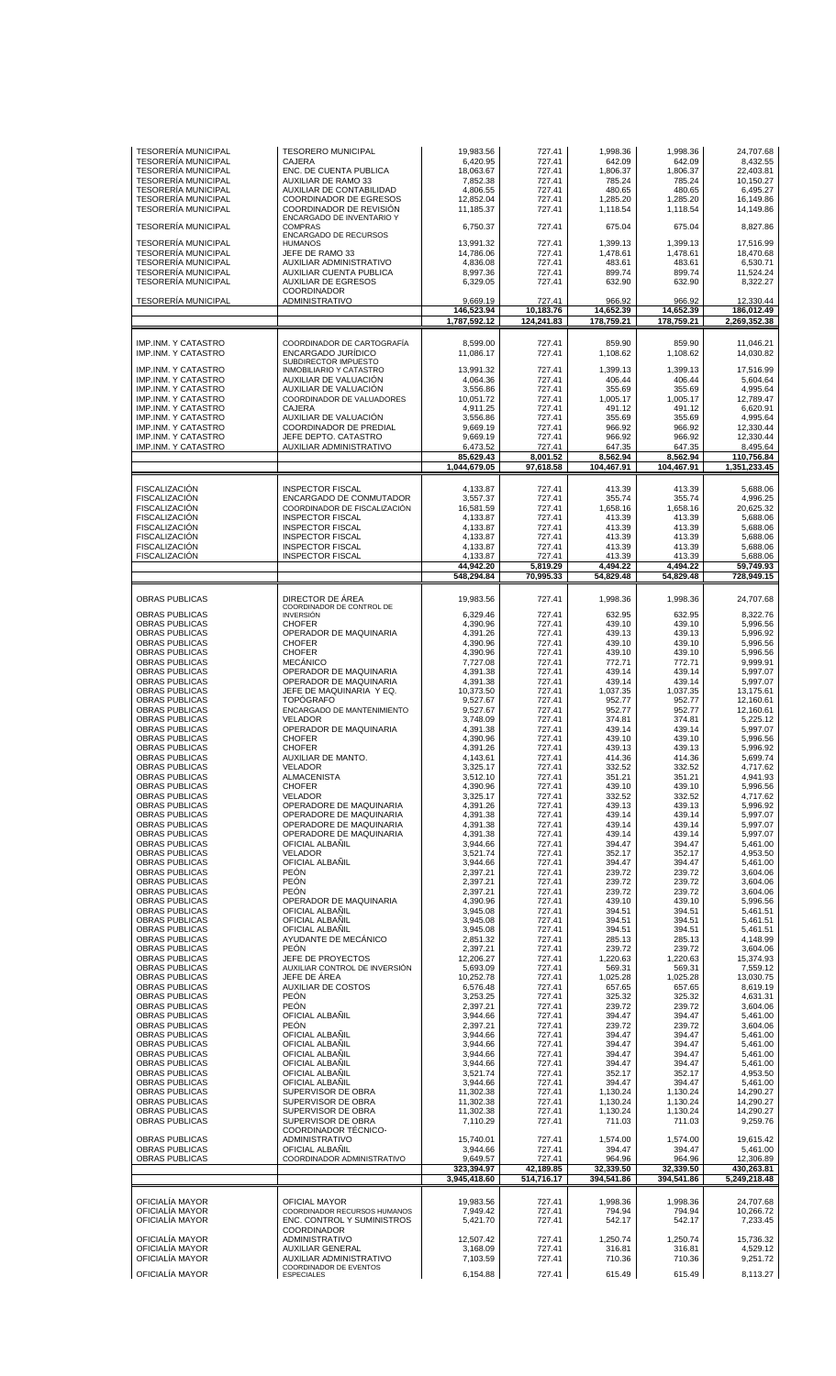| <b>TESORERÍA MUNICIPAL</b>         | <b>TESORERO MUNICIPAL</b>                                                     | 19,983.56                  | 727.41                  | 1,998.36                | 1,998.36                | 24,707.68                  |
|------------------------------------|-------------------------------------------------------------------------------|----------------------------|-------------------------|-------------------------|-------------------------|----------------------------|
| <b>TESORERIA MUNICIPAL</b>         | <b>CAJERA</b>                                                                 | 6,420.95                   | 727.41                  | 642.09                  | 642.09                  | 8,432.55                   |
| <b>TESORERÍA MUNICIPAL</b>         | ENC. DE CUENTA PUBLICA                                                        | 18,063.67                  | 727.41                  | 1,806.37                | 1,806.37                | 22,403.81                  |
| <b>TESORERÍA MUNICIPAL</b>         | <b>AUXILIAR DE RAMO 33</b>                                                    | 7,852.38                   | 727.41                  | 785.24                  | 785.24                  | 10,150.27                  |
| <b>TESORERÍA MUNICIPAL</b>         | AUXILIAR DE CONTABILIDAD                                                      | 4.806.55                   | 727.41                  | 480.65                  | 480.65                  | 6,495.27                   |
| <b>TESORERÍA MUNICIPAL</b>         | COORDINADOR DE EGRESOS                                                        | 12,852.04                  | 727.41                  | 1,285.20                | 1,285.20                | 16,149.86                  |
| <b>TESORERÍA MUNICIPAL</b>         | COORDINADOR DE REVISIÓN                                                       | 11,185.37                  | 727.41                  | 1,118.54                | 1,118.54                | 14,149.86                  |
| <b>TESORERÍA MUNICIPAL</b>         | ENCARGADO DE INVENTARIO Y                                                     | 6,750.37                   | 727.41                  | 675.04                  | 675.04                  | 8,827.86                   |
|                                    | <b>COMPRAS</b><br>ENCARGADO DE RECURSOS                                       |                            |                         |                         |                         |                            |
| <b>TESORERÍA MUNICIPAL</b>         | <b>HUMANOS</b>                                                                | 13,991.32                  | 727.41                  | 1,399.13                | 1,399.13                | 17,516.99                  |
| <b>TESORERÍA MUNICIPAL</b>         | JEFE DE RAMO 33                                                               | 14,786.06                  | 727.41                  | 1,478.61                | 1,478.61                | 18,470.68                  |
| <b>TESORERÍA MUNICIPAL</b>         | AUXILIAR ADMINISTRATIVO                                                       | 4,836.08                   | 727.41                  | 483.61                  | 483.61                  | 6,530.71                   |
| <b>TESORERÍA MUNICIPAL</b>         | AUXILIAR CUENTA PUBLICA                                                       | 8,997.36                   | 727.41                  | 899.74                  | 899.74                  | 11,524.24                  |
| <b>TESORERÍA MUNICIPAL</b>         | <b>AUXILIAR DE EGRESOS</b><br>COORDINADOR                                     | 6,329.05                   | 727.41                  | 632.90                  | 632.90                  | 8,322.27                   |
| <b>TESORERÍA MUNICIPAL</b>         | ADMINISTRATIVO                                                                | 9,669.19                   | 727.41                  | 966.92                  | 966.92                  | 12,330.44                  |
|                                    |                                                                               | 146,523.94<br>1,787,592.12 | 10,183.76<br>124,241.83 | 14.652.39<br>178,759.21 | 14,652.39<br>178,759.21 | 186,012.49<br>2,269,352.38 |
| <b>IMP.INM. Y CATASTRO</b>         | COORDINADOR DE CARTOGRAFÍA                                                    | 8,599.00                   | 727.41                  | 859.90                  | 859.90                  | 11,046.21                  |
| IMP.INM. Y CATASTRO                | ENCARGADO JURIDICO                                                            | 11,086.17                  | 727.41                  | 1,108.62                | 1,108.62                | 14,030.82                  |
| IMP.INM. Y CATASTRO                | SUBDIRECTOR IMPUESTO<br>INMOBILIARIO Y CATASTRO                               | 13,991.32                  | 727.41                  | 1,399.13                | 1,399.13                | 17,516.99                  |
| IMP.INM. Y CATASTRO                | AUXILIAR DE VALUACIÓN                                                         | 4,064.36                   | 727.41                  | 406.44                  | 406.44                  | 5,604.64                   |
| IMP.INM. Y CATASTRO                | AUXILIAR DE VALUACIÓN                                                         | 3,556.86                   | 727.41                  | 355.69                  | 355.69                  | 4,995.64                   |
| IMP.INM. Y CATASTRO                | COORDINADOR DE VALUADORES                                                     | 10,051.72                  | 727.41                  | 1,005.17                | 1,005.17                | 12,789.47                  |
| IMP.INM. Y CATASTRO                | <b>CAJERA</b>                                                                 | 4,911.25                   | 727.41                  | 491.12                  | 491.12                  | 6,620.91                   |
| IMP.INM. Y CATASTRO                | AUXILIAR DE VALUACIÓN                                                         | 3,556.86                   | 727.41                  | 355.69                  | 355.69                  | 4,995.64                   |
| IMP.INM. Y CATASTRO                | <b>COORDINADOR DE PREDIAL</b>                                                 | 9,669.19                   | 727.41                  | 966.92                  | 966.92                  | 12,330.44                  |
| IMP.INM. Y CATASTRO                | JEFE DEPTO. CATASTRO                                                          | 9,669.19                   | 727.41                  | 966.92                  | 966.92                  | 12,330.44                  |
| IMP.INM. Y CATASTRO                | AUXILIAR ADMINISTRATIVO                                                       | 6,473.52<br>85,629.43      | 727.41<br>8,001.52      | 647.35<br>8.562.94      | 647.35<br>8,562.94      | 8,495.64<br>110,756.84     |
|                                    |                                                                               | 1,044,679.05               | 97,618.58               | 104,467.91              | 104,467.91              | 1,351,233.45               |
| <b>FISCALIZACIÓN</b>               | INSPECTOR FISCAL                                                              | 4,133.87                   | 727.41                  | 413.39                  | 413.39                  | 5,688.06                   |
| <b>FISCALIZACIÓN</b>               | ENCARGADO DE CONMUTADOR                                                       | 3,557.37                   | 727.41                  | 355.74                  | 355.74                  | 4,996.25                   |
| <b>FISCALIZACIÓN</b>               | COORDINADOR DE FISCALIZACIÓN                                                  | 16,581.59                  | 727.41                  | 1,658.16                | 1,658.16                | 20,625.32                  |
| <b>FISCALIZACIÓN</b>               | <b>INSPECTOR FISCAL</b>                                                       | 4,133.87                   | 727.41                  | 413.39                  | 413.39                  | 5,688.06                   |
| <b>FISCALIZACIÓN</b>               | INSPECTOR FISCAL                                                              | 4,133.87                   | 727.41                  | 413.39                  | 413.39                  | 5,688.06                   |
| <b>FISCALIZACIÓN</b>               | <b>INSPECTOR FISCAL</b>                                                       | 4,133.87                   | 727.41                  | 413.39                  | 413.39                  | 5,688.06                   |
| <b>FISCALIZACIÓN</b>               | <b>INSPECTOR FISCAL</b>                                                       | 4,133.87                   | 727.41                  | 413.39                  | 413.39                  | 5,688.06                   |
| FISCALIZACIÓN                      | <b>INSPECTOR FISCAL</b>                                                       | 4,133.87                   | 727.41                  | 413.39                  | 413.39                  | 5,688.06                   |
|                                    |                                                                               | 44,942.20                  | 5,819.29                | 4,494.22                | 4,494.22                | 59,749.93                  |
|                                    |                                                                               | 548,294.84                 | 70,995.33               | 54,829.48               | 54,829.48               | 728,949.15                 |
| OBRAS PUBLICAS                     | DIRECTOR DE ÁREA<br>COORDINADOR DE CONTROL DE                                 | 19,983.56                  | 727.41                  | 1,998.36                | 1,998.36                | 24,707.68                  |
| OBRAS PUBLICAS                     | <b>INVERSIÓN</b>                                                              | 6,329.46                   | 727.41                  | 632.95                  | 632.95                  | 8,322.76                   |
| OBRAS PUBLICAS                     | <b>CHOFER</b>                                                                 | 4,390.96                   | 727.41                  | 439.10                  | 439.10                  | 5,996.56                   |
| <b>OBRAS PUBLICAS</b>              | OPERADOR DE MAQUINARIA                                                        | 4,391.26                   | 727.41                  | 439.13                  | 439.13                  | 5,996.92                   |
| <b>OBRAS PUBLICAS</b>              | <b>CHOFER</b>                                                                 | 4,390.96                   | 727.41                  | 439.10                  | 439.10                  | 5,996.56                   |
| OBRAS PUBLICAS                     | <b>CHOFER</b>                                                                 | 4,390.96                   | 727.41                  | 439.10                  | 439.10                  | 5,996.56                   |
| <b>OBRAS PUBLICAS</b>              | <b>MECÁNICO</b>                                                               | 7,727.08                   | 727.41                  | 772.71                  | 772.71                  | 9,999.91                   |
| <b>OBRAS PUBLICAS</b>              | OPERADOR DE MAQUINARIA                                                        | 4,391.38                   | 727.41                  | 439.14                  | 439.14                  | 5,997.07                   |
| OBRAS PUBLICAS                     | OPERADOR DE MAQUINARIA                                                        | 4,391.38                   | 727.41                  | 439.14                  | 439.14                  | 5,997.07                   |
| <b>OBRAS PUBLICAS</b>              | JEFE DE MAQUINARIA Y EQ.                                                      | 10,373.50                  | 727.41                  | 1,037.35                | 1,037.35                | 13,175.61                  |
| OBRAS PUBLICAS                     | <b>TOPÓGRAFO</b>                                                              | 9,527.67                   | 727.41                  | 952.77                  | 952.77                  | 12,160.61                  |
| <b>OBRAS PUBLICAS</b>              | ENCARGADO DE MANTENIMIENTO                                                    | 9,527.67                   | 727.41                  | 952.77                  | 952.77                  | 12,160.61                  |
| <b>OBRAS PUBLICAS</b>              | <b>VELADOR</b>                                                                | 3,748.09                   | 727.41                  | 374.81                  | 374.81                  | 5,225.12                   |
| <b>OBRAS PUBLICAS</b>              | OPERADOR DE MAQUINARIA                                                        | 4,391.38                   | 727.41                  | 439.14                  | 439.14                  | 5,997.07                   |
| OBRAS PUBLICAS                     | <b>CHOFER</b>                                                                 | 4,390.96                   | 727.41                  | 439.10                  | 439.10                  | 5,996.56                   |
| <b>OBRAS PUBLICAS</b>              | <b>CHOFER</b><br>AUXILIAR DE MANTO.                                           | 4,391.26                   | 727.41                  | 439.13                  | 439.13                  | 5,996.92                   |
| OBRAS PUBLICAS                     | <b>VELADOR</b>                                                                | 4,143.61                   | 727.41                  | 414.36                  | 414.36                  | 5,699.74                   |
| OBRAS PUBLICAS                     |                                                                               | 3,325.17                   | 727.41                  | 332.52                  | 332.52                  | 4,717.62                   |
| <b>OBRAS PUBLICAS</b>              | <b>ALMACENISTA</b>                                                            | 3,512.10                   | 727.41                  | 351.21                  | 351.21                  | 4.941.93                   |
| <b>OBRAS PUBLICAS</b>              | <b>CHOFER</b>                                                                 | 4,390.96                   | 727.41                  | 439.10                  | 439.10                  | 5,996.56                   |
| OBRAS PUBLICAS                     | <b>VELADOR</b>                                                                | 3,325.17                   | 727.41                  | 332.52                  | 332.52                  | 4.717.62                   |
| <b>OBRAS PUBLICAS</b>              | OPERADORE DE MAQUINARIA                                                       | 4,391.26                   | 727.41                  | 439.13                  | 439.13                  | 5,996.92                   |
| OBRAS PUBLICAS                     | OPERADORE DE MAQUINARIA                                                       | 4,391.38                   | 727.41                  | 439.14                  | 439.14                  | 5,997.07                   |
| <b>OBRAS PUBLICAS</b>              | OPERADORE DE MAQUINARIA                                                       | 4,391.38                   | 727.41                  | 439.14                  | 439.14                  | 5,997.07                   |
| <b>OBRAS PUBLICAS</b>              | OPERADORE DE MAQUINARIA                                                       | 4.391.38                   | 727.41                  | 439.14                  | 439.14                  | 5,997.07                   |
| OBRAS PUBLICAS                     | OFICIAL ALBAÑIL                                                               | 3,944.66                   | 727.41                  | 394.47                  | 394.47                  | 5,461.00                   |
| OBRAS PUBLICAS                     | <b>VELADOR</b>                                                                | 3,521.74                   | 727.41                  | 352.17                  | 352.17                  | 4.953.50                   |
| <b>OBRAS PUBLICAS</b>              | OFICIAL ALBAÑIL                                                               | 3,944.66                   | 727.41                  | 394.47                  | 394.47                  | 5,461.00                   |
| OBRAS PUBLICAS                     | <b>PEÓN</b>                                                                   | 2,397.21                   | 727.41                  | 239.72                  | 239.72                  | 3,604.06                   |
| <b>OBRAS PUBLICAS</b>              | <b>PEÓN</b>                                                                   | 2,397.21                   | 727.41                  | 239.72                  | 239.72                  | 3,604.06                   |
| <b>OBRAS PUBLICAS</b>              | <b>PEÓN</b>                                                                   | 2,397.21                   | 727.41                  | 239.72                  | 239.72                  | 3,604.06                   |
| OBRAS PUBLICAS                     | OPERADOR DE MAQUINARIA                                                        | 4,390.96                   | 727.41                  | 439.10                  | 439.10                  | 5,996.56                   |
| <b>OBRAS PUBLICAS</b>              | OFICIAL ALBANIL                                                               | 3,945.08                   | 727.41                  | 394.51                  | 394.51                  | 5,461.51                   |
| <b>OBRAS PUBLICAS</b>              | OFICIAL ALBAÑIL                                                               | 3,945.08                   | 727.41                  | 394.51                  | 394.51                  | 5,461.51                   |
| <b>OBRAS PUBLICAS</b>              | OFICIAL ALBAÑIL                                                               | 3,945.08                   | 727.41                  | 394.51                  | 394.51                  | 5,461.51                   |
| <b>OBRAS PUBLICAS</b>              | AYUDANTE DE MECÁNICO                                                          | 2,851.32                   | 727.41                  | 285.13                  | 285.13                  | 4,148.99                   |
| <b>OBRAS PUBLICAS</b>              | <b>PEÓN</b>                                                                   | 2,397.21                   | 727.41                  | 239.72                  | 239.72                  | 3,604.06                   |
| OBRAS PUBLICAS                     | JEFE DE PROYECTOS                                                             | 12,206.27                  | 727.41                  | 1,220.63                | 1,220.63                | 15,374.93                  |
| OBRAS PUBLICAS                     | AUXILIAR CONTROL DE INVERSIÓN                                                 | 5,693.09                   | 727.41                  | 569.31                  | 569.31                  | 7,559.12                   |
| <b>OBRAS PUBLICAS</b>              | JEFE DE ÁREA                                                                  | 10,252.78                  | 727.41                  | 1,025.28                | 1,025.28                | 13,030.75                  |
| OBRAS PUBLICAS                     | <b>AUXILIAR DE COSTOS</b>                                                     | 6,576.48                   | 727.41                  | 657.65                  | 657.65                  | 8,619.19                   |
| <b>OBRAS PUBLICAS</b>              | <b>PEÓN</b>                                                                   | 3,253.25                   | 727.41                  | 325.32                  | 325.32                  | 4,631.31                   |
| <b>OBRAS PUBLICAS</b>              | <b>PEÓN</b>                                                                   | 2,397.21                   | 727.41                  | 239.72                  | 239.72                  | 3,604.06                   |
| OBRAS PUBLICAS                     | OFICIAL ALBAÑIL                                                               | 3,944.66                   | 727.41                  | 394.47                  | 394.47                  | 5,461.00                   |
| OBRAS PUBLICAS                     | <b>PEÓN</b>                                                                   | 2,397.21                   | 727.41                  | 239.72                  | 239.72                  | 3,604.06                   |
| <b>OBRAS PUBLICAS</b>              | OFICIAL ALBAÑIL                                                               | 3,944.66                   | 727.41                  | 394.47                  | 394.47                  | 5,461.00                   |
| OBRAS PUBLICAS                     |                                                                               |                            |                         |                         |                         |                            |
|                                    | OFICIAL ALBAÑIL                                                               | 3,944.66                   | 727.41                  | 394.47                  | 394.47                  | 5,461.00                   |
| <b>OBRAS PUBLICAS</b>              | OFICIAL ALBANIL                                                               | 3,944.66                   | 727.41                  | 394.47                  | 394.47                  | 5,461.00                   |
| <b>OBRAS PUBLICAS</b>              | OFICIAL ALBAÑIL                                                               | 3,944.66                   | 727.41                  | 394.47                  | 394.47                  | 5,461.00                   |
| OBRAS PUBLICAS                     | OFICIAL ALBAÑIL                                                               | 3,521.74                   | 727.41                  | 352.17                  | 352.17                  | 4,953.50                   |
| OBRAS PUBLICAS                     | OFICIAL ALBAÑIL                                                               | 3,944.66                   | 727.41                  | 394.47                  | 394.47                  | 5,461.00                   |
| <b>OBRAS PUBLICAS</b>              | SUPERVISOR DE OBRA                                                            | 11,302.38                  | 727.41                  | 1,130.24                | 1,130.24                | 14,290.27                  |
| OBRAS PUBLICAS                     | SUPERVISOR DE OBRA                                                            | 11,302.38                  | 727.41                  | 1,130.24                | 1,130.24                | 14,290.27                  |
| <b>OBRAS PUBLICAS</b>              | SUPERVISOR DE OBRA                                                            | 11,302.38                  | 727.41                  | 1,130.24                | 1,130.24                | 14,290.27                  |
| <b>OBRAS PUBLICAS</b>              | SUPERVISOR DE OBRA<br>COORDINADOR TÉCNICO-                                    | 7,110.29                   | 727.41                  | 711.03                  | 711.03                  | 9,259.76                   |
| <b>OBRAS PUBLICAS</b>              | ADMINISTRATIVO                                                                | 15,740.01                  | 727.41                  | 1,574.00                | 1,574.00                | 19,615.42                  |
| <b>OBRAS PUBLICAS</b>              | OFICIAL ALBAÑIL                                                               | 3,944.66                   | 727.41                  | 394.47                  | 394.47                  | 5,461.00                   |
| OBRAS PUBLICAS                     | COORDINADOR ADMINISTRATIVO                                                    | 9,649.57                   | 727.41                  | 964.96                  | 964.96                  | 12,306.89                  |
|                                    |                                                                               | 323,394.97<br>3,945,418.60 | 42,189.85<br>514,716.17 | 32,339.50<br>394,541.86 | 32,339.50<br>394,541.86 | 430,263.81<br>5,249,218.48 |
| OFICIALÍA MAYOR                    | OFICIAL MAYOR                                                                 | 19,983.56                  | 727.41                  | 1,998.36                | 1,998.36                | 24,707.68                  |
| OFICIALÍA MAYOR                    | COORDINADOR RECURSOS HUMANOS                                                  | 7.949.42                   | 727.41                  | 794.94                  | 794.94                  | 10,266.72                  |
| OFICIALÍA MAYOR                    | ENC. CONTROL Y SUMINISTROS                                                    | 5,421.70                   | 727.41                  | 542.17                  | 542.17                  | 7,233.45                   |
| OFICIALÍA MAYOR                    | <b>COORDINADOR</b>                                                            | 12,507.42                  | 727.41                  | 1,250.74                | 1,250.74                | 15,736.32                  |
| OFICIALÍA MAYOR                    | ADMINISTRATIVO<br><b>AUXILIAR GENERAL</b>                                     | 3,168.09                   | 727.41                  | 316.81                  | 316.81                  | 4,529.12                   |
| OFICIALÍA MAYOR<br>OFICIALÍA MAYOR | <b>AUXILIAR ADMINISTRATIVO</b><br>COORDINADOR DE EVENTOS<br><b>ESPECIALES</b> | 7,103.59<br>6,154.88       | 727.41<br>727.41        | 710.36<br>615.49        | 710.36<br>615.49        | 9,251.72<br>8,113.27       |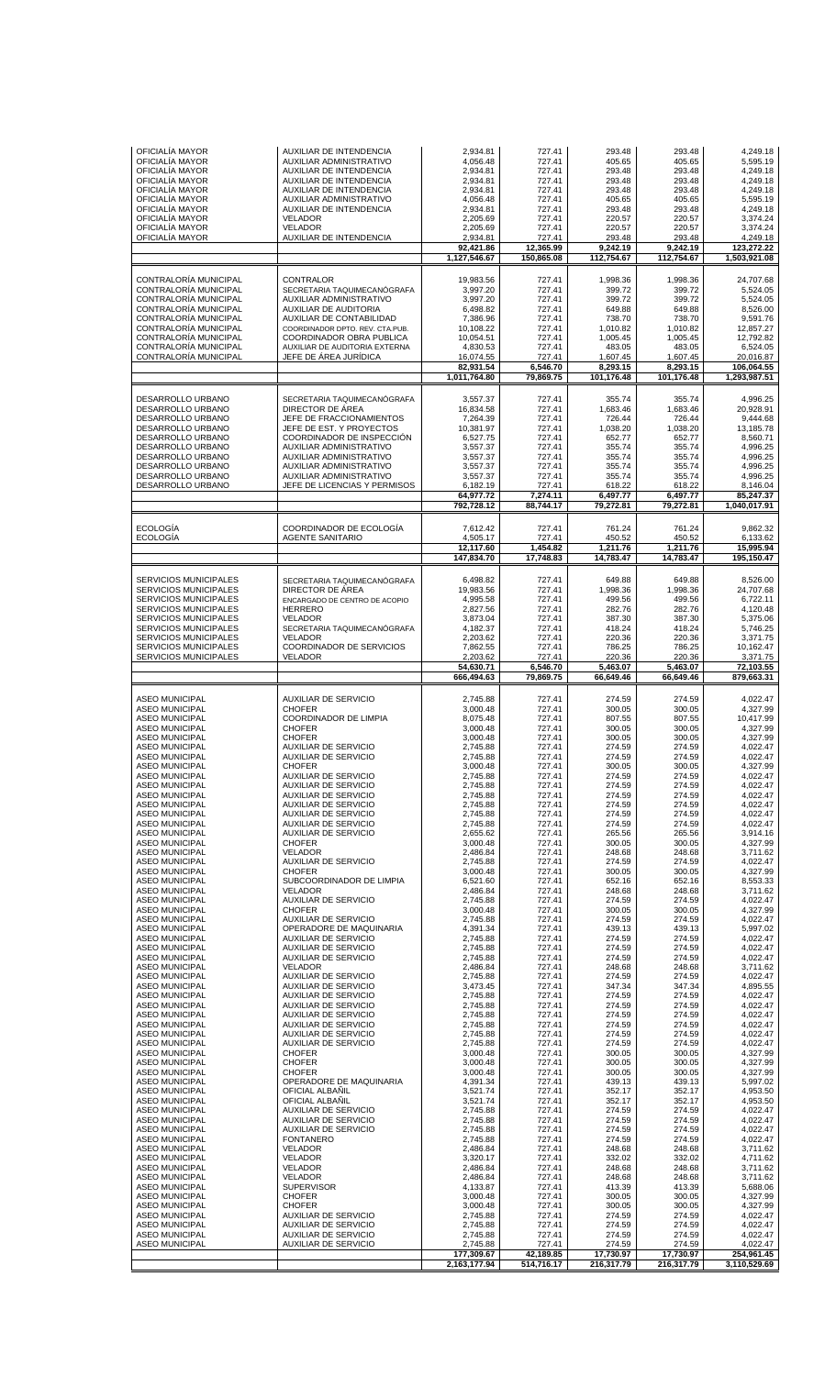| OFICIALÍA MAYOR                                                         | <b>AUXILIAR DE INTENDENCIA</b>                                    | 2,934.81                                           | 727.41                                    | 293.48                                       | 293.48                                       | 4.249.18                                            |
|-------------------------------------------------------------------------|-------------------------------------------------------------------|----------------------------------------------------|-------------------------------------------|----------------------------------------------|----------------------------------------------|-----------------------------------------------------|
| OFICIALÍA MAYOR                                                         | AUXILIAR ADMINISTRATIVO                                           | 4,056.48                                           | 727.41                                    | 405.65                                       | 405.65                                       | 5,595.19                                            |
| OFICIALÍA MAYOR                                                         | AUXILIAR DE INTENDENCIA                                           | 2,934.81                                           | 727.41                                    | 293.48                                       | 293.48                                       | 4,249.18                                            |
| OFICIALÍA MAYOR                                                         | AUXILIAR DE INTENDENCIA                                           | 2,934.81                                           | 727.41                                    | 293.48                                       | 293.48                                       | 4,249.18                                            |
| OFICIALÍA MAYOR                                                         | AUXILIAR DE INTENDENCIA                                           | 2,934.81                                           | 727.41                                    | 293.48                                       | 293.48                                       | 4,249.18                                            |
| OFICIALÍA MAYOR                                                         | AUXILIAR ADMINISTRATIVO                                           | 4,056.48                                           | 727.41                                    | 405.65                                       | 405.65                                       | 5,595.19                                            |
| OFICIALIA MAYOR                                                         | AUXILIAR DE INTENDENCIA                                           | 2,934.81                                           | 727.41                                    | 293.48                                       | 293.48                                       | 4,249.18                                            |
| OFICIALÍA MAYOR                                                         | <b>VELADOR</b>                                                    | 2,205.69                                           | 727.41                                    | 220.57                                       | 220.57                                       | 3,374.24                                            |
| OFICIALÍA MAYOR                                                         | <b>VELADOR</b>                                                    | 2.205.69                                           | 727.41                                    | 220.57                                       | 220.57                                       | 3,374.24                                            |
| OFICIALÍA MAYOR                                                         | AUXILIAR DE INTENDENCIA                                           | 2,934.81                                           | 727.41                                    | 293.48                                       | 293.48                                       | 4,249.18                                            |
|                                                                         |                                                                   | 92,421.86<br>1,127,546.67                          | 12,365.99<br>150,865.08                   | 9,242.19<br>112,754.67                       | 9,242.19<br>112,754.67                       | 123,272.22<br>1,503,921.08                          |
| CONTRALORÍA MUNICIPAL                                                   | CONTRALOR                                                         | 19.983.56                                          | 727.41                                    | 1,998.36                                     | 1,998.36                                     | 24,707.68                                           |
| CONTRALORÍA MUNICIPAL                                                   | SECRETARIA TAQUIMECANÓGRAFA                                       | 3.997.20                                           | 727.41                                    | 399.72                                       | 399.72                                       | 5.524.05                                            |
| CONTRALORÍA MUNICIPAL                                                   | <b>AUXILIAR ADMINISTRATIVO</b>                                    | 3,997.20                                           | 727.41                                    | 399.72                                       | 399.72                                       | 5,524.05                                            |
| CONTRALORÍA MUNICIPAL                                                   | AUXILIAR DE AUDITORIA                                             | 6,498.82                                           | 727.41                                    | 649.88                                       | 649.88                                       | 8.526.00                                            |
| CONTRALORÍA MUNICIPAL                                                   | AUXILIAR DE CONTABILIDAD                                          | 7,386.96                                           | 727.41                                    | 738.70                                       | 738.70                                       | 9,591.76                                            |
| CONTRALORÍA MUNICIPAL                                                   | COORDINADOR DPTO. REV. CTA.PUB.                                   | 10,108.22                                          | 727.41                                    | 1,010.82                                     | 1,010.82                                     | 12,857.27                                           |
| CONTRALORÍA MUNICIPAL                                                   | COORDINADOR OBRA PUBLICA                                          | 10,054.51                                          | 727.41                                    | 1,005.45                                     | 1,005.45                                     | 12,792.82                                           |
| CONTRALORÍA MUNICIPAL<br>CONTRALORÍA MUNICIPAL                          | AUXILIAR DE AUDITORIA EXTERNA<br>JEFE DE ÁREA JURÍDICA            | 4,830.53<br>16,074.55<br>82,931.54<br>1,011,764.80 | 727.41<br>727.41<br>6,546.70<br>79,869.75 | 483.05<br>1,607.45<br>8,293.15<br>101,176.48 | 483.05<br>1,607.45<br>8,293.15<br>101,176.48 | 6,524.05<br>20,016.87<br>106,064.55<br>1,293,987.51 |
|                                                                         |                                                                   |                                                    |                                           |                                              |                                              |                                                     |
| DESARROLLO URBANO                                                       | SECRETARIA TAQUIMECANÓGRAFA                                       | 3,557.37                                           | 727.41                                    | 355.74                                       | 355.74                                       | 4,996.25                                            |
| DESARROLLO URBANO                                                       | DIRECTOR DE ÁREA                                                  | 16,834.58                                          | 727.41                                    | 1,683.46                                     | 1,683.46                                     | 20,928.91                                           |
| DESARROLLO URBANO                                                       | JEFE DE FRACCIONAMIENTOS                                          | 7,264.39                                           | 727.41                                    | 726.44                                       | 726.44                                       | 9,444.68                                            |
| DESARROLLO URBANO                                                       | JEFE DE EST. Y PROYECTOS                                          | 10,381.97                                          | 727.41                                    | 1,038.20                                     | 1,038.20                                     | 13,185.78                                           |
| DESARROLLO URBANO                                                       | COORDINADOR DE INSPECCIÓN                                         | 6,527.75                                           | 727.41                                    | 652.77                                       | 652.77                                       | 8,560.71                                            |
| DESARROLLO URBANO                                                       | AUXILIAR ADMINISTRATIVO                                           | 3,557.37                                           | 727.41                                    | 355.74                                       | 355.74                                       | 4,996.25                                            |
| DESARROLLO URBANO                                                       | AUXILIAR ADMINISTRATIVO                                           | 3,557.37                                           | 727.41                                    | 355.74                                       | 355.74                                       | 4,996.25                                            |
| DESARROLLO URBANO                                                       | AUXILIAR ADMINISTRATIVO                                           | 3,557.37                                           | 727.41                                    | 355.74                                       | 355.74                                       | 4,996.25                                            |
| DESARROLLO URBANO                                                       | AUXILIAR ADMINISTRATIVO                                           | 3.557.37                                           | 727.41                                    | 355.74                                       | 355.74                                       | 4,996.25                                            |
| DESARROLLO URBANO                                                       | JEFE DE LICENCIAS Y PERMISOS                                      | 6,182.19<br>64,977.72                              | 727.41<br>7,274.11                        | 618.22<br>6,497.77                           | 618.22<br>6,497.77                           | 8,146.04<br>85,247.37                               |
|                                                                         |                                                                   | 792,728.12                                         | 88,744.17                                 | 79,272.81                                    | 79,272.81                                    | 1,040,017.91                                        |
| <b>ECOLOGÍA</b><br><b>ECOLOGÍA</b>                                      | COORDINADOR DE ECOLOGÍA<br><b>AGENTE SANITARIO</b>                | 7,612.42<br>4,505.17<br>12,117.60                  | 727.41<br>727.41<br>1,454.82              | 761.24<br>450.52<br>1,211.76                 | 761.24<br>450.52<br>1,211.76                 | 9,862.32<br>6,133.62<br>15,995.94                   |
|                                                                         |                                                                   | 147,834.70                                         | 17,748.83                                 | 14,783.47                                    | 14,783.47                                    | 195,150.47                                          |
| <b>SERVICIOS MUNICIPALES</b>                                            | SECRETARIA TAQUIMECANÓGRAFA                                       | 6,498.82                                           | 727.41                                    | 649.88                                       | 649.88                                       | 8,526.00                                            |
| <b>SERVICIOS MUNICIPALES</b>                                            | DIRECTOR DE ÁREA                                                  | 19,983.56                                          | 727.41                                    | 1,998.36                                     | 1,998.36                                     | 24,707.68                                           |
| <b>SERVICIOS MUNICIPALES</b>                                            | ENCARGADO DE CENTRO DE ACOPIO                                     | 4,995.58                                           | 727.41                                    | 499.56                                       | 499.56                                       | 6,722.11                                            |
| <b>SERVICIOS MUNICIPALES</b>                                            | <b>HERRERO</b>                                                    | 2,827.56                                           | 727.41                                    | 282.76                                       | 282.76                                       | 4,120.48                                            |
| <b>SERVICIOS MUNICIPALES</b>                                            | <b>VELADOR</b>                                                    | 3,873.04                                           | 727.41                                    | 387.30                                       | 387.30                                       | 5,375.06                                            |
| <b>SERVICIOS MUNICIPALES</b>                                            | SECRETARIA TAQUIMECANÓGRAFA                                       | 4,182.37                                           | 727.41                                    | 418.24                                       | 418.24                                       | 5,746.25                                            |
| <b>SERVICIOS MUNICIPALES</b>                                            | <b>VELADOR</b>                                                    | 2,203.62                                           | 727.41                                    | 220.36                                       | 220.36                                       | 3,371.75                                            |
| <b>SERVICIOS MUNICIPALES</b>                                            | COORDINADOR DE SERVICIOS                                          | 7,862.55                                           | 727.41                                    | 786.25                                       | 786.25                                       | 10,162.47                                           |
| SERVICIOS MUNICIPALES                                                   | <b>VELADOR</b>                                                    | 2,203.62                                           | 727.41                                    | 220.36                                       | 220.36                                       | 3,371.75                                            |
|                                                                         |                                                                   | 54,630.71<br>666,494.63                            | 6,546.70<br>79,869.75                     | 5,463.07<br>66,649.46                        | 5,463.07<br>66.649.46                        | 72,103.55<br>879,663.31                             |
| <b>ASEO MUNICIPAL</b>                                                   | <b>AUXILIAR DE SERVICIO</b>                                       | 2,745.88                                           | 727.41                                    | 274.59                                       | 274.59                                       | 4,022.47                                            |
| <b>ASEO MUNICIPAL</b>                                                   | <b>CHOFER</b>                                                     | 3,000.48                                           | 727.41                                    | 300.05                                       | 300.05                                       | 4,327.99                                            |
| <b>ASEO MUNICIPAL</b>                                                   | COORDINADOR DE LIMPIA                                             | 8,075.48                                           | 727.41                                    | 807.55                                       | 807.55                                       | 10.417.99                                           |
| <b>ASEO MUNICIPAL</b>                                                   | <b>CHOFER</b>                                                     | 3,000.48                                           | 727.41                                    | 300.05                                       | 300.05                                       | 4,327.99                                            |
| <b>ASEO MUNICIPAL</b>                                                   | <b>CHOFER</b>                                                     | 3,000.48                                           | 727.41                                    | 300.05                                       | 300.05                                       | 4,327.99                                            |
| <b>ASEO MUNICIPAL</b>                                                   | <b>AUXILIAR DE SERVICIO</b>                                       | 2,745.88                                           | 727.41                                    | 274.59                                       | 274.59                                       | 4,022.47                                            |
| <b>ASEO MUNICIPAL</b>                                                   | AUXILIAR DE SERVICIO                                              | 2,745.88                                           | 727.41                                    | 274.59                                       | 274.59                                       | 4,022.47                                            |
| <b>ASEO MUNICIPAL</b>                                                   | <b>CHOFER</b>                                                     | 3,000.48                                           | 727.41                                    | 300.05                                       | 300.05                                       | 4,327.99                                            |
| <b>ASEO MUNICIPAL</b>                                                   | <b>AUXILIAR DE SERVICIO</b>                                       | 2,745.88                                           | 727.41                                    | 274.59                                       | 274.59                                       | 4,022.47                                            |
| <b>ASEO MUNICIPAL</b>                                                   | <b>AUXILIAR DE SERVICIO</b>                                       | 2,745.88                                           | 727.41                                    | 274.59                                       | 274.59                                       | 4,022.47                                            |
| <b>ASEO MUNICIPAL</b>                                                   | <b>AUXILIAR DE SERVICIO</b>                                       | 2,745.88                                           | 727.41                                    | 274.59                                       | 274.59                                       | 4,022.47                                            |
| <b>ASEO MUNICIPAL</b>                                                   | <b>AUXILIAR DE SERVICIO</b>                                       | 2,745.88                                           | 727.41                                    | 274.59                                       | 274.59                                       | 4,022.47                                            |
| <b>ASEO MUNICIPAL</b>                                                   | AUXILIAR DE SERVICIO                                              | 2,745.88                                           | 727.41                                    | 274.59                                       | 274.59                                       | 4,022.47                                            |
| <b>ASEO MUNICIPAL</b>                                                   | <b>AUXILIAR DE SERVICIO</b>                                       | 2,745.88                                           | 727.41                                    | 274.59                                       | 274.59                                       | 4,022.47                                            |
| <b>ASEO MUNICIPAL</b>                                                   | <b>AUXILIAR DE SERVICIO</b>                                       | 2,655.62                                           | 727.41                                    | 265.56                                       | 265.56                                       | 3,914.16                                            |
| <b>ASEO MUNICIPAL</b>                                                   | <b>CHOFER</b>                                                     | 3,000.48                                           | 727.41                                    | 300.05                                       | 300.05                                       | 4,327.99                                            |
| <b>ASEO MUNICIPAL</b>                                                   | <b>VELADOR</b>                                                    | 2,486.84                                           | 727.41                                    | 248.68                                       | 248.68                                       | 3,711.62                                            |
| <b>ASEO MUNICIPAL</b>                                                   | <b>AUXILIAR DE SERVICIO</b>                                       | 2,745.88                                           | 727.41                                    | 274.59                                       | 274.59                                       | 4,022.47                                            |
| <b>ASEO MUNICIPAL</b>                                                   | <b>CHOFER</b>                                                     | 3,000.48                                           | 727.41                                    | 300.05                                       | 300.05                                       | 4,327.99                                            |
| <b>ASEO MUNICIPAL</b>                                                   | SUBCOORDINADOR DE LIMPIA                                          | 6.521.60                                           | 727.41                                    | 652.16                                       | 652.16                                       | 8,553.33                                            |
| <b>ASEO MUNICIPAL</b>                                                   | <b>VELADOR</b>                                                    | 2,486.84                                           | 727.41                                    | 248.68                                       | 248.68                                       | 3,711.62                                            |
| <b>ASEO MUNICIPAL</b>                                                   | <b>AUXILIAR DE SERVICIO</b>                                       | 2,745.88                                           | 727.41                                    | 274.59                                       | 274.59                                       | 4,022.47                                            |
| <b>ASEO MUNICIPAL</b>                                                   | <b>CHOFER</b>                                                     | 3,000.48                                           | 727.41                                    | 300.05                                       | 300.05                                       | 4,327.99                                            |
| <b>ASEO MUNICIPAL</b>                                                   | <b>AUXILIAR DE SERVICIO</b>                                       | 2,745.88                                           | 727.41                                    | 274.59                                       | 274.59                                       | 4.022.47                                            |
| <b>ASEO MUNICIPAL</b>                                                   | OPERADORE DE MAQUINARIA                                           | 4,391.34                                           | 727.41                                    | 439.13                                       | 439.13                                       | 5,997.02                                            |
| <b>ASEO MUNICIPAL</b>                                                   | <b>AUXILIAR DE SERVICIO</b>                                       | 2,745.88                                           | 727.41                                    | 274.59                                       | 274.59                                       | 4,022.47                                            |
| <b>ASEO MUNICIPAL</b>                                                   | <b>AUXILIAR DE SERVICIO</b>                                       | 2,745.88                                           | 727.41                                    | 274.59                                       | 274.59                                       | 4,022.47                                            |
| <b>ASEO MUNICIPAL</b>                                                   | <b>AUXILIAR DE SERVICIO</b>                                       | 2,745.88                                           | 727.41                                    | 274.59                                       | 274.59                                       | 4,022.47                                            |
| <b>ASEO MUNICIPAL</b>                                                   | <b>VELADOR</b>                                                    | 2,486.84                                           | 727.41                                    | 248.68                                       | 248.68                                       | 3,711.62                                            |
| <b>ASEO MUNICIPAL</b>                                                   | <b>AUXILIAR DE SERVICIO</b>                                       | 2,745.88                                           | 727.41                                    | 274.59                                       | 274.59                                       | 4,022.47                                            |
| <b>ASEO MUNICIPAL</b>                                                   | <b>AUXILIAR DE SERVICIO</b>                                       | 3,473.45                                           | 727.41                                    | 347.34                                       | 347.34                                       | 4,895.55                                            |
| <b>ASEO MUNICIPAL</b>                                                   | <b>AUXILIAR DE SERVICIO</b>                                       | 2,745.88                                           | 727.41                                    | 274.59                                       | 274.59                                       | 4,022.47                                            |
| <b>ASEO MUNICIPAL</b>                                                   | <b>AUXILIAR DE SERVICIO</b>                                       | 2,745.88                                           | 727.41                                    | 274.59                                       | 274.59                                       | 4,022.47                                            |
| <b>ASEO MUNICIPAL</b>                                                   | <b>AUXILIAR DE SERVICIO</b>                                       | 2,745.88                                           | 727.41                                    | 274.59                                       | 274.59                                       | 4,022.47                                            |
| <b>ASEO MUNICIPAL</b>                                                   | <b>AUXILIAR DE SERVICIO</b>                                       | 2,745.88                                           | 727.41                                    | 274.59                                       | 274.59                                       | 4,022.47                                            |
| <b>ASEO MUNICIPAL</b>                                                   | <b>AUXILIAR DE SERVICIO</b>                                       | 2,745.88                                           | 727.41                                    | 274.59                                       | 274.59                                       | 4,022.47                                            |
| <b>ASEO MUNICIPAL</b>                                                   | <b>AUXILIAR DE SERVICIO</b>                                       | 2,745.88                                           | 727.41                                    | 274.59                                       | 274.59                                       | 4,022.47                                            |
| <b>ASEO MUNICIPAL</b>                                                   | <b>CHOFER</b>                                                     | 3,000.48                                           | 727.41                                    | 300.05                                       | 300.05                                       | 4,327.99                                            |
| <b>ASEO MUNICIPAL</b>                                                   | <b>CHOFER</b>                                                     | 3,000.48                                           | 727.41                                    | 300.05                                       | 300.05                                       | 4,327.99                                            |
| <b>ASEO MUNICIPAL</b>                                                   | <b>CHOFER</b>                                                     | 3,000.48                                           | 727.41                                    | 300.05                                       | 300.05                                       | 4,327.99                                            |
| <b>ASEO MUNICIPAL</b>                                                   | OPERADORE DE MAQUINARIA                                           | 4,391.34                                           | 727.41                                    | 439.13                                       | 439.13                                       | 5,997.02                                            |
| <b>ASEO MUNICIPAL</b><br><b>ASEO MUNICIPAL</b>                          | OFICIAL ALBAÑIL<br>OFICIAL ALBAÑIL<br><b>AUXILIAR DE SERVICIO</b> | 3,521.74<br>3,521.74<br>2,745.88                   | 727.41<br>727.41                          | 352.17<br>352.17<br>274.59                   | 352.17<br>352.17<br>274.59                   | 4,953.50<br>4,953.50<br>4,022.47                    |
| <b>ASEO MUNICIPAL</b><br><b>ASEO MUNICIPAL</b><br><b>ASEO MUNICIPAL</b> | <b>AUXILIAR DE SERVICIO</b><br><b>AUXILIAR DE SERVICIO</b>        | 2,745.88<br>2,745.88                               | 727.41<br>727.41<br>727.41                | 274.59<br>274.59                             | 274.59<br>274.59                             | 4,022.47<br>4,022.47                                |
| <b>ASEO MUNICIPAL</b>                                                   | <b>FONTANERO</b>                                                  | 2,745.88                                           | 727.41                                    | 274.59                                       | 274.59                                       | 4,022.47                                            |
| <b>ASEO MUNICIPAL</b>                                                   | <b>VELADOR</b>                                                    | 2,486.84                                           | 727.41                                    | 248.68                                       | 248.68                                       | 3,711.62                                            |
| <b>ASEO MUNICIPAL</b>                                                   | <b>VELADOR</b>                                                    | 3,320.17                                           | 727.41                                    | 332.02                                       | 332.02                                       | 4,711.62                                            |
| <b>ASEO MUNICIPAL</b>                                                   | <b>VELADOR</b>                                                    | 2,486.84                                           | 727.41                                    | 248.68                                       | 248.68                                       | 3,711.62                                            |
| <b>ASEO MUNICIPAL</b><br><b>ASEO MUNICIPAL</b>                          | <b>VELADOR</b><br><b>SUPERVISOR</b><br><b>CHOFER</b>              | 2,486.84<br>4,133.87<br>3,000.48                   | 727.41<br>727.41                          | 248.68<br>413.39<br>300.05                   | 248.68<br>413.39<br>300.05                   | 3,711.62<br>5,688.06<br>4,327.99                    |
| <b>ASEO MUNICIPAL</b><br><b>ASEO MUNICIPAL</b><br><b>ASEO MUNICIPAL</b> | <b>CHOFER</b><br><b>AUXILIAR DE SERVICIO</b>                      | 3,000.48<br>2.745.88                               | 727.41<br>727.41<br>727.41                | 300.05<br>274.59                             | 300.05<br>274.59                             | 4,327.99<br>4,022.47                                |
| <b>ASEO MUNICIPAL</b>                                                   | <b>AUXILIAR DE SERVICIO</b>                                       | 2,745.88                                           | 727.41                                    | 274.59                                       | 274.59                                       | 4,022.47                                            |
| <b>ASEO MUNICIPAL</b>                                                   | <b>AUXILIAR DE SERVICIO</b>                                       | 2,745.88                                           | 727.41                                    | 274.59                                       | 274.59                                       | 4,022.47                                            |
| <b>ASEO MUNICIPAL</b>                                                   | <b>AUXILIAR DE SERVICIO</b>                                       | 2,745.88<br>177,309.67                             | 727.41<br>42,189.85                       | 274.59<br>17,730.97                          | 274.59<br>17,730.97                          | 4,022.47<br>254,961.45                              |
|                                                                         |                                                                   | 2,163,177.94                                       | 514,716.17                                | 216,317.79                                   | 216,317.79                                   | 3,110,529.69                                        |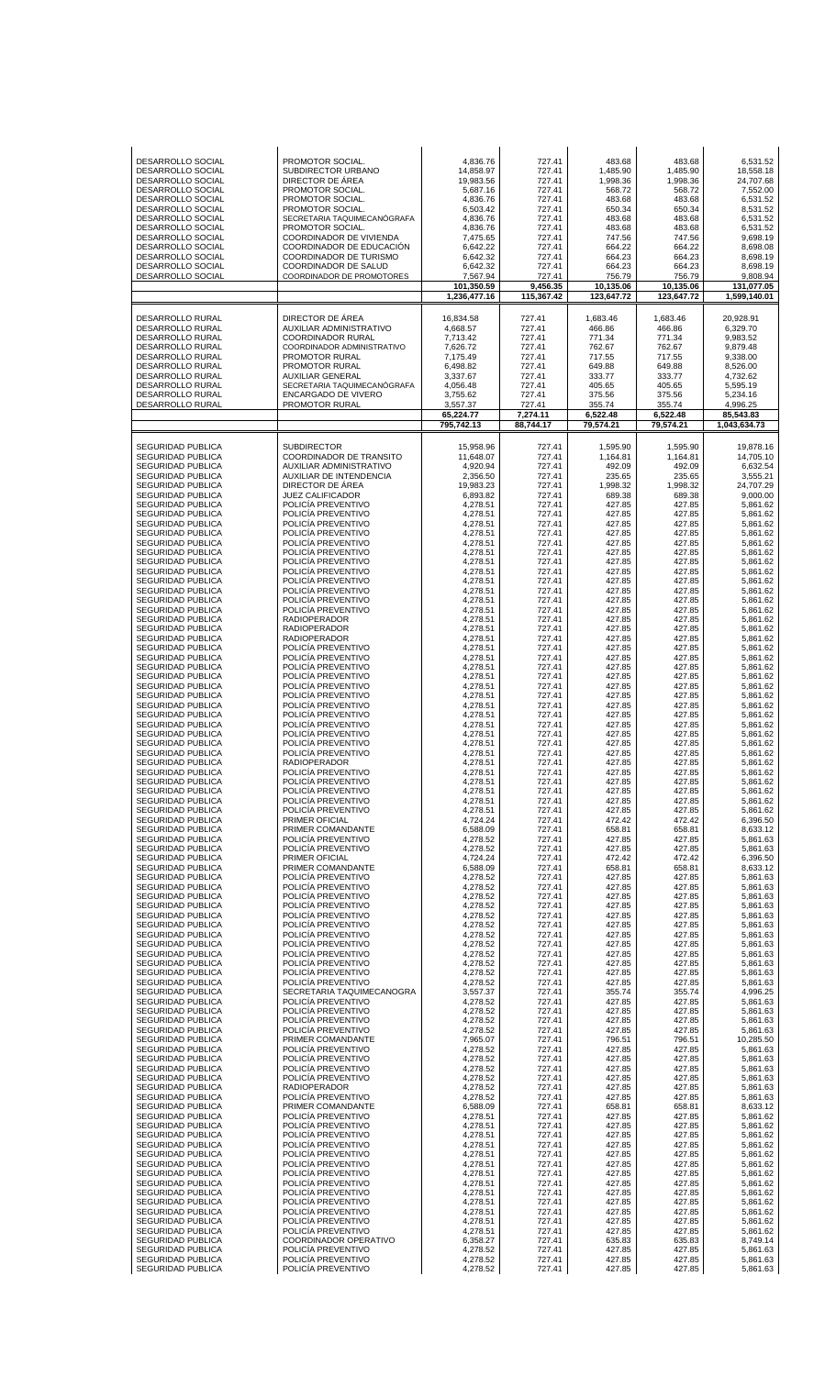| <b>DESARROLLO RURAL</b><br>DIRECTOR DE AREA<br>16.834.58<br>727.41<br>1,683.46<br>20,928.91<br>1.683.46<br>6,329.70<br>DESARROLLO RURAL<br>AUXILIAR ADMINISTRATIVO<br>4,668.57<br>727.41<br>466.86<br>466.86<br><b>DESARROLLO RURAL</b><br><b>COORDINADOR RURAL</b><br>7,713.42<br>727.41<br>771.34<br>771.34<br>9,983.52<br>DESARROLLO RURAL<br>COORDINADOR ADMINISTRATIVO<br>7,626.72<br>762.67<br>762.67<br>9,879.48<br>727.41<br>DESARROLLO RURAL<br>PROMOTOR RURAL<br>7,175.49<br>717.55<br>9,338.00<br>727.41<br>717.55<br>PROMOTOR RURAL<br>8,526.00<br>DESARROLLO RURAL<br>6,498.82<br>727.41<br>649.88<br>649.88<br>DESARROLLO RURAL<br>AUXILIAR GENERAL<br>3,337.67<br>727.41<br>333.77<br>333.77<br>4,732.62<br>DESARROLLO RURAL<br>405.65<br>405.65<br>5,595.19<br>SECRETARIA TAQUIMECANOGRAFA<br>4,056.48<br>727.41<br>DESARROLLO RURAL<br>ENCARGADO DE VIVERO<br>3,755.62<br>727.41<br>375.56<br>375.56<br>5,234.16<br>DESARROLLO RURAL<br>PROMOTOR RURAL<br>3,557.37<br>727.41<br>355.74<br>4,996.25<br>355.74<br>65,224.77<br>7,274.11<br>6,522.48<br>6,522.48<br>85,543.83<br>795,742.13<br>88,744.17<br>79,574.21<br>79,574.21<br>1.043.634.73<br><b>SEGURIDAD PUBLICA</b><br><b>SUBDIRECTOR</b><br>15,958.96<br>727.41<br>1,595.90<br>1,595.90<br>11,648.07<br>SEGURIDAD PUBLICA<br>COORDINADOR DE TRANSITO<br>727.41<br>1,164.81<br>1,164.81<br><b>SEGURIDAD PUBLICA</b><br>AUXILIAR ADMINISTRATIVO<br>4,920.94<br>727.41<br>492.09<br>492.09<br>AUXILIAR DE INTENDENCIA<br><b>SEGURIDAD PUBLICA</b><br>2,356.50<br>727.41<br>235.65<br>235.65<br>DIRECTOR DE ÁREA<br><b>SEGURIDAD PUBLICA</b><br>19,983.23<br>727.41<br>1,998.32<br>1,998.32<br><b>SEGURIDAD PUBLICA</b><br>JUEZ CALIFICADOR<br>6,893.82<br>727.41<br>689.38<br>689.38<br>427.85<br><b>SEGURIDAD PUBLICA</b><br>POLICIA PREVENTIVO<br>4,278.51<br>727.41<br>427.85<br>SEGURIDAD PUBLICA<br>POLICIA PREVENTIVO<br>4,278.51<br>727.41<br>427.85<br>427.85<br><b>SEGURIDAD PUBLICA</b><br>POLICIA PREVENTIVO<br>4,278.51<br>727.41<br>427.85<br>427.85<br>427.85<br><b>SEGURIDAD PUBLICA</b><br>POLICIA PREVENTIVO<br>4,278.51<br>727.41<br>427.85<br>SEGURIDAD PUBLICA<br>POLICIA PREVENTIVO<br>4,278.51<br>727.41<br>427.85<br>427.85<br><b>SEGURIDAD PUBLICA</b><br>POLICIA PREVENTIVO<br>4,278.51<br>727.41<br>427.85<br>427.85<br>POLICÍA PREVENTIVO<br>427.85<br><b>SEGURIDAD PUBLICA</b><br>4,278.51<br>727.41<br>427.85<br>427.85<br>SEGURIDAD PUBLICA<br>POLICIA PREVENTIVO<br>4,278.51<br>727.41<br>427.85<br><b>SEGURIDAD PUBLICA</b><br>POLICIA PREVENTIVO<br>4,278.51<br>727.41<br>427.85<br>427.85<br>427.85<br><b>SEGURIDAD PUBLICA</b><br>POLICIA PREVENTIVO<br>4,278.51<br>727.41<br>427.85<br>SEGURIDAD PUBLICA<br>POLICIA PREVENTIVO<br>4,278.51<br>727.41<br>427.85<br>427.85<br><b>SEGURIDAD PUBLICA</b><br>POLICIA PREVENTIVO<br>4,278.51<br>727.41<br>427.85<br>427.85<br>427.85<br><b>SEGURIDAD PUBLICA</b><br><b>RADIOPERADOR</b><br>4,278.51<br>727.41<br>427.85<br><b>RADIOPERADOR</b><br>SEGURIDAD PUBLICA<br>4,278.51<br>727.41<br>427.85<br>427.85<br><b>SEGURIDAD PUBLICA</b><br><b>RADIOPERADOR</b><br>4,278.51<br>727.41<br>427.85<br>427.85<br><b>SEGURIDAD PUBLICA</b><br>POLICIA PREVENTIVO<br>4,278.51<br>727.41<br>427.85<br>427.85<br>SEGURIDAD PUBLICA<br>POLICIA PREVENTIVO<br>4,278.51<br>727.41<br>427.85<br>427.85<br><b>SEGURIDAD PUBLICA</b><br>POLICIA PREVENTIVO<br>4,278.51<br>727.41<br>427.85<br>427.85<br>POLICÍA PREVENTIVO<br>427.85<br><b>SEGURIDAD PUBLICA</b><br>4,278.51<br>727.41<br>427.85<br>SEGURIDAD PUBLICA<br>POLICIA PREVENTIVO<br>4,278.51<br>727.41<br>427.85<br>427.85<br><b>SEGURIDAD PUBLICA</b><br>POLICÍA PREVENTIVO<br>4,278.51<br>727.41<br>427.85<br>427.85<br><b>SEGURIDAD PUBLICA</b><br>POLICÍA PREVENTIVO<br>727.41<br>427.85<br>427.85<br>4,278.51<br>SEGURIDAD PUBLICA<br>POLICIA PREVENTIVO<br>4,278.51<br>727.41<br>427.85<br>427.85<br><b>SEGURIDAD PUBLICA</b><br>POLICIA PREVENTIVO<br>4,278.51<br>727.41<br>427.85<br>427.85<br><b>SEGURIDAD PUBLICA</b><br>POLICÍA PREVENTIVO<br>4,278.51<br>427.85<br>427.85<br>727.41<br>SEGURIDAD PUBLICA<br>POLICIA PREVENTIVO<br>4,278.51<br>727.41<br>427.85<br>427.85<br><b>SEGURIDAD PUBLICA</b><br>POLICIA PREVENTIVO<br>4,278.51<br>727.41<br>427.85<br>427.85<br><b>SEGURIDAD PUBLICA</b><br>RADIOPERADOR<br>4,278.51<br>727.41<br>427.85<br>427.85<br>SEGURIDAD PUBLICA<br>POLICIA PREVENTIVO<br>4,278.51<br>727.41<br>427.85<br>427.85<br>POLICÍA PREVENTIVO<br><b>SEGURIDAD PUBLICA</b><br>4,278.51<br>727.41<br>427.85<br>427.85<br>SEGURIDAD PUBLICA<br>POLICÍA PREVENTIVO<br>427.85<br>427.85<br>4,278.51<br>727.41<br>SEGURIDAD PUBLICA<br>POLICÍA PREVENTIVO<br>4,278.51<br>427.85<br>427.85<br>727.41<br>SEGURIDAD PUBLICA<br>POLICÍA PREVENTIVO<br>4,278.51<br>427.85<br>727.41<br>427.85<br>SEGURIDAD PUBLICA<br>PRIMER OFICIAL<br>4,724.24<br>472.42<br>472.42<br>727.41<br>SEGURIDAD PUBLICA<br>PRIMER COMANDANTE<br>6,588.09<br>658.81<br>658.81<br>727.41<br>SEGURIDAD PUBLICA<br>POLICÍA PREVENTIVO<br>4,278.52<br>427.85<br>427.85<br>727.41<br>427.85<br>SEGURIDAD PUBLICA<br>POLICÍA PREVENTIVO<br>4,278.52<br>427.85<br>727.41<br>SEGURIDAD PUBLICA<br>PRIMER OFICIAL<br>4,724.24<br>472.42<br>472.42<br>727.41<br>SEGURIDAD PUBLICA<br>PRIMER COMANDANTE<br>658.81<br>6,588.09<br>727.41<br>658.81<br>SEGURIDAD PUBLICA<br>POLICÍA PREVENTIVO<br>4,278.52<br>427.85<br>727.41<br>427.85<br>SEGURIDAD PUBLICA<br>POLICÍA PREVENTIVO<br>4,278.52<br>427.85<br>727.41<br>427.85<br>SEGURIDAD PUBLICA<br>POLICÍA PREVENTIVO<br>4,278.52<br>427.85<br>727.41<br>427.85<br>SEGURIDAD PUBLICA<br>POLICÍA PREVENTIVO<br>4,278.52<br>427.85<br>427.85<br>727.41<br>SEGURIDAD PUBLICA<br>POLICÍA PREVENTIVO<br>4,278.52<br>427.85<br>727.41<br>427.85<br>SEGURIDAD PUBLICA<br>POLICÍA PREVENTIVO<br>427.85<br>4,278.52<br>727.41<br>427.85<br>SEGURIDAD PUBLICA<br>POLICÍA PREVENTIVO<br>4,278.52<br>427.85<br>727.41<br>427.85<br>SEGURIDAD PUBLICA<br>POLICÍA PREVENTIVO<br>4,278.52<br>427.85<br>727.41<br>427.85<br>SEGURIDAD PUBLICA<br>POLICÍA PREVENTIVO<br>4,278.52<br>427.85<br>727.41<br>427.85<br>SEGURIDAD PUBLICA<br>POLICÍA PREVENTIVO<br>4,278.52<br>427.85<br>427.85<br>727.41<br>SEGURIDAD PUBLICA<br>POLICÍA PREVENTIVO<br>4,278.52<br>727.41<br>427.85<br>427.85<br>SEGURIDAD PUBLICA<br>POLICÍA PREVENTIVO<br>4,278.52<br>427.85<br>727.41<br>427.85<br>SEGURIDAD PUBLICA<br>SECRETARIA TAQUIMECANOGRA<br>355.74<br>355.74<br>3,557.37<br>727.41<br>SEGURIDAD PUBLICA<br>POLICÍA PREVENTIVO<br>4,278.52<br>427.85<br>727.41<br>427.85<br>SEGURIDAD PUBLICA<br>POLICÍA PREVENTIVO<br>4,278.52<br>427.85<br>727.41<br>427.85<br>SEGURIDAD PUBLICA<br>POLICÍA PREVENTIVO<br>4,278.52<br>427.85<br>427.85<br>727.41<br>SEGURIDAD PUBLICA<br>POLICÍA PREVENTIVO<br>4,278.52<br>427.85<br>727.41<br>427.85<br>SEGURIDAD PUBLICA<br>PRIMER COMANDANTE<br>7,965.07<br>727.41<br>796.51<br>796.51<br>SEGURIDAD PUBLICA<br>POLICÍA PREVENTIVO<br>427.85<br>4,278.52<br>727.41<br>427.85<br>SEGURIDAD PUBLICA<br>POLICÍA PREVENTIVO<br>4,278.52<br>427.85<br>727.41<br>427.85<br>SEGURIDAD PUBLICA<br>POLICÍA PREVENTIVO<br>4,278.52<br>427.85<br>727.41<br>427.85<br>SEGURIDAD PUBLICA<br>POLICÍA PREVENTIVO<br>4,278.52<br>427.85<br>427.85<br>727.41<br>SEGURIDAD PUBLICA<br><b>RADIOPERADOR</b><br>4,278.52<br>427.85<br>427.85<br>727.41 | <b>DESARROLLO SOCIAL</b><br>DESARROLLO SOCIAL<br>DESARROLLO SOCIAL<br>DESARROLLO SOCIAL<br>DESARROLLO SOCIAL<br>DESARROLLO SOCIAL<br>DESARROLLO SOCIAL<br>DESARROLLO SOCIAL<br>DESARROLLO SOCIAL<br>DESARROLLO SOCIAL<br>DESARROLLO SOCIAL<br>DESARROLLO SOCIAL<br>DESARROLLO SOCIAL | PROMOTOR SOCIAL.<br>SUBDIRECTOR URBANO<br>DIRECTOR DE ÁREA<br>PROMOTOR SOCIAL.<br>PROMOTOR SOCIAL.<br>PROMOTOR SOCIAL.<br>SECRETARIA TAQUIMECANÓGRAFA<br>PROMOTOR SOCIAL.<br>COORDINADOR DE VIVIENDA<br>COORDINADOR DE EDUCACIÓN<br>COORDINADOR DE TURISMO<br>COORDINADOR DE SALUD<br>COORDINADOR DE PROMOTORES | 4,836.76<br>14,858.97<br>19,983.56<br>5,687.16<br>4,836.76<br>6,503.42<br>4,836.76<br>4,836.76<br>7,475.65<br>6,642.22<br>6,642.32<br>6,642.32<br>7,567.94<br>101,350.59<br>1,236,477.16 | 727.41<br>727.41<br>727.41<br>727.41<br>727.41<br>727.41<br>727.41<br>727.41<br>727.41<br>727.41<br>727.41<br>727.41<br>727.41<br>9.456.35<br>115,367.42 | 483.68<br>1,485.90<br>1,998.36<br>568.72<br>483.68<br>650.34<br>483.68<br>483.68<br>747.56<br>664.22<br>664.23<br>664.23<br>756.79<br>10,135.06<br>123,647.72 | 483.68<br>1,485.90<br>1,998.36<br>568.72<br>483.68<br>650.34<br>483.68<br>483.68<br>747.56<br>664.22<br>664.23<br>664.23<br>756.79<br>10,135.06<br>123,647.72 | 6,531.52<br>18,558.18<br>24,707.68<br>7,552.00<br>6,531.52<br>8,531.52<br>6,531.52<br>6,531.52<br>9,698.19<br>8,698.08<br>8,698.19<br>8,698.19<br>9,808.94<br>131.077.05<br>1,599,140.01                                                                                                                                                                                                                                                                                                                                                                                                                                                                                                                                                                                                                                                                                                                                                                                                                                                         |
|-----------------------------------------------------------------------------------------------------------------------------------------------------------------------------------------------------------------------------------------------------------------------------------------------------------------------------------------------------------------------------------------------------------------------------------------------------------------------------------------------------------------------------------------------------------------------------------------------------------------------------------------------------------------------------------------------------------------------------------------------------------------------------------------------------------------------------------------------------------------------------------------------------------------------------------------------------------------------------------------------------------------------------------------------------------------------------------------------------------------------------------------------------------------------------------------------------------------------------------------------------------------------------------------------------------------------------------------------------------------------------------------------------------------------------------------------------------------------------------------------------------------------------------------------------------------------------------------------------------------------------------------------------------------------------------------------------------------------------------------------------------------------------------------------------------------------------------------------------------------------------------------------------------------------------------------------------------------------------------------------------------------------------------------------------------------------------------------------------------------------------------------------------------------------------------------------------------------------------------------------------------------------------------------------------------------------------------------------------------------------------------------------------------------------------------------------------------------------------------------------------------------------------------------------------------------------------------------------------------------------------------------------------------------------------------------------------------------------------------------------------------------------------------------------------------------------------------------------------------------------------------------------------------------------------------------------------------------------------------------------------------------------------------------------------------------------------------------------------------------------------------------------------------------------------------------------------------------------------------------------------------------------------------------------------------------------------------------------------------------------------------------------------------------------------------------------------------------------------------------------------------------------------------------------------------------------------------------------------------------------------------------------------------------------------------------------------------------------------------------------------------------------------------------------------------------------------------------------------------------------------------------------------------------------------------------------------------------------------------------------------------------------------------------------------------------------------------------------------------------------------------------------------------------------------------------------------------------------------------------------------------------------------------------------------------------------------------------------------------------------------------------------------------------------------------------------------------------------------------------------------------------------------------------------------------------------------------------------------------------------------------------------------------------------------------------------------------------------------------------------------------------------------------------------------------------------------------------------------------------------------------------------------------------------------------------------------------------------------------------------------------------------------------------------------------------------------------------------------------------------------------------------------------------------------------------------------------------------------------------------------------------------------------------------------------------------------------------------------------------------------------------------------------------------------------------------------------------------------------------------------------------------------------------------------------------------------------------------------------------------------------------------------------------------------------------------------------------------------------------------------------------------------------------------------------------------------------------------------------------------------------------------------------------------------------------------------------------------------------------------------------------------------------------------------------------------------------------------------------------------------------------------------------------------------------------------------------------------------------------------------------------------------------------------------------------------------------------------------------------------------------------------------------------------------------------------------------------------------------------------------------------------------------------------------------------------------------------------------------------------------------------------------------------------------------------------------------------------------------------------------------------------------------------------------------------------------------------------------------------------------------------------------------------------------------------------------------------------------------------------------------------------------------------------------------------------------------------------------------------------------------------------------------------------------------------------------------------------------------------------------------------------------------------------------------------------------------------------------------------------------------------|--------------------------------------------------------------------------------------------------------------------------------------------------------------------------------------------------------------------------------------------------------------------------------------|-----------------------------------------------------------------------------------------------------------------------------------------------------------------------------------------------------------------------------------------------------------------------------------------------------------------|------------------------------------------------------------------------------------------------------------------------------------------------------------------------------------------|----------------------------------------------------------------------------------------------------------------------------------------------------------|---------------------------------------------------------------------------------------------------------------------------------------------------------------|---------------------------------------------------------------------------------------------------------------------------------------------------------------|--------------------------------------------------------------------------------------------------------------------------------------------------------------------------------------------------------------------------------------------------------------------------------------------------------------------------------------------------------------------------------------------------------------------------------------------------------------------------------------------------------------------------------------------------------------------------------------------------------------------------------------------------------------------------------------------------------------------------------------------------------------------------------------------------------------------------------------------------------------------------------------------------------------------------------------------------------------------------------------------------------------------------------------------------|
|                                                                                                                                                                                                                                                                                                                                                                                                                                                                                                                                                                                                                                                                                                                                                                                                                                                                                                                                                                                                                                                                                                                                                                                                                                                                                                                                                                                                                                                                                                                                                                                                                                                                                                                                                                                                                                                                                                                                                                                                                                                                                                                                                                                                                                                                                                                                                                                                                                                                                                                                                                                                                                                                                                                                                                                                                                                                                                                                                                                                                                                                                                                                                                                                                                                                                                                                                                                                                                                                                                                                                                                                                                                                                                                                                                                                                                                                                                                                                                                                                                                                                                                                                                                                                                                                                                                                                                                                                                                                                                                                                                                                                                                                                                                                                                                                                                                                                                                                                                                                                                                                                                                                                                                                                                                                                                                                                                                                                                                                                                                                                                                                                                                                                                                                                                                                                                                                                                                                                                                                                                                                                                                                                                                                                                                                                                                                                                                                                                                                                                                                                                                                                                                                                                                                                                                                                                                                                                                                                                                                                                                                                                                                                                                                                                                                                                                                                                                         |                                                                                                                                                                                                                                                                                      |                                                                                                                                                                                                                                                                                                                 |                                                                                                                                                                                          |                                                                                                                                                          |                                                                                                                                                               |                                                                                                                                                               |                                                                                                                                                                                                                                                                                                                                                                                                                                                                                                                                                                                                                                                                                                                                                                                                                                                                                                                                                                                                                                                  |
| SEGURIDAD PUBLICA<br>PRIMER COMANDANTE<br>6,588.09<br>658.81<br>658.81<br>727.41<br>SEGURIDAD PUBLICA<br>POLICÍA PREVENTIVO<br>4,278.51<br>427.85<br>727.41<br>427.85<br>SEGURIDAD PUBLICA<br>POLICÍA PREVENTIVO<br>4,278.51<br>427.85<br>727.41<br>427.85<br>427.85<br>SEGURIDAD PUBLICA<br>POLICÍA PREVENTIVO<br>4,278.51<br>727.41<br>427.85<br>SEGURIDAD PUBLICA<br>POLICÍA PREVENTIVO<br>4,278.51<br>427.85<br>727.41<br>427.85<br>SEGURIDAD PUBLICA<br>POLICÍA PREVENTIVO<br>427.85<br>4,278.51<br>727.41<br>427.85<br>SEGURIDAD PUBLICA<br>POLICÍA PREVENTIVO<br>427.85<br>4,278.51<br>727.41<br>427.85<br>SEGURIDAD PUBLICA<br>POLICÍA PREVENTIVO<br>4,278.51<br>427.85<br>727.41<br>427.85<br>SEGURIDAD PUBLICA<br>POLICÍA PREVENTIVO<br>4,278.51<br>427.85<br>727.41<br>427.85<br>SEGURIDAD PUBLICA<br>POLICÍA PREVENTIVO<br>4,278.51<br>427.85<br>427.85<br>727.41<br>SEGURIDAD PUBLICA<br>POLICÍA PREVENTIVO<br>4,278.51<br>427.85<br>427.85<br>727.41<br>SEGURIDAD PUBLICA<br>POLICÍA PREVENTIVO<br>4,278.51<br>427.85<br>727.41<br>427.85<br>SEGURIDAD PUBLICA<br>POLICÍA PREVENTIVO<br>4,278.51<br>427.85<br>427.85<br>727.41<br>SEGURIDAD PUBLICA<br>POLICÍA PREVENTIVO<br>4,278.51<br>427.85<br>727.41<br>427.85<br><b>SEGURIDAD PUBLICA</b><br>COORDINADOR OPERATIVO<br>6,358.27<br>635.83<br>727.41<br>635.83                                                                                                                                                                                                                                                                                                                                                                                                                                                                                                                                                                                                                                                                                                                                                                                                                                                                                                                                                                                                                                                                                                                                                                                                                                                                                                                                                                                                                                                                                                                                                                                                                                                                                                                                                                                                                                                                                                                                                                                                                                                                                                                                                                                                                                                                                                                                                                                                                                                                                                                                                                                                                                                                                                                                                                                                                                                                                                                                                                                                                                                                                                                                                                                                                                                                                                                                                                                                                                                                                                                                                                                                                                                                                                                                                                                                                                                                                                                                                                                                                                                                                                                                                                                                                                                                                                                                                                                                                                                                                                                                                                                                                                                                                                                                                                                                                                                                                                                                                                                                                                                                                                                                                                                                                                                                                                                                                                                                                                                                                                                                                                                                                                                                                                                                                                                                                                                                                                                                                                                                                                                        | SEGURIDAD PUBLICA                                                                                                                                                                                                                                                                    | POLICÍA PREVENTIVO                                                                                                                                                                                                                                                                                              | 4,278.52                                                                                                                                                                                 | 727.41                                                                                                                                                   | 427.85                                                                                                                                                        | 427.85                                                                                                                                                        | 19,878.16<br>14,705.10<br>6,632.54<br>3,555.21<br>24,707.29<br>9,000.00<br>5,861.62<br>5,861.62<br>5.861.62<br>5,861.62<br>5,861.62<br>5,861.62<br>5,861.62<br>5,861.62<br>5,861.62<br>5,861.62<br>5,861.62<br>5,861.62<br>5,861.62<br>5,861.62<br>5,861.62<br>5,861.62<br>5,861.62<br>5,861.62<br>5,861.62<br>5,861.62<br>5,861.62<br>5.861.62<br>5,861.62<br>5.861.62<br>5,861.62<br>5,861.62<br>5,861.62<br>5,861.62<br>5,861.62<br>5.861.62<br>5,861.62<br>5,861.62<br>5,861.62<br>6,396.50<br>8,633.12<br>5,861.63<br>5,861.63<br>6,396.50<br>8,633.12<br>5,861.63<br>5,861.63<br>5,861.63<br>5,861.63<br>5,861.63<br>5,861.63<br>5,861.63<br>5,861.63<br>5,861.63<br>5,861.63<br>5,861.63<br>5,861.63<br>4,996.25<br>5,861.63<br>5,861.63<br>5,861.63<br>5,861.63<br>10,285.50<br>5,861.63<br>5,861.63<br>5,861.63<br>5,861.63<br>5,861.63<br>5,861.63<br>8,633.12<br>5,861.62<br>5,861.62<br>5,861.62<br>5,861.62<br>5,861.62<br>5,861.62<br>5,861.62<br>5,861.62<br>5,861.62<br>5,861.62<br>5,861.62<br>5,861.62<br>5,861.62<br>8,749.14 |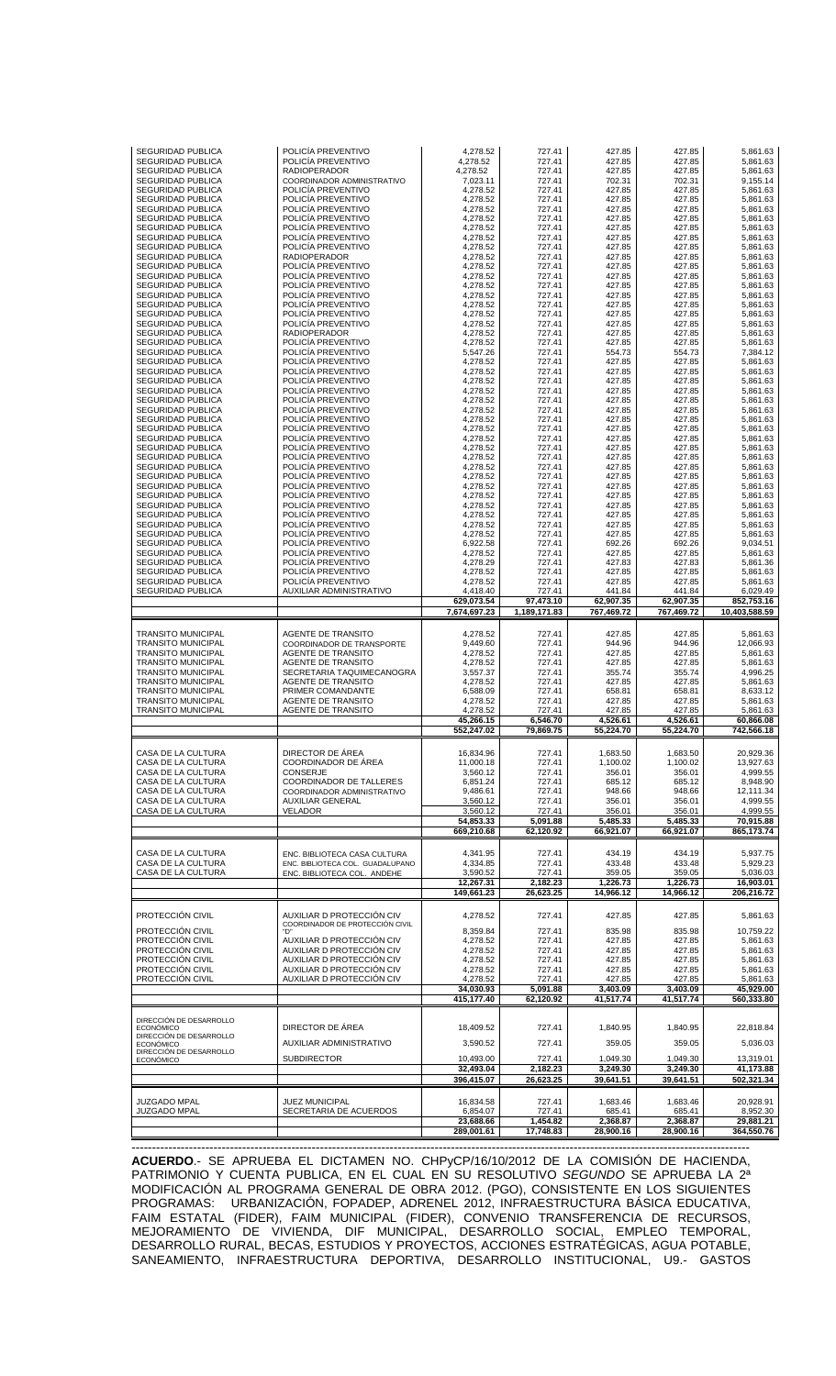|                                               | POLICÍA PREVENTIVO                       | 4,278.52                | 727.41                | 427.85                | 427.85                | 5,861.63                |
|-----------------------------------------------|------------------------------------------|-------------------------|-----------------------|-----------------------|-----------------------|-------------------------|
| SEGURIDAD PUBLICA<br>SEGURIDAD PUBLICA        | POLICÍA PREVENTIVO                       | 4,278.52                | 727.41                | 427.85                | 427.85                | 5,861.63                |
| SEGURIDAD PUBLICA                             | <b>RADIOPERADOR</b>                      | 4,278.52                | 727.41                | 427.85                | 427.85                | 5,861.63                |
| <b>SEGURIDAD PUBLICA</b>                      | COORDINADOR ADMINISTRATIVO               | 7,023.11                | 727.41                | 702.31                | 702.31                | 9,155.14                |
| SEGURIDAD PUBLICA                             | POLICÍA PREVENTIVO                       | 4,278.52                | 727.41                | 427.85                | 427.85                | 5,861.63                |
| SEGURIDAD PUBLICA                             | POLICÍA PREVENTIVO                       | 4,278.52                | 727.41                | 427.85                | 427.85                | 5,861.63                |
|                                               |                                          |                         | 727.41                | 427.85                |                       | 5,861.63                |
| <b>SEGURIDAD PUBLICA</b>                      | POLICIA PREVENTIVO                       | 4,278.52                |                       |                       | 427.85                |                         |
| SEGURIDAD PUBLICA                             | POLICÍA PREVENTIVO                       | 4,278.52                | 727.41                | 427.85                | 427.85                | 5,861.63                |
| <b>SEGURIDAD PUBLICA</b>                      | POLICÍA PREVENTIVO                       | 4,278.52                | 727.41                | 427.85                | 427.85                | 5,861.63                |
| <b>SEGURIDAD PUBLICA</b>                      | POLICÍA PREVENTIVO                       | 4,278.52                | 727.41                | 427.85                | 427.85                | 5,861.63                |
| SEGURIDAD PUBLICA                             | POLICÍA PREVENTIVO                       | 4,278.52                | 727.41                | 427.85                | 427.85                | 5,861.63                |
| SEGURIDAD PUBLICA                             | <b>RADIOPERADOR</b>                      | 4,278.52                | 727.41                | 427.85                | 427.85                | 5,861.63                |
| <b>SEGURIDAD PUBLICA</b>                      | POLICÍA PREVENTIVO                       | 4,278.52                | 727.41                | 427.85                | 427.85                | 5,861.63                |
| SEGURIDAD PUBLICA                             | POLICIA PREVENTIVO                       | 4,278.52                | 727.41                | 427.85                | 427.85                | 5,861.63                |
| <b>SEGURIDAD PUBLICA</b>                      | POLICÍA PREVENTIVO                       | 4,278.52                | 727.41                | 427.85                | 427.85                | 5,861.63                |
| <b>SEGURIDAD PUBLICA</b>                      | POLICÍA PREVENTIVO                       | 4,278.52                | 727.41                | 427.85                | 427.85                | 5,861.63                |
| SEGURIDAD PUBLICA                             | POLICÍA PREVENTIVO                       | 4,278.52                | 727.41                | 427.85                | 427.85                | 5,861.63                |
| SEGURIDAD PUBLICA                             | POLICÍA PREVENTIVO                       | 4,278.52                | 727.41                | 427.85                | 427.85                | 5,861.63                |
| <b>SEGURIDAD PUBLICA</b>                      | POLICIA PREVENTIVO                       | 4,278.52                | 727.41                | 427.85                | 427.85                | 5,861.63                |
| SEGURIDAD PUBLICA                             | <b>RADIOPERADOR</b>                      | 4,278.52                | 727.41                | 427.85                | 427.85                | 5,861.63                |
| <b>SEGURIDAD PUBLICA</b>                      | POLICÍA PREVENTIVO                       | 4,278.52                | 727.41                | 427.85                | 427.85                | 5,861.63                |
| <b>SEGURIDAD PUBLICA</b>                      | POLICÍA PREVENTIVO                       | 5,547.26                | 727.41                | 554.73                | 554.73                | 7,384.12                |
| SEGURIDAD PUBLICA                             | POLICÍA PREVENTIVO                       | 4,278.52                | 727.41                | 427.85                | 427.85                | 5,861.63                |
| <b>SEGURIDAD PUBLICA</b>                      | POLICÍA PREVENTIVO                       | 4,278.52                | 727.41                | 427.85                | 427.85                | 5,861.63                |
| <b>SEGURIDAD PUBLICA</b>                      | POLICÍA PREVENTIVO                       | 4,278.52                | 727.41                | 427.85                | 427.85                | 5,861.63                |
| SEGURIDAD PUBLICA                             | POLICÍA PREVENTIVO                       | 4,278.52                | 727.41                | 427.85                | 427.85                | 5,861.63                |
| <b>SEGURIDAD PUBLICA</b>                      | POLICÍA PREVENTIVO                       | 4,278.52                | 727.41                | 427.85                | 427.85                | 5,861.63                |
| <b>SEGURIDAD PUBLICA</b>                      | POLICIA PREVENTIVO                       | 4,278.52                | 727.41                | 427.85                | 427.85                | 5,861.63                |
| SEGURIDAD PUBLICA                             | POLICÍA PREVENTIVO                       | 4,278.52                | 727.41                | 427.85                | 427.85                | 5,861.63                |
| SEGURIDAD PUBLICA                             | POLICÍA PREVENTIVO                       | 4,278.52                | 727.41                | 427.85                | 427.85                | 5,861.63                |
| <b>SEGURIDAD PUBLICA</b>                      | POLICIA PREVENTIVO                       | 4,278.52                | 727.41                | 427.85                | 427.85                | 5,861.63                |
|                                               |                                          |                         |                       |                       | 427.85                | 5,861.63                |
| SEGURIDAD PUBLICA<br><b>SEGURIDAD PUBLICA</b> | POLICIA PREVENTIVO<br>POLICÍA PREVENTIVO | 4,278.52<br>4.278.52    | 727.41                | 427.85                | 427.85                | 5,861.63                |
|                                               |                                          |                         | 727.41                | 427.85                |                       |                         |
| <b>SEGURIDAD PUBLICA</b>                      | POLICÍA PREVENTIVO                       | 4,278.52                | 727.41                | 427.85                | 427.85                | 5,861.63                |
| SEGURIDAD PUBLICA                             | POLICÍA PREVENTIVO                       | 4,278.52                | 727.41                | 427.85                | 427.85                | 5,861.63                |
| <b>SEGURIDAD PUBLICA</b>                      | POLICÍA PREVENTIVO                       | 4,278.52                | 727.41                | 427.85                | 427.85                | 5,861.63                |
| <b>SEGURIDAD PUBLICA</b>                      | POLICÍA PREVENTIVO                       | 4,278.52                | 727.41                | 427.85                | 427.85                | 5,861.63                |
| SEGURIDAD PUBLICA                             | POLICÍA PREVENTIVO                       | 4,278.52                | 727.41                | 427.85                | 427.85                | 5,861.63                |
| <b>SEGURIDAD PUBLICA</b>                      | POLICÍA PREVENTIVO                       | 4,278.52                | 727.41                | 427.85                | 427.85                | 5,861.63                |
| <b>SEGURIDAD PUBLICA</b>                      | POLICIA PREVENTIVO                       | 4,278.52                | 727.41                | 427.85                | 427.85                | 5,861.63                |
| <b>SEGURIDAD PUBLICA</b>                      | POLICÍA PREVENTIVO                       | 4,278.52                | 727.41                | 427.85                | 427.85                | 5,861.63                |
| SEGURIDAD PUBLICA                             | POLICÍA PREVENTIVO                       | 6,922.58                | 727.41                | 692.26                | 692.26                | 9,034.51                |
| SEGURIDAD PUBLICA                             | POLICIA PREVENTIVO                       | 4,278.52                | 727.41                | 427.85                | 427.85                | 5,861.63                |
| SEGURIDAD PUBLICA                             | POLICÍA PREVENTIVO                       | 4,278.29                | 727.41                | 427.83                | 427.83                | 5,861.36                |
| SEGURIDAD PUBLICA                             | POLICÍA PREVENTIVO                       | 4,278.52                | 727.41                | 427.85                | 427.85                | 5,861.63                |
| SEGURIDAD PUBLICA                             | POLICIA PREVENTIVO                       | 4,278.52                | 727.41                | 427.85                | 427.85                | 5,861.63                |
| SEGURIDAD PUBLICA                             | AUXILIAR ADMINISTRATIVO                  | 4,418.40                | 727.41                | 441.84                | 441.84                | 6,029.49                |
|                                               |                                          | 629,073.54              | 97,473.10             | 62,907.35             | 62,907.35             | 852,753.16              |
|                                               |                                          | 7,674,697.23            | 1,189,171.83          | 767,469.72            | 767,469.72            | 10,403,588.59           |
|                                               |                                          |                         |                       |                       |                       |                         |
| <b>TRANSITO MUNICIPAL</b>                     | <b>AGENTE DE TRANSITO</b>                | 4,278.52                | 727.41                | 427.85                | 427.85                | 5,861.63                |
| <b>TRANSITO MUNICIPAL</b>                     | COORDINADOR DE TRANSPORTE                | 9,449.60                | 727.41                | 944.96                | 944.96                | 12,066.93               |
|                                               | <b>AGENTE DE TRANSITO</b>                | 4,278.52                | 727.41                | 427.85                | 427.85                | 5,861.63                |
|                                               |                                          |                         |                       |                       |                       |                         |
| <b>TRANSITO MUNICIPAL</b>                     |                                          |                         |                       |                       |                       |                         |
| <b>TRANSITO MUNICIPAL</b>                     | AGENTE DE TRANSITO                       | 4,278.52                | 727.41                | 427.85                | 427.85                | 5,861.63                |
| <b>TRANSITO MUNICIPAL</b>                     | SECRETARIA TAQUIMECANOGRA                | 3,557.37                | 727.41                | 355.74                | 355.74                | 4,996.25                |
| <b>TRANSITO MUNICIPAL</b>                     | AGENTE DE TRANSITO                       | 4,278.52                | 727.41                | 427.85                | 427.85                | 5.861.63                |
| <b>TRANSITO MUNICIPAL</b>                     | PRIMER COMANDANTE                        | 6,588.09                | 727.41                | 658.81                | 658.81                | 8,633.12                |
| <b>TRANSITO MUNICIPAL</b>                     | AGENTE DE TRANSITO                       | 4,278.52                | 727.41                | 427.85                | 427.85                | 5,861.63                |
| <b>TRANSITO MUNICIPAL</b>                     | AGENTE DE TRANSITO                       | 4,278.52                | 727.41                | 427.85                | 427.85                | 5,861.63                |
|                                               |                                          | 45,266.15               | 6,546.70              | 4,526.61              | 4.526.61              | 60,866.08               |
|                                               |                                          | 552,247.02              | 79,869.75             | 55,224.70             | 55,224.70             | 742,566.18              |
|                                               |                                          |                         |                       |                       |                       |                         |
| CASA DE LA CULTURA                            | DIRECTOR DE AREA                         | 16,834.96               | 727.41                | 1,683.50              | 1,683.50              | 20,929.36               |
| CASA DE LA CULTURA                            | COORDINADOR DE ÁREA                      | 11.000.18               | 727.41                | 1.100.02              | 1,100.02              | 13,927.63               |
| CASA DE LA CULTURA                            | CONSERJE                                 | 3,560.12                | 727.41                | 356.01                | 356.01                | 4,999.55                |
| CASA DE LA CULTURA                            | COORDINADOR DE TALLERES                  | 6,851.24                | 727.41                | 685.12                | 685.12                | 8,948.90                |
| CASA DE LA CULTURA                            | COORDINADOR ADMINISTRATIVO               | 9,486.61                | 727.41                | 948.66                | 948.66                | 12,111.34               |
| CASA DE LA CULTURA                            | <b>AUXILIAR GENERAL</b>                  | 3,560.12                | 727.41                | 356.01                | 356.01                | 4,999.55                |
| CASA DE LA CULTURA                            | <b>VELADOR</b>                           | 3.560.12                | 727.41                | 356.01                | 356.01                | 4,999.55                |
|                                               |                                          | 54,853.33               | 5,091.88              | 5,485.33              | 5,485.33              | 70,915.88               |
|                                               |                                          | 669.210.68              | 62,120.92             | 66,921.07             | 66,921.07             | 865.173.74              |
|                                               |                                          |                         |                       |                       |                       |                         |
| CASA DE LA CULTURA                            | ENC. BIBLIOTECA CASA CULTURA             | 4,341.95                | 727.41                | 434.19                | 434.19                | 5,937.75                |
| CASA DE LA CULTURA                            | ENC. BIBLIOTECA COL. GUADALUPANO         | 4,334.85                | 727.41                | 433.48                | 433.48                | 5,929.23                |
| CASA DE LA CULTURA                            | ENC. BIBLIOTECA COL. ANDEHE              | 3.590.52                | 727.41                | 359.05                | 359.05                | 5,036.03                |
|                                               |                                          |                         |                       |                       |                       |                         |
|                                               |                                          | 12,267.31<br>149,661.23 | 2,182.23<br>26,623.25 | 1,226.73<br>14.966.12 | 1,226.73<br>14.966.12 | 16,903.01<br>206,216.72 |
|                                               |                                          |                         |                       |                       |                       |                         |
|                                               |                                          |                         |                       |                       |                       |                         |
| PROTECCIÓN CIVIL                              | AUXILIAR D PROTECCIÓN CIV                | 4,278.52                | 727.41                | 427.85                | 427.85                | 5,861.63                |
| PROTECCIÓN CIVIL                              | COORDINADOR DE PROTECCIÓN CIVIL<br>"D"   | 8,359.84                | 727.41                | 835.98                | 835.98                | 10,759.22               |
| PROTECCIÓN CIVIL                              | AUXILIAR D PROTECCIÓN CIV                | 4,278.52                | 727.41                | 427.85                | 427.85                | 5,861.63                |
| PROTECCIÓN CIVIL                              | AUXILIAR D PROTECCIÓN CIV                | 4,278.52                | 727.41                | 427.85                | 427.85                | 5,861.63                |
| PROTECCIÓN CIVIL                              | AUXILIAR D PROTECCIÓN CIV                | 4,278.52                | 727.41                | 427.85                | 427.85                | 5,861.63                |
| PROTECCIÓN CIVIL                              | AUXILIAR D PROTECCIÓN CIV                | 4,278.52                | 727.41                | 427.85                | 427.85                | 5,861.63                |
|                                               |                                          |                         |                       |                       |                       |                         |
| PROTECCIÓN CIVIL                              | AUXILIAR D PROTECCIÓN CIV                | 4,278.52                | 727.41                | 427.85                | 427.85                | 5,861.63                |
|                                               |                                          | 34,030.93               | 5,091.88              | 3,403.09              | 3,403.09              | 45,929.00               |
|                                               |                                          | 415,177.40              | 62,120.92             | 41,517.74             | 41,517.74             | 560,333.80              |
|                                               |                                          |                         |                       |                       |                       |                         |
| DIRECCIÓN DE DESARROLLO                       |                                          |                         |                       |                       |                       |                         |
| <b>ECONÓMICO</b><br>DIRECCIÓN DE DESARROLLO   | DIRECTOR DE ÁREA                         | 18,409.52               | 727.41                | 1,840.95              | 1,840.95              | 22,818.84               |
| <b>ECONÓMICO</b>                              | AUXILIAR ADMINISTRATIVO                  | 3,590.52                | 727.41                | 359.05                | 359.05                | 5,036.03                |
| DIRECCIÓN DE DESARROLLO                       |                                          |                         |                       |                       |                       |                         |
| <b>ECONÓMICO</b>                              | <b>SUBDIRECTOR</b>                       | 10,493.00               | 727.41                | 1,049.30              | 1,049.30              | 13,319.01               |
|                                               |                                          | 32,493.04               | 2,182.23              | 3,249.30              | 3,249.30              | 41,173.88               |
|                                               |                                          | 396,415.07              | 26,623.25             | 39,641.51             | 39,641.51             | 502,321.34              |
|                                               |                                          |                         |                       |                       |                       |                         |
| JUZGADO MPAL                                  | JUEZ MUNICIPAL                           | 16,834.58               | 727.41                | 1,683.46              | 1,683.46              | 20,928.91               |
| JUZGADO MPAL                                  | SECRETARIA DE ACUERDOS                   | 6,854.07                | 727.41                | 685.41                | 685.41                | 8,952.30                |
|                                               |                                          | 23,688.66               | 1,454.82              | 2,368.87              | 2,368.87              | 29,881.21               |
|                                               |                                          | 289,001.61              | 17,748.83             | 28,900.16             | 28,900.16             | 364,550.76              |

------------------------------------------------------------------------------------------------------------------------------------------------------- **ACUERDO**.- SE APRUEBA EL DICTAMEN NO. CHPyCP/16/10/2012 DE LA COMISIÓN DE HACIENDA, PATRIMONIO Y CUENTA PUBLICA, EN EL CUAL EN SU RESOLUTIVO SEGUNDO SE APRUEBA LA 2ª MODIFICACIÓN AL PROGRAMA GENERAL DE OBRA 2012. (PGO), CONSISTENTE EN LOS SIGUIENTES PROGRAMAS: URBANIZACIÓN, FOPADEP, ADRENEL 2012, INFRAESTRUCTURA BÁSICA EDUCATIVA, FAIM ESTATAL (FIDER), FAIM MUNICIPAL (FIDER), CONVENIO TRANSFERENCIA DE RECURSOS, MEJORAMIENTO DE VIVIENDA, DIF MUNICIPAL, DESARROLLO SOCIAL, EMPLEO TEMPORAL, DESARROLLO RURAL, BECAS, ESTUDIOS Y PROYECTOS, ACCIONES ESTRATÉGICAS, AGUA POTABLE, SANEAMIENTO, INFRAESTRUCTURA DEPORTIVA, DESARROLLO INSTITUCIONAL, U9.- GASTOS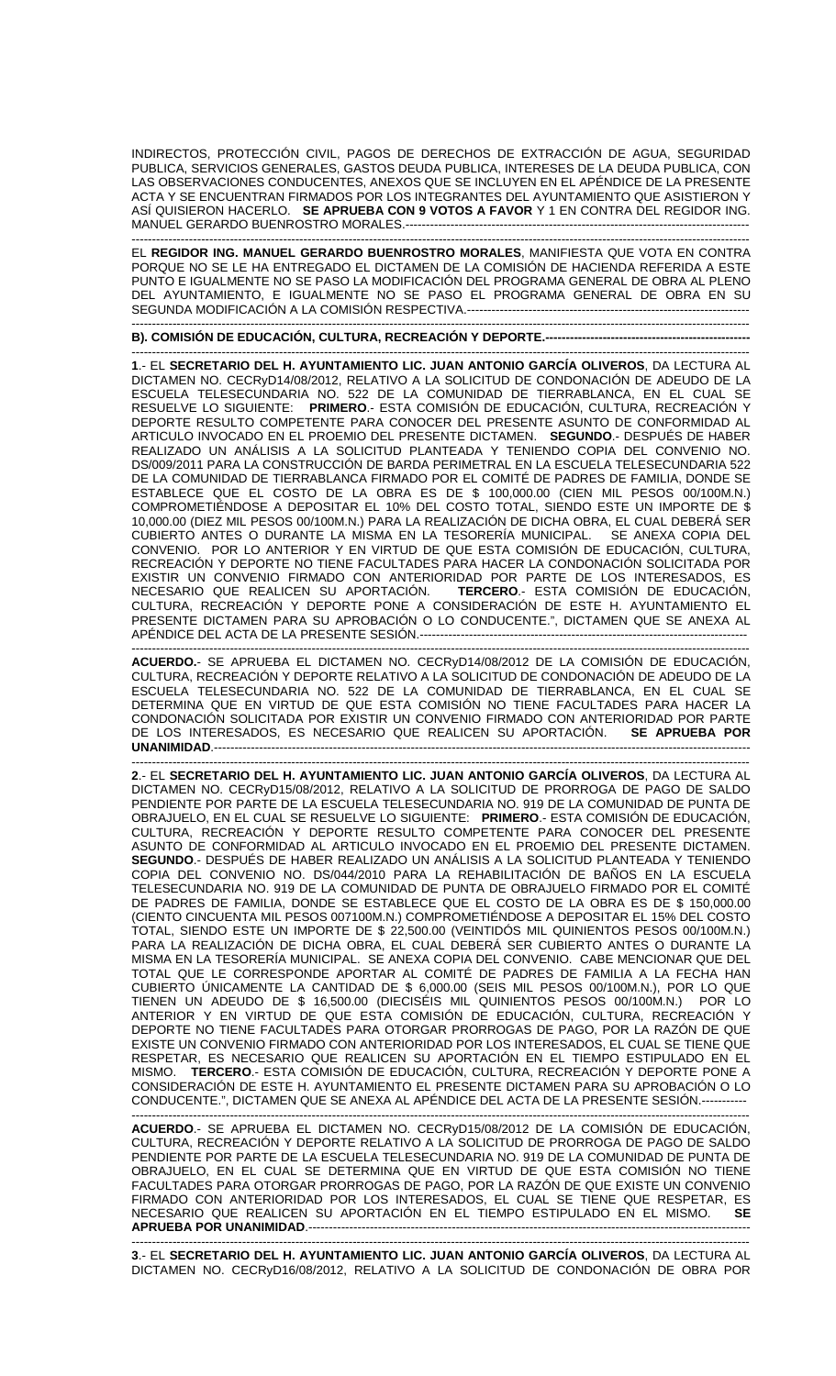INDIRECTOS, PROTECCIÓN CIVIL, PAGOS DE DERECHOS DE EXTRACCIÓN DE AGUA, SEGURIDAD PUBLICA, SERVICIOS GENERALES, GASTOS DEUDA PUBLICA, INTERESES DE LA DEUDA PUBLICA, CON LAS OBSERVACIONES CONDUCENTES, ANEXOS QUE SE INCLUYEN EN EL APÉNDICE DE LA PRESENTE ACTA Y SE ENCUENTRAN FIRMADOS POR LOS INTEGRANTES DEL AYUNTAMIENTO QUE ASISTIERON Y ASÍ QUISIERON HACERLO. **SE APRUEBA CON 9 VOTOS A FAVOR** Y 1 EN CONTRA DEL REGIDOR ING. MANUEL GERARDO BUENROSTRO MORALES.----

------------------------------------------------------------------------------------------------------------------------------------------------------- EL **REGIDOR ING. MANUEL GERARDO BUENROSTRO MORALES**, MANIFIESTA QUE VOTA EN CONTRA PORQUE NO SE LE HA ENTREGADO EL DICTAMEN DE LA COMISIÓN DE HACIENDA REFERIDA A ESTE PUNTO E IGUALMENTE NO SE PASO LA MODIFICACIÓN DEL PROGRAMA GENERAL DE OBRA AL PLENO DEL AYUNTAMIENTO, E IGUALMENTE NO SE PASO EL PROGRAMA GENERAL DE OBRA EN SU SEGUNDA MODIFICACIÓN A LA COMISIÓN RESPECTIVA.--------------------------------------------------------------------- -------------------------------------------------------------------------------------------------------------------------------------------------------

**B). COMISIÓN DE EDUCACIÓN, CULTURA, RECREACIÓN Y DEPORTE.--------------------------------------------------** 

------------------------------------------------------------------------------------------------------------------------------------------------------- **1**.- EL **SECRETARIO DEL H. AYUNTAMIENTO LIC. JUAN ANTONIO GARCÍA OLIVEROS**, DA LECTURA AL DICTAMEN NO. CECRyD14/08/2012, RELATIVO A LA SOLICITUD DE CONDONACIÓN DE ADEUDO DE LA ESCUELA TELESECUNDARIA NO. 522 DE LA COMUNIDAD DE TIERRABLANCA, EN EL CUAL SE RESUELVE LO SIGUIENTE: **PRIMERO**.- ESTA COMISIÓN DE EDUCACIÓN, CULTURA, RECREACIÓN Y DEPORTE RESULTO COMPETENTE PARA CONOCER DEL PRESENTE ASUNTO DE CONFORMIDAD AL ARTICULO INVOCADO EN EL PROEMIO DEL PRESENTE DICTAMEN. **SEGUNDO**.- DESPUÉS DE HABER REALIZADO UN ANÁLISIS A LA SOLICITUD PLANTEADA Y TENIENDO COPIA DEL CONVENIO NO. DS/009/2011 PARA LA CONSTRUCCIÓN DE BARDA PERIMETRAL EN LA ESCUELA TELESECUNDARIA 522 DE LA COMUNIDAD DE TIERRABLANCA FIRMADO POR EL COMITÉ DE PADRES DE FAMILIA, DONDE SE ESTABLECE QUE EL COSTO DE LA OBRA ES DE \$ 100,000.00 (CIEN MIL PESOS 00/100M.N.) COMPROMETIÉNDOSE A DEPOSITAR EL 10% DEL COSTO TOTAL, SIENDO ESTE UN IMPORTE DE \$ 10,000.00 (DIEZ MIL PESOS 00/100M.N.) PARA LA REALIZACIÓN DE DICHA OBRA, EL CUAL DEBERÁ SER CUBIERTO ANTES O DURANTE LA MISMA EN LA TESORERÍA MUNICIPAL. SE ANEXA COPIA DEL CONVENIO. POR LO ANTERIOR Y EN VIRTUD DE QUE ESTA COMISIÓN DE EDUCACIÓN, CULTURA, RECREACIÓN Y DEPORTE NO TIENE FACULTADES PARA HACER LA CONDONACIÓN SOLICITADA POR EXISTIR UN CONVENIO FIRMADO CON ANTERIORIDAD POR PARTE DE LOS INTERESADOS, ES NECESARIO QUE REALICEN SU APORTACIÓN. **TERCERO**.- ESTA COMISIÓN DE EDUCACIÓN, CULTURA, RECREACIÓN Y DEPORTE PONE A CONSIDERACIÓN DE ESTE H. AYUNTAMIENTO EL PRESENTE DICTAMEN PARA SU APROBACIÓN O LO CONDUCENTE.", DICTAMEN QUE SE ANEXA AL APÉNDICE DEL ACTA DE LA PRESENTE SESIÓN.--------------------------------------------------------------------------------

------------------------------------------------------------------------------------------------------------------------------------------------------- **ACUERDO.**- SE APRUEBA EL DICTAMEN NO. CECRyD14/08/2012 DE LA COMISIÓN DE EDUCACIÓN, CULTURA, RECREACIÓN Y DEPORTE RELATIVO A LA SOLICITUD DE CONDONACIÓN DE ADEUDO DE LA ESCUELA TELESECUNDARIA NO. 522 DE LA COMUNIDAD DE TIERRABLANCA, EN EL CUAL SE DETERMINA QUE EN VIRTUD DE QUE ESTA COMISIÓN NO TIENE FACULTADES PARA HACER LA CONDONACIÓN SOLICITADA POR EXISTIR UN CONVENIO FIRMADO CON ANTERIORIDAD POR PARTE DE LOS INTERESADOS, ES NECESARIO QUE REALICEN SU APORTACIÓN. **SE APRUEBA POR UNANIMIDAD.---**

------------------------------------------------------------------------------------------------------------------------------------------------------- **2**.- EL **SECRETARIO DEL H. AYUNTAMIENTO LIC. JUAN ANTONIO GARCÍA OLIVEROS**, DA LECTURA AL DICTAMEN NO. CECRyD15/08/2012, RELATIVO A LA SOLICITUD DE PRORROGA DE PAGO DE SALDO PENDIENTE POR PARTE DE LA ESCUELA TELESECUNDARIA NO. 919 DE LA COMUNIDAD DE PUNTA DE OBRAJUELO, EN EL CUAL SE RESUELVE LO SIGUIENTE: **PRIMERO**.- ESTA COMISIÓN DE EDUCACIÓN, CULTURA, RECREACIÓN Y DEPORTE RESULTO COMPETENTE PARA CONOCER DEL PRESENTE ASUNTO DE CONFORMIDAD AL ARTICULO INVOCADO EN EL PROEMIO DEL PRESENTE DICTAMEN. **SEGUNDO**.- DESPUÉS DE HABER REALIZADO UN ANÁLISIS A LA SOLICITUD PLANTEADA Y TENIENDO COPIA DEL CONVENIO NO. DS/044/2010 PARA LA REHABILITACIÓN DE BAÑOS EN LA ESCUELA TELESECUNDARIA NO. 919 DE LA COMUNIDAD DE PUNTA DE OBRAJUELO FIRMADO POR EL COMITÉ DE PADRES DE FAMILIA, DONDE SE ESTABLECE QUE EL COSTO DE LA OBRA ES DE \$ 150,000.00 (CIENTO CINCUENTA MIL PESOS 007100M.N.) COMPROMETIÉNDOSE A DEPOSITAR EL 15% DEL COSTO TOTAL, SIENDO ESTE UN IMPORTE DE \$ 22,500.00 (VEINTIDÓS MIL QUINIENTOS PESOS 00/100M.N.) PARA LA REALIZACIÓN DE DICHA OBRA, EL CUAL DEBERÁ SER CUBIERTO ANTES O DURANTE LA MISMA EN LA TESORERÍA MUNICIPAL. SE ANEXA COPIA DEL CONVENIO. CABE MENCIONAR QUE DEL TOTAL QUE LE CORRESPONDE APORTAR AL COMITÉ DE PADRES DE FAMILIA A LA FECHA HAN CUBIERTO ÚNICAMENTE LA CANTIDAD DE \$ 6,000.00 (SEIS MIL PESOS 00/100M.N.), POR LO QUE TIENEN UN ADEUDO DE \$ 16,500.00 (DIECISÉIS MIL QUINIENTOS PESOS 00/100M.N.) POR LO ANTERIOR Y EN VIRTUD DE QUE ESTA COMISIÓN DE EDUCACIÓN, CULTURA, RECREACIÓN Y DEPORTE NO TIENE FACULTADES PARA OTORGAR PRORROGAS DE PAGO, POR LA RAZÓN DE QUE EXISTE UN CONVENIO FIRMADO CON ANTERIORIDAD POR LOS INTERESADOS, EL CUAL SE TIENE QUE RESPETAR, ES NECESARIO QUE REALICEN SU APORTACIÓN EN EL TIEMPO ESTIPULADO EN EL MISMO. **TERCERO**.- ESTA COMISIÓN DE EDUCACIÓN, CULTURA, RECREACIÓN Y DEPORTE PONE A CONSIDERACIÓN DE ESTE H. AYUNTAMIENTO EL PRESENTE DICTAMEN PARA SU APROBACIÓN O LO CONDUCENTE.", DICTAMEN QUE SE ANEXA AL APÉNDICE DEL ACTA DE LA PRESENTE SESIÓN.----------- -------------------------------------------------------------------------------------------------------------------------------------------------------

**ACUERDO**.- SE APRUEBA EL DICTAMEN NO. CECRyD15/08/2012 DE LA COMISIÓN DE EDUCACIÓN, CULTURA, RECREACIÓN Y DEPORTE RELATIVO A LA SOLICITUD DE PRORROGA DE PAGO DE SALDO PENDIENTE POR PARTE DE LA ESCUELA TELESECUNDARIA NO. 919 DE LA COMUNIDAD DE PUNTA DE OBRAJUELO, EN EL CUAL SE DETERMINA QUE EN VIRTUD DE QUE ESTA COMISIÓN NO TIENE FACULTADES PARA OTORGAR PRORROGAS DE PAGO, POR LA RAZÓN DE QUE EXISTE UN CONVENIO FIRMADO CON ANTERIORIDAD POR LOS INTERESADOS, EL CUAL SE TIENE QUE RESPETAR, ES NECESARIO QUE REALICEN SU APORTACIÓN EN EL TIEMPO ESTIPULADO EN EL MISMO. **SE APRUEBA POR UNANIMIDAD.-------------------------**

------------------------------------------------------------------------------------------------------------------------------------------------------- **3**.- EL **SECRETARIO DEL H. AYUNTAMIENTO LIC. JUAN ANTONIO GARCÍA OLIVEROS**, DA LECTURA AL DICTAMEN NO. CECRyD16/08/2012, RELATIVO A LA SOLICITUD DE CONDONACIÓN DE OBRA POR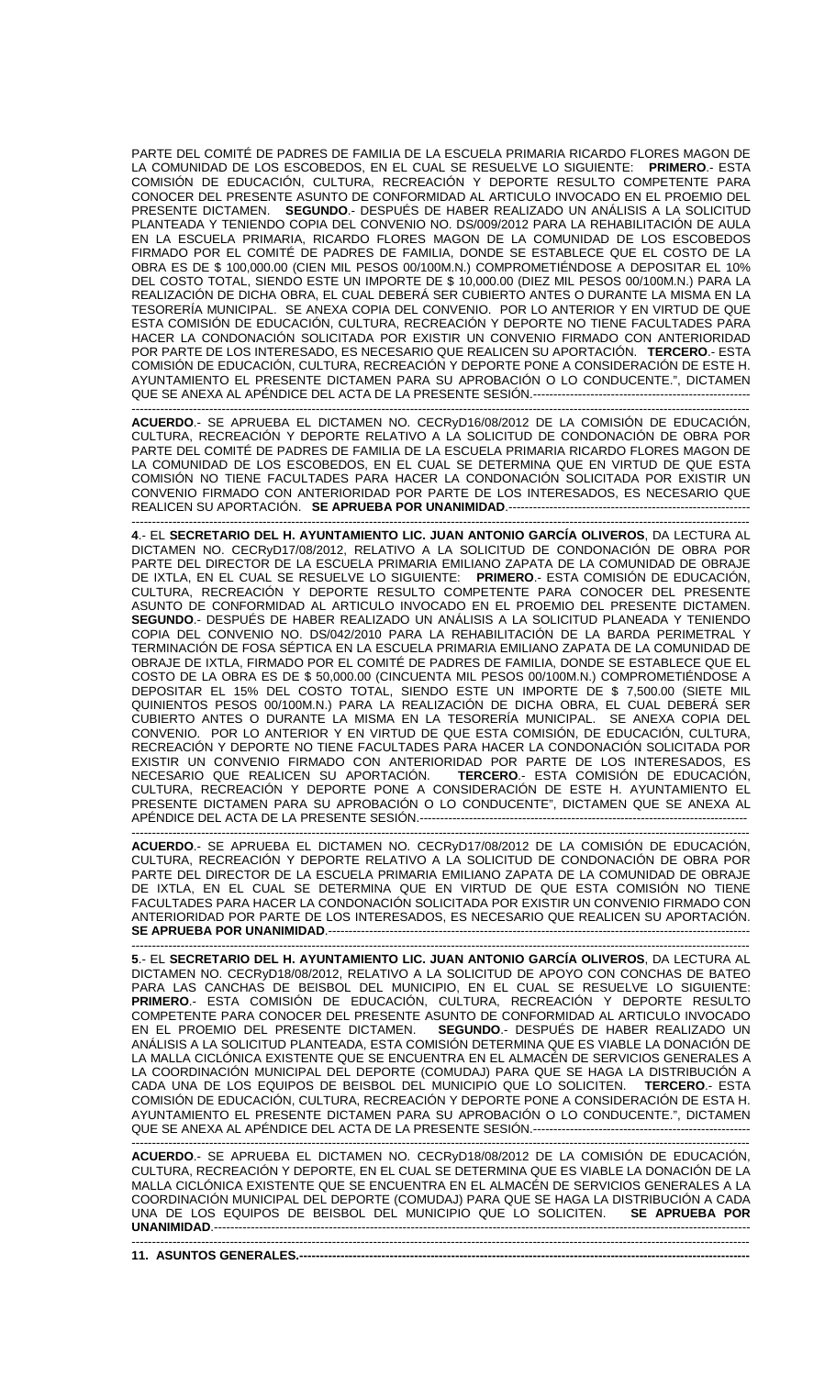PARTE DEL COMITÉ DE PADRES DE FAMILIA DE LA ESCUELA PRIMARIA RICARDO FLORES MAGON DE LA COMUNIDAD DE LOS ESCOBEDOS, EN EL CUAL SE RESUELVE LO SIGUIENTE: **PRIMERO**.- ESTA COMISIÓN DE EDUCACIÓN, CULTURA, RECREACIÓN Y DEPORTE RESULTO COMPETENTE PARA CONOCER DEL PRESENTE ASUNTO DE CONFORMIDAD AL ARTICULO INVOCADO EN EL PROEMIO DEL PRESENTE DICTAMEN. **SEGUNDO**.- DESPUÉS DE HABER REALIZADO UN ANÁLISIS A LA SOLICITUD PLANTEADA Y TENIENDO COPIA DEL CONVENIO NO. DS/009/2012 PARA LA REHABILITACIÓN DE AULA EN LA ESCUELA PRIMARIA, RICARDO FLORES MAGON DE LA COMUNIDAD DE LOS ESCOBEDOS FIRMADO POR EL COMITÉ DE PADRES DE FAMILIA, DONDE SE ESTABLECE QUE EL COSTO DE LA OBRA ES DE \$ 100,000.00 (CIEN MIL PESOS 00/100M.N.) COMPROMETIÉNDOSE A DEPOSITAR EL 10% DEL COSTO TOTAL, SIENDO ESTE UN IMPORTE DE \$ 10,000.00 (DIEZ MIL PESOS 00/100M.N.) PARA LA REALIZACIÓN DE DICHA OBRA, EL CUAL DEBERÁ SER CUBIERTO ANTES O DURANTE LA MISMA EN LA TESORERÍA MUNICIPAL. SE ANEXA COPIA DEL CONVENIO. POR LO ANTERIOR Y EN VIRTUD DE QUE ESTA COMISIÓN DE EDUCACIÓN, CULTURA, RECREACIÓN Y DEPORTE NO TIENE FACULTADES PARA HACER LA CONDONACIÓN SOLICITADA POR EXISTIR UN CONVENIO FIRMADO CON ANTERIORIDAD POR PARTE DE LOS INTERESADO, ES NECESARIO QUE REALICEN SU APORTACIÓN. **TERCERO**.- ESTA COMISIÓN DE EDUCACIÓN, CULTURA, RECREACIÓN Y DEPORTE PONE A CONSIDERACIÓN DE ESTE H. AYUNTAMIENTO EL PRESENTE DICTAMEN PARA SU APROBACIÓN O LO CONDUCENTE.", DICTAMEN QUE SE ANEXA AL APÉNDICE DEL ACTA DE LA PRESENTE SESIÓN.----------------

------------------------------------------------------------------------------------------------------------------------------------------------------- **ACUERDO**.- SE APRUEBA EL DICTAMEN NO. CECRyD16/08/2012 DE LA COMISIÓN DE EDUCACIÓN, CULTURA, RECREACIÓN Y DEPORTE RELATIVO A LA SOLICITUD DE CONDONACIÓN DE OBRA POR PARTE DEL COMITÉ DE PADRES DE FAMILIA DE LA ESCUELA PRIMARIA RICARDO FLORES MAGON DE LA COMUNIDAD DE LOS ESCOBEDOS, EN EL CUAL SE DETERMINA QUE EN VIRTUD DE QUE ESTA COMISIÓN NO TIENE FACULTADES PARA HACER LA CONDONACIÓN SOLICITADA POR EXISTIR UN CONVENIO FIRMADO CON ANTERIORIDAD POR PARTE DE LOS INTERESADOS, ES NECESARIO QUE REALICEN SU APORTACIÓN. SE APRUEBA POR UNANIMIDAD.---------

------------------------------------------------------------------------------------------------------------------------------------------------------- **4**.- EL **SECRETARIO DEL H. AYUNTAMIENTO LIC. JUAN ANTONIO GARCÍA OLIVEROS**, DA LECTURA AL DICTAMEN NO. CECRyD17/08/2012, RELATIVO A LA SOLICITUD DE CONDONACIÓN DE OBRA POR PARTE DEL DIRECTOR DE LA ESCUELA PRIMARIA EMILIANO ZAPATA DE LA COMUNIDAD DE OBRAJE DE IXTLA, EN EL CUAL SE RESUELVE LO SIGUIENTE: **PRIMERO**.- ESTA COMISIÓN DE EDUCACIÓN, CULTURA, RECREACIÓN Y DEPORTE RESULTO COMPETENTE PARA CONOCER DEL PRESENTE ASUNTO DE CONFORMIDAD AL ARTICULO INVOCADO EN EL PROEMIO DEL PRESENTE DICTAMEN. **SEGUNDO**.- DESPUÉS DE HABER REALIZADO UN ANÁLISIS A LA SOLICITUD PLANEADA Y TENIENDO COPIA DEL CONVENIO NO. DS/042/2010 PARA LA REHABILITACIÓN DE LA BARDA PERIMETRAL Y TERMINACIÓN DE FOSA SÉPTICA EN LA ESCUELA PRIMARIA EMILIANO ZAPATA DE LA COMUNIDAD DE OBRAJE DE IXTLA, FIRMADO POR EL COMITÉ DE PADRES DE FAMILIA, DONDE SE ESTABLECE QUE EL COSTO DE LA OBRA ES DE \$ 50,000.00 (CINCUENTA MIL PESOS 00/100M.N.) COMPROMETIÉNDOSE A DEPOSITAR EL 15% DEL COSTO TOTAL, SIENDO ESTE UN IMPORTE DE \$ 7,500.00 (SIETE MIL QUINIENTOS PESOS 00/100M.N.) PARA LA REALIZACIÓN DE DICHA OBRA, EL CUAL DEBERÁ SER CUBIERTO ANTES O DURANTE LA MISMA EN LA TESORERÍA MUNICIPAL. SE ANEXA COPIA DEL CONVENIO. POR LO ANTERIOR Y EN VIRTUD DE QUE ESTA COMISIÓN, DE EDUCACIÓN, CULTURA, RECREACIÓN Y DEPORTE NO TIENE FACULTADES PARA HACER LA CONDONACIÓN SOLICITADA POR EXISTIR UN CONVENIO FIRMADO CON ANTERIORIDAD POR PARTE DE LOS INTERESADOS, ES<br>NECESARIO QUE REALICEN SU APORTACIÓN. **TERCERO.** ESTA COMISIÓN DE EDUCACIÓN, NECESARIO QUE REALICEN SU APORTACIÓN. CULTURA, RECREACIÓN Y DEPORTE PONE A CONSIDERACIÓN DE ESTE H. AYUNTAMIENTO EL PRESENTE DICTAMEN PARA SU APROBACIÓN O LO CONDUCENTE", DICTAMEN QUE SE ANEXA AL APÉNDICE DEL ACTA DE LA PRESENTE SESIÓN.------------------

------------------------------------------------------------------------------------------------------------------------------------------------------- **ACUERDO**.- SE APRUEBA EL DICTAMEN NO. CECRyD17/08/2012 DE LA COMISIÓN DE EDUCACIÓN, CULTURA, RECREACIÓN Y DEPORTE RELATIVO A LA SOLICITUD DE CONDONACIÓN DE OBRA POR PARTE DEL DIRECTOR DE LA ESCUELA PRIMARIA EMILIANO ZAPATA DE LA COMUNIDAD DE OBRAJE DE IXTLA, EN EL CUAL SE DETERMINA QUE EN VIRTUD DE QUE ESTA COMISIÓN NO TIENE FACULTADES PARA HACER LA CONDONACIÓN SOLICITADA POR EXISTIR UN CONVENIO FIRMADO CON ANTERIORIDAD POR PARTE DE LOS INTERESADOS, ES NECESARIO QUE REALICEN SU APORTACIÓN. **SE APRUEBA POR UNANIMIDAD.----**

------------------------------------------------------------------------------------------------------------------------------------------------------- **5**.- EL **SECRETARIO DEL H. AYUNTAMIENTO LIC. JUAN ANTONIO GARCÍA OLIVEROS**, DA LECTURA AL DICTAMEN NO. CECRyD18/08/2012, RELATIVO A LA SOLICITUD DE APOYO CON CONCHAS DE BATEO PARA LAS CANCHAS DE BEISBOL DEL MUNICIPIO, EN EL CUAL SE RESUELVE LO SIGUIENTE: **PRIMERO**.- ESTA COMISIÓN DE EDUCACIÓN, CULTURA, RECREACIÓN Y DEPORTE RESULTO COMPETENTE PARA CONOCER DEL PRESENTE ASUNTO DE CONFORMIDAD AL ARTICULO INVOCADO EN EL PROEMIO DEL PRESENTE DICTAMEN. **SEGUNDO**.- DESPUÉS DE HABER REALIZADO UN ANÁLISIS A LA SOLICITUD PLANTEADA, ESTA COMISIÓN DETERMINA QUE ES VIABLE LA DONACIÓN DE LA MALLA CICLÓNICA EXISTENTE QUE SE ENCUENTRA EN EL ALMACÉN DE SERVICIOS GENERALES A LA COORDINACIÓN MUNICIPAL DEL DEPORTE (COMUDAJ) PARA QUE SE HAGA LA DISTRIBUCIÓN A CADA UNA DE LOS EQUIPOS DE BEISBOL DEL MUNICIPIO QUE LO SOLICITEN. **TERCERO**.- ESTA COMISIÓN DE EDUCACIÓN, CULTURA, RECREACIÓN Y DEPORTE PONE A CONSIDERACIÓN DE ESTA H. AYUNTAMIENTO EL PRESENTE DICTAMEN PARA SU APROBACIÓN O LO CONDUCENTE.", DICTAMEN QUE SE ANEXA AL APÉNDICE DEL ACTA DE LA PRESENTE SESIÓN.------------------------------------------------------------------------------------------------------------------------------------------------------------------------

**ACUERDO**.- SE APRUEBA EL DICTAMEN NO. CECRyD18/08/2012 DE LA COMISIÓN DE EDUCACIÓN, CULTURA, RECREACIÓN Y DEPORTE, EN EL CUAL SE DETERMINA QUE ES VIABLE LA DONACIÓN DE LA MALLA CICLÓNICA EXISTENTE QUE SE ENCUENTRA EN EL ALMACÉN DE SERVICIOS GENERALES A LA COORDINACIÓN MUNICIPAL DEL DEPORTE (COMUDAJ) PARA QUE SE HAGA LA DISTRIBUCIÓN A CADA<br>UNA DE LOS EQUIPOS DE BEISBOL DEL MUNICIPIO QUE LO SOLICITEN. I SE APRUEBA POR UNA DE LOS EQUIPOS DE BEISBOL DEL MUNICIPIO QUE LO SOLICITEN. **SE APRUEBA POR UNANIMIDAD**.----------------------------------------------------------------------------------------------------------------------------------- -------------------------------------------------------------------------------------------------------------------------------------------------------

**11. ASUNTOS GENERALES.------------**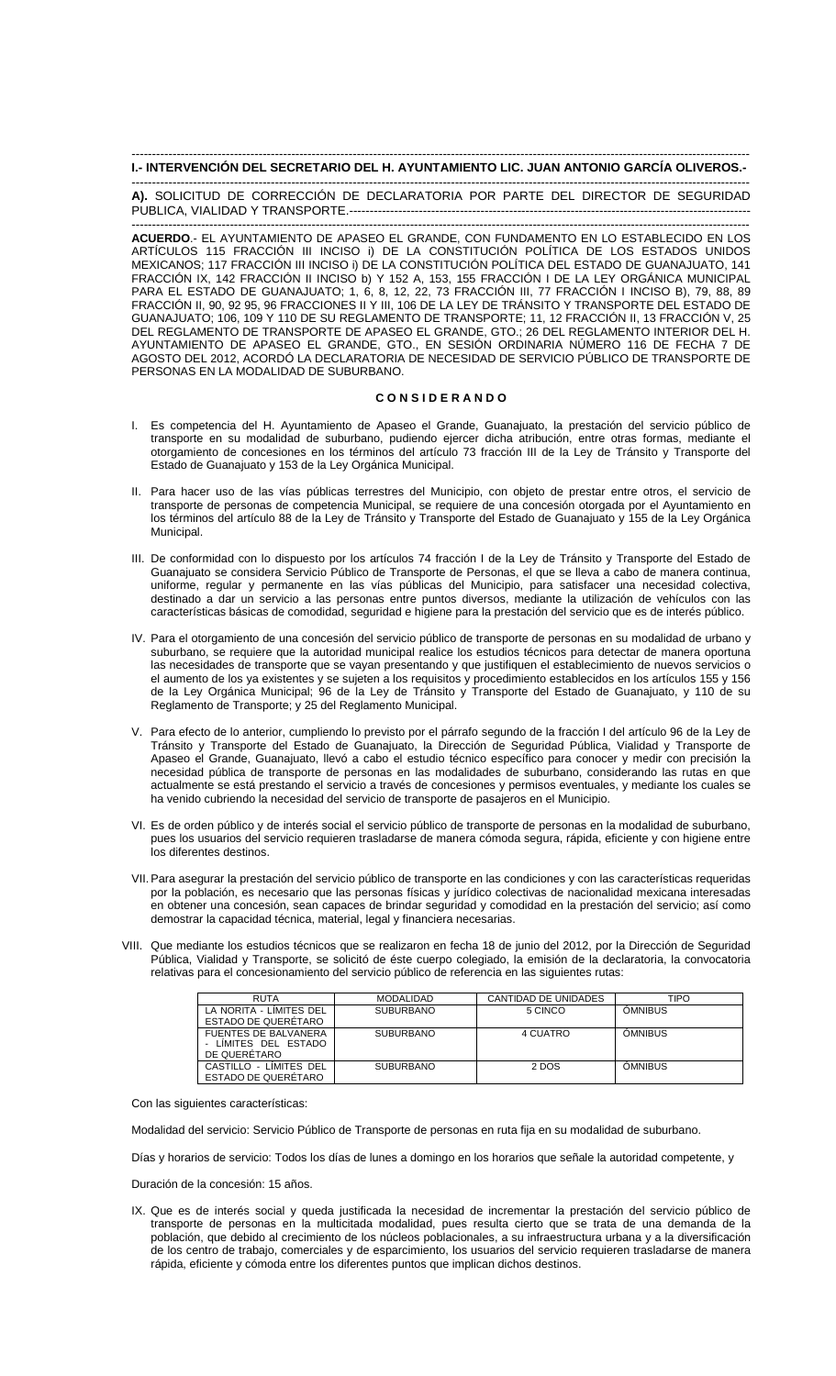### ------------------------------------------------------------------------------------------------------------------------------------------------------- **I.- INTERVENCIÓN DEL SECRETARIO DEL H. AYUNTAMIENTO LIC. JUAN ANTONIO GARCÍA OLIVEROS.-**

------------------------------------------------------------------------------------------------------------------------------------------------------- **A).** SOLICITUD DE CORRECCIÓN DE DECLARATORIA POR PARTE DEL DIRECTOR DE SEGURIDAD PUBLICA, VIALIDAD Y TRANSPORTE.--------------------------------------------------------------------------------------------------

------------------------------------------------------------------------------------------------------------------------------------------------------- **ACUERDO**.- EL AYUNTAMIENTO DE APASEO EL GRANDE, CON FUNDAMENTO EN LO ESTABLECIDO EN LOS ARTÍCULOS 115 FRACCIÓN III INCISO i) DE LA CONSTITUCIÓN POLÍTICA DE LOS ESTADOS UNIDOS MEXICANOS; 117 FRACCIÓN III INCISO i) DE LA CONSTITUCIÓN POLÍTICA DEL ESTADO DE GUANAJUATO, 141 FRACCIÓN IX, 142 FRACCIÓN II INCISO b) Y 152 A, 153, 155 FRACCIÓN I DE LA LEY ORGÁNICA MUNICIPAL PARA EL ESTADO DE GUANAJUATO; 1, 6, 8, 12, 22, 73 FRACCIÓN III, 77 FRACCIÓN I INCISO B), 79, 88, 89 FRACCIÓN II, 90, 92 95, 96 FRACCIONES II Y III, 106 DE LA LEY DE TRÁNSITO Y TRANSPORTE DEL ESTADO DE GUANAJUATO; 106, 109 Y 110 DE SU REGLAMENTO DE TRANSPORTE; 11, 12 FRACCIÓN II, 13 FRACCIÓN V, 25 DEL REGLAMENTO DE TRANSPORTE DE APASEO EL GRANDE, GTO.; 26 DEL REGLAMENTO INTERIOR DEL H. AYUNTAMIENTO DE APASEO EL GRANDE, GTO., EN SESIÓN ORDINARIA NÚMERO 116 DE FECHA 7 DE AGOSTO DEL 2012, ACORDÓ LA DECLARATORIA DE NECESIDAD DE SERVICIO PÚBLICO DE TRANSPORTE DE PERSONAS EN LA MODALIDAD DE SUBURBANO.

## **C O N S I D E R A N D O**

- I. Es competencia del H. Ayuntamiento de Apaseo el Grande, Guanajuato, la prestación del servicio público de transporte en su modalidad de suburbano, pudiendo ejercer dicha atribución, entre otras formas, mediante el otorgamiento de concesiones en los términos del artículo 73 fracción III de la Ley de Tránsito y Transporte del Estado de Guanajuato y 153 de la Ley Orgánica Municipal.
- II. Para hacer uso de las vías públicas terrestres del Municipio, con objeto de prestar entre otros, el servicio de transporte de personas de competencia Municipal, se requiere de una concesión otorgada por el Ayuntamiento en los términos del artículo 88 de la Ley de Tránsito y Transporte del Estado de Guanajuato y 155 de la Ley Orgánica Municipal.
- III. De conformidad con lo dispuesto por los artículos 74 fracción I de la Ley de Tránsito y Transporte del Estado de Guanajuato se considera Servicio Público de Transporte de Personas, el que se lleva a cabo de manera continua, uniforme, regular y permanente en las vías públicas del Municipio, para satisfacer una necesidad colectiva, destinado a dar un servicio a las personas entre puntos diversos, mediante la utilización de vehículos con las características básicas de comodidad, seguridad e higiene para la prestación del servicio que es de interés público.
- IV. Para el otorgamiento de una concesión del servicio público de transporte de personas en su modalidad de urbano y suburbano, se requiere que la autoridad municipal realice los estudios técnicos para detectar de manera oportuna las necesidades de transporte que se vayan presentando y que justifiquen el establecimiento de nuevos servicios o el aumento de los ya existentes y se sujeten a los requisitos y procedimiento establecidos en los artículos 155 y 156 de la Ley Orgánica Municipal; 96 de la Ley de Tránsito y Transporte del Estado de Guanajuato, y 110 de su Reglamento de Transporte; y 25 del Reglamento Municipal.
- V. Para efecto de lo anterior, cumpliendo lo previsto por el párrafo segundo de la fracción I del artículo 96 de la Ley de Tránsito y Transporte del Estado de Guanajuato, la Dirección de Seguridad Pública, Vialidad y Transporte de Apaseo el Grande, Guanajuato, llevó a cabo el estudio técnico específico para conocer y medir con precisión la necesidad pública de transporte de personas en las modalidades de suburbano, considerando las rutas en que actualmente se está prestando el servicio a través de concesiones y permisos eventuales, y mediante los cuales se ha venido cubriendo la necesidad del servicio de transporte de pasajeros en el Municipio.
- VI. Es de orden público y de interés social el servicio público de transporte de personas en la modalidad de suburbano, pues los usuarios del servicio requieren trasladarse de manera cómoda segura, rápida, eficiente y con higiene entre los diferentes destinos.
- VII. Para asegurar la prestación del servicio público de transporte en las condiciones y con las características requeridas por la población, es necesario que las personas físicas y jurídico colectivas de nacionalidad mexicana interesadas en obtener una concesión, sean capaces de brindar seguridad y comodidad en la prestación del servicio; así como demostrar la capacidad técnica, material, legal y financiera necesarias.
- VIII. Que mediante los estudios técnicos que se realizaron en fecha 18 de junio del 2012, por la Dirección de Seguridad Pública, Vialidad y Transporte, se solicitó de éste cuerpo colegiado, la emisión de la declaratoria, la convocatoria relativas para el concesionamiento del servicio público de referencia en las siguientes rutas:

| RUTA                        | MODALIDAD        | CANTIDAD DE UNIDADES | TIPO           |
|-----------------------------|------------------|----------------------|----------------|
| LA NORITA - LÍMITES DEL     | <b>SUBURBANO</b> | 5 CINCO              | <b>OMNIBUS</b> |
| ESTADO DE QUERÉTARO         |                  |                      |                |
| <b>FUENTES DE BALVANERA</b> | <b>SUBURBANO</b> | 4 CUATRO             | <b>OMNIBUS</b> |
| - LIMITES DEL ESTADO        |                  |                      |                |
| DE QUERÉTARO                |                  |                      |                |
| CASTILLO - LIMITES DEL      | <b>SUBURBANO</b> | 2 DOS                | <b>OMNIBUS</b> |
| ESTADO DE QUERÉTARO         |                  |                      |                |

Con las siguientes características:

Modalidad del servicio: Servicio Público de Transporte de personas en ruta fija en su modalidad de suburbano.

Días y horarios de servicio: Todos los días de lunes a domingo en los horarios que señale la autoridad competente, y

Duración de la concesión: 15 años.

IX. Que es de interés social y queda justificada la necesidad de incrementar la prestación del servicio público de transporte de personas en la multicitada modalidad, pues resulta cierto que se trata de una demanda de la población, que debido al crecimiento de los núcleos poblacionales, a su infraestructura urbana y a la diversificación de los centro de trabajo, comerciales y de esparcimiento, los usuarios del servicio requieren trasladarse de manera rápida, eficiente y cómoda entre los diferentes puntos que implican dichos destinos.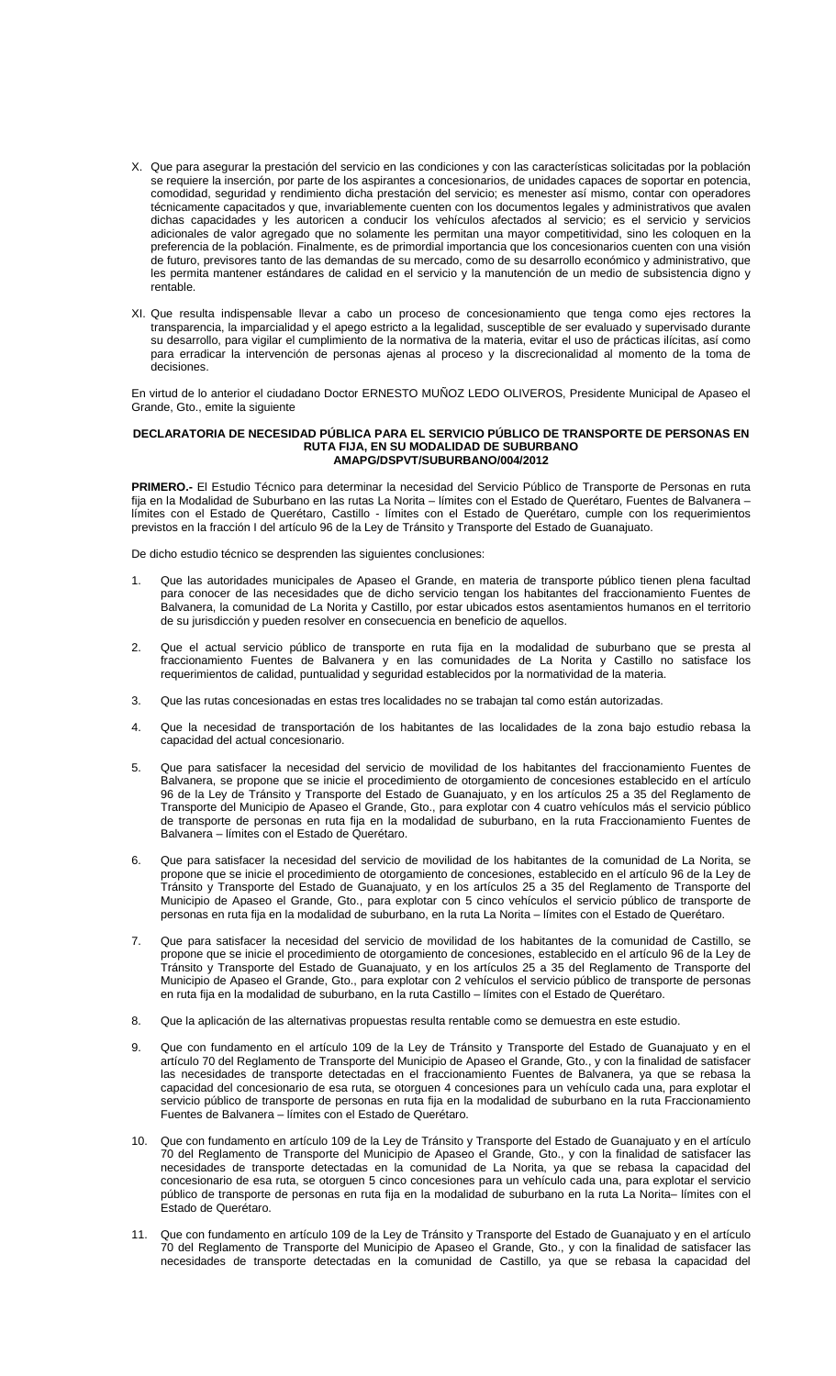- X. Que para asegurar la prestación del servicio en las condiciones y con las características solicitadas por la población se requiere la inserción, por parte de los aspirantes a concesionarios, de unidades capaces de soportar en potencia, comodidad, seguridad y rendimiento dicha prestación del servicio; es menester así mismo, contar con operadores técnicamente capacitados y que, invariablemente cuenten con los documentos legales y administrativos que avalen dichas capacidades y les autoricen a conducir los vehículos afectados al servicio; es el servicio y servicios adicionales de valor agregado que no solamente les permitan una mayor competitividad, sino les coloquen en la preferencia de la población. Finalmente, es de primordial importancia que los concesionarios cuenten con una visión de futuro, previsores tanto de las demandas de su mercado, como de su desarrollo económico y administrativo, que les permita mantener estándares de calidad en el servicio y la manutención de un medio de subsistencia digno y rentable.
- XI. Que resulta indispensable llevar a cabo un proceso de concesionamiento que tenga como ejes rectores la transparencia, la imparcialidad y el apego estricto a la legalidad, susceptible de ser evaluado y supervisado durante su desarrollo, para vigilar el cumplimiento de la normativa de la materia, evitar el uso de prácticas ilícitas, así como para erradicar la intervención de personas ajenas al proceso y la discrecionalidad al momento de la toma de decisiones.

En virtud de lo anterior el ciudadano Doctor ERNESTO MUÑOZ LEDO OLIVEROS, Presidente Municipal de Apaseo el Grande, Gto., emite la siguiente

### **DECLARATORIA DE NECESIDAD PÚBLICA PARA EL SERVICIO PÚBLICO DE TRANSPORTE DE PERSONAS EN RUTA FIJA, EN SU MODALIDAD DE SUBURBANO AMAPG/DSPVT/SUBURBANO/004/2012**

**PRIMERO.-** El Estudio Técnico para determinar la necesidad del Servicio Público de Transporte de Personas en ruta fija en la Modalidad de Suburbano en las rutas La Norita – límites con el Estado de Querétaro, Fuentes de Balvanera – límites con el Estado de Querétaro, Castillo - límites con el Estado de Querétaro, cumple con los requerimientos previstos en la fracción I del artículo 96 de la Ley de Tránsito y Transporte del Estado de Guanajuato.

De dicho estudio técnico se desprenden las siguientes conclusiones:

- 1. Que las autoridades municipales de Apaseo el Grande, en materia de transporte público tienen plena facultad para conocer de las necesidades que de dicho servicio tengan los habitantes del fraccionamiento Fuentes de Balvanera, la comunidad de La Norita y Castillo, por estar ubicados estos asentamientos humanos en el territorio de su jurisdicción y pueden resolver en consecuencia en beneficio de aquellos.
- 2. Que el actual servicio público de transporte en ruta fija en la modalidad de suburbano que se presta al fraccionamiento Fuentes de Balvanera y en las comunidades de La Norita y Castillo no satisface los requerimientos de calidad, puntualidad y seguridad establecidos por la normatividad de la materia.
- 3. Que las rutas concesionadas en estas tres localidades no se trabajan tal como están autorizadas.
- 4. Que la necesidad de transportación de los habitantes de las localidades de la zona bajo estudio rebasa la capacidad del actual concesionario.
- 5. Que para satisfacer la necesidad del servicio de movilidad de los habitantes del fraccionamiento Fuentes de Balvanera, se propone que se inicie el procedimiento de otorgamiento de concesiones establecido en el artículo 96 de la Ley de Tránsito y Transporte del Estado de Guanajuato, y en los artículos 25 a 35 del Reglamento de Transporte del Municipio de Apaseo el Grande, Gto., para explotar con 4 cuatro vehículos más el servicio público de transporte de personas en ruta fija en la modalidad de suburbano, en la ruta Fraccionamiento Fuentes de Balvanera – límites con el Estado de Querétaro.
- 6. Que para satisfacer la necesidad del servicio de movilidad de los habitantes de la comunidad de La Norita, se propone que se inicie el procedimiento de otorgamiento de concesiones, establecido en el artículo 96 de la Ley de Tránsito y Transporte del Estado de Guanajuato, y en los artículos 25 a 35 del Reglamento de Transporte del Municipio de Apaseo el Grande, Gto., para explotar con 5 cinco vehículos el servicio público de transporte de personas en ruta fija en la modalidad de suburbano, en la ruta La Norita – límites con el Estado de Querétaro.
- 7. Que para satisfacer la necesidad del servicio de movilidad de los habitantes de la comunidad de Castillo, se propone que se inicie el procedimiento de otorgamiento de concesiones, establecido en el artículo 96 de la Ley de Tránsito y Transporte del Estado de Guanajuato, y en los artículos 25 a 35 del Reglamento de Transporte del Municipio de Apaseo el Grande, Gto., para explotar con 2 vehículos el servicio público de transporte de personas en ruta fija en la modalidad de suburbano, en la ruta Castillo – límites con el Estado de Querétaro.
- 8. Que la aplicación de las alternativas propuestas resulta rentable como se demuestra en este estudio.
- 9. Que con fundamento en el artículo 109 de la Ley de Tránsito y Transporte del Estado de Guanajuato y en el artículo 70 del Reglamento de Transporte del Municipio de Apaseo el Grande, Gto., y con la finalidad de satisfacer las necesidades de transporte detectadas en el fraccionamiento Fuentes de Balvanera, ya que se rebasa la capacidad del concesionario de esa ruta, se otorguen 4 concesiones para un vehículo cada una, para explotar el servicio público de transporte de personas en ruta fija en la modalidad de suburbano en la ruta Fraccionamiento Fuentes de Balvanera – límites con el Estado de Querétaro.
- 10. Que con fundamento en artículo 109 de la Ley de Tránsito y Transporte del Estado de Guanajuato y en el artículo 70 del Reglamento de Transporte del Municipio de Apaseo el Grande, Gto., y con la finalidad de satisfacer las necesidades de transporte detectadas en la comunidad de La Norita, ya que se rebasa la capacidad del concesionario de esa ruta, se otorguen 5 cinco concesiones para un vehículo cada una, para explotar el servicio público de transporte de personas en ruta fija en la modalidad de suburbano en la ruta La Norita– límites con el Estado de Querétaro.
- 11. Que con fundamento en artículo 109 de la Ley de Tránsito y Transporte del Estado de Guanajuato y en el artículo 70 del Reglamento de Transporte del Municipio de Apaseo el Grande, Gto., y con la finalidad de satisfacer las necesidades de transporte detectadas en la comunidad de Castillo, ya que se rebasa la capacidad del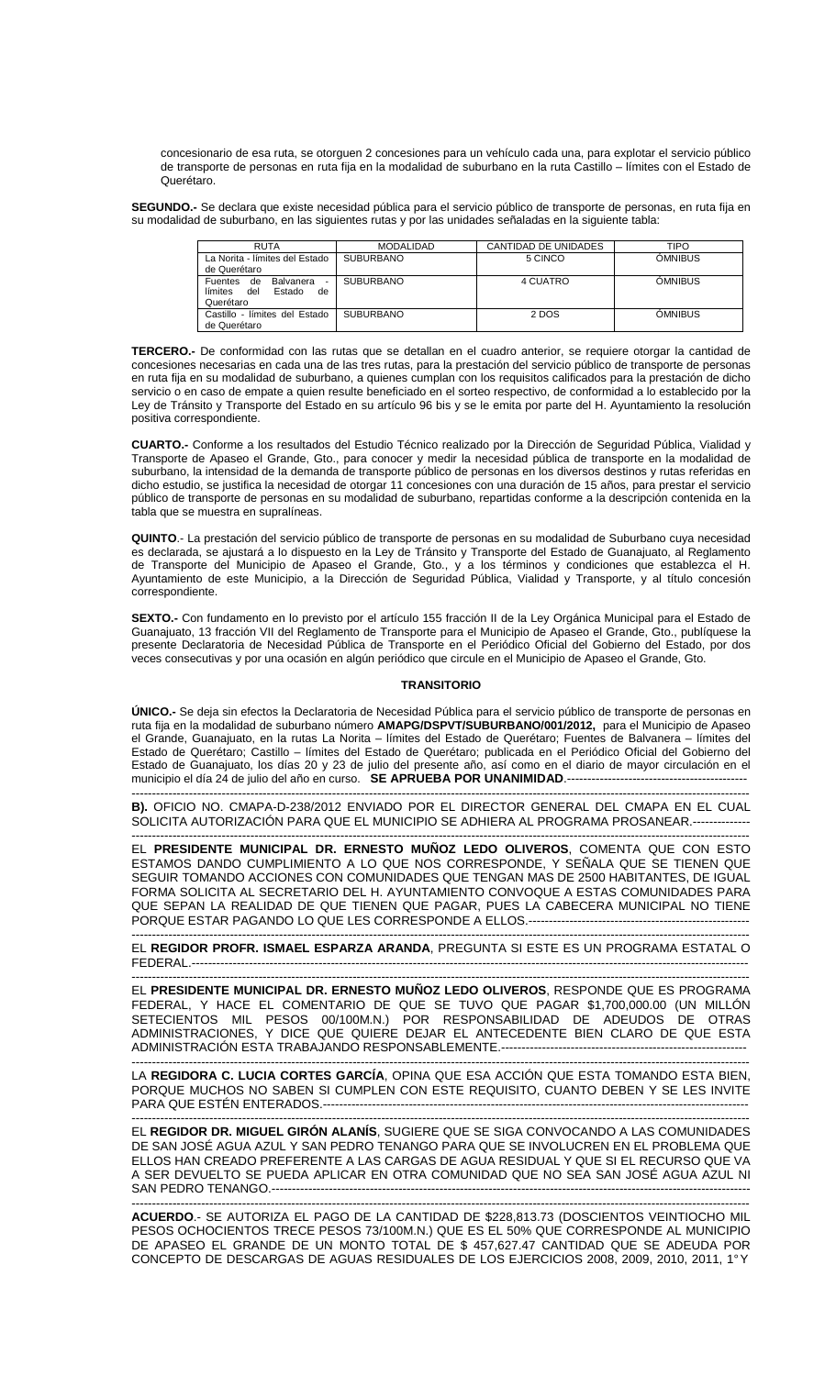concesionario de esa ruta, se otorguen 2 concesiones para un vehículo cada una, para explotar el servicio público de transporte de personas en ruta fija en la modalidad de suburbano en la ruta Castillo – límites con el Estado de Querétaro.

**SEGUNDO.-** Se declara que existe necesidad pública para el servicio público de transporte de personas, en ruta fija en su modalidad de suburbano, en las siguientes rutas y por las unidades señaladas en la siguiente tabla:

| <b>RUTA</b>                                                                                | <b>MODALIDAD</b> | CANTIDAD DE UNIDADES | TIPO           |
|--------------------------------------------------------------------------------------------|------------------|----------------------|----------------|
| La Norita - límites del Estado                                                             | <b>SUBURBANO</b> | 5 CINCO              | <b>ÓMNIBUS</b> |
| de Querétaro                                                                               |                  |                      |                |
| Balvanera<br>de<br><b>Fuentes</b><br>$\sim$<br>límites<br>del<br>Estado<br>de<br>Querétaro | <b>SUBURBANO</b> | 4 CUATRO             | <b>OMNIBUS</b> |
| Castillo - límites del Estado<br>de Querétaro                                              | <b>SUBURBANO</b> | 2 DOS                | <b>OMNIBUS</b> |

**TERCERO.-** De conformidad con las rutas que se detallan en el cuadro anterior, se requiere otorgar la cantidad de concesiones necesarias en cada una de las tres rutas, para la prestación del servicio público de transporte de personas en ruta fija en su modalidad de suburbano, a quienes cumplan con los requisitos calificados para la prestación de dicho servicio o en caso de empate a quien resulte beneficiado en el sorteo respectivo, de conformidad a lo establecido por la Ley de Tránsito y Transporte del Estado en su artículo 96 bis y se le emita por parte del H. Ayuntamiento la resolución positiva correspondiente.

**CUARTO.-** Conforme a los resultados del Estudio Técnico realizado por la Dirección de Seguridad Pública, Vialidad y Transporte de Apaseo el Grande, Gto., para conocer y medir la necesidad pública de transporte en la modalidad de suburbano, la intensidad de la demanda de transporte público de personas en los diversos destinos y rutas referidas en dicho estudio, se justifica la necesidad de otorgar 11 concesiones con una duración de 15 años, para prestar el servicio público de transporte de personas en su modalidad de suburbano, repartidas conforme a la descripción contenida en la tabla que se muestra en supralíneas.

**QUINTO**.- La prestación del servicio público de transporte de personas en su modalidad de Suburbano cuya necesidad es declarada, se ajustará a lo dispuesto en la Ley de Tránsito y Transporte del Estado de Guanajuato, al Reglamento de Transporte del Municipio de Apaseo el Grande, Gto., y a los términos y condiciones que establezca el H. Ayuntamiento de este Municipio, a la Dirección de Seguridad Pública, Vialidad y Transporte, y al título concesión correspondiente.

**SEXTO.-** Con fundamento en lo previsto por el artículo 155 fracción II de la Ley Orgánica Municipal para el Estado de Guanajuato, 13 fracción VII del Reglamento de Transporte para el Municipio de Apaseo el Grande, Gto., publíquese la presente Declaratoria de Necesidad Pública de Transporte en el Periódico Oficial del Gobierno del Estado, por dos veces consecutivas y por una ocasión en algún periódico que circule en el Municipio de Apaseo el Grande, Gto.

## **TRANSITORIO**

**ÚNICO.-** Se deja sin efectos la Declaratoria de Necesidad Pública para el servicio público de transporte de personas en ruta fija en la modalidad de suburbano número **AMAPG/DSPVT/SUBURBANO/001/2012,** para el Municipio de Apaseo el Grande, Guanajuato, en la rutas La Norita – límites del Estado de Querétaro; Fuentes de Balvanera – límites del Estado de Querétaro; Castillo – límites del Estado de Querétaro; publicada en el Periódico Oficial del Gobierno del Estado de Guanajuato, los días 20 y 23 de julio del presente año, así como en el diario de mayor circulación en el municipio el día 24 de julio del año en curso. **SE APRUEBA POR UNANIMIDAD**.--------------------------------------------

------------------------------------------------------------------------------------------------------------------------------------------------------- **B).** OFICIO NO. CMAPA-D-238/2012 ENVIADO POR EL DIRECTOR GENERAL DEL CMAPA EN EL CUAL SOLICITA AUTORIZACIÓN PARA QUE EL MUNICIPIO SE ADHIERA AL PROGRAMA PROSANEAR.--------------

------------------------------------------------------------------------------------------------------------------------------------------------------- EL **PRESIDENTE MUNICIPAL DR. ERNESTO MUÑOZ LEDO OLIVEROS**, COMENTA QUE CON ESTO ESTAMOS DANDO CUMPLIMIENTO A LO QUE NOS CORRESPONDE, Y SEÑALA QUE SE TIENEN QUE SEGUIR TOMANDO ACCIONES CON COMUNIDADES QUE TENGAN MAS DE 2500 HABITANTES, DE IGUAL FORMA SOLICITA AL SECRETARIO DEL H. AYUNTAMIENTO CONVOQUE A ESTAS COMUNIDADES PARA QUE SEPAN LA REALIDAD DE QUE TIENEN QUE PAGAR, PUES LA CABECERA MUNICIPAL NO TIENE PORQUE ESTAR PAGANDO LO QUE LES CORRESPONDE A ELLOS.------------------------------------------------------

------------------------------------------------------------------------------------------------------------------------------------------------------- EL **REGIDOR PROFR. ISMAEL ESPARZA ARANDA**, PREGUNTA SI ESTE ES UN PROGRAMA ESTATAL O FEDERAL.----------------------------------------------------------------------------------------------------------------------------------------

------------------------------------------------------------------------------------------------------------------------------------------------------- EL **PRESIDENTE MUNICIPAL DR. ERNESTO MUÑOZ LEDO OLIVEROS**, RESPONDE QUE ES PROGRAMA FEDERAL, Y HACE EL COMENTARIO DE QUE SE TUVO QUE PAGAR \$1,700,000.00 (UN MILLÓN SETECIENTOS MIL PESOS 00/100M.N.) POR RESPONSABILIDAD DE ADEUDOS DE OTRAS ADMINISTRACIONES, Y DICE QUE QUIERE DEJAR EL ANTECEDENTE BIEN CLARO DE QUE ESTA ADMINISTRACIÓN ESTA TRABAJANDO RESPONSABLEMENTE.------------------------------------------------------------

------------------------------------------------------------------------------------------------------------------------------------------------------- LA **REGIDORA C. LUCIA CORTES GARCÍA**, OPINA QUE ESA ACCIÓN QUE ESTA TOMANDO ESTA BIEN, PORQUE MUCHOS NO SABEN SI CUMPLEN CON ESTE REQUISITO, CUANTO DEBEN Y SE LES INVITE PARA QUE ESTÉN ENTERADOS.--------------------------

------------------------------------------------------------------------------------------------------------------------------------------------------- EL **REGIDOR DR. MIGUEL GIRÓN ALANÍS**, SUGIERE QUE SE SIGA CONVOCANDO A LAS COMUNIDADES DE SAN JOSÉ AGUA AZUL Y SAN PEDRO TENANGO PARA QUE SE INVOLUCREN EN EL PROBLEMA QUE ELLOS HAN CREADO PREFERENTE A LAS CARGAS DE AGUA RESIDUAL Y QUE SI EL RECURSO QUE VA A SER DEVUELTO SE PUEDA APLICAR EN OTRA COMUNIDAD QUE NO SEA SAN JOSÉ AGUA AZUL NI SAN PEDRO TENANGO.---------------------

------------------------------------------------------------------------------------------------------------------------------------------------------- **ACUERDO**.- SE AUTORIZA EL PAGO DE LA CANTIDAD DE \$228,813.73 (DOSCIENTOS VEINTIOCHO MIL PESOS OCHOCIENTOS TRECE PESOS 73/100M.N.) QUE ES EL 50% QUE CORRESPONDE AL MUNICIPIO DE APASEO EL GRANDE DE UN MONTO TOTAL DE \$ 457,627.47 CANTIDAD QUE SE ADEUDA POR CONCEPTO DE DESCARGAS DE AGUAS RESIDUALES DE LOS EJERCICIOS 2008, 2009, 2010, 2011, 1° Y